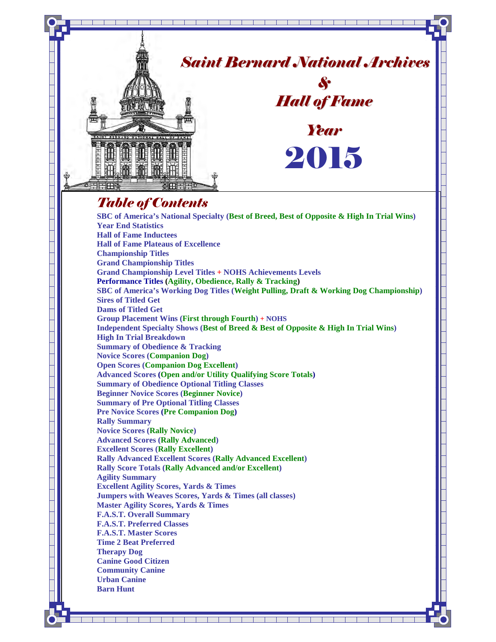

**SBC of America's Working Dog Titles (Weight Pulling, Draft & Working Dog Championship) Sires of Titled Get** 

**Dams of Titled Get**

**Group Placement Wins (First through Fourth) + NOHS Independent Specialty Shows (Best of Breed & Best of Opposite & High In Trial Wins) High In Trial Breakdown** 

**Summary of Obedience & Tracking Novice Scores (Companion Dog)** 

**Open Scores (Companion Dog Excellent)** 

**Advanced Scores (Open and/or Utility Qualifying Score Totals)**

**Summary of Obedience Optional Titling Classes** 

**Beginner Novice Scores (Beginner Novice)** 

**Summary of Pre Optional Titling Classes** 

**Pre Novice Scores (Pre Companion Dog)** 

**Rally Summary Novice Scores (Rally Novice)** 

**Advanced Scores (Rally Advanced)**

**Excellent Scores (Rally Excellent)** 

**Rally Advanced Excellent Scores (Rally Advanced Excellent)** 

<u>sa kwakazi wa kutoka wa 1989 hadi wa 1989 hadi wa 1989 hadi wa 1989 hadi wa 1989 hadi wa 1989 hadi wa 1989 hadi</u>

**Rally Score Totals (Rally Advanced and/or Excellent) Agility Summary** 

**Excellent Agility Scores, Yards & Times** 

**Jumpers with Weaves Scores, Yards & Times (all classes)** 

**Master Agility Scores, Yards & Times** 

**F.A.S.T. Overall Summary F.A.S.T. Preferred Classes** 

**F.A.S.T. Master Scores**

**Time 2 Beat Preferred** 

**Therapy Dog** 

**Canine Good Citizen** 

**Community Canine** 

**Urban Canine Barn Hunt**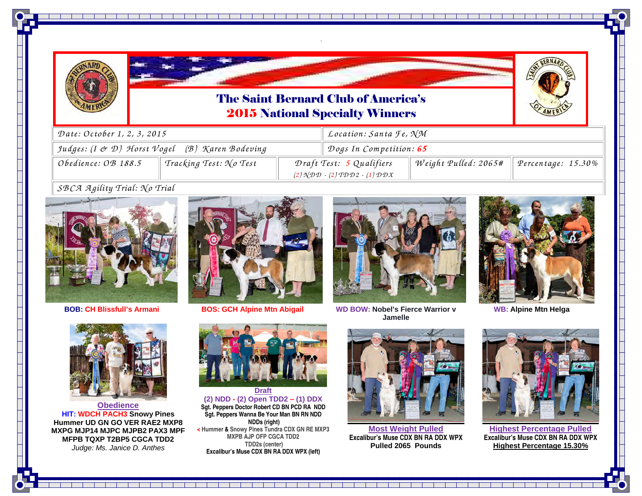



*.* 

<u> 1919 - Johann Johann Barbara, menyebagai kecamatan pada 2001 - Johann Barbara Barbara Barbara Barbara Barbara</u>



| Date: October 1, 2, 3, 2015                                                                  |                        |                                                                                                                                                             | Location: Santa Te, NM |                      |                    |  |
|----------------------------------------------------------------------------------------------|------------------------|-------------------------------------------------------------------------------------------------------------------------------------------------------------|------------------------|----------------------|--------------------|--|
| Judges: (I & D) Horst Vogel (B) Karen Bodeving                                               |                        | Dogs In Competition: 65                                                                                                                                     |                        |                      |                    |  |
| Obedience: OB 188.5                                                                          | Tracking Test: No Test | Draft Test: 5 Qualifiers<br>$(2) \mathcal{N} \mathcal{D} \mathcal{D} - (2) \mathcal{T} \mathcal{D} \mathcal{D} 2 - (1) \mathcal{D} \mathcal{D} \mathcal{X}$ |                        | Weight Pulled: 2065# | Percentage: 15.30% |  |
| $c \oplus c \oplus d$ $\oplus$ $\vdots$ $\vdots$ $c \oplus c$ $\vdots$ $c \oplus c$ $\vdots$ |                        |                                                                                                                                                             |                        |                      |                    |  |

#### *SB CA <sup>A</sup> <sup>g</sup>ility Trial: N o Trial*



**BOB: CH Blissfull's**



**Armani BOS: GCH Alpine Mtn Abigail WD**



**Jamelle**



**WB: Alpine Mtn Helga**



**Obedience HIT: WDCH PACH3 Snowy Pines Hummer UD GN GO VER RAE2 MXP8 MXPG MJP14 MJPC MJPB2 PAX3 MPF MFPB TQXP T2BP5 CGCA TDD2** Judge: Ms. Janice D. Anthes

**Draft (2) NDD - (2) Open TDD2 – (1) DDX Sgt. Peppers Doctor Robert CD BN PCD RA NDD Sgt. Peppers Wanna Be Your Man BN RN NDD NDDs (right) < Hummer & Snowy Pines Tundra CDX GN RE MXP3 MXPB AJP OFP CGCA TDD2 TDD2s (center) Excalibur's Muse CDX BN RA DDX WPX (left)**



**Most Weight Pulled Excalibur's Muse CDX BN RA DDX WPXPulled 2065 Pounds** 

<u>Territorial de la contenentación de la contenental de la contenental de la contenental de la contenental de la</u>



**Highest Percentage Pulled Excalibur's Muse CDX BN RA DDX WPXHighest Percentage 15.30%**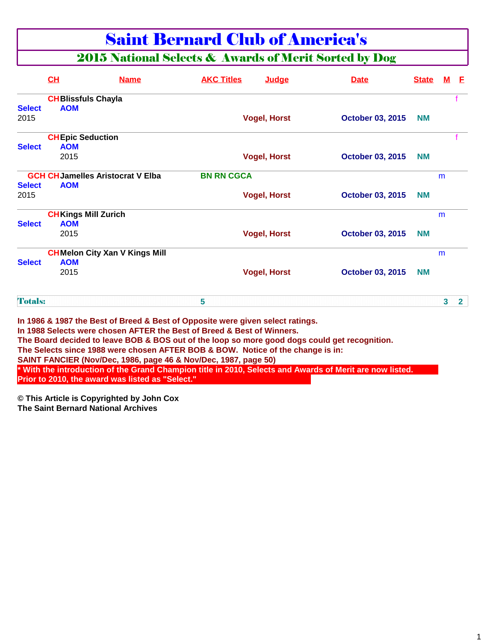### Saint Bernard Club of America's

#### 2015 National Selects & Awards of Merit Sorted by Dog

|                | <b>CH</b>                  | <b>Name</b>                                                                                                                                                                                                                                                                                                                                                                                                                                                         | <b>AKC Titles</b> | Judge               | <b>Date</b>                                                                                              | <b>State</b> | м | -F             |
|----------------|----------------------------|---------------------------------------------------------------------------------------------------------------------------------------------------------------------------------------------------------------------------------------------------------------------------------------------------------------------------------------------------------------------------------------------------------------------------------------------------------------------|-------------------|---------------------|----------------------------------------------------------------------------------------------------------|--------------|---|----------------|
|                | <b>CHBlissfuls Chayla</b>  |                                                                                                                                                                                                                                                                                                                                                                                                                                                                     |                   |                     |                                                                                                          |              |   |                |
| <b>Select</b>  | <b>AOM</b>                 |                                                                                                                                                                                                                                                                                                                                                                                                                                                                     |                   |                     |                                                                                                          |              |   |                |
| 2015           |                            |                                                                                                                                                                                                                                                                                                                                                                                                                                                                     |                   | <b>Vogel, Horst</b> | <b>October 03, 2015</b>                                                                                  | <b>NM</b>    |   |                |
|                | <b>CHEpic Seduction</b>    |                                                                                                                                                                                                                                                                                                                                                                                                                                                                     |                   |                     |                                                                                                          |              |   |                |
| <b>Select</b>  | <b>AOM</b>                 |                                                                                                                                                                                                                                                                                                                                                                                                                                                                     |                   |                     |                                                                                                          |              |   |                |
|                | 2015                       |                                                                                                                                                                                                                                                                                                                                                                                                                                                                     |                   | <b>Vogel, Horst</b> | <b>October 03, 2015</b>                                                                                  | <b>NM</b>    |   |                |
|                |                            | <b>GCH CH Jamelles Aristocrat V Elba</b>                                                                                                                                                                                                                                                                                                                                                                                                                            | <b>BN RN CGCA</b> |                     |                                                                                                          |              | m |                |
| <b>Select</b>  | <b>AOM</b>                 |                                                                                                                                                                                                                                                                                                                                                                                                                                                                     |                   |                     |                                                                                                          |              |   |                |
| 2015           |                            |                                                                                                                                                                                                                                                                                                                                                                                                                                                                     |                   | <b>Vogel, Horst</b> | <b>October 03, 2015</b>                                                                                  | <b>NM</b>    |   |                |
|                | <b>CHKings Mill Zurich</b> |                                                                                                                                                                                                                                                                                                                                                                                                                                                                     |                   |                     |                                                                                                          |              | m |                |
| <b>Select</b>  | <b>AOM</b>                 |                                                                                                                                                                                                                                                                                                                                                                                                                                                                     |                   |                     |                                                                                                          |              |   |                |
|                | 2015                       |                                                                                                                                                                                                                                                                                                                                                                                                                                                                     |                   | <b>Vogel, Horst</b> | <b>October 03, 2015</b>                                                                                  | <b>NM</b>    |   |                |
|                |                            | <b>CHMelon City Xan V Kings Mill</b>                                                                                                                                                                                                                                                                                                                                                                                                                                |                   |                     |                                                                                                          |              | m |                |
| <b>Select</b>  | <b>AOM</b>                 |                                                                                                                                                                                                                                                                                                                                                                                                                                                                     |                   |                     |                                                                                                          |              |   |                |
|                | 2015                       |                                                                                                                                                                                                                                                                                                                                                                                                                                                                     |                   | <b>Vogel, Horst</b> | <b>October 03, 2015</b>                                                                                  | <b>NM</b>    |   |                |
| <b>Totals:</b> |                            |                                                                                                                                                                                                                                                                                                                                                                                                                                                                     | 5                 |                     |                                                                                                          |              | 3 | 2 <sup>1</sup> |
|                |                            | In 1986 & 1987 the Best of Breed & Best of Opposite were given select ratings.<br>In 1988 Selects were chosen AFTER the Best of Breed & Best of Winners.<br>The Board decided to leave BOB & BOS out of the loop so more good dogs could get recognition.<br>The Selects since 1988 were chosen AFTER BOB & BOW. Notice of the change is in:<br>SAINT FANCIER (Nov/Dec, 1986, page 46 & Nov/Dec, 1987, page 50)<br>Prior to 2010, the award was listed as "Select." |                   |                     | * With the introduction of the Grand Champion title in 2010, Selects and Awards of Merit are now listed. |              |   |                |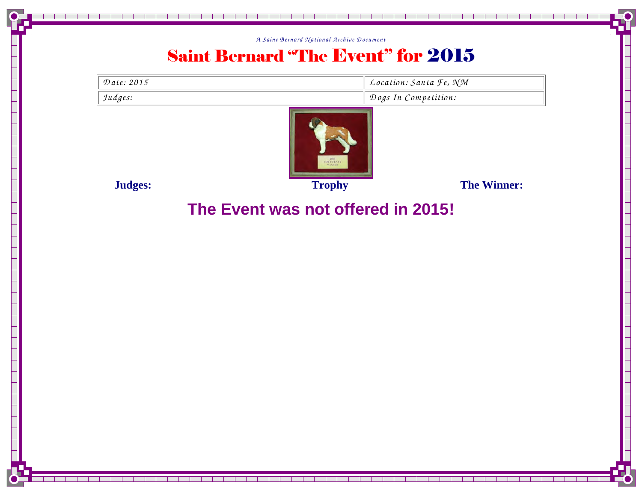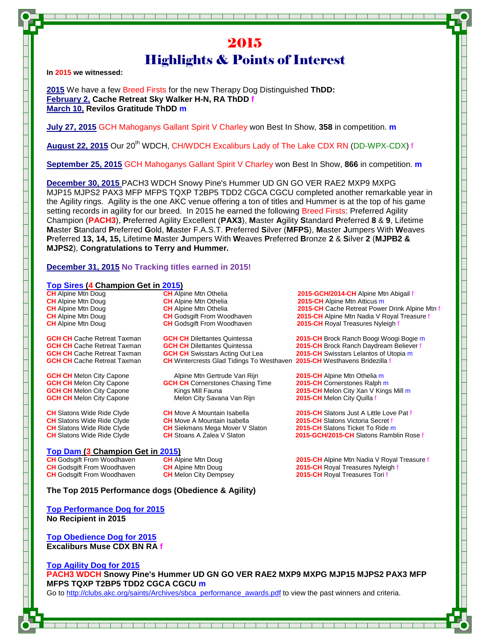#### 2015 Highlights & Points of Interest

**In 2015 we witnessed:** 

**2015** We have a few Breed Firsts for the new Therapy Dog Distinguished **ThDD: February 2, Cache Retreat Sky Walker H-N, RA ThDD f March 10, Revilos Gratitude ThDD m**

**July 27, 2015** GCH Mahoganys Gallant Spirit V Charley won Best In Show, **358** in competition. **m**

**August 22, 2015** Our 20th WDCH, CH/WDCH Excaliburs Lady of The Lake CDX RN (DD-WPX-CDX) f

**September 25, 2015** GCH Mahoganys Gallant Spirit V Charley won Best In Show, **866** in competition. **m**

**December 30, 2015** PACH3 WDCH Snowy Pine's Hummer UD GN GO VER RAE2 MXP9 MXPG MJP15 MJPS2 PAX3 MFP MFPS TQXP T2BP5 TDD2 CGCA CGCU completed another remarkable year in the Agility rings. Agility is the one AKC venue offering a ton of titles and Hummer is at the top of his game setting records in agility for our breed. In 2015 he earned the following Breed Firsts: Preferred Agility Champion (**PACH3**), **P**referred Agility Excellent (**PAX3**), **M**aster **A**gility **S**tandard **P**referred **8** & **9**, Lifetime **M**aster **S**tandard **P**referred **G**old, **M**aster F.A.S.T. **P**referred **S**ilver (**MFPS**), **M**aster **J**umpers With **W**eaves **P**referred **13, 14, 15,** Lifetime **M**aster **J**umpers With **W**eaves **P**referred **B**ronze **2** & **S**ilver **2** (**MJPB2 & MJPS2**), **Congratulations to Terry and Hummer.** 

#### **December 31, 2015 No Tracking titles earned in 2015!**

**Top Sires (4 Champion Get in 2015)**<br> **CH Alpine Mtn Doug CH Alpine Mtn Othelia** 2015-GCH/2014-CH Alpine Mtn Abigail f **CH** Alpine Mtn Doug **CH** Alpine Mtn Othelia **2015-CH** Alpine Mtn Atticus m 2015-CH Cache Retreat Power Drink Alpine Mtn f **CH** Alpine Mtn Doug **CH** Godsgift From Woodhaven **2015-CH** Alpine Mtn Nadia V Royal Treasure f **CH** Alpine Mtn Doug **CH** Godsgift From Woodhaven **2015-CH** Royal Treasures Nyleigh f **GCH CH** Cache Retreat Taxman **GCH CH** Dilettantes Quintessa **2015-CH** Brock Ranch Boogi Woogi Bogie m **GCH CH Cache Retreat Taxman GCH CH Dilettantes Quintessa 2015-CH Brock Ranch Daydream Believer f GCH CH CH Swisstand Believer f GCH CH CH Swisstand Believer f CCH CH CH Swisstand Believer f CCH CH CH Swisstand GCH CH** Cache Retreat Taxman **GCH CH** Swisstars Acting Out Lea **2015-CH** Swisstars Lelantos of Utopia m<br>**GCH CH** Cache Retreat Taxman **CH** Wintercrests Glad Tidings To Westhaven 2015-CH Westhavens Bridezilla f **CH** Wintercrests Glad Tidings To Westhaven 2015-CH Westhavens Bridezilla f **GCH CH Melon City Capone** Alpine Mtn Gertrude Van Rijn **2015-CH** Alpine Mtn Othelia m<br>**GCH CH Melon City Capone CGH CH Cornerstones Chasing Time 2015-CH Cornerstones Ralph m GCH CH** Cornerstones Chasing Time **GCH CH** Melon City Capone Kings Mill Fauna **2015-CH** Melon City Xan V Kings Mill m **GCH CH** Melon City Capone Melon City Savana Van Rijn **2015-CH** Melon City Quilla f **CH** Slatons Wide Ride Clyde **CH** Move A Mountain Isabella **2015-CH** Slatons Just A Little Love Pat f **CH** Slatons Wide Ride Clyde **CH** Move A Mountain Isabella **2015-CH** Slatons Victoria Secret f<br> **CH** Slatons Wide Ride Clyde **CH** Siekmans Mega Mover V Slaton **2015-CH** Slatons Ticket To Ride m **CH** Siekmans Mega Mover V Slaton **CH** Slatons Wide Ride Clyde **CH** Stoans A Zalea V Slaton **2015-GCH/2015-CH** Slatons Ramblin Rose f **Top Dam (3 Champion Get in 2015)** 

**CH** Godsgift From Woodhaven **CH** Alpine Mtn Doug **2015-CH** Alpine Mtn Nadia V Royal Treasure f **2015-CH Royal Treasures Nyleigh f CH** Godsgift From Woodhaven **CH** Melon City Dempsey **2015-CH** Royal Treasures Tori f

**The Top 2015 Performance dogs (Obedience & Agility)** 

**Top Performance Dog for 2015 No Recipient in 2015** 

**Top Obedience Dog for 2015 Excaliburs Muse CDX BN RA f**

**Top Agility Dog for 2015 PACH3 WDCH Snowy Pine's Hummer UD GN GO VER RAE2 MXP9 MXPG MJP15 MJPS2 PAX3 MFP MFPS TQXP T2BP5 TDD2 CGCA CGCU m** Go to http://clubs.akc.org/saints/Archives/sbca\_performance\_awards.pdf to view the past winners and criteria.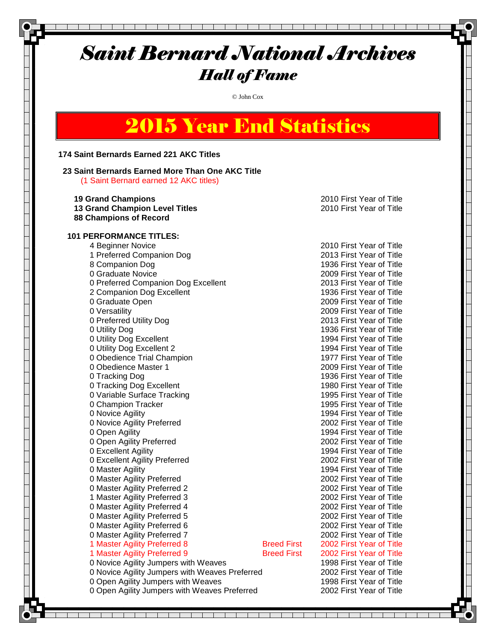#### Saint Bernard National Archives Hall of Fame

© John Cox

# 2015 Year End Statistics

#### **174 Saint Bernards Earned 221 AKC Titles**

#### **23 Saint Bernards Earned More Than One AKC Title**

(1 Saint Bernard earned 12 AKC titles)

| <b>19 Grand Champions</b>                      |                    | 2010 First Year of Title |
|------------------------------------------------|--------------------|--------------------------|
| <b>13 Grand Champion Level Titles</b>          |                    | 2010 First Year of Title |
| <b>88 Champions of Record</b>                  |                    |                          |
|                                                |                    |                          |
| <b>101 PERFORMANCE TITLES:</b>                 |                    |                          |
| 4 Beginner Novice                              |                    | 2010 First Year of Title |
| 1 Preferred Companion Dog                      |                    | 2013 First Year of Title |
| 8 Companion Dog                                |                    | 1936 First Year of Title |
| 0 Graduate Novice                              |                    | 2009 First Year of Title |
| 0 Preferred Companion Dog Excellent            |                    | 2013 First Year of Title |
| 2 Companion Dog Excellent                      |                    | 1936 First Year of Title |
| 0 Graduate Open                                |                    | 2009 First Year of Title |
| 0 Versatility                                  |                    | 2009 First Year of Title |
| 0 Preferred Utility Dog                        |                    | 2013 First Year of Title |
| 0 Utility Dog                                  |                    | 1936 First Year of Title |
| 0 Utility Dog Excellent                        |                    | 1994 First Year of Title |
| 0 Utility Dog Excellent 2                      |                    | 1994 First Year of Title |
| 0 Obedience Trial Champion                     |                    | 1977 First Year of Title |
| 0 Obedience Master 1                           |                    | 2009 First Year of Title |
| 0 Tracking Dog                                 |                    | 1936 First Year of Title |
| 0 Tracking Dog Excellent                       |                    | 1980 First Year of Title |
| 0 Variable Surface Tracking                    |                    | 1995 First Year of Title |
| 0 Champion Tracker                             |                    | 1995 First Year of Title |
| 0 Novice Agility                               |                    | 1994 First Year of Title |
| 0 Novice Agility Preferred                     |                    | 2002 First Year of Title |
| 0 Open Agility                                 |                    | 1994 First Year of Title |
| 0 Open Agility Preferred                       |                    | 2002 First Year of Title |
| 0 Excellent Agility                            |                    | 1994 First Year of Title |
| 0 Excellent Agility Preferred                  |                    | 2002 First Year of Title |
| 0 Master Agility                               |                    | 1994 First Year of Title |
| 0 Master Agility Preferred                     |                    | 2002 First Year of Title |
| 0 Master Agility Preferred 2                   |                    | 2002 First Year of Title |
| 1 Master Agility Preferred 3                   |                    | 2002 First Year of Title |
| 0 Master Agility Preferred 4                   |                    | 2002 First Year of Title |
| 0 Master Agility Preferred 5                   |                    | 2002 First Year of Title |
| 0 Master Agility Preferred 6                   |                    | 2002 First Year of Title |
| 0 Master Agility Preferred 7                   |                    | 2002 First Year of Title |
| 1 Master Agility Preferred 8                   | <b>Breed First</b> | 2002 First Year of Title |
| 1 Master Agility Preferred 9                   | <b>Breed First</b> | 2002 First Year of Title |
| 0 Novice Agility Jumpers with Weaves           |                    | 1998 First Year of Title |
| 0 Novice Agility Jumpers with Weaves Preferred |                    | 2002 First Year of Title |
| 0 Open Agility Jumpers with Weaves             |                    | 1998 First Year of Title |
| 0 Open Agility Jumpers with Weaves Preferred   |                    | 2002 First Year of Title |

┰ ┱ T T T

and a strong strong

┰ ┱  $\mathbf{1}$  $\mathbf{L}$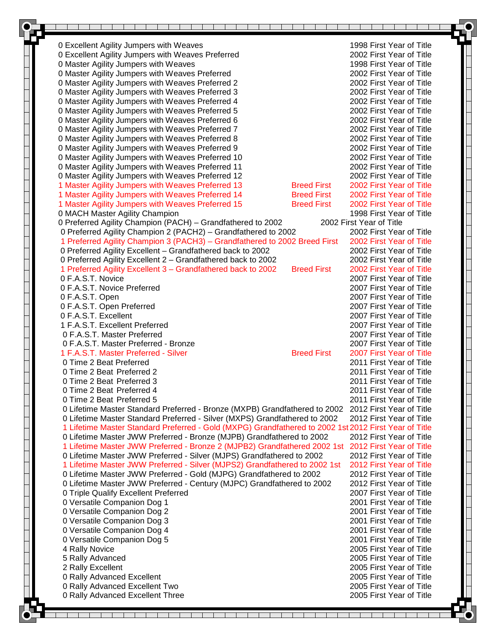| 0 Excellent Agility Jumpers with Weaves<br>1998 First Year of Title<br>0 Excellent Agility Jumpers with Weaves Preferred<br>2002 First Year of Title<br>0 Master Agility Jumpers with Weaves<br>1998 First Year of Title<br>0 Master Agility Jumpers with Weaves Preferred<br>2002 First Year of Title<br>2002 First Year of Title<br>0 Master Agility Jumpers with Weaves Preferred 2<br>0 Master Agility Jumpers with Weaves Preferred 3<br>2002 First Year of Title<br>0 Master Agility Jumpers with Weaves Preferred 4<br>2002 First Year of Title<br>0 Master Agility Jumpers with Weaves Preferred 5<br>2002 First Year of Title<br>0 Master Agility Jumpers with Weaves Preferred 6<br>2002 First Year of Title<br>0 Master Agility Jumpers with Weaves Preferred 7<br>2002 First Year of Title<br>0 Master Agility Jumpers with Weaves Preferred 8<br>2002 First Year of Title<br>0 Master Agility Jumpers with Weaves Preferred 9<br>2002 First Year of Title<br>0 Master Agility Jumpers with Weaves Preferred 10<br>2002 First Year of Title<br>2002 First Year of Title<br>0 Master Agility Jumpers with Weaves Preferred 11<br>0 Master Agility Jumpers with Weaves Preferred 12<br>2002 First Year of Title<br><b>Breed First</b><br>2002 First Year of Title<br>1 Master Agility Jumpers with Weaves Preferred 13<br>1 Master Agility Jumpers with Weaves Preferred 14<br><b>Breed First</b><br>2002 First Year of Title<br>1 Master Agility Jumpers with Weaves Preferred 15<br><b>Breed First</b><br>2002 First Year of Title<br>0 MACH Master Agility Champion<br>1998 First Year of Title<br>0 Preferred Agility Champion (PACH) - Grandfathered to 2002<br>2002 First Year of Title<br>0 Preferred Agility Champion 2 (PACH2) - Grandfathered to 2002<br>2002 First Year of Title<br>1 Preferred Agility Champion 3 (PACH3) - Grandfathered to 2002 Breed First<br>2002 First Year of Title<br>0 Preferred Agility Excellent - Grandfathered back to 2002<br>2002 First Year of Title<br>0 Preferred Agility Excellent 2 - Grandfathered back to 2002<br>2002 First Year of Title<br><b>Breed First</b><br>1 Preferred Agility Excellent 3 - Grandfathered back to 2002<br>2002 First Year of Title<br>0 F.A.S.T. Novice<br>2007 First Year of Title<br>0 F.A.S.T. Novice Preferred<br>2007 First Year of Title<br>0 F.A.S.T. Open<br>2007 First Year of Title<br>0 F.A.S.T. Open Preferred<br>2007 First Year of Title<br>0 F.A.S.T. Excellent<br>2007 First Year of Title<br>1 F.A.S.T. Excellent Preferred<br>2007 First Year of Title<br>0 F.A.S.T. Master Preferred<br>2007 First Year of Title<br>0 F.A.S.T. Master Preferred - Bronze<br>2007 First Year of Title<br><b>Breed First</b><br>1 F.A.S.T. Master Preferred - Silver<br>2007 First Year of Title<br>0 Time 2 Beat Preferred<br>2011 First Year of Title<br>0 Time 2 Beat Preferred 2<br>2011 First Year of Title<br>0 Time 2 Beat Preferred 3<br>2011 First Year of Title<br>0 Time 2 Beat Preferred 4<br>2011 First Year of Title<br>0 Time 2 Beat Preferred 5<br>2011 First Year of Title<br>2012 First Year of Title<br>0 Lifetime Master Standard Preferred - Bronze (MXPB) Grandfathered to 2002<br>0 Lifetime Master Standard Preferred - Silver (MXPS) Grandfathered to 2002<br>2012 First Year of Title<br>1 Lifetime Master Standard Preferred - Gold (MXPG) Grandfathered to 2002 1st 2012 First Year of Title<br>0 Lifetime Master JWW Preferred - Bronze (MJPB) Grandfathered to 2002<br>2012 First Year of Title<br>1 Lifetime Master JWW Preferred - Bronze 2 (MJPB2) Grandfathered 2002 1st 2012 First Year of Title<br>0 Lifetime Master JWW Preferred - Silver (MJPS) Grandfathered to 2002<br>2012 First Year of Title<br>1 Lifetime Master JWW Preferred - Silver (MJPS2) Grandfathered to 2002 1st<br>2012 First Year of Title<br>0 Lifetime Master JWW Preferred - Gold (MJPG) Grandfathered to 2002<br>2012 First Year of Title<br>0 Lifetime Master JWW Preferred - Century (MJPC) Grandfathered to 2002<br>2012 First Year of Title<br>0 Triple Qualify Excellent Preferred<br>2007 First Year of Title<br>0 Versatile Companion Dog 1<br>2001 First Year of Title<br>0 Versatile Companion Dog 2<br>2001 First Year of Title<br>0 Versatile Companion Dog 3<br>2001 First Year of Title<br>0 Versatile Companion Dog 4<br>2001 First Year of Title<br>2001 First Year of Title<br>0 Versatile Companion Dog 5<br>2005 First Year of Title<br>4 Rally Novice<br>2005 First Year of Title<br>5 Rally Advanced<br>2005 First Year of Title<br>2 Rally Excellent<br>0 Rally Advanced Excellent<br>2005 First Year of Title<br>0 Rally Advanced Excellent Two<br>2005 First Year of Title<br>0 Rally Advanced Excellent Three<br>2005 First Year of Title |  |  |
|---------------------------------------------------------------------------------------------------------------------------------------------------------------------------------------------------------------------------------------------------------------------------------------------------------------------------------------------------------------------------------------------------------------------------------------------------------------------------------------------------------------------------------------------------------------------------------------------------------------------------------------------------------------------------------------------------------------------------------------------------------------------------------------------------------------------------------------------------------------------------------------------------------------------------------------------------------------------------------------------------------------------------------------------------------------------------------------------------------------------------------------------------------------------------------------------------------------------------------------------------------------------------------------------------------------------------------------------------------------------------------------------------------------------------------------------------------------------------------------------------------------------------------------------------------------------------------------------------------------------------------------------------------------------------------------------------------------------------------------------------------------------------------------------------------------------------------------------------------------------------------------------------------------------------------------------------------------------------------------------------------------------------------------------------------------------------------------------------------------------------------------------------------------------------------------------------------------------------------------------------------------------------------------------------------------------------------------------------------------------------------------------------------------------------------------------------------------------------------------------------------------------------------------------------------------------------------------------------------------------------------------------------------------------------------------------------------------------------------------------------------------------------------------------------------------------------------------------------------------------------------------------------------------------------------------------------------------------------------------------------------------------------------------------------------------------------------------------------------------------------------------------------------------------------------------------------------------------------------------------------------------------------------------------------------------------------------------------------------------------------------------------------------------------------------------------------------------------------------------------------------------------------------------------------------------------------------------------------------------------------------------------------------------------------------------------------------------------------------------------------------------------------------------------------------------------------------------------------------------------------------------------------------------------------------------------------------------------------------------------------------------------------------------------------------------------------------------------------------------------------------------------------------------------------------------------------------------------------------------------------------------------------------------------------------------------------------------------------------------------------------------------------------------------------------------------------------------------------------------------------------------------------------------------------------------------------------------------------------------------------------------------------------------------------------------------------------------------------------------------------------------------|--|--|
|                                                                                                                                                                                                                                                                                                                                                                                                                                                                                                                                                                                                                                                                                                                                                                                                                                                                                                                                                                                                                                                                                                                                                                                                                                                                                                                                                                                                                                                                                                                                                                                                                                                                                                                                                                                                                                                                                                                                                                                                                                                                                                                                                                                                                                                                                                                                                                                                                                                                                                                                                                                                                                                                                                                                                                                                                                                                                                                                                                                                                                                                                                                                                                                                                                                                                                                                                                                                                                                                                                                                                                                                                                                                                                                                                                                                                                                                                                                                                                                                                                                                                                                                                                                                                                                                                                                                                                                                                                                                                                                                                                                                                                                                                                                                                                     |  |  |
|                                                                                                                                                                                                                                                                                                                                                                                                                                                                                                                                                                                                                                                                                                                                                                                                                                                                                                                                                                                                                                                                                                                                                                                                                                                                                                                                                                                                                                                                                                                                                                                                                                                                                                                                                                                                                                                                                                                                                                                                                                                                                                                                                                                                                                                                                                                                                                                                                                                                                                                                                                                                                                                                                                                                                                                                                                                                                                                                                                                                                                                                                                                                                                                                                                                                                                                                                                                                                                                                                                                                                                                                                                                                                                                                                                                                                                                                                                                                                                                                                                                                                                                                                                                                                                                                                                                                                                                                                                                                                                                                                                                                                                                                                                                                                                     |  |  |
|                                                                                                                                                                                                                                                                                                                                                                                                                                                                                                                                                                                                                                                                                                                                                                                                                                                                                                                                                                                                                                                                                                                                                                                                                                                                                                                                                                                                                                                                                                                                                                                                                                                                                                                                                                                                                                                                                                                                                                                                                                                                                                                                                                                                                                                                                                                                                                                                                                                                                                                                                                                                                                                                                                                                                                                                                                                                                                                                                                                                                                                                                                                                                                                                                                                                                                                                                                                                                                                                                                                                                                                                                                                                                                                                                                                                                                                                                                                                                                                                                                                                                                                                                                                                                                                                                                                                                                                                                                                                                                                                                                                                                                                                                                                                                                     |  |  |
|                                                                                                                                                                                                                                                                                                                                                                                                                                                                                                                                                                                                                                                                                                                                                                                                                                                                                                                                                                                                                                                                                                                                                                                                                                                                                                                                                                                                                                                                                                                                                                                                                                                                                                                                                                                                                                                                                                                                                                                                                                                                                                                                                                                                                                                                                                                                                                                                                                                                                                                                                                                                                                                                                                                                                                                                                                                                                                                                                                                                                                                                                                                                                                                                                                                                                                                                                                                                                                                                                                                                                                                                                                                                                                                                                                                                                                                                                                                                                                                                                                                                                                                                                                                                                                                                                                                                                                                                                                                                                                                                                                                                                                                                                                                                                                     |  |  |
|                                                                                                                                                                                                                                                                                                                                                                                                                                                                                                                                                                                                                                                                                                                                                                                                                                                                                                                                                                                                                                                                                                                                                                                                                                                                                                                                                                                                                                                                                                                                                                                                                                                                                                                                                                                                                                                                                                                                                                                                                                                                                                                                                                                                                                                                                                                                                                                                                                                                                                                                                                                                                                                                                                                                                                                                                                                                                                                                                                                                                                                                                                                                                                                                                                                                                                                                                                                                                                                                                                                                                                                                                                                                                                                                                                                                                                                                                                                                                                                                                                                                                                                                                                                                                                                                                                                                                                                                                                                                                                                                                                                                                                                                                                                                                                     |  |  |
|                                                                                                                                                                                                                                                                                                                                                                                                                                                                                                                                                                                                                                                                                                                                                                                                                                                                                                                                                                                                                                                                                                                                                                                                                                                                                                                                                                                                                                                                                                                                                                                                                                                                                                                                                                                                                                                                                                                                                                                                                                                                                                                                                                                                                                                                                                                                                                                                                                                                                                                                                                                                                                                                                                                                                                                                                                                                                                                                                                                                                                                                                                                                                                                                                                                                                                                                                                                                                                                                                                                                                                                                                                                                                                                                                                                                                                                                                                                                                                                                                                                                                                                                                                                                                                                                                                                                                                                                                                                                                                                                                                                                                                                                                                                                                                     |  |  |
|                                                                                                                                                                                                                                                                                                                                                                                                                                                                                                                                                                                                                                                                                                                                                                                                                                                                                                                                                                                                                                                                                                                                                                                                                                                                                                                                                                                                                                                                                                                                                                                                                                                                                                                                                                                                                                                                                                                                                                                                                                                                                                                                                                                                                                                                                                                                                                                                                                                                                                                                                                                                                                                                                                                                                                                                                                                                                                                                                                                                                                                                                                                                                                                                                                                                                                                                                                                                                                                                                                                                                                                                                                                                                                                                                                                                                                                                                                                                                                                                                                                                                                                                                                                                                                                                                                                                                                                                                                                                                                                                                                                                                                                                                                                                                                     |  |  |
|                                                                                                                                                                                                                                                                                                                                                                                                                                                                                                                                                                                                                                                                                                                                                                                                                                                                                                                                                                                                                                                                                                                                                                                                                                                                                                                                                                                                                                                                                                                                                                                                                                                                                                                                                                                                                                                                                                                                                                                                                                                                                                                                                                                                                                                                                                                                                                                                                                                                                                                                                                                                                                                                                                                                                                                                                                                                                                                                                                                                                                                                                                                                                                                                                                                                                                                                                                                                                                                                                                                                                                                                                                                                                                                                                                                                                                                                                                                                                                                                                                                                                                                                                                                                                                                                                                                                                                                                                                                                                                                                                                                                                                                                                                                                                                     |  |  |
|                                                                                                                                                                                                                                                                                                                                                                                                                                                                                                                                                                                                                                                                                                                                                                                                                                                                                                                                                                                                                                                                                                                                                                                                                                                                                                                                                                                                                                                                                                                                                                                                                                                                                                                                                                                                                                                                                                                                                                                                                                                                                                                                                                                                                                                                                                                                                                                                                                                                                                                                                                                                                                                                                                                                                                                                                                                                                                                                                                                                                                                                                                                                                                                                                                                                                                                                                                                                                                                                                                                                                                                                                                                                                                                                                                                                                                                                                                                                                                                                                                                                                                                                                                                                                                                                                                                                                                                                                                                                                                                                                                                                                                                                                                                                                                     |  |  |
|                                                                                                                                                                                                                                                                                                                                                                                                                                                                                                                                                                                                                                                                                                                                                                                                                                                                                                                                                                                                                                                                                                                                                                                                                                                                                                                                                                                                                                                                                                                                                                                                                                                                                                                                                                                                                                                                                                                                                                                                                                                                                                                                                                                                                                                                                                                                                                                                                                                                                                                                                                                                                                                                                                                                                                                                                                                                                                                                                                                                                                                                                                                                                                                                                                                                                                                                                                                                                                                                                                                                                                                                                                                                                                                                                                                                                                                                                                                                                                                                                                                                                                                                                                                                                                                                                                                                                                                                                                                                                                                                                                                                                                                                                                                                                                     |  |  |
|                                                                                                                                                                                                                                                                                                                                                                                                                                                                                                                                                                                                                                                                                                                                                                                                                                                                                                                                                                                                                                                                                                                                                                                                                                                                                                                                                                                                                                                                                                                                                                                                                                                                                                                                                                                                                                                                                                                                                                                                                                                                                                                                                                                                                                                                                                                                                                                                                                                                                                                                                                                                                                                                                                                                                                                                                                                                                                                                                                                                                                                                                                                                                                                                                                                                                                                                                                                                                                                                                                                                                                                                                                                                                                                                                                                                                                                                                                                                                                                                                                                                                                                                                                                                                                                                                                                                                                                                                                                                                                                                                                                                                                                                                                                                                                     |  |  |
|                                                                                                                                                                                                                                                                                                                                                                                                                                                                                                                                                                                                                                                                                                                                                                                                                                                                                                                                                                                                                                                                                                                                                                                                                                                                                                                                                                                                                                                                                                                                                                                                                                                                                                                                                                                                                                                                                                                                                                                                                                                                                                                                                                                                                                                                                                                                                                                                                                                                                                                                                                                                                                                                                                                                                                                                                                                                                                                                                                                                                                                                                                                                                                                                                                                                                                                                                                                                                                                                                                                                                                                                                                                                                                                                                                                                                                                                                                                                                                                                                                                                                                                                                                                                                                                                                                                                                                                                                                                                                                                                                                                                                                                                                                                                                                     |  |  |
|                                                                                                                                                                                                                                                                                                                                                                                                                                                                                                                                                                                                                                                                                                                                                                                                                                                                                                                                                                                                                                                                                                                                                                                                                                                                                                                                                                                                                                                                                                                                                                                                                                                                                                                                                                                                                                                                                                                                                                                                                                                                                                                                                                                                                                                                                                                                                                                                                                                                                                                                                                                                                                                                                                                                                                                                                                                                                                                                                                                                                                                                                                                                                                                                                                                                                                                                                                                                                                                                                                                                                                                                                                                                                                                                                                                                                                                                                                                                                                                                                                                                                                                                                                                                                                                                                                                                                                                                                                                                                                                                                                                                                                                                                                                                                                     |  |  |
|                                                                                                                                                                                                                                                                                                                                                                                                                                                                                                                                                                                                                                                                                                                                                                                                                                                                                                                                                                                                                                                                                                                                                                                                                                                                                                                                                                                                                                                                                                                                                                                                                                                                                                                                                                                                                                                                                                                                                                                                                                                                                                                                                                                                                                                                                                                                                                                                                                                                                                                                                                                                                                                                                                                                                                                                                                                                                                                                                                                                                                                                                                                                                                                                                                                                                                                                                                                                                                                                                                                                                                                                                                                                                                                                                                                                                                                                                                                                                                                                                                                                                                                                                                                                                                                                                                                                                                                                                                                                                                                                                                                                                                                                                                                                                                     |  |  |
|                                                                                                                                                                                                                                                                                                                                                                                                                                                                                                                                                                                                                                                                                                                                                                                                                                                                                                                                                                                                                                                                                                                                                                                                                                                                                                                                                                                                                                                                                                                                                                                                                                                                                                                                                                                                                                                                                                                                                                                                                                                                                                                                                                                                                                                                                                                                                                                                                                                                                                                                                                                                                                                                                                                                                                                                                                                                                                                                                                                                                                                                                                                                                                                                                                                                                                                                                                                                                                                                                                                                                                                                                                                                                                                                                                                                                                                                                                                                                                                                                                                                                                                                                                                                                                                                                                                                                                                                                                                                                                                                                                                                                                                                                                                                                                     |  |  |
|                                                                                                                                                                                                                                                                                                                                                                                                                                                                                                                                                                                                                                                                                                                                                                                                                                                                                                                                                                                                                                                                                                                                                                                                                                                                                                                                                                                                                                                                                                                                                                                                                                                                                                                                                                                                                                                                                                                                                                                                                                                                                                                                                                                                                                                                                                                                                                                                                                                                                                                                                                                                                                                                                                                                                                                                                                                                                                                                                                                                                                                                                                                                                                                                                                                                                                                                                                                                                                                                                                                                                                                                                                                                                                                                                                                                                                                                                                                                                                                                                                                                                                                                                                                                                                                                                                                                                                                                                                                                                                                                                                                                                                                                                                                                                                     |  |  |
|                                                                                                                                                                                                                                                                                                                                                                                                                                                                                                                                                                                                                                                                                                                                                                                                                                                                                                                                                                                                                                                                                                                                                                                                                                                                                                                                                                                                                                                                                                                                                                                                                                                                                                                                                                                                                                                                                                                                                                                                                                                                                                                                                                                                                                                                                                                                                                                                                                                                                                                                                                                                                                                                                                                                                                                                                                                                                                                                                                                                                                                                                                                                                                                                                                                                                                                                                                                                                                                                                                                                                                                                                                                                                                                                                                                                                                                                                                                                                                                                                                                                                                                                                                                                                                                                                                                                                                                                                                                                                                                                                                                                                                                                                                                                                                     |  |  |
|                                                                                                                                                                                                                                                                                                                                                                                                                                                                                                                                                                                                                                                                                                                                                                                                                                                                                                                                                                                                                                                                                                                                                                                                                                                                                                                                                                                                                                                                                                                                                                                                                                                                                                                                                                                                                                                                                                                                                                                                                                                                                                                                                                                                                                                                                                                                                                                                                                                                                                                                                                                                                                                                                                                                                                                                                                                                                                                                                                                                                                                                                                                                                                                                                                                                                                                                                                                                                                                                                                                                                                                                                                                                                                                                                                                                                                                                                                                                                                                                                                                                                                                                                                                                                                                                                                                                                                                                                                                                                                                                                                                                                                                                                                                                                                     |  |  |
|                                                                                                                                                                                                                                                                                                                                                                                                                                                                                                                                                                                                                                                                                                                                                                                                                                                                                                                                                                                                                                                                                                                                                                                                                                                                                                                                                                                                                                                                                                                                                                                                                                                                                                                                                                                                                                                                                                                                                                                                                                                                                                                                                                                                                                                                                                                                                                                                                                                                                                                                                                                                                                                                                                                                                                                                                                                                                                                                                                                                                                                                                                                                                                                                                                                                                                                                                                                                                                                                                                                                                                                                                                                                                                                                                                                                                                                                                                                                                                                                                                                                                                                                                                                                                                                                                                                                                                                                                                                                                                                                                                                                                                                                                                                                                                     |  |  |
|                                                                                                                                                                                                                                                                                                                                                                                                                                                                                                                                                                                                                                                                                                                                                                                                                                                                                                                                                                                                                                                                                                                                                                                                                                                                                                                                                                                                                                                                                                                                                                                                                                                                                                                                                                                                                                                                                                                                                                                                                                                                                                                                                                                                                                                                                                                                                                                                                                                                                                                                                                                                                                                                                                                                                                                                                                                                                                                                                                                                                                                                                                                                                                                                                                                                                                                                                                                                                                                                                                                                                                                                                                                                                                                                                                                                                                                                                                                                                                                                                                                                                                                                                                                                                                                                                                                                                                                                                                                                                                                                                                                                                                                                                                                                                                     |  |  |
|                                                                                                                                                                                                                                                                                                                                                                                                                                                                                                                                                                                                                                                                                                                                                                                                                                                                                                                                                                                                                                                                                                                                                                                                                                                                                                                                                                                                                                                                                                                                                                                                                                                                                                                                                                                                                                                                                                                                                                                                                                                                                                                                                                                                                                                                                                                                                                                                                                                                                                                                                                                                                                                                                                                                                                                                                                                                                                                                                                                                                                                                                                                                                                                                                                                                                                                                                                                                                                                                                                                                                                                                                                                                                                                                                                                                                                                                                                                                                                                                                                                                                                                                                                                                                                                                                                                                                                                                                                                                                                                                                                                                                                                                                                                                                                     |  |  |
|                                                                                                                                                                                                                                                                                                                                                                                                                                                                                                                                                                                                                                                                                                                                                                                                                                                                                                                                                                                                                                                                                                                                                                                                                                                                                                                                                                                                                                                                                                                                                                                                                                                                                                                                                                                                                                                                                                                                                                                                                                                                                                                                                                                                                                                                                                                                                                                                                                                                                                                                                                                                                                                                                                                                                                                                                                                                                                                                                                                                                                                                                                                                                                                                                                                                                                                                                                                                                                                                                                                                                                                                                                                                                                                                                                                                                                                                                                                                                                                                                                                                                                                                                                                                                                                                                                                                                                                                                                                                                                                                                                                                                                                                                                                                                                     |  |  |
|                                                                                                                                                                                                                                                                                                                                                                                                                                                                                                                                                                                                                                                                                                                                                                                                                                                                                                                                                                                                                                                                                                                                                                                                                                                                                                                                                                                                                                                                                                                                                                                                                                                                                                                                                                                                                                                                                                                                                                                                                                                                                                                                                                                                                                                                                                                                                                                                                                                                                                                                                                                                                                                                                                                                                                                                                                                                                                                                                                                                                                                                                                                                                                                                                                                                                                                                                                                                                                                                                                                                                                                                                                                                                                                                                                                                                                                                                                                                                                                                                                                                                                                                                                                                                                                                                                                                                                                                                                                                                                                                                                                                                                                                                                                                                                     |  |  |
|                                                                                                                                                                                                                                                                                                                                                                                                                                                                                                                                                                                                                                                                                                                                                                                                                                                                                                                                                                                                                                                                                                                                                                                                                                                                                                                                                                                                                                                                                                                                                                                                                                                                                                                                                                                                                                                                                                                                                                                                                                                                                                                                                                                                                                                                                                                                                                                                                                                                                                                                                                                                                                                                                                                                                                                                                                                                                                                                                                                                                                                                                                                                                                                                                                                                                                                                                                                                                                                                                                                                                                                                                                                                                                                                                                                                                                                                                                                                                                                                                                                                                                                                                                                                                                                                                                                                                                                                                                                                                                                                                                                                                                                                                                                                                                     |  |  |
|                                                                                                                                                                                                                                                                                                                                                                                                                                                                                                                                                                                                                                                                                                                                                                                                                                                                                                                                                                                                                                                                                                                                                                                                                                                                                                                                                                                                                                                                                                                                                                                                                                                                                                                                                                                                                                                                                                                                                                                                                                                                                                                                                                                                                                                                                                                                                                                                                                                                                                                                                                                                                                                                                                                                                                                                                                                                                                                                                                                                                                                                                                                                                                                                                                                                                                                                                                                                                                                                                                                                                                                                                                                                                                                                                                                                                                                                                                                                                                                                                                                                                                                                                                                                                                                                                                                                                                                                                                                                                                                                                                                                                                                                                                                                                                     |  |  |
|                                                                                                                                                                                                                                                                                                                                                                                                                                                                                                                                                                                                                                                                                                                                                                                                                                                                                                                                                                                                                                                                                                                                                                                                                                                                                                                                                                                                                                                                                                                                                                                                                                                                                                                                                                                                                                                                                                                                                                                                                                                                                                                                                                                                                                                                                                                                                                                                                                                                                                                                                                                                                                                                                                                                                                                                                                                                                                                                                                                                                                                                                                                                                                                                                                                                                                                                                                                                                                                                                                                                                                                                                                                                                                                                                                                                                                                                                                                                                                                                                                                                                                                                                                                                                                                                                                                                                                                                                                                                                                                                                                                                                                                                                                                                                                     |  |  |
|                                                                                                                                                                                                                                                                                                                                                                                                                                                                                                                                                                                                                                                                                                                                                                                                                                                                                                                                                                                                                                                                                                                                                                                                                                                                                                                                                                                                                                                                                                                                                                                                                                                                                                                                                                                                                                                                                                                                                                                                                                                                                                                                                                                                                                                                                                                                                                                                                                                                                                                                                                                                                                                                                                                                                                                                                                                                                                                                                                                                                                                                                                                                                                                                                                                                                                                                                                                                                                                                                                                                                                                                                                                                                                                                                                                                                                                                                                                                                                                                                                                                                                                                                                                                                                                                                                                                                                                                                                                                                                                                                                                                                                                                                                                                                                     |  |  |
|                                                                                                                                                                                                                                                                                                                                                                                                                                                                                                                                                                                                                                                                                                                                                                                                                                                                                                                                                                                                                                                                                                                                                                                                                                                                                                                                                                                                                                                                                                                                                                                                                                                                                                                                                                                                                                                                                                                                                                                                                                                                                                                                                                                                                                                                                                                                                                                                                                                                                                                                                                                                                                                                                                                                                                                                                                                                                                                                                                                                                                                                                                                                                                                                                                                                                                                                                                                                                                                                                                                                                                                                                                                                                                                                                                                                                                                                                                                                                                                                                                                                                                                                                                                                                                                                                                                                                                                                                                                                                                                                                                                                                                                                                                                                                                     |  |  |
|                                                                                                                                                                                                                                                                                                                                                                                                                                                                                                                                                                                                                                                                                                                                                                                                                                                                                                                                                                                                                                                                                                                                                                                                                                                                                                                                                                                                                                                                                                                                                                                                                                                                                                                                                                                                                                                                                                                                                                                                                                                                                                                                                                                                                                                                                                                                                                                                                                                                                                                                                                                                                                                                                                                                                                                                                                                                                                                                                                                                                                                                                                                                                                                                                                                                                                                                                                                                                                                                                                                                                                                                                                                                                                                                                                                                                                                                                                                                                                                                                                                                                                                                                                                                                                                                                                                                                                                                                                                                                                                                                                                                                                                                                                                                                                     |  |  |
|                                                                                                                                                                                                                                                                                                                                                                                                                                                                                                                                                                                                                                                                                                                                                                                                                                                                                                                                                                                                                                                                                                                                                                                                                                                                                                                                                                                                                                                                                                                                                                                                                                                                                                                                                                                                                                                                                                                                                                                                                                                                                                                                                                                                                                                                                                                                                                                                                                                                                                                                                                                                                                                                                                                                                                                                                                                                                                                                                                                                                                                                                                                                                                                                                                                                                                                                                                                                                                                                                                                                                                                                                                                                                                                                                                                                                                                                                                                                                                                                                                                                                                                                                                                                                                                                                                                                                                                                                                                                                                                                                                                                                                                                                                                                                                     |  |  |
|                                                                                                                                                                                                                                                                                                                                                                                                                                                                                                                                                                                                                                                                                                                                                                                                                                                                                                                                                                                                                                                                                                                                                                                                                                                                                                                                                                                                                                                                                                                                                                                                                                                                                                                                                                                                                                                                                                                                                                                                                                                                                                                                                                                                                                                                                                                                                                                                                                                                                                                                                                                                                                                                                                                                                                                                                                                                                                                                                                                                                                                                                                                                                                                                                                                                                                                                                                                                                                                                                                                                                                                                                                                                                                                                                                                                                                                                                                                                                                                                                                                                                                                                                                                                                                                                                                                                                                                                                                                                                                                                                                                                                                                                                                                                                                     |  |  |
|                                                                                                                                                                                                                                                                                                                                                                                                                                                                                                                                                                                                                                                                                                                                                                                                                                                                                                                                                                                                                                                                                                                                                                                                                                                                                                                                                                                                                                                                                                                                                                                                                                                                                                                                                                                                                                                                                                                                                                                                                                                                                                                                                                                                                                                                                                                                                                                                                                                                                                                                                                                                                                                                                                                                                                                                                                                                                                                                                                                                                                                                                                                                                                                                                                                                                                                                                                                                                                                                                                                                                                                                                                                                                                                                                                                                                                                                                                                                                                                                                                                                                                                                                                                                                                                                                                                                                                                                                                                                                                                                                                                                                                                                                                                                                                     |  |  |
|                                                                                                                                                                                                                                                                                                                                                                                                                                                                                                                                                                                                                                                                                                                                                                                                                                                                                                                                                                                                                                                                                                                                                                                                                                                                                                                                                                                                                                                                                                                                                                                                                                                                                                                                                                                                                                                                                                                                                                                                                                                                                                                                                                                                                                                                                                                                                                                                                                                                                                                                                                                                                                                                                                                                                                                                                                                                                                                                                                                                                                                                                                                                                                                                                                                                                                                                                                                                                                                                                                                                                                                                                                                                                                                                                                                                                                                                                                                                                                                                                                                                                                                                                                                                                                                                                                                                                                                                                                                                                                                                                                                                                                                                                                                                                                     |  |  |
|                                                                                                                                                                                                                                                                                                                                                                                                                                                                                                                                                                                                                                                                                                                                                                                                                                                                                                                                                                                                                                                                                                                                                                                                                                                                                                                                                                                                                                                                                                                                                                                                                                                                                                                                                                                                                                                                                                                                                                                                                                                                                                                                                                                                                                                                                                                                                                                                                                                                                                                                                                                                                                                                                                                                                                                                                                                                                                                                                                                                                                                                                                                                                                                                                                                                                                                                                                                                                                                                                                                                                                                                                                                                                                                                                                                                                                                                                                                                                                                                                                                                                                                                                                                                                                                                                                                                                                                                                                                                                                                                                                                                                                                                                                                                                                     |  |  |
|                                                                                                                                                                                                                                                                                                                                                                                                                                                                                                                                                                                                                                                                                                                                                                                                                                                                                                                                                                                                                                                                                                                                                                                                                                                                                                                                                                                                                                                                                                                                                                                                                                                                                                                                                                                                                                                                                                                                                                                                                                                                                                                                                                                                                                                                                                                                                                                                                                                                                                                                                                                                                                                                                                                                                                                                                                                                                                                                                                                                                                                                                                                                                                                                                                                                                                                                                                                                                                                                                                                                                                                                                                                                                                                                                                                                                                                                                                                                                                                                                                                                                                                                                                                                                                                                                                                                                                                                                                                                                                                                                                                                                                                                                                                                                                     |  |  |
|                                                                                                                                                                                                                                                                                                                                                                                                                                                                                                                                                                                                                                                                                                                                                                                                                                                                                                                                                                                                                                                                                                                                                                                                                                                                                                                                                                                                                                                                                                                                                                                                                                                                                                                                                                                                                                                                                                                                                                                                                                                                                                                                                                                                                                                                                                                                                                                                                                                                                                                                                                                                                                                                                                                                                                                                                                                                                                                                                                                                                                                                                                                                                                                                                                                                                                                                                                                                                                                                                                                                                                                                                                                                                                                                                                                                                                                                                                                                                                                                                                                                                                                                                                                                                                                                                                                                                                                                                                                                                                                                                                                                                                                                                                                                                                     |  |  |
|                                                                                                                                                                                                                                                                                                                                                                                                                                                                                                                                                                                                                                                                                                                                                                                                                                                                                                                                                                                                                                                                                                                                                                                                                                                                                                                                                                                                                                                                                                                                                                                                                                                                                                                                                                                                                                                                                                                                                                                                                                                                                                                                                                                                                                                                                                                                                                                                                                                                                                                                                                                                                                                                                                                                                                                                                                                                                                                                                                                                                                                                                                                                                                                                                                                                                                                                                                                                                                                                                                                                                                                                                                                                                                                                                                                                                                                                                                                                                                                                                                                                                                                                                                                                                                                                                                                                                                                                                                                                                                                                                                                                                                                                                                                                                                     |  |  |
|                                                                                                                                                                                                                                                                                                                                                                                                                                                                                                                                                                                                                                                                                                                                                                                                                                                                                                                                                                                                                                                                                                                                                                                                                                                                                                                                                                                                                                                                                                                                                                                                                                                                                                                                                                                                                                                                                                                                                                                                                                                                                                                                                                                                                                                                                                                                                                                                                                                                                                                                                                                                                                                                                                                                                                                                                                                                                                                                                                                                                                                                                                                                                                                                                                                                                                                                                                                                                                                                                                                                                                                                                                                                                                                                                                                                                                                                                                                                                                                                                                                                                                                                                                                                                                                                                                                                                                                                                                                                                                                                                                                                                                                                                                                                                                     |  |  |
|                                                                                                                                                                                                                                                                                                                                                                                                                                                                                                                                                                                                                                                                                                                                                                                                                                                                                                                                                                                                                                                                                                                                                                                                                                                                                                                                                                                                                                                                                                                                                                                                                                                                                                                                                                                                                                                                                                                                                                                                                                                                                                                                                                                                                                                                                                                                                                                                                                                                                                                                                                                                                                                                                                                                                                                                                                                                                                                                                                                                                                                                                                                                                                                                                                                                                                                                                                                                                                                                                                                                                                                                                                                                                                                                                                                                                                                                                                                                                                                                                                                                                                                                                                                                                                                                                                                                                                                                                                                                                                                                                                                                                                                                                                                                                                     |  |  |
|                                                                                                                                                                                                                                                                                                                                                                                                                                                                                                                                                                                                                                                                                                                                                                                                                                                                                                                                                                                                                                                                                                                                                                                                                                                                                                                                                                                                                                                                                                                                                                                                                                                                                                                                                                                                                                                                                                                                                                                                                                                                                                                                                                                                                                                                                                                                                                                                                                                                                                                                                                                                                                                                                                                                                                                                                                                                                                                                                                                                                                                                                                                                                                                                                                                                                                                                                                                                                                                                                                                                                                                                                                                                                                                                                                                                                                                                                                                                                                                                                                                                                                                                                                                                                                                                                                                                                                                                                                                                                                                                                                                                                                                                                                                                                                     |  |  |
|                                                                                                                                                                                                                                                                                                                                                                                                                                                                                                                                                                                                                                                                                                                                                                                                                                                                                                                                                                                                                                                                                                                                                                                                                                                                                                                                                                                                                                                                                                                                                                                                                                                                                                                                                                                                                                                                                                                                                                                                                                                                                                                                                                                                                                                                                                                                                                                                                                                                                                                                                                                                                                                                                                                                                                                                                                                                                                                                                                                                                                                                                                                                                                                                                                                                                                                                                                                                                                                                                                                                                                                                                                                                                                                                                                                                                                                                                                                                                                                                                                                                                                                                                                                                                                                                                                                                                                                                                                                                                                                                                                                                                                                                                                                                                                     |  |  |
|                                                                                                                                                                                                                                                                                                                                                                                                                                                                                                                                                                                                                                                                                                                                                                                                                                                                                                                                                                                                                                                                                                                                                                                                                                                                                                                                                                                                                                                                                                                                                                                                                                                                                                                                                                                                                                                                                                                                                                                                                                                                                                                                                                                                                                                                                                                                                                                                                                                                                                                                                                                                                                                                                                                                                                                                                                                                                                                                                                                                                                                                                                                                                                                                                                                                                                                                                                                                                                                                                                                                                                                                                                                                                                                                                                                                                                                                                                                                                                                                                                                                                                                                                                                                                                                                                                                                                                                                                                                                                                                                                                                                                                                                                                                                                                     |  |  |
|                                                                                                                                                                                                                                                                                                                                                                                                                                                                                                                                                                                                                                                                                                                                                                                                                                                                                                                                                                                                                                                                                                                                                                                                                                                                                                                                                                                                                                                                                                                                                                                                                                                                                                                                                                                                                                                                                                                                                                                                                                                                                                                                                                                                                                                                                                                                                                                                                                                                                                                                                                                                                                                                                                                                                                                                                                                                                                                                                                                                                                                                                                                                                                                                                                                                                                                                                                                                                                                                                                                                                                                                                                                                                                                                                                                                                                                                                                                                                                                                                                                                                                                                                                                                                                                                                                                                                                                                                                                                                                                                                                                                                                                                                                                                                                     |  |  |
|                                                                                                                                                                                                                                                                                                                                                                                                                                                                                                                                                                                                                                                                                                                                                                                                                                                                                                                                                                                                                                                                                                                                                                                                                                                                                                                                                                                                                                                                                                                                                                                                                                                                                                                                                                                                                                                                                                                                                                                                                                                                                                                                                                                                                                                                                                                                                                                                                                                                                                                                                                                                                                                                                                                                                                                                                                                                                                                                                                                                                                                                                                                                                                                                                                                                                                                                                                                                                                                                                                                                                                                                                                                                                                                                                                                                                                                                                                                                                                                                                                                                                                                                                                                                                                                                                                                                                                                                                                                                                                                                                                                                                                                                                                                                                                     |  |  |
|                                                                                                                                                                                                                                                                                                                                                                                                                                                                                                                                                                                                                                                                                                                                                                                                                                                                                                                                                                                                                                                                                                                                                                                                                                                                                                                                                                                                                                                                                                                                                                                                                                                                                                                                                                                                                                                                                                                                                                                                                                                                                                                                                                                                                                                                                                                                                                                                                                                                                                                                                                                                                                                                                                                                                                                                                                                                                                                                                                                                                                                                                                                                                                                                                                                                                                                                                                                                                                                                                                                                                                                                                                                                                                                                                                                                                                                                                                                                                                                                                                                                                                                                                                                                                                                                                                                                                                                                                                                                                                                                                                                                                                                                                                                                                                     |  |  |
|                                                                                                                                                                                                                                                                                                                                                                                                                                                                                                                                                                                                                                                                                                                                                                                                                                                                                                                                                                                                                                                                                                                                                                                                                                                                                                                                                                                                                                                                                                                                                                                                                                                                                                                                                                                                                                                                                                                                                                                                                                                                                                                                                                                                                                                                                                                                                                                                                                                                                                                                                                                                                                                                                                                                                                                                                                                                                                                                                                                                                                                                                                                                                                                                                                                                                                                                                                                                                                                                                                                                                                                                                                                                                                                                                                                                                                                                                                                                                                                                                                                                                                                                                                                                                                                                                                                                                                                                                                                                                                                                                                                                                                                                                                                                                                     |  |  |
|                                                                                                                                                                                                                                                                                                                                                                                                                                                                                                                                                                                                                                                                                                                                                                                                                                                                                                                                                                                                                                                                                                                                                                                                                                                                                                                                                                                                                                                                                                                                                                                                                                                                                                                                                                                                                                                                                                                                                                                                                                                                                                                                                                                                                                                                                                                                                                                                                                                                                                                                                                                                                                                                                                                                                                                                                                                                                                                                                                                                                                                                                                                                                                                                                                                                                                                                                                                                                                                                                                                                                                                                                                                                                                                                                                                                                                                                                                                                                                                                                                                                                                                                                                                                                                                                                                                                                                                                                                                                                                                                                                                                                                                                                                                                                                     |  |  |
|                                                                                                                                                                                                                                                                                                                                                                                                                                                                                                                                                                                                                                                                                                                                                                                                                                                                                                                                                                                                                                                                                                                                                                                                                                                                                                                                                                                                                                                                                                                                                                                                                                                                                                                                                                                                                                                                                                                                                                                                                                                                                                                                                                                                                                                                                                                                                                                                                                                                                                                                                                                                                                                                                                                                                                                                                                                                                                                                                                                                                                                                                                                                                                                                                                                                                                                                                                                                                                                                                                                                                                                                                                                                                                                                                                                                                                                                                                                                                                                                                                                                                                                                                                                                                                                                                                                                                                                                                                                                                                                                                                                                                                                                                                                                                                     |  |  |
|                                                                                                                                                                                                                                                                                                                                                                                                                                                                                                                                                                                                                                                                                                                                                                                                                                                                                                                                                                                                                                                                                                                                                                                                                                                                                                                                                                                                                                                                                                                                                                                                                                                                                                                                                                                                                                                                                                                                                                                                                                                                                                                                                                                                                                                                                                                                                                                                                                                                                                                                                                                                                                                                                                                                                                                                                                                                                                                                                                                                                                                                                                                                                                                                                                                                                                                                                                                                                                                                                                                                                                                                                                                                                                                                                                                                                                                                                                                                                                                                                                                                                                                                                                                                                                                                                                                                                                                                                                                                                                                                                                                                                                                                                                                                                                     |  |  |
|                                                                                                                                                                                                                                                                                                                                                                                                                                                                                                                                                                                                                                                                                                                                                                                                                                                                                                                                                                                                                                                                                                                                                                                                                                                                                                                                                                                                                                                                                                                                                                                                                                                                                                                                                                                                                                                                                                                                                                                                                                                                                                                                                                                                                                                                                                                                                                                                                                                                                                                                                                                                                                                                                                                                                                                                                                                                                                                                                                                                                                                                                                                                                                                                                                                                                                                                                                                                                                                                                                                                                                                                                                                                                                                                                                                                                                                                                                                                                                                                                                                                                                                                                                                                                                                                                                                                                                                                                                                                                                                                                                                                                                                                                                                                                                     |  |  |
|                                                                                                                                                                                                                                                                                                                                                                                                                                                                                                                                                                                                                                                                                                                                                                                                                                                                                                                                                                                                                                                                                                                                                                                                                                                                                                                                                                                                                                                                                                                                                                                                                                                                                                                                                                                                                                                                                                                                                                                                                                                                                                                                                                                                                                                                                                                                                                                                                                                                                                                                                                                                                                                                                                                                                                                                                                                                                                                                                                                                                                                                                                                                                                                                                                                                                                                                                                                                                                                                                                                                                                                                                                                                                                                                                                                                                                                                                                                                                                                                                                                                                                                                                                                                                                                                                                                                                                                                                                                                                                                                                                                                                                                                                                                                                                     |  |  |
|                                                                                                                                                                                                                                                                                                                                                                                                                                                                                                                                                                                                                                                                                                                                                                                                                                                                                                                                                                                                                                                                                                                                                                                                                                                                                                                                                                                                                                                                                                                                                                                                                                                                                                                                                                                                                                                                                                                                                                                                                                                                                                                                                                                                                                                                                                                                                                                                                                                                                                                                                                                                                                                                                                                                                                                                                                                                                                                                                                                                                                                                                                                                                                                                                                                                                                                                                                                                                                                                                                                                                                                                                                                                                                                                                                                                                                                                                                                                                                                                                                                                                                                                                                                                                                                                                                                                                                                                                                                                                                                                                                                                                                                                                                                                                                     |  |  |
|                                                                                                                                                                                                                                                                                                                                                                                                                                                                                                                                                                                                                                                                                                                                                                                                                                                                                                                                                                                                                                                                                                                                                                                                                                                                                                                                                                                                                                                                                                                                                                                                                                                                                                                                                                                                                                                                                                                                                                                                                                                                                                                                                                                                                                                                                                                                                                                                                                                                                                                                                                                                                                                                                                                                                                                                                                                                                                                                                                                                                                                                                                                                                                                                                                                                                                                                                                                                                                                                                                                                                                                                                                                                                                                                                                                                                                                                                                                                                                                                                                                                                                                                                                                                                                                                                                                                                                                                                                                                                                                                                                                                                                                                                                                                                                     |  |  |
|                                                                                                                                                                                                                                                                                                                                                                                                                                                                                                                                                                                                                                                                                                                                                                                                                                                                                                                                                                                                                                                                                                                                                                                                                                                                                                                                                                                                                                                                                                                                                                                                                                                                                                                                                                                                                                                                                                                                                                                                                                                                                                                                                                                                                                                                                                                                                                                                                                                                                                                                                                                                                                                                                                                                                                                                                                                                                                                                                                                                                                                                                                                                                                                                                                                                                                                                                                                                                                                                                                                                                                                                                                                                                                                                                                                                                                                                                                                                                                                                                                                                                                                                                                                                                                                                                                                                                                                                                                                                                                                                                                                                                                                                                                                                                                     |  |  |
|                                                                                                                                                                                                                                                                                                                                                                                                                                                                                                                                                                                                                                                                                                                                                                                                                                                                                                                                                                                                                                                                                                                                                                                                                                                                                                                                                                                                                                                                                                                                                                                                                                                                                                                                                                                                                                                                                                                                                                                                                                                                                                                                                                                                                                                                                                                                                                                                                                                                                                                                                                                                                                                                                                                                                                                                                                                                                                                                                                                                                                                                                                                                                                                                                                                                                                                                                                                                                                                                                                                                                                                                                                                                                                                                                                                                                                                                                                                                                                                                                                                                                                                                                                                                                                                                                                                                                                                                                                                                                                                                                                                                                                                                                                                                                                     |  |  |
|                                                                                                                                                                                                                                                                                                                                                                                                                                                                                                                                                                                                                                                                                                                                                                                                                                                                                                                                                                                                                                                                                                                                                                                                                                                                                                                                                                                                                                                                                                                                                                                                                                                                                                                                                                                                                                                                                                                                                                                                                                                                                                                                                                                                                                                                                                                                                                                                                                                                                                                                                                                                                                                                                                                                                                                                                                                                                                                                                                                                                                                                                                                                                                                                                                                                                                                                                                                                                                                                                                                                                                                                                                                                                                                                                                                                                                                                                                                                                                                                                                                                                                                                                                                                                                                                                                                                                                                                                                                                                                                                                                                                                                                                                                                                                                     |  |  |
|                                                                                                                                                                                                                                                                                                                                                                                                                                                                                                                                                                                                                                                                                                                                                                                                                                                                                                                                                                                                                                                                                                                                                                                                                                                                                                                                                                                                                                                                                                                                                                                                                                                                                                                                                                                                                                                                                                                                                                                                                                                                                                                                                                                                                                                                                                                                                                                                                                                                                                                                                                                                                                                                                                                                                                                                                                                                                                                                                                                                                                                                                                                                                                                                                                                                                                                                                                                                                                                                                                                                                                                                                                                                                                                                                                                                                                                                                                                                                                                                                                                                                                                                                                                                                                                                                                                                                                                                                                                                                                                                                                                                                                                                                                                                                                     |  |  |
|                                                                                                                                                                                                                                                                                                                                                                                                                                                                                                                                                                                                                                                                                                                                                                                                                                                                                                                                                                                                                                                                                                                                                                                                                                                                                                                                                                                                                                                                                                                                                                                                                                                                                                                                                                                                                                                                                                                                                                                                                                                                                                                                                                                                                                                                                                                                                                                                                                                                                                                                                                                                                                                                                                                                                                                                                                                                                                                                                                                                                                                                                                                                                                                                                                                                                                                                                                                                                                                                                                                                                                                                                                                                                                                                                                                                                                                                                                                                                                                                                                                                                                                                                                                                                                                                                                                                                                                                                                                                                                                                                                                                                                                                                                                                                                     |  |  |
|                                                                                                                                                                                                                                                                                                                                                                                                                                                                                                                                                                                                                                                                                                                                                                                                                                                                                                                                                                                                                                                                                                                                                                                                                                                                                                                                                                                                                                                                                                                                                                                                                                                                                                                                                                                                                                                                                                                                                                                                                                                                                                                                                                                                                                                                                                                                                                                                                                                                                                                                                                                                                                                                                                                                                                                                                                                                                                                                                                                                                                                                                                                                                                                                                                                                                                                                                                                                                                                                                                                                                                                                                                                                                                                                                                                                                                                                                                                                                                                                                                                                                                                                                                                                                                                                                                                                                                                                                                                                                                                                                                                                                                                                                                                                                                     |  |  |
|                                                                                                                                                                                                                                                                                                                                                                                                                                                                                                                                                                                                                                                                                                                                                                                                                                                                                                                                                                                                                                                                                                                                                                                                                                                                                                                                                                                                                                                                                                                                                                                                                                                                                                                                                                                                                                                                                                                                                                                                                                                                                                                                                                                                                                                                                                                                                                                                                                                                                                                                                                                                                                                                                                                                                                                                                                                                                                                                                                                                                                                                                                                                                                                                                                                                                                                                                                                                                                                                                                                                                                                                                                                                                                                                                                                                                                                                                                                                                                                                                                                                                                                                                                                                                                                                                                                                                                                                                                                                                                                                                                                                                                                                                                                                                                     |  |  |
|                                                                                                                                                                                                                                                                                                                                                                                                                                                                                                                                                                                                                                                                                                                                                                                                                                                                                                                                                                                                                                                                                                                                                                                                                                                                                                                                                                                                                                                                                                                                                                                                                                                                                                                                                                                                                                                                                                                                                                                                                                                                                                                                                                                                                                                                                                                                                                                                                                                                                                                                                                                                                                                                                                                                                                                                                                                                                                                                                                                                                                                                                                                                                                                                                                                                                                                                                                                                                                                                                                                                                                                                                                                                                                                                                                                                                                                                                                                                                                                                                                                                                                                                                                                                                                                                                                                                                                                                                                                                                                                                                                                                                                                                                                                                                                     |  |  |
|                                                                                                                                                                                                                                                                                                                                                                                                                                                                                                                                                                                                                                                                                                                                                                                                                                                                                                                                                                                                                                                                                                                                                                                                                                                                                                                                                                                                                                                                                                                                                                                                                                                                                                                                                                                                                                                                                                                                                                                                                                                                                                                                                                                                                                                                                                                                                                                                                                                                                                                                                                                                                                                                                                                                                                                                                                                                                                                                                                                                                                                                                                                                                                                                                                                                                                                                                                                                                                                                                                                                                                                                                                                                                                                                                                                                                                                                                                                                                                                                                                                                                                                                                                                                                                                                                                                                                                                                                                                                                                                                                                                                                                                                                                                                                                     |  |  |

 $\overline{\blacktriangle}$ 

ン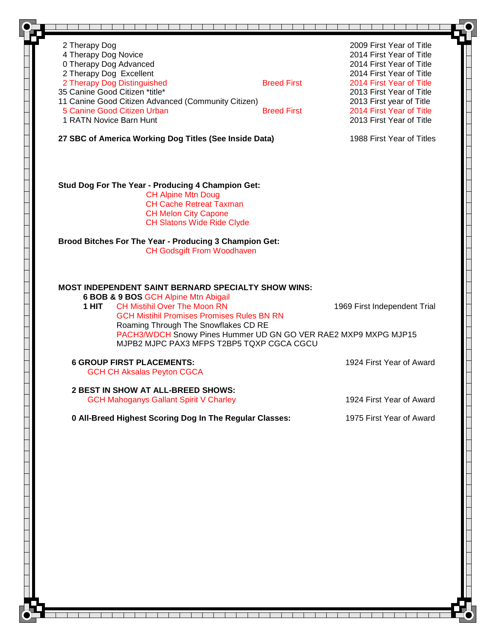| 2 Therapy Dog                                                                                                                                                                                                                                                                         | 2009 First Year of Title                                                                        |
|---------------------------------------------------------------------------------------------------------------------------------------------------------------------------------------------------------------------------------------------------------------------------------------|-------------------------------------------------------------------------------------------------|
| 4 Therapy Dog Novice                                                                                                                                                                                                                                                                  | 2014 First Year of Title                                                                        |
| 0 Therapy Dog Advanced                                                                                                                                                                                                                                                                | 2014 First Year of Title                                                                        |
| 2 Therapy Dog Excellent                                                                                                                                                                                                                                                               | 2014 First Year of Title                                                                        |
| 2 Therapy Dog Distinguished                                                                                                                                                                                                                                                           | <b>Breed First</b><br>2014 First Year of Title                                                  |
| 35 Canine Good Citizen *title*                                                                                                                                                                                                                                                        | 2013 First Year of Title                                                                        |
| 11 Canine Good Citizen Advanced (Community Citizen)                                                                                                                                                                                                                                   | 2013 First year of Title                                                                        |
| 5 Canine Good Citizen Urban                                                                                                                                                                                                                                                           | 2014 First Year of Title<br><b>Breed First</b>                                                  |
| 1 RATN Novice Barn Hunt                                                                                                                                                                                                                                                               | 2013 First Year of Title                                                                        |
| 27 SBC of America Working Dog Titles (See Inside Data)                                                                                                                                                                                                                                | 1988 First Year of Titles                                                                       |
| Stud Dog For The Year - Producing 4 Champion Get:<br><b>CH Alpine Mtn Doug</b><br><b>CH Cache Retreat Taxman</b><br><b>CH Melon City Capone</b><br><b>CH Slatons Wide Ride Clyde</b>                                                                                                  |                                                                                                 |
| Brood Bitches For The Year - Producing 3 Champion Get:<br><b>CH Godsgift From Woodhaven</b>                                                                                                                                                                                           |                                                                                                 |
| MOST INDEPENDENT SAINT BERNARD SPECIALTY SHOW WINS:<br>6 BOB & 9 BOS GCH Alpine Mtn Abigail<br><b>CH Mistihil Over The Moon RN</b><br>1 HIT<br><b>GCH Mistihil Promises Promises Rules BN RN</b><br>Roaming Through The Snowflakes CD RE<br>MJPB2 MJPC PAX3 MFPS T2BP5 TQXP CGCA CGCU | 1969 First Independent Trial<br>PACH3/WDCH Snowy Pines Hummer UD GN GO VER RAE2 MXP9 MXPG MJP15 |
| <b>6 GROUP FIRST PLACEMENTS:</b><br><b>GCH CH Aksalas Peyton CGCA</b>                                                                                                                                                                                                                 | 1924 First Year of Award                                                                        |
| 2 BEST IN SHOW AT ALL-BREED SHOWS:                                                                                                                                                                                                                                                    |                                                                                                 |
| <b>GCH Mahoganys Gallant Spirit V Charley</b>                                                                                                                                                                                                                                         | 1924 First Year of Award                                                                        |
| 0 All-Breed Highest Scoring Dog In The Regular Classes:                                                                                                                                                                                                                               | 1975 First Year of Award                                                                        |
|                                                                                                                                                                                                                                                                                       |                                                                                                 |
|                                                                                                                                                                                                                                                                                       |                                                                                                 |
|                                                                                                                                                                                                                                                                                       |                                                                                                 |
|                                                                                                                                                                                                                                                                                       |                                                                                                 |
|                                                                                                                                                                                                                                                                                       |                                                                                                 |
|                                                                                                                                                                                                                                                                                       |                                                                                                 |
|                                                                                                                                                                                                                                                                                       |                                                                                                 |
|                                                                                                                                                                                                                                                                                       |                                                                                                 |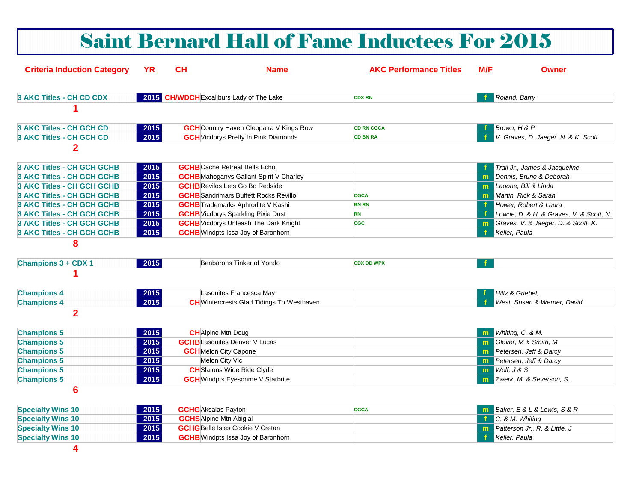|                                    |           |                            |                                                  | <b>Saint Bernard Hall of Fame Inductees For 2015</b> |            |                                          |
|------------------------------------|-----------|----------------------------|--------------------------------------------------|------------------------------------------------------|------------|------------------------------------------|
| <b>Criteria Induction Category</b> | <u>YR</u> | CH                         | <b>Name</b>                                      | <b>AKC Performance Titles</b>                        | <b>M/E</b> | <b>Owner</b>                             |
| 3 AKC Titles - CH CD CDX           |           |                            | 2015 CH/WDCH Excaliburs Lady of The Lake         | <b>CDX RN</b>                                        |            | Roland, Barry                            |
|                                    |           |                            |                                                  |                                                      |            |                                          |
| <b>3 AKC Titles - CH GCH CD</b>    | 2015      |                            | <b>GCH</b> Country Haven Cleopatra V Kings Row   | <b>CD RN CGCA</b>                                    |            | Brown, H & P                             |
| <b>3 AKC Titles - CH GCH CD</b>    | 2015      |                            | <b>GCH</b> Vicdorys Pretty In Pink Diamonds      | <b>CD BN RA</b>                                      |            | V. Graves, D. Jaeger, N. & K. Scott      |
| $\overline{2}$                     |           |                            |                                                  |                                                      |            |                                          |
| <b>3 AKC Titles - CH GCH GCHB</b>  | 2015      |                            | <b>GCHB</b> Cache Retreat Bells Echo             |                                                      |            | Trail Jr., James & Jacqueline            |
| 3 AKC Titles - CH GCH GCHB         | 2015      |                            | <b>GCHB</b> Mahoganys Gallant Spirit V Charley   |                                                      | m.         | Dennis, Bruno & Deborah                  |
| <b>3 AKC Titles - CH GCH GCHB</b>  | 2015      |                            | <b>GCHB</b> Revilos Lets Go Bo Redside           |                                                      |            | m Lagone, Bill & Linda                   |
| 3 AKC Titles - CH GCH GCHB         | 2015      |                            | <b>GCHB</b> Sandrimars Buffett Rocks Revillo     | <b>CGCA</b>                                          | m.         | Martin, Rick & Sarah                     |
| <b>3 AKC Titles - CH GCH GCHB</b>  | 2015      |                            | <b>GCHB</b> Trademarks Aphrodite V Kashi         | <b>BN RN</b>                                         |            | Hower, Robert & Laura                    |
| <b>3 AKC Titles - CH GCH GCHB</b>  | 2015      |                            | <b>GCHB</b> Vicdorys Sparkling Pixie Dust        | <b>RN</b>                                            |            | Lowrie, D. & H. & Graves, V. & Scott, N. |
| 3 AKC Titles - CH GCH GCHB         | 2015      |                            | <b>GCHB</b> Vicdorys Unleash The Dark Knight     | <b>CGC</b>                                           | m.         | Graves, V. & Jaeger, D. & Scott, K.      |
| <b>3 AKC Titles - CH GCH GCHB</b>  | 2015      |                            | <b>GCHB</b> Windpts Issa Joy of Baronhorn        |                                                      |            | Keller, Paula                            |
| 8                                  |           |                            |                                                  |                                                      |            |                                          |
| <b>Champions 3 + CDX 1</b>         | 2015      |                            | Benbarons Tinker of Yondo                        | <b>CDX DD WPX</b>                                    |            |                                          |
|                                    |           |                            |                                                  |                                                      |            |                                          |
| <b>Champions 4</b>                 | 2015      |                            | Lasquites Francesca May                          |                                                      |            | Hiltz & Griebel.                         |
| <b>Champions 4</b>                 | 2015      |                            | <b>CH</b> Wintercrests Glad Tidings To Westhaven |                                                      |            | West, Susan & Werner, David              |
| $\overline{2}$                     |           |                            |                                                  |                                                      |            |                                          |
| <b>Champions 5</b>                 | 2015      |                            | <b>CH</b> Alpine Mtn Doug                        |                                                      |            | <b>m</b> Whiting, C. & M.                |
| <b>Champions 5</b>                 | 2015      |                            | <b>GCHB</b> Lasquites Denver V Lucas             |                                                      | m.         | Glover, M & Smith, M                     |
| <b>Champions 5</b>                 | 2015      |                            | <b>GCH</b> Melon City Capone                     |                                                      |            | Petersen, Jeff & Darcy                   |
| <b>Champions 5</b>                 | 2015      |                            | Melon City Vic                                   |                                                      |            | <b>m</b> Petersen, Jeff & Darcy          |
| <b>Champions 5</b>                 | 2015      |                            | <b>CH</b> Slatons Wide Ride Clyde                |                                                      |            | $\mathbf{m}$ <i>Wolf, J &amp; S</i>      |
| <b>Champions 5</b>                 | 2015      |                            | <b>GCH</b> Windpts Eyesonme V Starbrite          |                                                      |            | m Zwerk, M. & Severson, S.               |
| $6\phantom{1}6$                    |           |                            |                                                  |                                                      |            |                                          |
| <b>Specialty Wins 10</b>           | 2015      | <b>GCHG</b> Aksalas Payton |                                                  | <b>CGCA</b>                                          | m.         | Baker, E & L & Lewis, S & R              |
| <b>Specialty Wins 10</b>           | 2015      |                            | <b>GCHS</b> Alpine Mtn Abigial                   |                                                      |            | C. & M. Whiting                          |
| <b>Specialty Wins 10</b>           | 2015      |                            | <b>GCHG</b> Belle Isles Cookie V Cretan          |                                                      |            | m Patterson Jr., R. & Little, J          |
| <b>Specialty Wins 10</b>           | 2015      |                            | <b>GCHB</b> Windpts Issa Joy of Baronhorn        |                                                      | -f -       | Keller, Paula                            |

**4**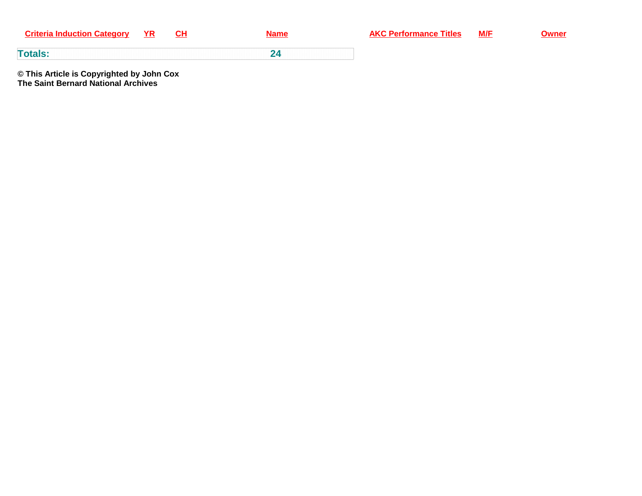| <b>Criteria Induction Category</b> | YR. | CН |
|------------------------------------|-----|----|
|------------------------------------|-----|----|

**<sup>24</sup>**

**Name AKC Performance Titles M/F Owner** 

**Totals:**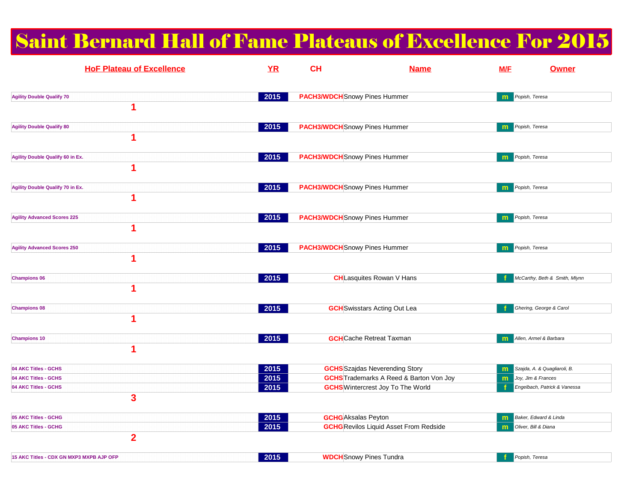# Saint Bernard Hall of Fame Plateaus of Excellence For 2015

| <b>HoF Plateau of Excellence</b>             | YR   | <b>CH</b>                            | <b>Name</b>                                    | <b>M/E</b> | <b>Owner</b>                  |
|----------------------------------------------|------|--------------------------------------|------------------------------------------------|------------|-------------------------------|
| <b>Agility Double Qualify 70</b>             | 2015 | <b>PACH3/WDCH</b> Snowy Pines Hummer |                                                | m          | Popish, Teresa                |
| 1                                            |      |                                      |                                                |            |                               |
| <b>Agility Double Qualify 80</b><br>1        | 2015 | <b>PACH3/WDCH</b> Snowy Pines Hummer |                                                | m          | Popish, Teresa                |
| Agility Double Qualify 60 in Ex.             | 2015 | <b>PACH3/WDCH</b> Snowy Pines Hummer |                                                | m          | Popish, Teresa                |
| 1                                            |      |                                      |                                                |            |                               |
| <b>Agility Double Qualify 70 in Ex.</b><br>1 | 2015 | <b>PACH3/WDCH</b> Snowy Pines Hummer |                                                | m.         | Popish, Teresa                |
|                                              | 2015 | <b>PACH3/WDCH</b> Snowy Pines Hummer |                                                |            |                               |
| <b>Agility Advanced Scores 225</b><br>1      |      |                                      |                                                | m          | Popish, Teresa                |
| <b>Agility Advanced Scores 250</b>           | 2015 | <b>PACH3/WDCH</b> Snowy Pines Hummer |                                                | m          | Popish, Teresa                |
| 4                                            |      |                                      |                                                |            |                               |
| <b>Champions 06</b><br>1                     | 2015 |                                      | <b>CH</b> Lasquites Rowan V Hans               |            | McCarthy, Beth & Smith, Mlynn |
| <b>Champions 08</b>                          | 2015 |                                      | <b>GCH</b> Swisstars Acting Out Lea            |            | Ghering, George & Carol       |
| 1                                            |      |                                      |                                                |            |                               |
| <b>Champions 10</b><br>1                     | 2015 |                                      | <b>GCH</b> Cache Retreat Taxman                | m          | Allen, Armel & Barbara        |
| 04 AKC Titles - GCHS                         | 2015 |                                      | <b>GCHS</b> Szajdas Neverending Story          | m          | Szajda, A. & Quagliaroli, B.  |
| 04 AKC Titles - GCHS                         | 2015 |                                      | <b>GCHS</b> Trademarks A Reed & Barton Von Joy | m          | Joy, Jim & Frances            |
| 04 AKC Titles - GCHS<br>3                    | 2015 |                                      | <b>GCHS</b> Wintercrest Joy To The World       |            | Engelbach, Patrick & Vanessa  |
| 05 AKC Titles - GCHG                         | 2015 |                                      | <b>GCHG</b> Aksalas Peyton                     | m          | Baker, Edward & Linda         |
| 05 AKC Titles - GCHG                         | 2015 |                                      | <b>GCHG</b> Revilos Liquid Asset From Redside  | m          | Oliver, Bill & Diana          |
| $\overline{2}$                               |      |                                      |                                                |            |                               |
| 15 AKC Titles - CDX GN MXP3 MXPB AJP OFP     | 2015 |                                      | <b>WDCH</b> Snowy Pines Tundra                 | f          | Popish, Teresa                |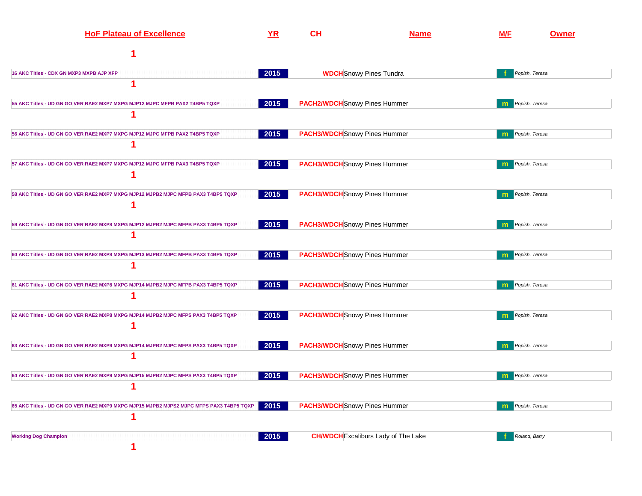| <b>HoF Plateau of Excellence</b>                                                        | YR   | CH | <u>Name</u>                                | <b>M/F</b>   | <b>Owner</b>   |
|-----------------------------------------------------------------------------------------|------|----|--------------------------------------------|--------------|----------------|
|                                                                                         |      |    |                                            |              |                |
| 16 AKC Titles - CDX GN MXP3 MXPB AJP XFP                                                | 2015 |    | <b>WDCH</b> Snowy Pines Tundra             |              | Popish, Teresa |
| 1                                                                                       |      |    |                                            |              |                |
| 55 AKC Titles - UD GN GO VER RAE2 MXP7 MXPG MJP12 MJPC MFPB PAX2 T4BP5 TQXP             | 2015 |    | <b>PACH2/WDCH</b> Snowy Pines Hummer       | $\mathbf{m}$ | Popish, Teresa |
|                                                                                         |      |    |                                            |              |                |
| 56 AKC Titles - UD GN GO VER RAE2 MXP7 MXPG MJP12 MJPC MFPB PAX2 T4BP5 TQXP             | 2015 |    | <b>PACH3/WDCH</b> Snowy Pines Hummer       |              | Popish, Teresa |
|                                                                                         |      |    |                                            |              |                |
| 57 AKC Titles - UD GN GO VER RAE2 MXP7 MXPG MJP12 MJPC MFPB PAX3 T4BP5 TQXP             | 2015 |    | <b>PACH3/WDCH</b> Snowy Pines Hummer       | m            | Popish, Teresa |
|                                                                                         |      |    |                                            |              |                |
| 58 AKC Titles - UD GN GO VER RAE2 MXP7 MXPG MJP12 MJPB2 MJPC MFPB PAX3 T4BP5 TQXP       | 2015 |    | <b>PACH3/WDCH</b> Snowy Pines Hummer       | m            | Popish, Teresa |
|                                                                                         |      |    |                                            |              |                |
| 59 AKC Titles - UD GN GO VER RAE2 MXP8 MXPG MJP12 MJPB2 MJPC MFPB PAX3 T4BP5 TQXP       | 2015 |    | <b>PACH3/WDCH</b> Snowy Pines Hummer       | m            | Popish, Teresa |
| 1                                                                                       |      |    |                                            |              |                |
| 60 AKC Titles - UD GN GO VER RAE2 MXP8 MXPG MJP13 MJPB2 MJPC MFPB PAX3 T4BP5 TQXP       | 2015 |    | <b>PACH3/WDCH</b> Snowy Pines Hummer       | m            | Popish, Teresa |
| 1                                                                                       |      |    |                                            |              |                |
| 61 AKC Titles - UD GN GO VER RAE2 MXP8 MXPG MJP14 MJPB2 MJPC MFPB PAX3 T4BP5 TQXP       | 2015 |    | <b>PACH3/WDCH</b> Snowy Pines Hummer       | m            | Popish, Teresa |
| 1                                                                                       |      |    |                                            |              |                |
| 62 AKC Titles - UD GN GO VER RAE2 MXP8 MXPG MJP14 MJPB2 MJPC MFPS PAX3 T4BP5 TQXP       | 2015 |    | <b>PACH3/WDCH</b> Snowy Pines Hummer       | m            | Popish, Teresa |
|                                                                                         |      |    |                                            |              |                |
| 63 AKC Titles - UD GN GO VER RAE2 MXP9 MXPG MJP14 MJPB2 MJPC MFPS PAX3 T4BP5 TQXP       | 2015 |    | <b>PACH3/WDCH</b> Snowy Pines Hummer       |              | Popish, Teresa |
| 1                                                                                       |      |    |                                            |              |                |
| 64 AKC Titles - UD GN GO VER RAE2 MXP9 MXPG MJP15 MJPB2 MJPC MFPS PAX3 T4BP5 TQXP       | 2015 |    | <b>PACH3/WDCH</b> Snowy Pines Hummer       |              | Popish, Teresa |
|                                                                                         |      |    |                                            |              |                |
| 65 AKC Titles - UD GN GO VER RAE2 MXP9 MXPG MJP15 MJPB2 MJPS2 MJPC MFPS PAX3 T4BP5 TQXP | 2015 |    | <b>PACH3/WDCH</b> Snowy Pines Hummer       | m            | Popish, Teresa |
| 1                                                                                       |      |    |                                            |              |                |
| <b>Working Dog Champion</b>                                                             | 2015 |    | <b>CH/WDCH</b> Excaliburs Lady of The Lake |              | Roland, Barry  |
| 1                                                                                       |      |    |                                            |              |                |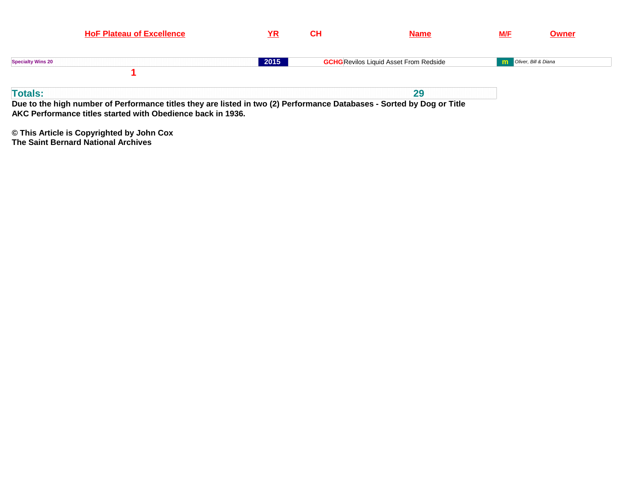| <b>HoF Plateau of Excellence</b>                                                                                                         | YR   | <b>CH</b> | <b>Name</b>                                   | <u>M/F</u>                    | <b>Owner</b> |
|------------------------------------------------------------------------------------------------------------------------------------------|------|-----------|-----------------------------------------------|-------------------------------|--------------|
| <b>Specialty Wins 20</b>                                                                                                                 | 2015 |           | <b>GCHG</b> Revilos Liquid Asset From Redside | <b>m</b> Oliver, Bill & Diana |              |
| <b>Totals:</b><br>Due to the high number of Performance titles they are listed in two (2) Performance Databases - Sorted by Dog or Title |      |           | 29                                            |                               |              |

**AKC Performance titles started with Obedience back in 1936.**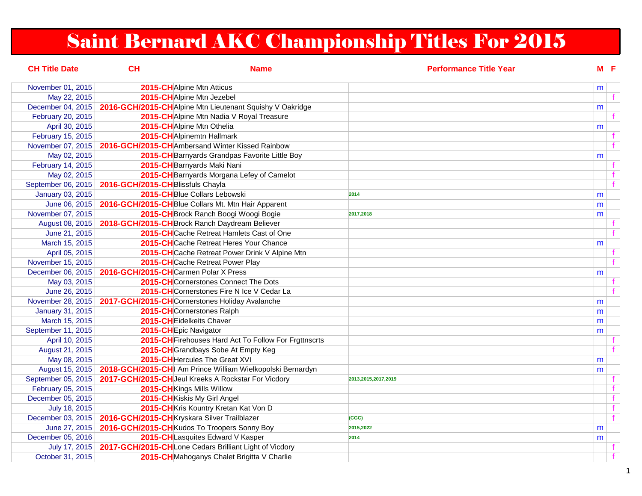# Saint Bernard AKC Championship Titles For 2015

| <b>CH Title Date</b>    | CL                                             | <b>Name</b>                                                | <b>Performance Title Year</b> |   | $M$ E        |  |
|-------------------------|------------------------------------------------|------------------------------------------------------------|-------------------------------|---|--------------|--|
| November 01, 2015       | 2015-CHAlpine Mtn Atticus                      |                                                            |                               | m |              |  |
| May 22, 2015            | 2015-CHAlpine Mtn Jezebel                      |                                                            |                               |   | $\mathbf{f}$ |  |
| December 04, 2015       |                                                | 2016-GCH/2015-CHAIpine Mtn Lieutenant Squishy V Oakridge   |                               | m |              |  |
| February 20, 2015       |                                                | 2015-CH Alpine Mtn Nadia V Royal Treasure                  |                               |   |              |  |
| April 30, 2015          | 2015-CH Alpine Mtn Othelia                     |                                                            |                               | m |              |  |
| February 15, 2015       | 2015-CHAlpinemtn Hallmark                      |                                                            |                               |   |              |  |
| November 07, 2015       |                                                | 2016-GCH/2015-CHAmbersand Winter Kissed Rainbow            |                               |   | f            |  |
| May 02, 2015            |                                                | 2015-CH Barnyards Grandpas Favorite Little Boy             |                               | m |              |  |
| February 14, 2015       |                                                | 2015-CH Barnyards Maki Nani                                |                               |   |              |  |
| May 02, 2015            |                                                | 2015-CH Barnyards Morgana Lefey of Camelot                 |                               |   | f            |  |
| September 06, 2015      | 2016-GCH/2015-CHBlissfuls Chayla               |                                                            |                               |   | $\mathbf{f}$ |  |
| <b>January 03, 2015</b> |                                                | 2015-CHBlue Collars Lebowski                               | 2014                          | m |              |  |
| June 06, 2015           |                                                | 2016-GCH/2015-CHBlue Collars Mt. Mtn Hair Apparent         |                               | m |              |  |
| November 07, 2015       |                                                | 2015-CH Brock Ranch Boogi Woogi Bogie                      | 2017,2018                     | m |              |  |
| August 08, 2015         | 2018-GCH/2015-CH Brock Ranch Daydream Believer |                                                            |                               |   |              |  |
| June 21, 2015           |                                                | 2015-CHCache Retreat Hamlets Cast of One                   |                               |   |              |  |
| March 15, 2015          |                                                | 2015-CH Cache Retreat Heres Your Chance                    |                               | m |              |  |
| April 05, 2015          |                                                | 2015-CHCache Retreat Power Drink V Alpine Mtn              |                               |   |              |  |
| November 15, 2015       |                                                | 2015-CHCache Retreat Power Play                            |                               |   |              |  |
| December 06, 2015       | 2016-GCH/2015-CHCarmen Polar X Press           |                                                            |                               | m |              |  |
| May 03, 2015            |                                                | <b>2015-CH</b> Cornerstones Connect The Dots               |                               |   |              |  |
| June 26, 2015           |                                                | 2015-CHCornerstones Fire N Ice V Cedar La                  |                               |   |              |  |
| November 28, 2015       | 2017-GCH/2015-CHCornerstones Holiday Avalanche |                                                            |                               | m |              |  |
| <b>January 31, 2015</b> | 2015-CHCornerstones Ralph                      |                                                            |                               | m |              |  |
| March 15, 2015          | 2015-CH Eidelkeits Chaver                      |                                                            |                               | m |              |  |
| September 11, 2015      | 2015-CH Epic Navigator                         |                                                            |                               | m |              |  |
| April 10, 2015          |                                                | 2015-CH Firehouses Hard Act To Follow For Frgttnscrts      |                               |   |              |  |
| August 21, 2015         |                                                | 2015-CH Grandbays Sobe At Empty Keg                        |                               |   |              |  |
| May 08, 2015            |                                                | 2015-CHHercules The Great XVI                              |                               | m |              |  |
| August 15, 2015         |                                                | 2018-GCH/2015-CHI Am Prince William Wielkopolski Bernardyn |                               | m |              |  |
| September 05, 2015      |                                                | 2017-GCH/2015-CH Jeul Kreeks A Rockstar For Vicdory        | 2013,2015,2017,2019           |   |              |  |
| February 05, 2015       | 2015-CHKings Mills Willow                      |                                                            |                               |   | f            |  |
| December 05, 2015       | 2015-CHKiskis My Girl Angel                    |                                                            |                               |   | $\mathbf{f}$ |  |
| July 18, 2015           |                                                | 2015-CH Kris Kountry Kretan Kat Von D                      |                               |   | $\mathbf{f}$ |  |
| December 03, 2015       | 2016-GCH/2015-CHKryskara Silver Trailblazer    |                                                            | (CGC)                         |   | $\mathbf{f}$ |  |
| June 27, 2015           | 2016-GCH/2015-CHKudos To Troopers Sonny Boy    |                                                            | 2015.2022                     | m |              |  |
| December 05, 2016       |                                                | 2015-CHLasquites Edward V Kasper                           | 2014                          | m |              |  |
| July 17, 2015           |                                                | 2017-GCH/2015-CHLone Cedars Brilliant Light of Vicdory     |                               |   |              |  |
| October 31, 2015        |                                                | 2015-CH Mahoganys Chalet Brigitta V Charlie                |                               |   | $\mathbf{f}$ |  |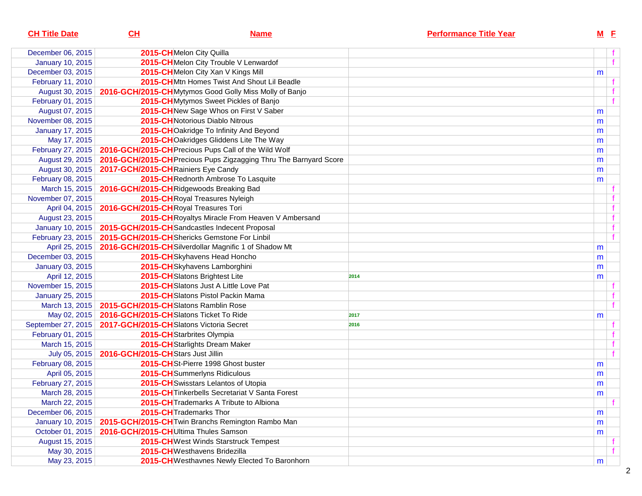| <b>CH Title Date</b>    | CL                                      | <b>Name</b>                                                       | <b>Performance Title Year</b> |   | $M$ E |
|-------------------------|-----------------------------------------|-------------------------------------------------------------------|-------------------------------|---|-------|
| December 06, 2015       |                                         | 2015-CHMelon City Quilla                                          |                               |   |       |
| <b>January 10, 2015</b> |                                         | 2015-CHMelon City Trouble V Lenwardof                             |                               |   | f     |
| December 03, 2015       |                                         | 2015-CHMelon City Xan V Kings Mill                                |                               | m |       |
| February 11, 2010       |                                         | 2015-CHMtn Homes Twist And Shout Lil Beadle                       |                               |   |       |
| August 30, 2015         |                                         | 2016-GCH/2015-CHMytymos Good Golly Miss Molly of Banjo            |                               |   |       |
| February 01, 2015       |                                         | 2015-CHMytymos Sweet Pickles of Banjo                             |                               |   |       |
| August 07, 2015         |                                         | 2015-CHNew Sage Whos on First V Saber                             |                               | m |       |
| November 08, 2015       |                                         | 2015-CHNotorious Diablo Nitrous                                   |                               | m |       |
| <b>January 17, 2015</b> |                                         | 2015-CHOakridge To Infinity And Beyond                            |                               | m |       |
| May 17, 2015            |                                         | 2015-CHOakridges Gliddens Lite The Way                            |                               | m |       |
| February 27, 2015       |                                         | 2016-GCH/2015-CH Precious Pups Call of the Wild Wolf              |                               | m |       |
| August 29, 2015         |                                         | 2016-GCH/2015-CH Precious Pups Zigzagging Thru The Barnyard Score |                               | m |       |
| August 30, 2015         | 2017-GCH/2015-CHRainiers Eye Candy      |                                                                   |                               | m |       |
| February 08, 2015       |                                         | 2015-CHRednorth Ambrose To Lasquite                               |                               | m |       |
| March 15, 2015          | 2016-GCH/2015-CHRidgewoods Breaking Bad |                                                                   |                               |   |       |
| November 07, 2015       |                                         | 2015-CHRoyal Treasures Nyleigh                                    |                               |   |       |
| April 04, 2015          | 2016-GCH/2015-CHRoyal Treasures Tori    |                                                                   |                               |   |       |
| August 23, 2015         |                                         | 2015-CH Royaltys Miracle From Heaven V Ambersand                  |                               |   |       |
| <b>January 10, 2015</b> |                                         | 2015-GCH/2015-CH Sandcastles Indecent Proposal                    |                               |   |       |
| February 23, 2015       |                                         | 2015-GCH/2015-CHShericks Gemstone For Linbil                      |                               |   |       |
| April 25, 2015          |                                         | 2016-GCH/2015-CHSilverdollar Magnific 1 of Shadow Mt              |                               | m |       |
| December 03, 2015       |                                         | 2015-CHSkyhavens Head Honcho                                      |                               | m |       |
| January 03, 2015        |                                         | 2015-CHSkyhavens Lamborghini                                      |                               | m |       |
| April 12, 2015          |                                         | 2015-CH Slatons Brightest Lite                                    | 2014                          | m |       |
| November 15, 2015       |                                         | 2015-CHSlatons Just A Little Love Pat                             |                               |   |       |
| <b>January 25, 2015</b> |                                         | 2015-CHSlatons Pistol Packin Mama                                 |                               |   |       |
| March 13, 2015          | 2015-GCH/2015-CHSlatons Ramblin Rose    |                                                                   |                               |   |       |
| May 02, 2015            | 2016-GCH/2015-CHSlatons Ticket To Ride  |                                                                   | 2017                          | m |       |
| September 27, 2015      | 2017-GCH/2015-CHSlatons Victoria Secret |                                                                   | 2016                          |   |       |
| February 01, 2015       |                                         | 2015-CH Starbrites Olympia                                        |                               |   |       |
| March 15, 2015          |                                         | 2015-CH Starlights Dream Maker                                    |                               |   |       |
| July 05, 2015           | 2016-GCH/2015-CHStars Just Jillin       |                                                                   |                               |   |       |
| February 08, 2015       |                                         | 2015-CHSt-Pierre 1998 Ghost buster                                |                               | m |       |
| April 05, 2015          |                                         | 2015-CHSummerlyns Ridiculous                                      |                               | m |       |
| February 27, 2015       |                                         | 2015-CH Swisstars Lelantos of Utopia                              |                               | m |       |
| March 28, 2015          |                                         | 2015-CH Tinkerbells Secretariat V Santa Forest                    |                               | m |       |
| March 22, 2015          |                                         | 2015-CH Trademarks A Tribute to Albiona                           |                               |   |       |
| December 06, 2015       |                                         | 2015-CH Trademarks Thor                                           |                               | m |       |
| January 10, 2015        |                                         | 2015-GCH/2015-CH Twin Branchs Remington Rambo Man                 |                               | m |       |
| October 01, 2015        | 2016-GCH/2015-CHUltima Thules Samson    |                                                                   |                               | m |       |
| August 15, 2015         |                                         | 2015-CHWest Winds Starstruck Tempest                              |                               |   |       |
| May 30, 2015            |                                         | 2015-CHWesthavens Bridezilla                                      |                               |   |       |
| May 23, 2015            |                                         | 2015-CH Westhavnes Newly Elected To Baronhorn                     |                               | m |       |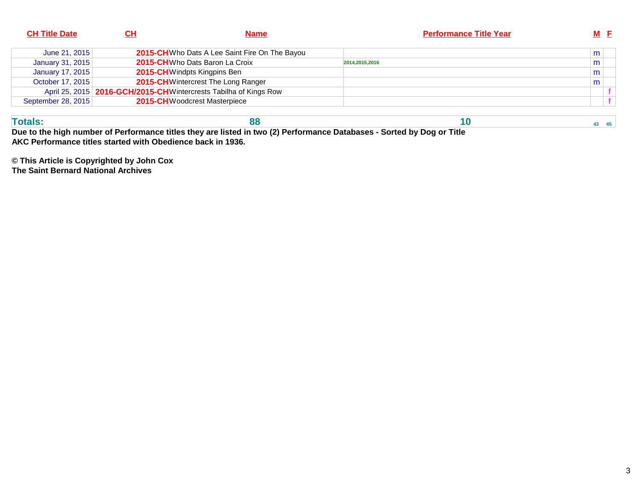| <b>CH Title Date</b> | CН | <b>Name</b>                                                         | <b>Performance Title Year</b> | $M$ $E$ |
|----------------------|----|---------------------------------------------------------------------|-------------------------------|---------|
| June 21, 2015        |    | 2015-CH Who Dats A Lee Saint Fire On The Bayou                      |                               | m       |
| January 31, 2015     |    | 2015-CHWho Dats Baron La Croix                                      | 2014,2015,2016                | m       |
| January 17, 2015     |    | 2015-CH Windpts Kingpins Ben                                        |                               | m       |
| October 17, 2015     |    | 2015-CH Wintercrest The Long Ranger                                 |                               | m       |
|                      |    | April 25, 2015   2016-GCH/2015-CH Wintercrests Tabilha of Kings Row |                               |         |
| September 28, 2015   |    | 2015-CHWoodcrest Masterpiece                                        |                               |         |
|                      |    |                                                                     |                               |         |

**Totals:**

**88 10 <b>10 43 45 Due to the high number of Performance titles they are listed in two (2) Performance Databases - Sorted by Dog or TitleAKC Performance titles started with Obedience back in 1936.**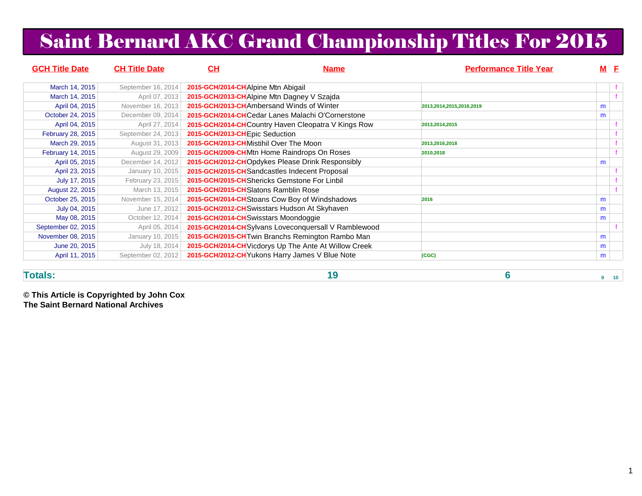# Saint Bernard AKC Grand Championship Titles For 2015

| <b>GCH Title Date</b> | <b>CH Title Date</b> | CН                                          | <b>Name</b>                                           | <b>Performance Title Year</b> |   | <u>M E</u> |
|-----------------------|----------------------|---------------------------------------------|-------------------------------------------------------|-------------------------------|---|------------|
| March 14, 2015        | September 16, 2014   | 2015-GCH/2014-CHAlpine Mtn Abigail          |                                                       |                               |   |            |
| March 14, 2015        | April 07, 2013       | 2015-GCH/2013-CH Alpine Mtn Dagney V Szajda |                                                       |                               |   |            |
| April 04, 2015        | November 16, 2013    | 2015-GCH/2013-CHAmbersand Winds of Winter   |                                                       | 2013,2014,2015,2016,2019      | m |            |
| October 24, 2015      | December 09, 2014    |                                             | 2015-GCH/2014-CHCedar Lanes Malachi O'Cornerstone     |                               | m |            |
| April 04, 2015        | April 27, 2014       |                                             | 2015-GCH/2014-CHCountry Haven Cleopatra V Kings Row   | 2013,2014,2015                |   |            |
| February 28, 2015     | September 24, 2013   | 2015-GCH/2013-CHEpic Seduction              |                                                       |                               |   |            |
| March 29, 2015        | August 31, 2013      | 2015-GCH/2013-CHMistihil Over The Moon      |                                                       | 2013,2016,2018                |   |            |
| February 14, 2015     | August 29, 2009      |                                             | 2015-GCH/2009-CHMtn Home Raindrops On Roses           | 2010,2018                     |   |            |
| April 05, 2015        | December 14, 2012    |                                             | 2015-GCH/2012-CHOpdykes Please Drink Responsibly      |                               | m |            |
| April 23, 2015        | January 10, 2015     |                                             | 2015-GCH/2015-CH Sandcastles Indecent Proposal        |                               |   |            |
| July 17, 2015         | February 23, 2015    |                                             | 2015-GCH/2015-CH Shericks Gemstone For Linbil         |                               |   |            |
| August 22, 2015       | March 13, 2015       | 2015-GCH/2015-CHSlatons Ramblin Rose        |                                                       |                               |   |            |
| October 25, 2015      | November 15, 2014    |                                             | 2015-GCH/2014-CH Stoans Cow Boy of Windshadows        | 2016                          | m |            |
| July 04, 2015         | June 17, 2012        |                                             | 2015-GCH/2012-CH Swisstars Hudson At Skyhaven         |                               | m |            |
| May 08, 2015          | October 12, 2014     | 2015-GCH/2014-CH Swisstars Moondoggie       |                                                       |                               | m |            |
| September 02, 2015    | April 05, 2014       |                                             | 2015-GCH/2014-CHSylvans Loveconquersall V Ramblewood  |                               |   |            |
| November 08, 2015     | January 10, 2015     |                                             | 2015-GCH/2015-CH Twin Branchs Remington Rambo Man     |                               | m |            |
| June 20, 2015         | July 18, 2014        |                                             | 2015-GCH/2014-CH Vicdorys Up The Ante At Willow Creek |                               | m |            |
| April 11, 2015        | September 02, 2012   |                                             | 2015-GCH/2012-CH Yukons Harry James V Blue Note       | (CGC)                         | m |            |

#### **Totals:**

**19 6 9 10**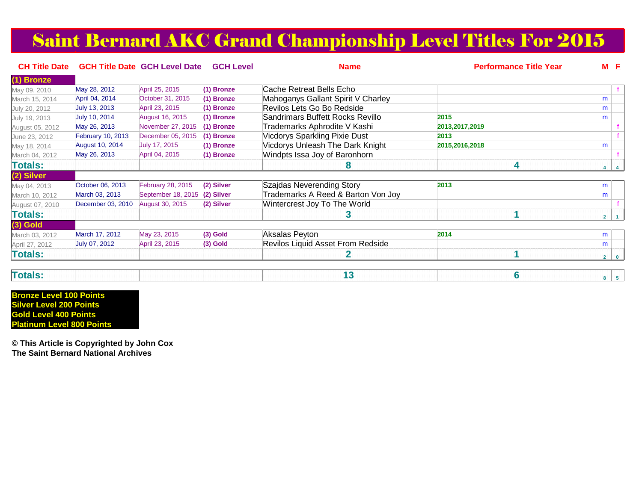### Saint Bernard AKC Grand Championship Level Titles For 2015

| <b>CH Title Date</b> |                        | <b>GCH Title Date GCH Level Date</b> | <b>GCH Level</b> | <b>Name</b>                        | <b>Performance Title Year</b> | <b>M</b> E |  |
|----------------------|------------------------|--------------------------------------|------------------|------------------------------------|-------------------------------|------------|--|
| (1) Bronze           |                        |                                      |                  |                                    |                               |            |  |
| May 09, 2010         | May 28, 2012           | April 25, 2015                       | (1) Bronze       | Cache Retreat Bells Echo           |                               |            |  |
| March 15, 2014       | April 04, 2014         | October 31, 2015                     | (1) Bronze       | Mahoganys Gallant Spirit V Charley |                               | m          |  |
| July 20, 2012        | July 13, 2013          | April 23, 2015                       | $(1)$ Bronze     | Revilos Lets Go Bo Redside         |                               | m          |  |
| July 19, 2013        | July 10, 2014          | <b>August 16, 2015</b>               | $(1)$ Bronze     | Sandrimars Buffett Rocks Revillo   | 2015                          | m          |  |
| August 05, 2012      | May 26, 2013           | November 27, 2015                    | (1) Bronze       | Trademarks Aphrodite V Kashi       | 2013, 2017, 2019              |            |  |
| June 23, 2012        | February 10, 2013      | December 05, 2015                    | $(1)$ Bronze     | Vicdorys Sparkling Pixie Dust      | 2013                          |            |  |
| May 18, 2014         | <b>August 10, 2014</b> | July 17, 2015                        | $(1)$ Bronze     | Vicdorys Unleash The Dark Knight   | 2015, 2016, 2018              | m          |  |
| March 04, 2012       | May 26, 2013           | April 04, 2015                       | (1) Bronze       | Windpts Issa Joy of Baronhorn      |                               |            |  |
| <b>Totals:</b>       |                        |                                      |                  | ซ                                  | 4                             | $4 \mid 4$ |  |
| (2) Silver           |                        |                                      |                  |                                    |                               |            |  |
| May 04, 2013         | October 06, 2013       | February 28, 2015                    | (2) Silver       | Szajdas Neverending Story          | 2013                          | m          |  |
| March 10, 2012       | March 03, 2013         | September 18, 2015                   | (2) Silver       | Trademarks A Reed & Barton Von Joy |                               | m          |  |
| August 07, 2010      | December 03, 2010      | August 30, 2015                      | (2) Silver       | Wintercrest Joy To The World       |                               |            |  |
| <b>Totals:</b>       |                        |                                      |                  |                                    |                               | $2 \mid 1$ |  |
| $(3)$ Gold           |                        |                                      |                  |                                    |                               |            |  |
| March 03, 2012       | March 17, 2012         | May 23, 2015                         | $(3)$ Gold       | Aksalas Peyton                     | 2014                          | m          |  |
| April 27, 2012       | July 07, 2012          | April 23, 2015                       | $(3)$ Gold       | Revilos Liquid Asset From Redside  |                               | m          |  |
| <b>Totals:</b>       |                        |                                      |                  |                                    |                               | $2 \mid 0$ |  |
|                      |                        |                                      |                  |                                    |                               |            |  |

| <b>Contract Contract</b><br>$\overline{1}$ dið |  |
|------------------------------------------------|--|
|------------------------------------------------|--|

**Bronze Level 100 Points Silver Level 200 Points Gold Level 400 PointsPlatinum Level 800 Points**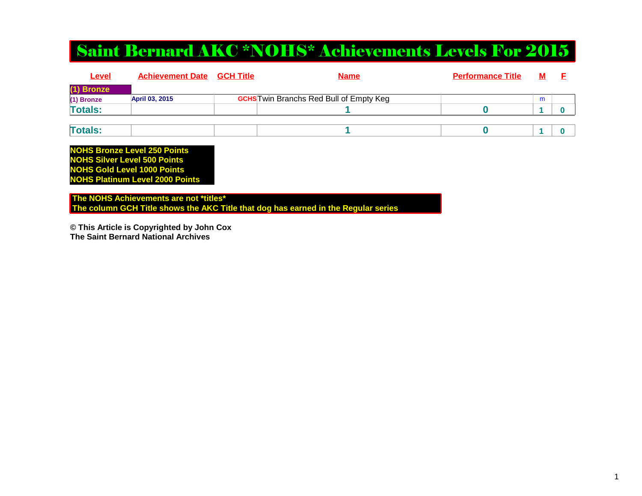### Saint Bernard AKC \*NOHS\* Achievements Levels For 2015

| Level          | <b>Achievement Date</b> | <u>GCH Title</u> | <b>Name</b>                                    | <b>Performance Title</b> | M |  |
|----------------|-------------------------|------------------|------------------------------------------------|--------------------------|---|--|
| (1) Bronze     |                         |                  |                                                |                          |   |  |
| (1) Bronze     | April 03, 2015          |                  | <b>GCHS</b> Twin Branchs Red Bull of Empty Keg |                          | m |  |
| <b>Totals:</b> |                         |                  |                                                |                          |   |  |
|                |                         |                  |                                                |                          |   |  |
| <b>Totals:</b> |                         |                  |                                                |                          |   |  |

**NOHS Bronze Level 250 Points NOHS Silver Level 500 Points NOHS Gold Level 1000 PointsNOHS Platinum Level 2000 Points**

 **The NOHS Achievements are not \*titles\* The column GCH Title shows the AKC Title that dog has earned in the Regular series**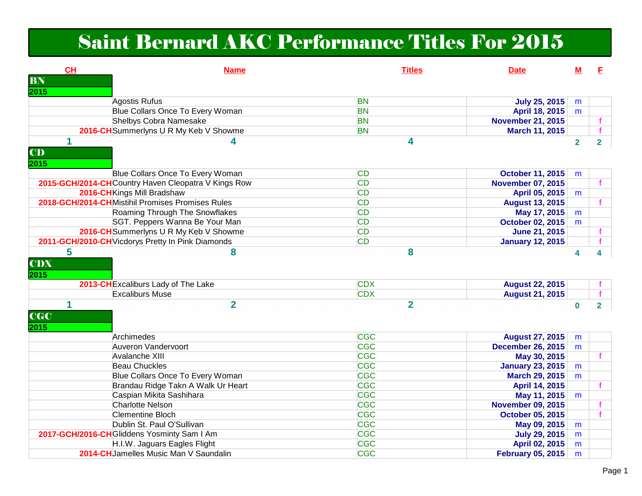## Saint Bernard AKC Performance Titles For 2015

| CH<br><b>Name</b>                                                      | <b>Titles</b>            | <b>Date</b>              | $M$            | F.             |
|------------------------------------------------------------------------|--------------------------|--------------------------|----------------|----------------|
| BN                                                                     |                          |                          |                |                |
| 2015                                                                   |                          |                          |                |                |
| Agostis Rufus                                                          | <b>BN</b>                | <b>July 25, 2015</b>     | m              |                |
| Blue Collars Once To Every Woman                                       | <b>BN</b>                | April 18, 2015           | m              |                |
| <b>Shelbys Cobra Namesake</b>                                          | <b>BN</b>                | <b>November 21, 2015</b> |                |                |
| 2016-CH Summerlyns U R My Keb V Showme                                 | <b>BN</b>                | March 11, 2015           |                |                |
| $\mathbf{1}$<br>4                                                      | 4                        |                          | $\overline{2}$ | 2 <sup>1</sup> |
| CD                                                                     |                          |                          |                |                |
| 2015                                                                   |                          |                          |                |                |
| Blue Collars Once To Every Woman                                       | CD                       | <b>October 11, 2015</b>  | m              |                |
| 2015-GCH/2014-CHCountry Haven Cleopatra V Kings Row                    | CD                       | <b>November 07, 2015</b> |                |                |
| 2016-CHKings Mill Bradshaw                                             | <b>CD</b>                | April 05, 2015           | m              |                |
| 2018-GCH/2014-CHMistihil Promises Promises Rules                       | <b>CD</b>                | <b>August 13, 2015</b>   |                |                |
| Roaming Through The Snowflakes                                         | <b>CD</b>                | May 17, 2015             | m              |                |
| SGT. Peppers Wanna Be Your Man                                         | <b>CD</b>                | <b>October 02, 2015</b>  | m              |                |
| 2016-CH Summerlyns U R My Keb V Showme                                 | <b>CD</b>                | <b>June 21, 2015</b>     |                |                |
| 2011-GCH/2010-CH Vicdorys Pretty In Pink Diamonds                      | <b>CD</b>                | <b>January 12, 2015</b>  |                |                |
| 5<br>8                                                                 | 8                        |                          | 4              | 4              |
| <b>CDX</b><br>2015                                                     |                          |                          |                |                |
| 2013-CH Excaliburs Lady of The Lake                                    | <b>CDX</b>               | <b>August 22, 2015</b>   |                |                |
| <b>Excaliburs Muse</b>                                                 | <b>CDX</b>               | <b>August 21, 2015</b>   |                |                |
| 1<br>$\overline{2}$<br><b>CGC</b><br>2015                              | $\overline{2}$           |                          | $\mathbf 0$    | $2^{\circ}$    |
| Archimedes                                                             | <b>CGC</b>               | <b>August 27, 2015</b>   | m              |                |
| Auveron Vandervoort                                                    | <b>CGC</b>               | <b>December 26, 2015</b> | m              |                |
| Avalanche XIII                                                         | <b>CGC</b>               | May 30, 2015             |                |                |
| <b>Beau Chuckles</b>                                                   | <b>CGC</b>               | <b>January 23, 2015</b>  | m              |                |
| Blue Collars Once To Every Woman                                       | <b>CGC</b>               |                          |                |                |
| Brandau Ridge Takn A Walk Ur Heart                                     |                          | <b>March 29, 2015</b>    | m              |                |
|                                                                        | <b>CGC</b>               | April 14, 2015           |                |                |
| Caspian Mikita Sashihara                                               | <b>CGC</b>               | May 11, 2015             | m              |                |
| <b>Charlotte Nelson</b>                                                | <b>CGC</b>               | <b>November 09, 2015</b> |                |                |
| <b>Clementine Bloch</b>                                                | <b>CGC</b>               | <b>October 05, 2015</b>  |                |                |
| Dublin St. Paul O'Sullivan                                             | CGC                      | May 09, 2015             | m              |                |
| 2017-GCH/2016-CHGliddens Yosminty Sam I Am                             | <b>CGC</b>               | <b>July 29, 2015</b>     | m              |                |
| H.I.W. Jaguars Eagles Flight<br>2014-CH Jamelles Music Man V Saundalin | <b>CGC</b><br><b>CGC</b> | April 02, 2015           | m              |                |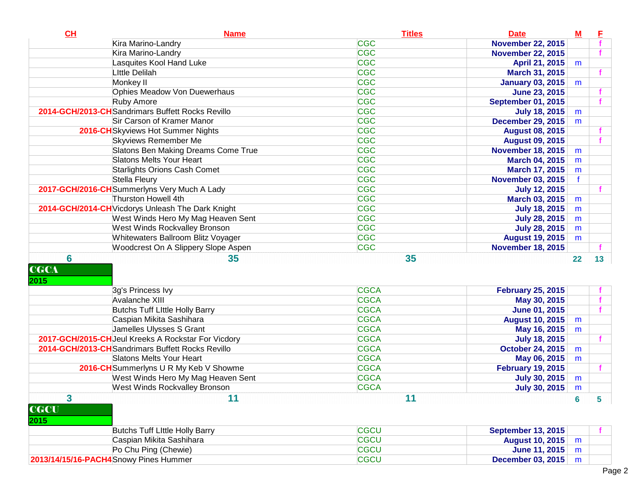| <b>November 22, 2015</b><br><b>CGC</b><br>Kira Marino-Landry<br><b>November 22, 2015</b><br><b>CGC</b><br>Lasquites Kool Hand Luke<br>April 21, 2015<br>m<br><b>CGC</b><br><b>Little Delilah</b><br>March 31, 2015<br><b>CGC</b><br>Monkey II<br><b>January 03, 2015</b><br>m<br><b>CGC</b><br>Ophies Meadow Von Duewerhaus<br><b>June 23, 2015</b><br><b>CGC</b><br>Ruby Amore<br><b>September 01, 2015</b><br><b>CGC</b><br>2014-GCH/2013-CH Sandrimars Buffett Rocks Revillo<br><b>July 18, 2015</b><br>m<br><b>CGC</b><br>Sir Carson of Kramer Manor<br><b>December 29, 2015</b><br>m<br><b>CGC</b><br>2016-CH Skyviews Hot Summer Nights<br><b>August 08, 2015</b><br><b>CGC</b><br><b>Skyviews Remember Me</b><br><b>August 09, 2015</b><br><b>CGC</b><br>Slatons Ben Making Dreams Come True<br><b>November 18, 2015</b><br>m<br><b>CGC</b><br><b>Slatons Melts Your Heart</b><br><b>March 04, 2015</b><br>m<br><b>CGC</b><br><b>Starlights Orions Cash Comet</b><br>March 17, 2015<br>m<br><b>CGC</b><br>Stella Fleury<br><b>November 03, 2015</b><br>$\mathbf f$<br><b>CGC</b><br>2017-GCH/2016-CHSummerlyns Very Much A Lady<br><b>July 12, 2015</b><br><b>CGC</b><br>Thurston Howell 4th<br>March 03, 2015<br>m<br><b>CGC</b><br>2014-GCH/2014-CH Vicdorys Unleash The Dark Knight<br><b>July 18, 2015</b><br>m<br><b>CGC</b><br>West Winds Hero My Mag Heaven Sent<br><b>July 28, 2015</b><br>m<br><b>CGC</b><br>West Winds Rockvalley Bronson<br><b>July 28, 2015</b><br>m<br><b>CGC</b><br>Whitewaters Ballroom Blitz Voyager<br><b>August 19, 2015</b><br>m<br><b>CGC</b><br>Woodcrest On A Slippery Slope Aspen<br><b>November 18, 2015</b><br>$6\phantom{1}6$<br>35<br>35<br>13 <sup>7</sup><br>22<br><b>CGCA</b><br>3g's Princess Ivy<br><b>February 25, 2015</b><br><b>CGCA</b><br>Avalanche XIII<br>May 30, 2015<br><b>Butchs Tuff Little Holly Barry</b><br><b>CGCA</b><br><b>June 01, 2015</b><br><b>CGCA</b><br>Caspian Mikita Sashihara<br><b>August 10, 2015</b><br>m<br>Jamelles Ulysses S Grant<br><b>CGCA</b><br>May 16, 2015<br>m<br>2017-GCH/2015-CHJeul Kreeks A Rockstar For Vicdory<br><b>CGCA</b><br><b>July 18, 2015</b><br>2014-GCH/2013-CH Sandrimars Buffett Rocks Revillo<br><b>CGCA</b><br><b>October 24, 2015</b><br>m<br><b>CGCA</b><br><b>Slatons Melts Your Heart</b><br>May 06, 2015<br>m<br><b>CGCA</b><br>2016-CH Summerlyns U R My Keb V Showme<br><b>February 19, 2015</b><br><b>CGCA</b><br>West Winds Hero My Mag Heaven Sent<br><b>July 30, 2015</b><br>m<br><b>CGCA</b><br><b>West Winds Rockvalley Bronson</b><br><b>July 30, 2015</b><br>m<br>3<br>11<br>11<br>5<br>6<br><b>CGCU</b><br><b>September 13, 2015</b><br><b>Butchs Tuff Little Holly Barry</b><br><b>CGCU</b><br>Caspian Mikita Sashihara<br><b>August 10, 2015</b><br>m<br>Po Chu Ping (Chewie)<br><b>CGCU</b><br><b>June 11, 2015</b><br>m<br><b>CGCU</b><br>2013/14/15/16-PACH4 Snowy Pines Hummer<br><b>December 03, 2015</b><br>m | CL                  | <b>Name</b>        | <b>Titles</b> | <b>Date</b><br>$\underline{\mathbf{M}}$ | E |  |
|-----------------------------------------------------------------------------------------------------------------------------------------------------------------------------------------------------------------------------------------------------------------------------------------------------------------------------------------------------------------------------------------------------------------------------------------------------------------------------------------------------------------------------------------------------------------------------------------------------------------------------------------------------------------------------------------------------------------------------------------------------------------------------------------------------------------------------------------------------------------------------------------------------------------------------------------------------------------------------------------------------------------------------------------------------------------------------------------------------------------------------------------------------------------------------------------------------------------------------------------------------------------------------------------------------------------------------------------------------------------------------------------------------------------------------------------------------------------------------------------------------------------------------------------------------------------------------------------------------------------------------------------------------------------------------------------------------------------------------------------------------------------------------------------------------------------------------------------------------------------------------------------------------------------------------------------------------------------------------------------------------------------------------------------------------------------------------------------------------------------------------------------------------------------------------------------------------------------------------------------------------------------------------------------------------------------------------------------------------------------------------------------------------------------------------------------------------------------------------------------------------------------------------------------------------------------------------------------------------------------------------------------------------------------------------------------------------------------------------------------------------------------------------------------------------------------------------------------------------------------------------------------------------------------------------------------------------------|---------------------|--------------------|---------------|-----------------------------------------|---|--|
|                                                                                                                                                                                                                                                                                                                                                                                                                                                                                                                                                                                                                                                                                                                                                                                                                                                                                                                                                                                                                                                                                                                                                                                                                                                                                                                                                                                                                                                                                                                                                                                                                                                                                                                                                                                                                                                                                                                                                                                                                                                                                                                                                                                                                                                                                                                                                                                                                                                                                                                                                                                                                                                                                                                                                                                                                                                                                                                                                           |                     | Kira Marino-Landry | <b>CGC</b>    |                                         |   |  |
|                                                                                                                                                                                                                                                                                                                                                                                                                                                                                                                                                                                                                                                                                                                                                                                                                                                                                                                                                                                                                                                                                                                                                                                                                                                                                                                                                                                                                                                                                                                                                                                                                                                                                                                                                                                                                                                                                                                                                                                                                                                                                                                                                                                                                                                                                                                                                                                                                                                                                                                                                                                                                                                                                                                                                                                                                                                                                                                                                           |                     |                    |               |                                         |   |  |
|                                                                                                                                                                                                                                                                                                                                                                                                                                                                                                                                                                                                                                                                                                                                                                                                                                                                                                                                                                                                                                                                                                                                                                                                                                                                                                                                                                                                                                                                                                                                                                                                                                                                                                                                                                                                                                                                                                                                                                                                                                                                                                                                                                                                                                                                                                                                                                                                                                                                                                                                                                                                                                                                                                                                                                                                                                                                                                                                                           |                     |                    |               |                                         |   |  |
|                                                                                                                                                                                                                                                                                                                                                                                                                                                                                                                                                                                                                                                                                                                                                                                                                                                                                                                                                                                                                                                                                                                                                                                                                                                                                                                                                                                                                                                                                                                                                                                                                                                                                                                                                                                                                                                                                                                                                                                                                                                                                                                                                                                                                                                                                                                                                                                                                                                                                                                                                                                                                                                                                                                                                                                                                                                                                                                                                           |                     |                    |               |                                         |   |  |
|                                                                                                                                                                                                                                                                                                                                                                                                                                                                                                                                                                                                                                                                                                                                                                                                                                                                                                                                                                                                                                                                                                                                                                                                                                                                                                                                                                                                                                                                                                                                                                                                                                                                                                                                                                                                                                                                                                                                                                                                                                                                                                                                                                                                                                                                                                                                                                                                                                                                                                                                                                                                                                                                                                                                                                                                                                                                                                                                                           |                     |                    |               |                                         |   |  |
|                                                                                                                                                                                                                                                                                                                                                                                                                                                                                                                                                                                                                                                                                                                                                                                                                                                                                                                                                                                                                                                                                                                                                                                                                                                                                                                                                                                                                                                                                                                                                                                                                                                                                                                                                                                                                                                                                                                                                                                                                                                                                                                                                                                                                                                                                                                                                                                                                                                                                                                                                                                                                                                                                                                                                                                                                                                                                                                                                           |                     |                    |               |                                         |   |  |
|                                                                                                                                                                                                                                                                                                                                                                                                                                                                                                                                                                                                                                                                                                                                                                                                                                                                                                                                                                                                                                                                                                                                                                                                                                                                                                                                                                                                                                                                                                                                                                                                                                                                                                                                                                                                                                                                                                                                                                                                                                                                                                                                                                                                                                                                                                                                                                                                                                                                                                                                                                                                                                                                                                                                                                                                                                                                                                                                                           |                     |                    |               |                                         |   |  |
|                                                                                                                                                                                                                                                                                                                                                                                                                                                                                                                                                                                                                                                                                                                                                                                                                                                                                                                                                                                                                                                                                                                                                                                                                                                                                                                                                                                                                                                                                                                                                                                                                                                                                                                                                                                                                                                                                                                                                                                                                                                                                                                                                                                                                                                                                                                                                                                                                                                                                                                                                                                                                                                                                                                                                                                                                                                                                                                                                           |                     |                    |               |                                         |   |  |
|                                                                                                                                                                                                                                                                                                                                                                                                                                                                                                                                                                                                                                                                                                                                                                                                                                                                                                                                                                                                                                                                                                                                                                                                                                                                                                                                                                                                                                                                                                                                                                                                                                                                                                                                                                                                                                                                                                                                                                                                                                                                                                                                                                                                                                                                                                                                                                                                                                                                                                                                                                                                                                                                                                                                                                                                                                                                                                                                                           |                     |                    |               |                                         |   |  |
|                                                                                                                                                                                                                                                                                                                                                                                                                                                                                                                                                                                                                                                                                                                                                                                                                                                                                                                                                                                                                                                                                                                                                                                                                                                                                                                                                                                                                                                                                                                                                                                                                                                                                                                                                                                                                                                                                                                                                                                                                                                                                                                                                                                                                                                                                                                                                                                                                                                                                                                                                                                                                                                                                                                                                                                                                                                                                                                                                           |                     |                    |               |                                         |   |  |
|                                                                                                                                                                                                                                                                                                                                                                                                                                                                                                                                                                                                                                                                                                                                                                                                                                                                                                                                                                                                                                                                                                                                                                                                                                                                                                                                                                                                                                                                                                                                                                                                                                                                                                                                                                                                                                                                                                                                                                                                                                                                                                                                                                                                                                                                                                                                                                                                                                                                                                                                                                                                                                                                                                                                                                                                                                                                                                                                                           |                     |                    |               |                                         |   |  |
|                                                                                                                                                                                                                                                                                                                                                                                                                                                                                                                                                                                                                                                                                                                                                                                                                                                                                                                                                                                                                                                                                                                                                                                                                                                                                                                                                                                                                                                                                                                                                                                                                                                                                                                                                                                                                                                                                                                                                                                                                                                                                                                                                                                                                                                                                                                                                                                                                                                                                                                                                                                                                                                                                                                                                                                                                                                                                                                                                           |                     |                    |               |                                         |   |  |
|                                                                                                                                                                                                                                                                                                                                                                                                                                                                                                                                                                                                                                                                                                                                                                                                                                                                                                                                                                                                                                                                                                                                                                                                                                                                                                                                                                                                                                                                                                                                                                                                                                                                                                                                                                                                                                                                                                                                                                                                                                                                                                                                                                                                                                                                                                                                                                                                                                                                                                                                                                                                                                                                                                                                                                                                                                                                                                                                                           |                     |                    |               |                                         |   |  |
|                                                                                                                                                                                                                                                                                                                                                                                                                                                                                                                                                                                                                                                                                                                                                                                                                                                                                                                                                                                                                                                                                                                                                                                                                                                                                                                                                                                                                                                                                                                                                                                                                                                                                                                                                                                                                                                                                                                                                                                                                                                                                                                                                                                                                                                                                                                                                                                                                                                                                                                                                                                                                                                                                                                                                                                                                                                                                                                                                           |                     |                    |               |                                         |   |  |
|                                                                                                                                                                                                                                                                                                                                                                                                                                                                                                                                                                                                                                                                                                                                                                                                                                                                                                                                                                                                                                                                                                                                                                                                                                                                                                                                                                                                                                                                                                                                                                                                                                                                                                                                                                                                                                                                                                                                                                                                                                                                                                                                                                                                                                                                                                                                                                                                                                                                                                                                                                                                                                                                                                                                                                                                                                                                                                                                                           |                     |                    |               |                                         |   |  |
|                                                                                                                                                                                                                                                                                                                                                                                                                                                                                                                                                                                                                                                                                                                                                                                                                                                                                                                                                                                                                                                                                                                                                                                                                                                                                                                                                                                                                                                                                                                                                                                                                                                                                                                                                                                                                                                                                                                                                                                                                                                                                                                                                                                                                                                                                                                                                                                                                                                                                                                                                                                                                                                                                                                                                                                                                                                                                                                                                           |                     |                    |               |                                         |   |  |
|                                                                                                                                                                                                                                                                                                                                                                                                                                                                                                                                                                                                                                                                                                                                                                                                                                                                                                                                                                                                                                                                                                                                                                                                                                                                                                                                                                                                                                                                                                                                                                                                                                                                                                                                                                                                                                                                                                                                                                                                                                                                                                                                                                                                                                                                                                                                                                                                                                                                                                                                                                                                                                                                                                                                                                                                                                                                                                                                                           |                     |                    |               |                                         |   |  |
|                                                                                                                                                                                                                                                                                                                                                                                                                                                                                                                                                                                                                                                                                                                                                                                                                                                                                                                                                                                                                                                                                                                                                                                                                                                                                                                                                                                                                                                                                                                                                                                                                                                                                                                                                                                                                                                                                                                                                                                                                                                                                                                                                                                                                                                                                                                                                                                                                                                                                                                                                                                                                                                                                                                                                                                                                                                                                                                                                           |                     |                    |               |                                         |   |  |
|                                                                                                                                                                                                                                                                                                                                                                                                                                                                                                                                                                                                                                                                                                                                                                                                                                                                                                                                                                                                                                                                                                                                                                                                                                                                                                                                                                                                                                                                                                                                                                                                                                                                                                                                                                                                                                                                                                                                                                                                                                                                                                                                                                                                                                                                                                                                                                                                                                                                                                                                                                                                                                                                                                                                                                                                                                                                                                                                                           |                     |                    |               |                                         |   |  |
|                                                                                                                                                                                                                                                                                                                                                                                                                                                                                                                                                                                                                                                                                                                                                                                                                                                                                                                                                                                                                                                                                                                                                                                                                                                                                                                                                                                                                                                                                                                                                                                                                                                                                                                                                                                                                                                                                                                                                                                                                                                                                                                                                                                                                                                                                                                                                                                                                                                                                                                                                                                                                                                                                                                                                                                                                                                                                                                                                           |                     |                    |               |                                         |   |  |
|                                                                                                                                                                                                                                                                                                                                                                                                                                                                                                                                                                                                                                                                                                                                                                                                                                                                                                                                                                                                                                                                                                                                                                                                                                                                                                                                                                                                                                                                                                                                                                                                                                                                                                                                                                                                                                                                                                                                                                                                                                                                                                                                                                                                                                                                                                                                                                                                                                                                                                                                                                                                                                                                                                                                                                                                                                                                                                                                                           |                     |                    |               |                                         |   |  |
|                                                                                                                                                                                                                                                                                                                                                                                                                                                                                                                                                                                                                                                                                                                                                                                                                                                                                                                                                                                                                                                                                                                                                                                                                                                                                                                                                                                                                                                                                                                                                                                                                                                                                                                                                                                                                                                                                                                                                                                                                                                                                                                                                                                                                                                                                                                                                                                                                                                                                                                                                                                                                                                                                                                                                                                                                                                                                                                                                           |                     |                    |               |                                         |   |  |
|                                                                                                                                                                                                                                                                                                                                                                                                                                                                                                                                                                                                                                                                                                                                                                                                                                                                                                                                                                                                                                                                                                                                                                                                                                                                                                                                                                                                                                                                                                                                                                                                                                                                                                                                                                                                                                                                                                                                                                                                                                                                                                                                                                                                                                                                                                                                                                                                                                                                                                                                                                                                                                                                                                                                                                                                                                                                                                                                                           | <b>CGCA</b><br>2015 |                    |               |                                         |   |  |
|                                                                                                                                                                                                                                                                                                                                                                                                                                                                                                                                                                                                                                                                                                                                                                                                                                                                                                                                                                                                                                                                                                                                                                                                                                                                                                                                                                                                                                                                                                                                                                                                                                                                                                                                                                                                                                                                                                                                                                                                                                                                                                                                                                                                                                                                                                                                                                                                                                                                                                                                                                                                                                                                                                                                                                                                                                                                                                                                                           |                     |                    |               |                                         |   |  |
|                                                                                                                                                                                                                                                                                                                                                                                                                                                                                                                                                                                                                                                                                                                                                                                                                                                                                                                                                                                                                                                                                                                                                                                                                                                                                                                                                                                                                                                                                                                                                                                                                                                                                                                                                                                                                                                                                                                                                                                                                                                                                                                                                                                                                                                                                                                                                                                                                                                                                                                                                                                                                                                                                                                                                                                                                                                                                                                                                           |                     |                    |               |                                         |   |  |
|                                                                                                                                                                                                                                                                                                                                                                                                                                                                                                                                                                                                                                                                                                                                                                                                                                                                                                                                                                                                                                                                                                                                                                                                                                                                                                                                                                                                                                                                                                                                                                                                                                                                                                                                                                                                                                                                                                                                                                                                                                                                                                                                                                                                                                                                                                                                                                                                                                                                                                                                                                                                                                                                                                                                                                                                                                                                                                                                                           |                     |                    |               |                                         |   |  |
|                                                                                                                                                                                                                                                                                                                                                                                                                                                                                                                                                                                                                                                                                                                                                                                                                                                                                                                                                                                                                                                                                                                                                                                                                                                                                                                                                                                                                                                                                                                                                                                                                                                                                                                                                                                                                                                                                                                                                                                                                                                                                                                                                                                                                                                                                                                                                                                                                                                                                                                                                                                                                                                                                                                                                                                                                                                                                                                                                           |                     |                    |               |                                         |   |  |
|                                                                                                                                                                                                                                                                                                                                                                                                                                                                                                                                                                                                                                                                                                                                                                                                                                                                                                                                                                                                                                                                                                                                                                                                                                                                                                                                                                                                                                                                                                                                                                                                                                                                                                                                                                                                                                                                                                                                                                                                                                                                                                                                                                                                                                                                                                                                                                                                                                                                                                                                                                                                                                                                                                                                                                                                                                                                                                                                                           |                     |                    |               |                                         |   |  |
|                                                                                                                                                                                                                                                                                                                                                                                                                                                                                                                                                                                                                                                                                                                                                                                                                                                                                                                                                                                                                                                                                                                                                                                                                                                                                                                                                                                                                                                                                                                                                                                                                                                                                                                                                                                                                                                                                                                                                                                                                                                                                                                                                                                                                                                                                                                                                                                                                                                                                                                                                                                                                                                                                                                                                                                                                                                                                                                                                           |                     |                    |               |                                         |   |  |
|                                                                                                                                                                                                                                                                                                                                                                                                                                                                                                                                                                                                                                                                                                                                                                                                                                                                                                                                                                                                                                                                                                                                                                                                                                                                                                                                                                                                                                                                                                                                                                                                                                                                                                                                                                                                                                                                                                                                                                                                                                                                                                                                                                                                                                                                                                                                                                                                                                                                                                                                                                                                                                                                                                                                                                                                                                                                                                                                                           |                     |                    |               |                                         |   |  |
|                                                                                                                                                                                                                                                                                                                                                                                                                                                                                                                                                                                                                                                                                                                                                                                                                                                                                                                                                                                                                                                                                                                                                                                                                                                                                                                                                                                                                                                                                                                                                                                                                                                                                                                                                                                                                                                                                                                                                                                                                                                                                                                                                                                                                                                                                                                                                                                                                                                                                                                                                                                                                                                                                                                                                                                                                                                                                                                                                           |                     |                    |               |                                         |   |  |
|                                                                                                                                                                                                                                                                                                                                                                                                                                                                                                                                                                                                                                                                                                                                                                                                                                                                                                                                                                                                                                                                                                                                                                                                                                                                                                                                                                                                                                                                                                                                                                                                                                                                                                                                                                                                                                                                                                                                                                                                                                                                                                                                                                                                                                                                                                                                                                                                                                                                                                                                                                                                                                                                                                                                                                                                                                                                                                                                                           |                     |                    |               |                                         |   |  |
|                                                                                                                                                                                                                                                                                                                                                                                                                                                                                                                                                                                                                                                                                                                                                                                                                                                                                                                                                                                                                                                                                                                                                                                                                                                                                                                                                                                                                                                                                                                                                                                                                                                                                                                                                                                                                                                                                                                                                                                                                                                                                                                                                                                                                                                                                                                                                                                                                                                                                                                                                                                                                                                                                                                                                                                                                                                                                                                                                           |                     |                    |               |                                         |   |  |
|                                                                                                                                                                                                                                                                                                                                                                                                                                                                                                                                                                                                                                                                                                                                                                                                                                                                                                                                                                                                                                                                                                                                                                                                                                                                                                                                                                                                                                                                                                                                                                                                                                                                                                                                                                                                                                                                                                                                                                                                                                                                                                                                                                                                                                                                                                                                                                                                                                                                                                                                                                                                                                                                                                                                                                                                                                                                                                                                                           |                     |                    |               |                                         |   |  |
|                                                                                                                                                                                                                                                                                                                                                                                                                                                                                                                                                                                                                                                                                                                                                                                                                                                                                                                                                                                                                                                                                                                                                                                                                                                                                                                                                                                                                                                                                                                                                                                                                                                                                                                                                                                                                                                                                                                                                                                                                                                                                                                                                                                                                                                                                                                                                                                                                                                                                                                                                                                                                                                                                                                                                                                                                                                                                                                                                           | <b>CGCU</b><br>2015 |                    |               |                                         |   |  |
|                                                                                                                                                                                                                                                                                                                                                                                                                                                                                                                                                                                                                                                                                                                                                                                                                                                                                                                                                                                                                                                                                                                                                                                                                                                                                                                                                                                                                                                                                                                                                                                                                                                                                                                                                                                                                                                                                                                                                                                                                                                                                                                                                                                                                                                                                                                                                                                                                                                                                                                                                                                                                                                                                                                                                                                                                                                                                                                                                           |                     |                    |               |                                         |   |  |
|                                                                                                                                                                                                                                                                                                                                                                                                                                                                                                                                                                                                                                                                                                                                                                                                                                                                                                                                                                                                                                                                                                                                                                                                                                                                                                                                                                                                                                                                                                                                                                                                                                                                                                                                                                                                                                                                                                                                                                                                                                                                                                                                                                                                                                                                                                                                                                                                                                                                                                                                                                                                                                                                                                                                                                                                                                                                                                                                                           |                     |                    |               |                                         |   |  |
|                                                                                                                                                                                                                                                                                                                                                                                                                                                                                                                                                                                                                                                                                                                                                                                                                                                                                                                                                                                                                                                                                                                                                                                                                                                                                                                                                                                                                                                                                                                                                                                                                                                                                                                                                                                                                                                                                                                                                                                                                                                                                                                                                                                                                                                                                                                                                                                                                                                                                                                                                                                                                                                                                                                                                                                                                                                                                                                                                           |                     |                    |               |                                         |   |  |
|                                                                                                                                                                                                                                                                                                                                                                                                                                                                                                                                                                                                                                                                                                                                                                                                                                                                                                                                                                                                                                                                                                                                                                                                                                                                                                                                                                                                                                                                                                                                                                                                                                                                                                                                                                                                                                                                                                                                                                                                                                                                                                                                                                                                                                                                                                                                                                                                                                                                                                                                                                                                                                                                                                                                                                                                                                                                                                                                                           |                     |                    |               |                                         |   |  |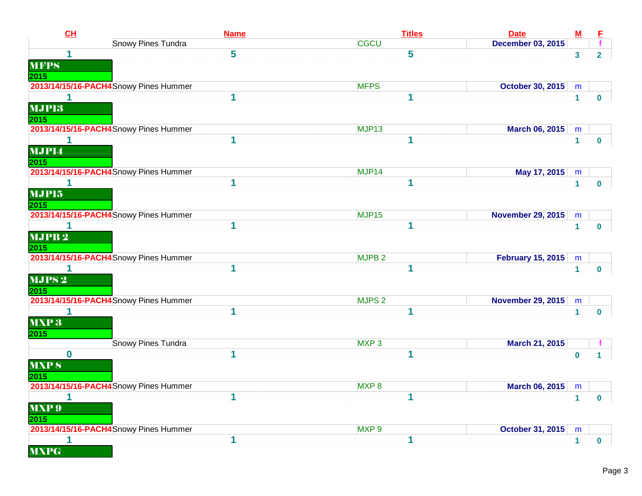| CL                | <b>Name</b>                            | <b>Titles</b>     | <b>Date</b>              | <u>M</u>     |                         |
|-------------------|----------------------------------------|-------------------|--------------------------|--------------|-------------------------|
|                   | <b>Snowy Pines Tundra</b>              | <b>CGCU</b>       | <b>December 03, 2015</b> |              |                         |
| 1                 | 5                                      | 5                 |                          | $\mathbf{3}$ | $2^{\circ}$             |
| <b>MFPS</b>       |                                        |                   |                          |              |                         |
| 2015              |                                        |                   |                          |              |                         |
|                   | 2013/14/15/16-PACH4Snowy Pines Hummer  | <b>MFPS</b>       | <b>October 30, 2015</b>  | m            |                         |
| 1                 | 1                                      | 1                 |                          | $\mathbf{1}$ | $\mathbf{0}$            |
| <b>MJP13</b>      |                                        |                   |                          |              |                         |
| 2015              |                                        |                   |                          |              |                         |
|                   | 2013/14/15/16-PACH4 Snowy Pines Hummer | MJP <sub>13</sub> | March 06, 2015           | m            |                         |
|                   |                                        | 1                 |                          | $\mathbf{1}$ | $\mathbf{0}$            |
| MJP14             |                                        |                   |                          |              |                         |
| 2015              |                                        |                   |                          |              |                         |
|                   | 2013/14/15/16-PACH4 Snowy Pines Hummer | MJP14             | May 17, 2015             | m            |                         |
| 1                 | 1                                      | 1                 |                          | $\mathbf{1}$ | $\mathbf 0$             |
| MJP15             |                                        |                   |                          |              |                         |
| 2015              |                                        |                   |                          |              |                         |
|                   | 2013/14/15/16-PACH4 Snowy Pines Hummer | MJP15             | <b>November 29, 2015</b> | m            |                         |
|                   | 1                                      | 1                 |                          | $\mathbf{1}$ | $\mathbf{0}$            |
| MJPB <sub>2</sub> |                                        |                   |                          |              |                         |
| 2015              |                                        |                   |                          |              |                         |
|                   | 2013/14/15/16-PACH4 Snowy Pines Hummer | MJPB <sub>2</sub> | <b>February 15, 2015</b> | m            |                         |
|                   | 1                                      | 1                 |                          | $\mathbf{1}$ | $\bf{0}$                |
| $MJPS$ $2$        |                                        |                   |                          |              |                         |
| 2015              |                                        |                   |                          |              |                         |
|                   | 2013/14/15/16-PACH4 Snowy Pines Hummer | MJPS <sub>2</sub> | <b>November 29, 2015</b> | m            |                         |
| 1                 | 1                                      | 1                 |                          | $\mathbf{1}$ | $\mathbf{0}$            |
| <b>MXP3</b>       |                                        |                   |                          |              |                         |
| 2015              |                                        |                   |                          |              |                         |
|                   | Snowy Pines Tundra                     | MXP <sub>3</sub>  | March 21, 2015           |              |                         |
| $\bf{0}$          |                                        |                   |                          | $\bf{0}$     | 1                       |
| MXP <sub>8</sub>  |                                        |                   |                          |              |                         |
| 2015              |                                        |                   |                          |              |                         |
|                   | 2013/14/15/16-PACH4 Snowy Pines Hummer | MXP <sub>8</sub>  | <b>March 06, 2015</b>    | m            |                         |
| 1                 |                                        | 1                 |                          | $\mathbf{1}$ | $\overline{\mathbf{0}}$ |
| <b>MXP 9</b>      |                                        |                   |                          |              |                         |
| 2015              |                                        |                   |                          |              |                         |
|                   | 2013/14/15/16-PACH4 Snowy Pines Hummer | MXP <sub>9</sub>  | <b>October 31, 2015</b>  | m            |                         |
|                   | 1                                      | 1                 |                          | $\mathbf{1}$ | $\mathbf 0$             |
| <b>MXPG</b>       |                                        |                   |                          |              |                         |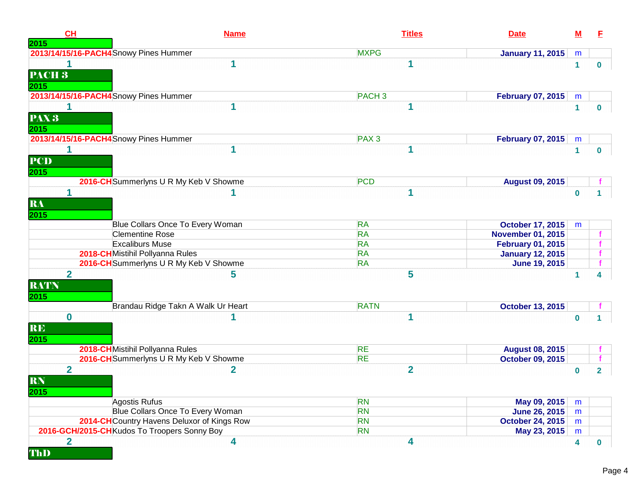| CH<br>2015                            | <b>Name</b>                                 | <b>Titles</b>     | <b>Date</b>              | ${\bf M}$    | E              |
|---------------------------------------|---------------------------------------------|-------------------|--------------------------|--------------|----------------|
|                                       | 2013/14/15/16-PACH4 Snowy Pines Hummer      | <b>MXPG</b>       | <b>January 11, 2015</b>  | m            |                |
| PACH <sub>3</sub>                     | 1                                           | 1                 |                          | $\mathbf{1}$ | $\mathbf 0$    |
| 2015                                  |                                             |                   |                          |              |                |
|                                       | 2013/14/15/16-PACH4Snowy Pines Hummer       | PACH <sub>3</sub> | <b>February 07, 2015</b> | m            |                |
| 1<br>PAX 3<br>2015                    | 1                                           | 1                 |                          | 1            | $\bf{0}$       |
|                                       | 2013/14/15/16-PACH4 Snowy Pines Hummer      | PAX <sub>3</sub>  | <b>February 07, 2015</b> | m            |                |
| 1<br><b>PCD</b><br>2015               |                                             |                   |                          | $\mathbf{1}$ | $\mathbf{0}$   |
|                                       | 2016-CH Summerlyns U R My Keb V Showme      | <b>PCD</b>        | <b>August 09, 2015</b>   |              |                |
| 1<br>RA<br>2015                       |                                             | 1                 |                          | $\bf{0}$     |                |
|                                       | Blue Collars Once To Every Woman            | <b>RA</b>         | <b>October 17, 2015</b>  | m            |                |
|                                       | <b>Clementine Rose</b>                      | <b>RA</b>         | <b>November 01, 2015</b> |              |                |
|                                       | <b>Excaliburs Muse</b>                      | <b>RA</b>         | <b>February 01, 2015</b> |              |                |
|                                       | 2018-CH Mistihil Pollyanna Rules            | <b>RA</b>         | <b>January 12, 2015</b>  |              |                |
|                                       | 2016-CH Summerlyns U R My Keb V Showme      | <b>RA</b>         | <b>June 19, 2015</b>     |              |                |
| $\overline{2}$<br><b>RATN</b><br>2015 | 5                                           | 5                 |                          | 1            | 4              |
|                                       | Brandau Ridge Takn A Walk Ur Heart          | <b>RATN</b>       | <b>October 13, 2015</b>  |              |                |
| $\bf{0}$<br><b>RE</b><br>2015         |                                             | 1                 |                          | $\bf{0}$     |                |
|                                       | 2018-CH Mistihil Pollyanna Rules            | <b>RE</b>         | <b>August 08, 2015</b>   |              |                |
|                                       | 2016-CH Summerlyns U R My Keb V Showme      | <b>RE</b>         | <b>October 09, 2015</b>  |              |                |
| $\overline{2}$<br><b>RN</b><br>2015   | $\mathbf{2}$                                | $\overline{2}$    |                          | $\bf{0}$     | $\overline{2}$ |
|                                       | Agostis Rufus                               | <b>RN</b>         | May 09, 2015             | m            |                |
|                                       | Blue Collars Once To Every Woman            | <b>RN</b>         | <b>June 26, 2015</b>     | m            |                |
|                                       | 2014-CH Country Havens Deluxor of Kings Row | <b>RN</b>         | <b>October 24, 2015</b>  | m            |                |
|                                       | 2016-GCH/2015-CHKudos To Troopers Sonny Boy | <b>RN</b>         | May 23, 2015             | m            |                |
| $\overline{\mathbf{2}}$<br>ThD        | 4                                           | 4                 |                          | 4            | $\mathbf 0$    |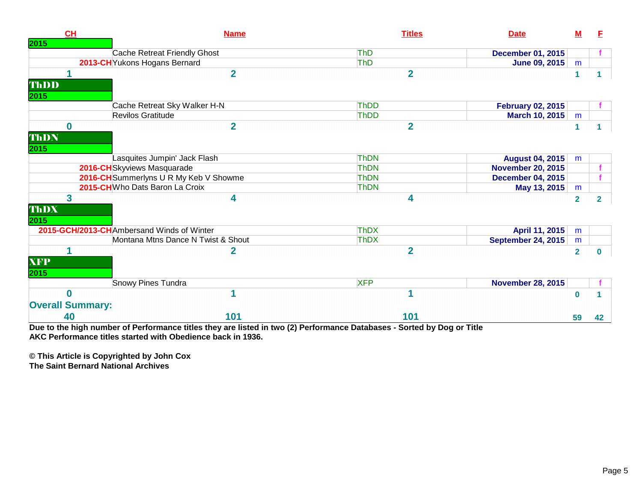| <b>CH</b>                             | <b>Name</b>                                                                                                       | <b>Titles</b>                                                | <b>Date</b>               | М              | E. |
|---------------------------------------|-------------------------------------------------------------------------------------------------------------------|--------------------------------------------------------------|---------------------------|----------------|----|
| 2015                                  |                                                                                                                   |                                                              |                           |                |    |
|                                       | Cache Retreat Friendly Ghost                                                                                      | <b>ThD</b>                                                   | <b>December 01, 2015</b>  |                |    |
|                                       | 2013-CH Yukons Hogans Bernard                                                                                     | <b>ThD</b>                                                   | <b>June 09, 2015</b>      | m              |    |
|                                       | $\overline{2}$                                                                                                    | $\overline{2}$                                               |                           | 1              |    |
| ThDD                                  |                                                                                                                   |                                                              |                           |                |    |
| 2015                                  |                                                                                                                   |                                                              |                           |                |    |
|                                       | Cache Retreat Sky Walker H-N                                                                                      | ThDD                                                         | <b>February 02, 2015</b>  |                |    |
|                                       | Revilos Gratitude                                                                                                 | ThDD                                                         | <b>March 10, 2015</b>     | m              |    |
| $\bf{0}$                              | $\overline{2}$                                                                                                    | $\overline{2}$                                               |                           |                |    |
| ThDN                                  |                                                                                                                   |                                                              |                           |                |    |
| 2015                                  |                                                                                                                   |                                                              |                           |                |    |
|                                       | Lasquites Jumpin' Jack Flash                                                                                      | <b>ThDN</b>                                                  | <b>August 04, 2015</b>    | m              |    |
|                                       | 2016-CH Skyviews Masquarade                                                                                       | <b>ThDN</b>                                                  | <b>November 20, 2015</b>  |                |    |
|                                       | 2016-CH Summerlyns U R My Keb V Showme                                                                            | <b>ThDN</b>                                                  | <b>December 04, 2015</b>  |                |    |
|                                       | 2015-CHWho Dats Baron La Croix                                                                                    | <b>ThDN</b>                                                  |                           |                |    |
|                                       |                                                                                                                   |                                                              | May 13, 2015              | m              |    |
| 3                                     | 4                                                                                                                 | 4                                                            |                           | $\overline{2}$ | 2  |
| ThDX                                  |                                                                                                                   |                                                              |                           |                |    |
| 2015                                  |                                                                                                                   |                                                              |                           |                |    |
|                                       | 2015-GCH/2013-CHAmbersand Winds of Winter                                                                         | <b>ThDX</b>                                                  | April 11, 2015            | m              |    |
|                                       | Montana Mtns Dance N Twist & Shout                                                                                | <b>ThDX</b>                                                  | <b>September 24, 2015</b> | m              |    |
|                                       | 2                                                                                                                 | $\overline{2}$                                               |                           | $\overline{2}$ | 0  |
| <b>XFP</b>                            |                                                                                                                   |                                                              |                           |                |    |
| 2015                                  |                                                                                                                   |                                                              |                           |                |    |
|                                       | Snowy Pines Tundra                                                                                                | <b>XFP</b>                                                   | <b>November 28, 2015</b>  |                |    |
| $\Omega$                              |                                                                                                                   |                                                              |                           | $\bf{0}$       |    |
|                                       |                                                                                                                   |                                                              |                           |                |    |
| <b>Overall Summary:</b>               |                                                                                                                   |                                                              |                           |                |    |
| 40<br>Process and and the first state | 101<br>$\mathbf{r}$ . The set of $\mathbf{r}$<br>$\mathbf{A}$ is a function of $\mathbf{A}$<br>Protect Protection | 101<br>$(0)$ $\mathbb{R}$ $\mathbb{R}$<br><b>B</b> - 4 - 1 - | en de la c                | 59             | 42 |

**Due to the high number of Performance titles they are listed in two (2) Performance Databases - Sorted by Dog or Title AKC Performance titles started with Obedience back in 1936.**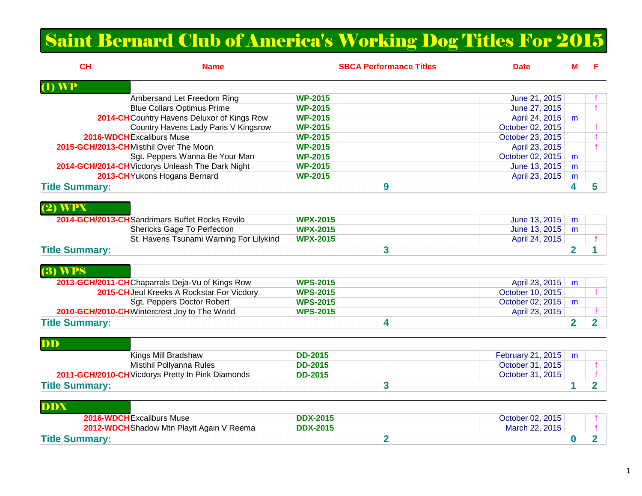# Saint Bernard Club of America's Working Dog Titles For 2015

| CL                    | <b>Name</b>                                       | <b>SBCA Performance Titles</b> | <b>Date</b>       | м              | E              |
|-----------------------|---------------------------------------------------|--------------------------------|-------------------|----------------|----------------|
| <b>WP</b>             |                                                   |                                |                   |                |                |
|                       | Ambersand Let Freedom Ring                        | <b>WP-2015</b>                 | June 21, 2015     |                |                |
|                       | <b>Blue Collars Optimus Prime</b>                 | <b>WP-2015</b>                 | June 27, 2015     |                |                |
|                       | 2014-CH Country Havens Deluxor of Kings Row       | <b>WP-2015</b>                 | April 24, 2015    | m              |                |
|                       | Country Havens Lady Paris V Kingsrow              | <b>WP-2015</b>                 | October 02, 2015  |                |                |
|                       | 2016-WDCHExcaliburs Muse                          | <b>WP-2015</b>                 | October 23, 2015  |                |                |
|                       | 2015-GCH/2013-CHMistihil Over The Moon            | <b>WP-2015</b>                 | April 23, 2015    |                |                |
|                       | Sgt. Peppers Wanna Be Your Man                    | <b>WP-2015</b>                 | October 02, 2015  | m              |                |
|                       | 2014-GCH/2014-CH Vicdorys Unleash The Dark Night  | <b>WP-2015</b>                 | June 13, 2015     | m              |                |
|                       | 2013-CH Yukons Hogans Bernard                     | <b>WP-2015</b>                 | April 23, 2015    | m              |                |
| <b>Title Summary:</b> |                                                   | 9                              |                   | 4              | 5              |
|                       |                                                   |                                |                   |                |                |
| <b>WPX</b><br>(2)     |                                                   |                                |                   |                |                |
|                       | 2014-GCH/2013-CH Sandrimars Buffet Rocks Revilo   | <b>WPX-2015</b>                | June 13, 2015     | m              |                |
|                       | <b>Shericks Gage To Perfection</b>                | <b>WPX-2015</b>                | June 13, 2015     | m              |                |
|                       | St. Havens Tsunami Warning For Lilykind           | <b>WPX-2015</b>                | April 24, 2015    |                |                |
|                       |                                                   |                                |                   |                |                |
| <b>Title Summary:</b> |                                                   | 3                              |                   | $\overline{2}$ |                |
|                       |                                                   |                                |                   |                |                |
| $(3)$ WPS             |                                                   |                                |                   |                |                |
|                       | 2013-GCH/2011-CHChaparrals Deja-Vu of Kings Row   | <b>WPS-2015</b>                | April 23, 2015    | m              |                |
|                       | 2015-CH Jeul Kreeks A Rockstar For Vicdory        | <b>WPS-2015</b>                | October 10, 2015  |                |                |
|                       | Sgt. Peppers Doctor Robert                        | <b>WPS-2015</b>                | October 02, 2015  | m              |                |
|                       | 2010-GCH/2010-CHWintercrest Joy to The World      | <b>WPS-2015</b>                | April 23, 2015    |                |                |
| <b>Title Summary:</b> |                                                   | 4                              |                   | $\overline{2}$ | $\overline{2}$ |
|                       |                                                   |                                |                   |                |                |
| DD                    |                                                   |                                |                   |                |                |
|                       | Kings Mill Bradshaw                               | <b>DD-2015</b>                 | February 21, 2015 | m              |                |
|                       | Mistihil Pollyanna Rules                          | <b>DD-2015</b>                 | October 31, 2015  |                |                |
|                       | 2011-GCH/2010-CH Vicdorys Pretty In Pink Diamonds | <b>DD-2015</b>                 | October 31, 2015  |                |                |
| <b>Title Summary:</b> |                                                   | $\mathbf{3}$                   |                   | 1              | $\overline{2}$ |
|                       |                                                   |                                |                   |                |                |
| DDX                   |                                                   |                                |                   |                |                |
|                       |                                                   |                                |                   |                |                |
|                       | 2016-WDCH Excaliburs Muse                         | <b>DDX-2015</b>                | October 02, 2015  |                |                |
|                       | 2012-WDCH Shadow Mtn Playit Again V Reema         | <b>DDX-2015</b>                | March 22, 2015    |                |                |
| <b>Title Summary:</b> |                                                   | $\overline{2}$                 |                   | $\bf{0}$       | $\overline{2}$ |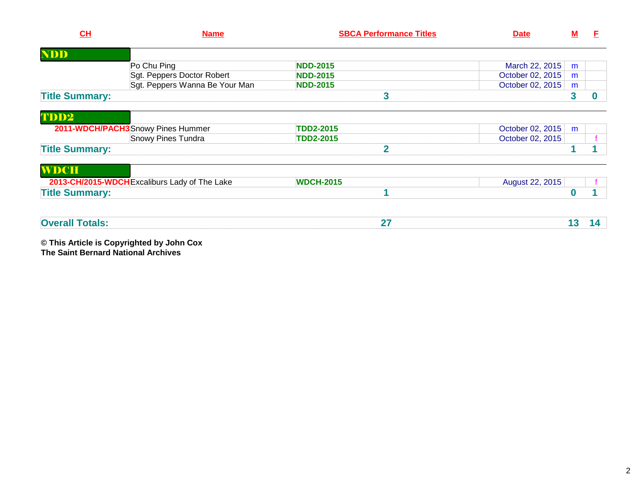| CL                     | <b>Name</b>                                   | <b>SBCA Performance Titles</b> | <b>Date</b>      | <u>M</u> | F  |
|------------------------|-----------------------------------------------|--------------------------------|------------------|----------|----|
| <b>NDD</b>             |                                               |                                |                  |          |    |
|                        | Po Chu Ping                                   | <b>NDD-2015</b>                | March 22, 2015   | m        |    |
|                        | Sgt. Peppers Doctor Robert                    | <b>NDD-2015</b>                | October 02, 2015 | m        |    |
|                        | Sgt. Peppers Wanna Be Your Man                | <b>NDD-2015</b>                | October 02, 2015 | m        |    |
| <b>Title Summary:</b>  |                                               | 3                              |                  | 3        |    |
| TDD2                   |                                               |                                |                  |          |    |
|                        | 2011-WDCH/PACH3 Snowy Pines Hummer            | <b>TDD2-2015</b>               | October 02, 2015 | m        |    |
|                        | <b>Snowy Pines Tundra</b>                     | <b>TDD2-2015</b>               | October 02, 2015 |          |    |
| <b>Title Summary:</b>  |                                               | $\mathbf{z}$                   |                  |          |    |
| <b>WDCH</b>            |                                               |                                |                  |          |    |
|                        | 2013-CH/2015-WDCH Excaliburs Lady of The Lake | <b>WDCH-2015</b>               | August 22, 2015  |          |    |
| <b>Title Summary:</b>  |                                               |                                |                  | 0        |    |
| <b>Overall Totals:</b> |                                               | 27                             |                  |          |    |
|                        |                                               |                                |                  | 13       | 14 |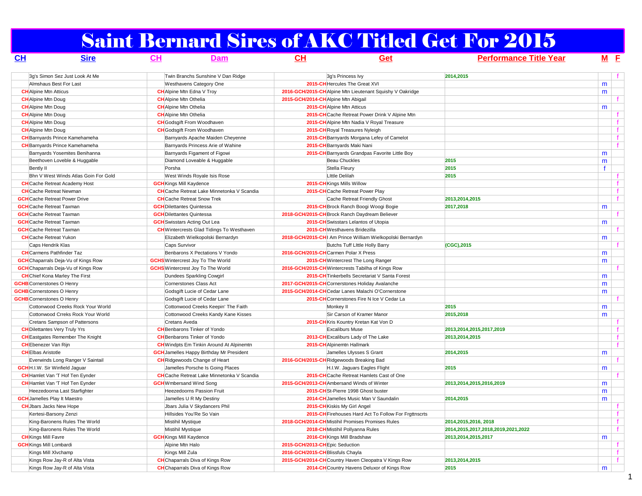# Saint Bernard Sires of AKC Titled Get For 2015

| CH                                  | <b>Sire</b>                                | CL                               | <b>Dam</b>                                        | CH                                                 | Get                                                       | <b>Performance Title Year</b>      |              | $M$ E        |
|-------------------------------------|--------------------------------------------|----------------------------------|---------------------------------------------------|----------------------------------------------------|-----------------------------------------------------------|------------------------------------|--------------|--------------|
|                                     | 3q's Simon Sez Just Look At Me             |                                  | Twin Branchs Sunshine V Dan Ridge                 |                                                    | 3q's Princess Ivy                                         | 2014,2015                          |              |              |
|                                     | Almshaus Best For Last                     |                                  | Westhavens Category One                           | 2015-CH Hercules The Great XVI                     |                                                           |                                    | m            |              |
| <b>CH</b> Alpine Mtn Atticus        |                                            |                                  | <b>CH</b> Alpine Mtn Edna V Troy                  |                                                    | 2016-GCH/2015-CH Alpine Mtn Lieutenant Squishy V Oakridge |                                    | m            |              |
| <b>CH</b> Alpine Mtn Doug           |                                            | <b>CH</b> Alpine Mtn Othelia     |                                                   | 2015-GCH/2014-CH Alpine Mtn Abigail                |                                                           |                                    |              |              |
| <b>CH</b> Alpine Mtn Doug           |                                            | <b>CH</b> Alpine Mtn Othelia     |                                                   | 2015-CH Alpine Mtn Atticus                         |                                                           |                                    | m            |              |
| <b>CH</b> Alpine Mtn Doug           |                                            | <b>CH</b> Alpine Mtn Othelia     |                                                   |                                                    | 2015-CH Cache Retreat Power Drink V Alpine Mtn            |                                    |              | f            |
| <b>CH</b> Alpine Mtn Doug           |                                            |                                  | <b>CH</b> Godsgift From Woodhaven                 |                                                    | 2015-CH Alpine Mtn Nadia V Royal Treasure                 |                                    |              | $\mathbf{f}$ |
| <b>CH</b> Alpine Mtn Doug           |                                            |                                  | <b>CH</b> Godsgift From Woodhaven                 | 2015-CH Royal Treasures Nyleigh                    |                                                           |                                    |              | f            |
|                                     | <b>CH</b> Barnyards Prince Kamehameha      |                                  | Barnyards Apache Maiden Cheyenne                  |                                                    | 2015-CH Barnyards Morgana Lefey of Camelot                |                                    |              |              |
|                                     | <b>CH</b> Barnyards Prince Kamehameha      |                                  | Barnyards Princess Arie of Wahine                 | 2015-CH Barnyards Maki Nani                        |                                                           |                                    |              | $\mathbf{f}$ |
|                                     | Barnyards Yosemites Benihanna              |                                  | Barnyards Figament of Figowi                      |                                                    | 2015-CH Barnyards Grandpas Favorite Little Boy            |                                    | m            |              |
|                                     | Beethoven Loveble & Huggable               |                                  | Diamond Loveable & Huggable                       | <b>Beau Chuckles</b>                               |                                                           | 2015                               | m            |              |
| Bently II                           |                                            | Porsha                           |                                                   | Stella Fleury                                      |                                                           | 2015                               | $\mathbf{f}$ |              |
|                                     | Bhn V West Winds Atlas Goin For Gold       |                                  | West Winds Royale Isis Rose                       | Little Delilah                                     |                                                           | 2015                               |              | $\mathbf{f}$ |
|                                     | <b>CH</b> Cache Retreat Academy Host       | <b>GCH</b> Kings Mill Kaydence   |                                                   | 2015-CH Kings Mills Willow                         |                                                           |                                    |              | f            |
|                                     | <b>CH</b> Cache Retreat Newman             |                                  | <b>CH</b> Cache Retreat Lake Minnetonka V Scandia |                                                    | 2015-CHCache Retreat Power Play                           |                                    |              | f            |
|                                     | <b>GCH</b> Cache Retreat Power Drive       |                                  | <b>CH</b> Cache Retreat Snow Trek                 |                                                    |                                                           | 2013,2014,2015                     |              |              |
|                                     |                                            |                                  |                                                   |                                                    | Cache Retreat Friendly Ghost                              |                                    |              |              |
| <b>GCH</b> Cache Retreat Taxman     |                                            | <b>GCH</b> Dilettantes Quintessa |                                                   |                                                    | 2015-CH Brock Ranch Boogi Woogi Bogie                     | 2017,2018                          | m            |              |
| <b>GCH</b> Cache Retreat Taxman     |                                            | <b>GCH</b> Dilettantes Quintessa |                                                   | 2018-GCH/2015-CH Brock Ranch Daydream Believer     |                                                           |                                    |              | f.           |
| <b>GCH</b> Cache Retreat Taxman     |                                            |                                  | <b>GCH</b> Swisstars Acting Out Lea               |                                                    | 2015-CH Swisstars Lelantos of Utopia                      |                                    | m            |              |
| <b>GCH</b> Cache Retreat Taxman     |                                            |                                  | <b>CH</b> Wintercrests Glad Tidings To Westhaven  | 2015-CHWesthavens Bridezilla                       |                                                           |                                    |              |              |
| <b>CH</b> Cache Retreat Yukon       |                                            |                                  | Elizabeth Wielkopolski Bernardyn                  |                                                    | 2018-GCH/2015-CH Am Prince William Wielkopolski Bernardyn |                                    | m            |              |
| Caps Hendrik Klas                   |                                            | <b>Caps Survivor</b>             |                                                   |                                                    | Butchs Tuff Little Holly Barry                            | (CGC), 2015                        |              |              |
|                                     | <b>CH</b> Carmens Pathfinder Taz           |                                  | Benbarons X Pectations V Yondo                    | 2016-GCH/2015-CH Carmen Polar X Press              |                                                           |                                    | m            |              |
|                                     | <b>GCH</b> Chaparrals Deja-Vu of Kings Row |                                  | <b>GCHS</b> Wintercrest Joy To The World          |                                                    | 2015-CH Wintercrest The Long Ranger                       |                                    | m            |              |
|                                     | <b>GCH</b> Chaparrals Deja-Vu of Kings Row |                                  | <b>GCHS</b> Wintercrest Joy To The World          | 2016-GCH/2015-CH Wintercrests Tabilha of Kings Row |                                                           |                                    |              |              |
|                                     | <b>CH</b> Chief Kona Marley The First      |                                  | Dundees Sparkling Cowgirl                         |                                                    | 2015-CH Tinkerbells Secretariat V Santa Forest            |                                    | m            |              |
| <b>GCHB</b> Cornerstones O Henry    |                                            |                                  | Cornerstones Class Act                            | 2017-GCH/2015-CHCornerstones Holiday Avalanche     |                                                           |                                    | m            |              |
| <b>GCHB</b> Cornerstones O Henry    |                                            |                                  | Godsgift Lucie of Cedar Lane                      | 2015-GCH/2014-CHCedar Lanes Malachi O'Cornerstone  |                                                           |                                    | m            |              |
| <b>GCHB</b> Cornerstones O Henry    |                                            |                                  | Godsgift Lucie of Cedar Lane                      |                                                    | 2015-CH Cornerstones Fire N Ice V Cedar La                |                                    |              |              |
|                                     | Cottonwood Creeks Rock Your World          |                                  | Cottonwood Creeks Keepin' The Faith               | Monkey II                                          |                                                           | 2015                               | m            |              |
|                                     | Cottonwood Crreks Rock Your World          |                                  | Cottonwood Creeks Kandy Kane Kisses               |                                                    | Sir Carson of Kramer Manor                                | 2015,2018                          | m            |              |
|                                     | Cretans Sampson of Pattersons              | Cretans Aveda                    |                                                   |                                                    | 2015-CH Kris Kountry Kretan Kat Von D                     |                                    |              |              |
|                                     | <b>CH</b> Dilettantes Very Truly Yrs       |                                  | <b>CH</b> Benbarons Tinker of Yondo               | <b>Excaliburs Muse</b>                             |                                                           | 2013,2014,2015,2017,2019           |              | f            |
|                                     | <b>CH</b> Eastgates Remember The Knight    |                                  | <b>CH</b> Benbarons Tinker of Yondo               |                                                    | 2013-CH Excaliburs Lady of The Lake                       | 2013.2014.2015                     |              | f            |
| <b>CH</b> Ebenezer Van Rijn         |                                            |                                  | <b>CH</b> Windpts Em Tinkin Around At Alpinemtn   | 2015-CH Alpinemtn Hallmark                         |                                                           |                                    |              | f.           |
| <b>CHEIbas Aristotle</b>            |                                            |                                  | <b>GCH</b> Jamelles Happy Birthday Mr President   |                                                    | Jamelles Ulysses S Grant                                  | 2014,2015                          | m            |              |
|                                     | Everwinds Long Ranger V Saintail           |                                  | <b>CH</b> Ridgewoods Change of Heart              | 2016-GCH/2015-CH Ridgewoods Breaking Bad           |                                                           |                                    |              | f.           |
|                                     | <b>GCH</b> H.I.W. Sir Winfield Jaquar      |                                  | Jamelles Porsche Is Going Places                  |                                                    | H.I.W. Jaguars Eagles Flight                              | 2015                               | m            |              |
|                                     | <b>CH</b> Hamlet Van 'T Hof Ten Eynder     |                                  | <b>CH</b> Cache Retreat Lake Minnetonka V Scandia |                                                    | 2015-CH Cache Retreat Hamlets Cast of One                 |                                    |              |              |
|                                     | <b>CH</b> Hamlet Van 'T Hof Ten Eynder     | <b>GCH</b> Wmbersand Wind Song   |                                                   | 2015-GCH/2013-CH Ambersand Winds of Winter         |                                                           | 2013,2014,2015,2016,2019           | m            |              |
|                                     | Heezedoorna Last Starfighter               |                                  | <b>Heezedoorns Passion Fruit</b>                  |                                                    | 2015-CH St-Pierre 1998 Ghost buster                       |                                    | m            |              |
| <b>GCH</b> Jamelles Play It Maestro |                                            |                                  | Jamelles U R My Destiny                           |                                                    | 2014-CH Jamelles Music Man V Saundalin                    | 2014,2015                          | m            |              |
| <b>CH</b> Jbars Jacks New Hope      |                                            |                                  | Jbars Julia V Skydancers Phil                     | 2015-CH Kiskis My Girl Angel                       |                                                           |                                    |              |              |
|                                     | Kertesi-Barsony Zenzi                      |                                  | Hillsides You'Re So Vain                          |                                                    | 2015-CH Firehouses Hard Act To Follow For Frgttnscrts     |                                    |              | f            |
|                                     | King-Baronens Rules The World              | Mistihil Mystique                |                                                   | 2018-GCH/2014-CHMistihil Promises Promises Rules   |                                                           | 2014, 2015, 2016, 2018             |              | f            |
|                                     | King-Baronens Rules The World              | Mistihil Mystique                |                                                   | 2018-CH Mistihil Pollyanna Rules                   |                                                           | 2014,2015,2017,2018,2019,2021,2022 |              | f            |
| <b>CH</b> Kings Mill Favre          |                                            | <b>GCH</b> Kings Mill Kaydence   |                                                   | 2016-CH Kings Mill Bradshaw                        |                                                           | 2013.2014.2015.2017                | m            |              |
| <b>GCH</b> Kings Mill Lombardi      |                                            | Alpine Mtn Halo                  |                                                   | 2015-GCH/2013-CHEpic Seduction                     |                                                           |                                    |              | f            |
|                                     | Kings Mill XIvchamp                        | Kings Mill Zula                  |                                                   | 2016-GCH/2015-CH Blissfuls Chayla                  |                                                           |                                    |              | f            |
|                                     | Kings Row Jay-R of Alta Vista              |                                  | <b>CH</b> Chaparrals Diva of Kings Row            |                                                    | 2015-GCH/2014-CH Country Haven Cleopatra V Kings Row      | 2013,2014,2015                     |              | f            |
|                                     | Kings Row Jay-R of Alta Vista              |                                  | <b>CH</b> Chaparrals Diva of Kings Row            |                                                    | 2014-CH Country Havens Deluxor of Kings Row               | 2015                               | m            |              |
|                                     |                                            |                                  |                                                   |                                                    |                                                           |                                    |              |              |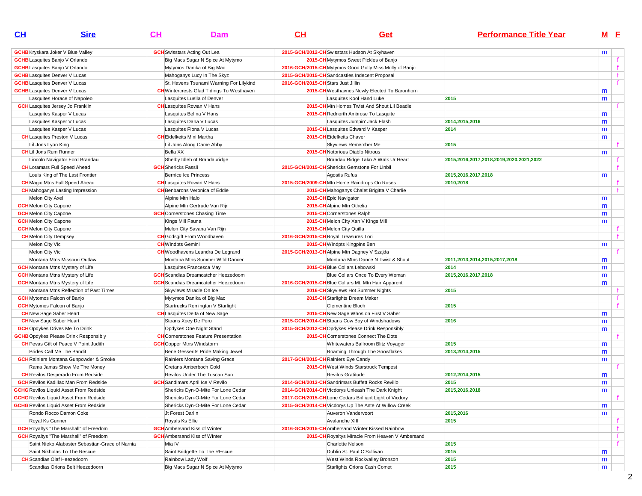| CL                                    | <b>Sire</b>                                     | $CH$<br><b>Dam</b>                               | CL                                                     | Get                                                     | <b>Performance Title Year</b>           | M <sub>E</sub> |              |
|---------------------------------------|-------------------------------------------------|--------------------------------------------------|--------------------------------------------------------|---------------------------------------------------------|-----------------------------------------|----------------|--------------|
|                                       | <b>GCHB</b> Kryskara Joker V Blue Valley        | <b>GCH</b> Swisstars Acting Out Lea              | 2015-GCH/2012-CH Swisstars Hudson At Skyhaven          |                                                         |                                         | m              |              |
| <b>GCHB</b> Lasquites Banjo V Orlando |                                                 | Big Macs Sugar N Spice At Mytymo                 |                                                        | 2015-CH Mytymos Sweet Pickles of Banjo                  |                                         |                |              |
| <b>GCHB</b> Lasquites Banjo V Orlando |                                                 | Mytymos Danika of Big Mac                        |                                                        | 2016-GCH/2015-CH Mytymos Good Golly Miss Molly of Banjo |                                         |                | f            |
| <b>GCHB</b> Lasquites Denver V Lucas  |                                                 | Mahoganys Lucy In The Skyz                       | 2015-GCH/2015-CH Sandcastles Indecent Proposal         |                                                         |                                         |                | f            |
| <b>GCHB</b> Lasquites Denver V Lucas  |                                                 | St. Havens Tsunami Warning For Lilykind          | 2016-GCH/2015-CH Stars Just Jillin                     |                                                         |                                         |                | f            |
| <b>GCHB</b> Lasquites Denver V Lucas  |                                                 | <b>CH</b> Wintercrests Glad Tidings To Westhaven |                                                        | 2015-CH Westhavnes Newly Elected To Baronhorn           |                                         | m              |              |
|                                       | Lasquites Horace of Napoleo                     | Lasquites Luella of Denver                       |                                                        | Lasquites Kool Hand Luke                                | 2015                                    | m              |              |
|                                       | <b>GCH</b> Lasquites Jersey Jo Franklin         | <b>CH</b> Lasquites Rowan V Hans                 |                                                        | 2015-CHMtn Homes Twist And Shout Lil Beadle             |                                         |                |              |
|                                       | Lasquites Kasper V Lucas                        | Lasquites Belina V Hans                          |                                                        | 2015-CH Rednorth Ambrose To Lasquite                    |                                         | m              |              |
|                                       | Lasquites Kasper V Lucas                        | Lasquites Dana V Lucas                           |                                                        | Lasquites Jumpin' Jack Flash                            | 2014,2015,2016                          | m              |              |
|                                       | Lasquites Kasper V Lucas                        | Lasquites Fiona V Lucas                          |                                                        | 2015-CH Lasquites Edward V Kasper                       | 2014                                    | m              |              |
|                                       | <b>CH</b> Lasquites Preston V Lucas             | <b>CH</b> Eidelkeits Mini Martha                 | 2015-CH Eidelkeits Chaver                              |                                                         |                                         | m              |              |
| Lil Jons Lyon King                    |                                                 | Lil Jons Along Came Abby                         |                                                        | Skyviews Remember Me                                    | 2015                                    |                |              |
| <b>CH</b> Lil Jons Rum Runner         |                                                 | Bella XX                                         | 2015-CH Notorious Diablo Nitrous                       |                                                         |                                         | m              |              |
|                                       | Lincoln Navigator Ford Brandau                  | Shelby Idleh of Brandauridge                     |                                                        | Brandau Ridge Takn A Walk Ur Heart                      | 2015,2016,2017,2018,2019,2020,2021,2022 |                | Ť.           |
|                                       | <b>CH</b> Loramars Full Speed Ahead             | <b>GCH</b> Shericks Fassli                       | 2015-GCH/2015-CH Shericks Gemstone For Linbil          |                                                         |                                         |                | f            |
|                                       | Louis King of The Last Frontier                 | Bernice Ice Princess                             | Agostis Rufus                                          |                                                         | 2015,2016,2017,2018                     | m              |              |
|                                       | <b>CH</b> Magic Mtns Full Speed Ahead           | <b>CH</b> Lasquites Rowan V Hans                 | 2015-GCH/2009-CHMtn Home Raindrops On Roses            |                                                         | 2010,2018                               |                |              |
|                                       | <b>CH</b> Mahoganys Lasting Impression          | <b>CH</b> Benbarons Veronica of Eddie            |                                                        | 2015-CH Mahoganys Chalet Brigitta V Charlie             |                                         |                | $\mathbf{f}$ |
| Melon City Axel                       |                                                 | Alpine Mtn Halo                                  | 2015-CH Epic Navigator                                 |                                                         |                                         | m              |              |
| <b>GCH</b> Melon City Capone          |                                                 | Alpine Mtn Gertrude Van Rijn                     | 2015-CH Alpine Mtn Othelia                             |                                                         |                                         | m              |              |
| <b>GCH</b> Melon City Capone          |                                                 | <b>GCH</b> Cornerstones Chasing Time             | 2015-CHCornerstones Ralph                              |                                                         |                                         | m              |              |
| <b>GCH</b> Melon City Capone          |                                                 | Kings Mill Fauna                                 |                                                        | 2015-CHMelon City Xan V Kings Mill                      |                                         | m              |              |
| <b>GCH</b> Melon City Capone          |                                                 | Melon City Savana Van Rijn                       | 2015-CH Melon City Quilla                              |                                                         |                                         |                | f.           |
| <b>CH</b> Melon City Dempsey          |                                                 | <b>CH</b> Godsgift From Woodhaven                | 2016-GCH/2015-CH Royal Treasures Tori                  |                                                         |                                         |                |              |
| Melon City Vic                        |                                                 | <b>CH</b> Windpts Gemini                         | 2015-CH Windpts Kingpins Ben                           |                                                         |                                         | m              |              |
| Melon City Vic                        |                                                 | <b>CH</b> Woodhavens Leandra De Legrand          | 2015-GCH/2013-CH Alpine Mtn Dagney V Szajda            |                                                         |                                         |                |              |
|                                       | Montana Mtns Missouri Outlaw                    | Montana Mtns Summer Wild Dancer                  |                                                        | Montana Mtns Dance N Twist & Shout                      | 2011,2013,2014,2015,2017,2018           | m              |              |
|                                       | <b>GCH</b> Montana Mtns Mystery of Life         | Lasquites Francesca May                          | 2015-CH Blue Collars Lebowski                          |                                                         | 2014                                    | m              |              |
|                                       | <b>GCH</b> Montana Mtns Mystery of Life         | <b>GCH</b> Scandias Dreamcatcher Heezedoom       |                                                        | Blue Collars Once To Every Woman                        | 2015,2016,2017,2018                     | m              |              |
|                                       | <b>GCH</b> Montana Mtns Mystery of Life         | <b>GCH</b> Scandias Dreamcatcher Heezedoom       | 2016-GCH/2015-CH Blue Collars Mt. Mtn Hair Apparent    |                                                         |                                         | m              |              |
|                                       | Montana Mtns Reflection of Past Times           | Skyviews Miracle On Ice                          |                                                        | 2016-CH Skyviews Hot Summer Nights                      | 2015                                    |                |              |
| <b>GCH</b> Mytomos Falcon of Banjo    |                                                 | Mytymos Danika of Big Mac                        | 2015-CH Starlights Dream Maker                         |                                                         |                                         |                |              |
| <b>GCH</b> Mytomos Falcon of Banjo    |                                                 | Startrucks Remington V Starlight                 |                                                        | Clementine Bloch                                        | 2015                                    |                | f.           |
| <b>CH</b> New Sage Saber Heart        |                                                 | <b>CH</b> Lasquites Delta of New Sage            |                                                        | 2015-CHNew Sage Whos on First V Saber                   |                                         | m              |              |
| <b>CH</b> New Sage Saber Heart        |                                                 | Stoans Xoey De Peru                              | 2015-GCH/2014-CH Stoans Cow Boy of Windshadows         |                                                         | 2016                                    | m              |              |
|                                       | <b>GCH</b> Opdykes Drives Me To Drink           | Opdykes One Night Stand                          | 2015-GCH/2012-CHOpdykes Please Drink Responsibly       |                                                         |                                         | m              |              |
|                                       | <b>GCHB</b> Opdykes Please Drink Responsibly    | <b>CH</b> Cornerstones Feature Presentation      |                                                        | 2015-CH Cornerstones Connect The Dots                   |                                         |                |              |
|                                       | <b>CH</b> Pevas Gift of Peace V Point Judith    | <b>GCH</b> Copper Mtns Windstorm                 |                                                        | Whitewaters Ballroom Blitz Voyager                      | 2015                                    | m              |              |
|                                       | Prides Call Me The Bandit                       | Bene Gesserits Pride Making Jewel                |                                                        | Roaming Through The Snowflakes                          | 2013,2014,2015                          | m              |              |
|                                       | <b>GCH</b> Rainiers Montana Gunpowder & Smoke   | Rainiers Montana Saving Grace                    | 2017-GCH/2015-CH Rainiers Eye Candy                    |                                                         |                                         | m              |              |
|                                       | Rama Jamas Show Me The Money                    | Cretans Amberboch Gold                           |                                                        | 2015-CH West Winds Starstruck Tempest                   |                                         |                |              |
|                                       | <b>CH</b> Revilos Desperado From Redside        | Revilos Under The Tuscan Sun                     |                                                        | <b>Revilos Gratitude</b>                                | 2012,2014,2015                          | m              |              |
|                                       | <b>GCH</b> Revilos Kadillac Man From Redside    | <b>GCH</b> Sandimars April Ice V Revilo          | 2014-GCH/2013-CH Sandrimars Buffett Rocks Revillo      |                                                         | 2015                                    | m              |              |
|                                       | <b>GCHG</b> Revilos Liquid Asset From Redside   | Shericks Dyn-O-Mite For Lone Cedar               | 2014-GCH/2014-CH Vicdorys Unleash The Dark Knight      |                                                         | 2015,2016,2018                          | m              |              |
|                                       | <b>GCHG</b> Revilos Liquid Asset From Redside   | Shericks Dyn-O-Mite For Lone Cedar               | 2017-GCH/2015-CHLone Cedars Brilliant Light of Vicdory |                                                         |                                         |                |              |
|                                       | <b>GCHG</b> Revilos Liquid Asset From Redside   | Shericks Dyn-O-Mite For Lone Cedar               |                                                        | 2015-GCH/2014-CH Vicdorys Up The Ante At Willow Creek   |                                         | m              |              |
|                                       | Rondo Rocco Damon Coke                          | Jt Forest Darlin                                 |                                                        | Auveron Vandervoort                                     | 2015,2016                               | m              |              |
| Royal Ks Gunner                       |                                                 | Royals Ks Ellie                                  | Avalanche XIII                                         |                                                         | 2015                                    |                | t.           |
|                                       | <b>GCH</b> Royaltys "The Marshall" of Freedom   | <b>GCH</b> Ambersand Kiss of Winter              | 2016-GCH/2015-CH Ambersand Winter Kissed Rainbow       |                                                         |                                         |                | f            |
|                                       | <b>GCH</b> Royaltys "The Marshall" of Freedom   | <b>GCH</b> Ambersand Kiss of Winter              |                                                        | 2015-CH Royaltys Miracle From Heaven V Ambersand        |                                         |                | f.           |
|                                       | Saint Nieko Alabaster Sebastian-Grace of Narnia | Mia IV                                           |                                                        | Charlotte Nelson                                        | 2015                                    |                | f            |
|                                       | Saint Nikholas To The Rescue                    | Saint Bridgette To The REscue                    |                                                        | Dublin St. Paul O'Sullivan                              | 2015                                    | m              |              |
|                                       | <b>CH</b> Scandias Olaf Heezedoorn              | Rainbow Lady Wolf                                |                                                        | West Winds Rockvalley Bronson                           | 2015                                    | m              |              |
|                                       | Scandias Orions Belt Heezedoorn                 | Big Macs Sugar N Spice At Mytymo                 |                                                        | Starlights Orions Cash Comet                            | 2015                                    | m              |              |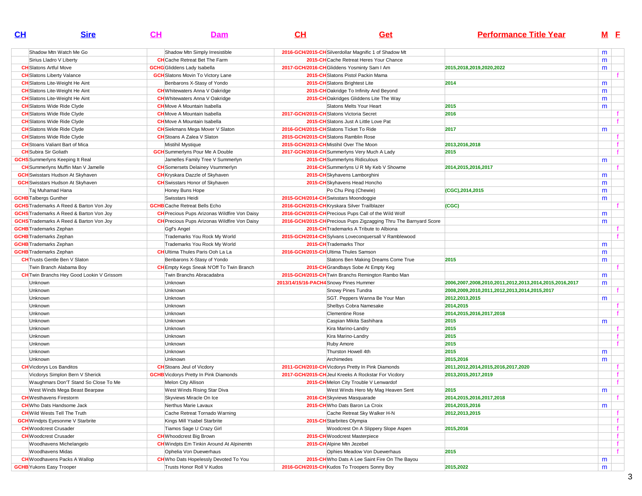| CL                                | <b>Sire</b>                                                                | <u>СН</u>                            | <b>Dam</b>                                                                  | CH                                     | <b>Get</b>                                                                     | <b>Performance Title Year</b>                          |   | M <sub>E</sub> |
|-----------------------------------|----------------------------------------------------------------------------|--------------------------------------|-----------------------------------------------------------------------------|----------------------------------------|--------------------------------------------------------------------------------|--------------------------------------------------------|---|----------------|
|                                   | Shadow Mtn Watch Me Go                                                     |                                      | Shadow Mtn Simply Irresistible                                              |                                        | 2016-GCH/2015-CH Silverdollar Magnific 1 of Shadow Mt                          |                                                        | m |                |
|                                   | Sirius Lladro V Liberty                                                    |                                      | <b>CH</b> Cache Retreat Bet The Farm                                        |                                        | 2015-CH Cache Retreat Heres Your Chance                                        |                                                        | m |                |
| <b>CH</b> Slatons Artful Move     |                                                                            | <b>GCHG</b> Gliddens Lady Isabella   |                                                                             |                                        | 2017-GCH/2016-CH Gliddens Yosminty Sam I Am                                    | 2015,2018,2019,2020,2022                               | m |                |
| <b>CH</b> Slatons Liberty Valance |                                                                            |                                      | <b>GCH</b> Slatons Movin To Victory Lane                                    |                                        | 2015-CH Slatons Pistol Packin Mama                                             |                                                        |   |                |
|                                   | <b>CH</b> Slatons Lite-Weight He Aint                                      |                                      | Benbarons X-Stasy of Yondo                                                  |                                        | 2015-CH Slatons Brightest Lite                                                 | 2014                                                   |   |                |
|                                   |                                                                            |                                      | <b>CH</b> Whitewaters Anna V Oakridge                                       |                                        |                                                                                |                                                        | m |                |
|                                   | <b>CH</b> Slatons Lite-Weight He Aint                                      |                                      |                                                                             |                                        | 2015-CHOakridge To Infinity And Beyond                                         |                                                        | m |                |
|                                   | <b>CH</b> Slatons Lite-Weight He Aint<br><b>CH</b> Slatons Wide Ride Clyde |                                      | <b>CH</b> Whitewaters Anna V Oakridge<br><b>CH</b> Move A Mountain Isabella |                                        | 2015-CHOakridges Gliddens Lite The Way<br>Slatons Melts Your Heart             | 2015                                                   | m |                |
|                                   | <b>CH</b> Slatons Wide Ride Clyde                                          |                                      | <b>CH</b> Move A Mountain Isabella                                          |                                        | 2017-GCH/2015-CH Slatons Victoria Secret                                       | 2016                                                   | m |                |
|                                   |                                                                            |                                      | <b>CH</b> Move A Mountain Isabella                                          |                                        |                                                                                |                                                        |   |                |
|                                   | <b>CH</b> Slatons Wide Ride Clyde                                          |                                      |                                                                             |                                        | 2015-CH Slatons Just A Little Love Pat                                         | 2017                                                   |   |                |
|                                   | <b>CH</b> Slatons Wide Ride Clyde                                          | <b>CH</b> Stoans A Zalea V Slaton    | <b>CH</b> Siekmans Mega Mover V Slaton                                      |                                        | 2016-GCH/2015-CHSlatons Ticket To Ride<br>2015-GCH/2015-CHSlatons Ramblin Rose |                                                        | m |                |
|                                   | <b>CH</b> Slatons Wide Ride Clyde<br><b>CH</b> Stoans Valiant Bart of Mica |                                      |                                                                             |                                        | 2015-GCH/2013-CHMistihil Over The Moon                                         |                                                        |   |                |
| <b>CH</b> Subira Sir Goliath      |                                                                            | Mistihil Mystique                    |                                                                             |                                        |                                                                                | 2013,2016,2018<br>2015                                 |   |                |
|                                   |                                                                            |                                      | <b>GCH</b> Summerlyns Pour Me A Double                                      |                                        | 2017-GCH/2016-CH Summerlyns Very Much A Lady                                   |                                                        |   |                |
|                                   | <b>GCHS</b> Summerlyns Keeping It Real                                     |                                      | Jamelles Family Tree V Summerlyn                                            |                                        | 2015-CH Summerlyns Ridiculous                                                  |                                                        | m |                |
|                                   | <b>CH</b> Summerlyns Muffin Man V Jamelle                                  |                                      | <b>CH</b> Somersets Delainey Vsummerlyn                                     |                                        | 2016-CH Summerlyns U R My Keb V Showme                                         | 2014,2015,2016,2017                                    |   |                |
|                                   | <b>GCH</b> Swisstars Hudson At Skyhaven                                    |                                      | <b>CH</b> Kryskara Dazzle of Skyhaven                                       |                                        | 2015-CH Skyhavens Lamborghini                                                  |                                                        | m |                |
|                                   | <b>GCH</b> Swisstars Hudson At Skyhaven                                    |                                      | <b>CH</b> Swisstars Honor of Skyhaven                                       |                                        | 2015-CH Skyhavens Head Honcho                                                  |                                                        | m |                |
| Taj Muhamad Hana                  |                                                                            | Honey Buns Hope                      |                                                                             |                                        | Po Chu Ping (Chewie)                                                           | (CGC), 2014, 2015                                      | m |                |
| <b>GCHB</b> Talbergs Gunther      |                                                                            | Swisstars Heidi                      |                                                                             |                                        | 2015-GCH/2014-CH Swisstars Moondoggie                                          |                                                        | m |                |
|                                   | <b>GCHS</b> Trademarks A Reed & Barton Von Joy                             | <b>GCHB</b> Cache Retreat Bells Echo |                                                                             |                                        | 2016-GCH/2015-CH Kryskara Silver Trailblazer                                   | (CGC)                                                  |   |                |
|                                   | <b>GCHS</b> Trademarks A Reed & Barton Von Joy                             |                                      | <b>CH</b> Precious Pups Arizonas Wildfire Von Daisy                         |                                        | 2016-GCH/2015-CH Precious Pups Call of the Wild Wolf                           |                                                        | m |                |
|                                   | <b>GCHS</b> Trademarks A Reed & Barton Von Joy                             |                                      | <b>CH</b> Precious Pups Arizonas Wildfire Von Daisy                         |                                        | 2016-GCH/2015-CH Precious Pups Zigzagging Thru The Barnyard Score              |                                                        | m |                |
| <b>GCHB</b> Trademarks Zephan     |                                                                            | Ggf's Angel                          |                                                                             |                                        | 2015-CH Trademarks A Tribute to Albiona                                        |                                                        |   |                |
| <b>GCHB</b> Trademarks Zephan     |                                                                            |                                      | Trademarks You Rock My World                                                |                                        | 2015-GCH/2014-CH Sylvans Loveconquersall V Ramblewood                          |                                                        |   |                |
| <b>GCHB</b> Trademarks Zephan     |                                                                            |                                      | Trademarks You Rock My World                                                |                                        | 2015-CH Trademarks Thor                                                        |                                                        | m |                |
| <b>GCHB</b> Trademarks Zephan     |                                                                            |                                      | <b>CH</b> Ultima Thules Paris Ooh La La                                     |                                        | 2016-GCH/2015-CH Ultima Thules Samson                                          |                                                        | m |                |
|                                   | <b>CH</b> Trusts Gentle Ben V Slaton                                       |                                      | Benbarons X-Stasy of Yondo                                                  |                                        | Slatons Ben Making Dreams Come True                                            | 2015                                                   | m |                |
|                                   | Twin Branch Alabama Boy                                                    |                                      | <b>CH</b> Empty Kegs Sneak N'Off To Twin Branch                             |                                        | 2015-CH Grandbays Sobe At Empty Keg                                            |                                                        |   |                |
|                                   | <b>CH</b> Twin Branchs Hey Good Lookin V Grissom                           |                                      | Twin Branchs Abracadabra                                                    |                                        | 2015-GCH/2015-CH Twin Branchs Remington Rambo Man                              |                                                        | m |                |
| Unknown                           |                                                                            | Unknown                              |                                                                             | 2013/14/15/16-PACH4 Snowy Pines Hummer |                                                                                | 2006,2007,2008,2010,2011,2012,2013,2014,2015,2016,2017 | m |                |
| Unknown                           |                                                                            | Unknown                              |                                                                             |                                        | Snowy Pines Tundra                                                             | 2008,2009,2010,2011,2012,2013,2014,2015,2017           |   |                |
| Unknown                           |                                                                            | Unknown                              |                                                                             |                                        | SGT. Peppers Wanna Be Your Man                                                 | 2012,2013,2015                                         | m |                |
| Unknown                           |                                                                            | Unknown                              |                                                                             |                                        | Shelbys Cobra Namesake                                                         | 2014,2015                                              |   |                |
| Unknown                           |                                                                            | Unknown                              |                                                                             |                                        | <b>Clementine Rose</b>                                                         | 2014,2015,2016,2017,2018                               |   |                |
| Unknown                           |                                                                            | Unknown                              |                                                                             |                                        | Caspian Mikita Sashihara                                                       | 2015                                                   | m |                |
| Unknown                           |                                                                            | Unknown                              |                                                                             |                                        | Kira Marino-Landry                                                             | 2015                                                   |   |                |
| Unknown                           |                                                                            | Unknown                              |                                                                             |                                        | Kira Marino-Landry                                                             | 2015                                                   |   |                |
| Unknown                           |                                                                            | Unknown                              |                                                                             |                                        | Ruby Amore                                                                     | 2015                                                   |   |                |
| Unknown                           |                                                                            | Unknown                              |                                                                             |                                        | Thurston Howell 4th                                                            | 2015                                                   | m |                |
| Unknown                           |                                                                            | Unknown                              |                                                                             |                                        | Archimedes                                                                     | 2015,2016                                              | m |                |
| <b>CH</b> Vicdorys Los Banditos   |                                                                            | <b>CH</b> Stoans Jeul of Vicdory     |                                                                             |                                        | 2011-GCH/2010-CH Vicdorys Pretty In Pink Diamonds                              | 2011,2012,2014,2015,2016,2017,2020                     |   |                |
|                                   | Vicdorys Simplon Bern V Sherick                                            |                                      | <b>GCHB</b> Vicdorys Pretty In Pink Diamonds                                |                                        | 2017-GCH/2015-CH Jeul Kreeks A Rockstar For Vicdory                            | 2013,2015,2017,2019                                    |   |                |
|                                   | Waughmars Don'T Stand So Close To Me                                       | Melon City Allison                   |                                                                             |                                        | 2015-CH Melon City Trouble V Lenwardof                                         |                                                        |   |                |
|                                   | West Winds Mega Beast Bearpaw                                              |                                      | West Winds Rising Star Diva                                                 |                                        | West Winds Hero My Mag Heaven Sent                                             | 2015                                                   | m |                |
| <b>CH</b> Westhavens Firestorm    |                                                                            |                                      | Skyviews Miracle On Ice                                                     |                                        | 2016-CH Skyviews Masquarade                                                    | 2014,2015,2016,2017,2018                               |   |                |
|                                   | <b>CH</b> Who Dats Handsome Jack                                           |                                      | Nerthus Marie Lavaux                                                        |                                        | 2015-CHWho Dats Baron La Croix                                                 | 2014,2015,2016                                         | m |                |
|                                   | <b>CH</b> Wild Wests Tell The Truth                                        |                                      | Cache Retreat Tornado Warning                                               |                                        | Cache Retreat Sky Walker H-N                                                   | 2012, 2013, 2015                                       |   | f              |
|                                   | <b>GCH</b> Windpts Eyesonme V Starbrite                                    |                                      | Kings Mill Ysabel Starbrite                                                 |                                        | 2015-CH Starbrites Olympia                                                     |                                                        |   | f              |
| <b>CH</b> Woodcrest Crusader      |                                                                            |                                      | Tiamos Sage U Crazy Girl                                                    |                                        | Woodcrest On A Slippery Slope Aspen                                            | 2015,2016                                              |   | f              |
| <b>CH</b> Woodcrest Crusader      |                                                                            | <b>CH</b> Whoodcrest Big Brown       |                                                                             |                                        | 2015-CH Woodcrest Masterpiece                                                  |                                                        |   |                |
|                                   | Woodhavens Michelangelo                                                    |                                      | <b>CH</b> Windpts Em Tinkin Around At Alpinemtn                             |                                        | 2015-CH Alpine Mtn Jezebel                                                     |                                                        |   | f              |
| Woodhavens Midas                  |                                                                            |                                      | Ophelia Von Duewerhaus                                                      |                                        | Ophies Meadow Von Duewerhaus                                                   | 2015                                                   |   | f.             |
|                                   | <b>CH</b> Woodhavens Packs A Wallop                                        |                                      | <b>CH</b> Who Dats Hopelessly Devoted To You                                |                                        | 2015-CH Who Dats A Lee Saint Fire On The Bayou                                 |                                                        | m |                |
| <b>GCHB</b> Yukons Easy Trooper   |                                                                            |                                      | Trusts Honor Roll V Kudos                                                   |                                        | 2016-GCH/2015-CH Kudos To Troopers Sonny Boy                                   | 2015,2022                                              | m |                |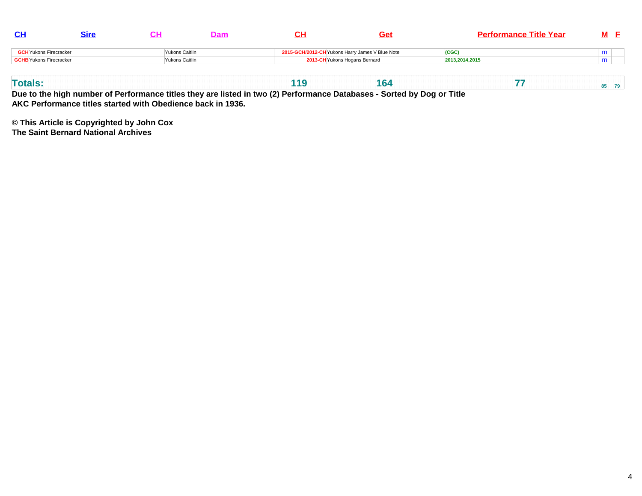|                               |                |  | Get                                             | <b>Performance Title Year</b> | M |
|-------------------------------|----------------|--|-------------------------------------------------|-------------------------------|---|
| <b>GCH</b> Yukons Firecracker | Yukons Caitlin |  | 2015-GCH/2012-CH Yukons Harry James V Blue Note | (CGC                          | m |
| GCHB Yukons Firecracker       | Yukons Caitlin |  | 2013-CH Yukons Hogans Bernard                   | 2013,2014,2015                | m |
|                               |                |  |                                                 |                               |   |

| 88 A B |  |  |  | -- |  |
|--------|--|--|--|----|--|
|--------|--|--|--|----|--|

**Due to the high number of Performance titles they are listed in two (2) Performance Databases - Sorted by Dog or Title AKC Performance titles started with Obedience back in 1936.**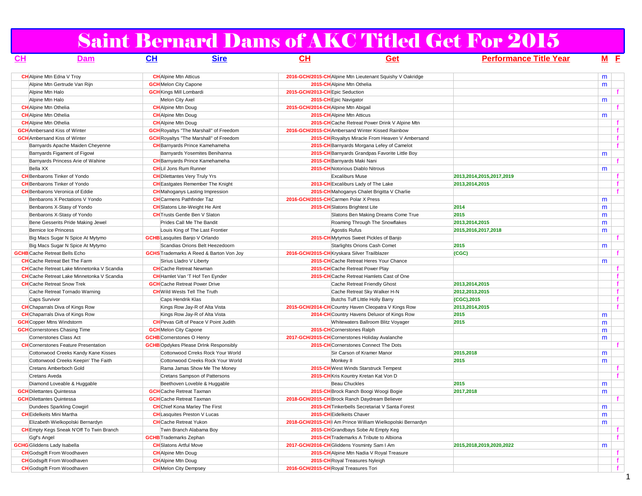# Saint Bernard Dams of AKC Titled Get For 2015

| <u>CH</u>                            | <b>Dam</b>                                        | $\mathbf{C}$ H<br>Sire                         | <u>CН</u>                                        | Get                                                        | <b>Performance Title Year</b> |   | M E          |
|--------------------------------------|---------------------------------------------------|------------------------------------------------|--------------------------------------------------|------------------------------------------------------------|-------------------------------|---|--------------|
|                                      | <b>CH</b> Alpine Mtn Edna V Troy                  | <b>CH</b> Alpine Mtn Atticus                   |                                                  | 2016-GCH/2015-CH Alpine Mtn Lieutenant Squishy V Oakridge  |                               | m |              |
|                                      | Alpine Mtn Gertrude Van Rijn                      | <b>GCH</b> Melon City Capone                   | 2015-CH Alpine Mtn Othelia                       |                                                            |                               | m |              |
| Alpine Mtn Halo                      |                                                   | <b>GCH</b> Kings Mill Lombardi                 | 2015-GCH/2013-CH Epic Seduction                  |                                                            |                               |   | f            |
| Alpine Mtn Halo                      |                                                   | Melon City Axel                                | 2015-CH Epic Navigator                           |                                                            |                               | m |              |
| <b>CH</b> Alpine Mtn Othelia         |                                                   | <b>CH</b> Alpine Mtn Doug                      | 2015-GCH/2014-CH Alpine Mtn Abigail              |                                                            |                               |   | f.           |
| <b>CH</b> Alpine Mtn Othelia         |                                                   | <b>CH</b> Alpine Mtn Doug                      | 2015-CH Alpine Mtn Atticus                       |                                                            |                               | m |              |
| <b>CH</b> Alpine Mtn Othelia         |                                                   | <b>CH</b> Alpine Mtn Doug                      |                                                  | 2015-CH Cache Retreat Power Drink V Alpine Mtn             |                               |   | f.           |
|                                      | <b>GCH</b> Ambersand Kiss of Winter               | <b>GCH</b> Royaltys "The Marshall" of Freedom  | 2016-GCH/2015-CH Ambersand Winter Kissed Rainbow |                                                            |                               |   | $\mathbf{f}$ |
|                                      | <b>GCH</b> Ambersand Kiss of Winter               | <b>GCH</b> Royaltys "The Marshall" of Freedom  |                                                  | 2015-CH Royaltys Miracle From Heaven V Ambersand           |                               |   | $\mathbf{f}$ |
|                                      | Barnyards Apache Maiden Cheyenne                  | <b>CH</b> Barnyards Prince Kamehameha          |                                                  | 2015-CH Barnyards Morgana Lefey of Camelot                 |                               |   | f.           |
|                                      | Barnyards Figament of Figowi                      | Barnyards Yosemites Benihanna                  |                                                  | 2015-CH Barnyards Grandpas Favorite Little Boy             |                               | m |              |
|                                      | Barnyards Princess Arie of Wahine                 | <b>CH</b> Barnyards Prince Kamehameha          | 2015-CH Barnyards Maki Nani                      |                                                            |                               |   | $\mathbf f$  |
| Bella XX                             |                                                   | <b>CHLI Jons Rum Runner</b>                    | 2015-CH Notorious Diablo Nitrous                 |                                                            |                               | m |              |
|                                      | <b>CH</b> Benbarons Tinker of Yondo               | <b>CH</b> Dilettantes Very Truly Yrs           | <b>Excaliburs Muse</b>                           |                                                            | 2013,2014,2015,2017,2019      |   | f.           |
|                                      | <b>CH</b> Benbarons Tinker of Yondo               | <b>CH</b> Eastgates Remember The Knight        |                                                  | 2013-CH Excaliburs Lady of The Lake                        | 2013,2014,2015                |   | $\mathbf{f}$ |
|                                      | <b>CH</b> Benbarons Veronica of Eddie             | <b>CH</b> Mahoganys Lasting Impression         |                                                  | 2015-CH Mahoganys Chalet Brigitta V Charlie                |                               |   | f            |
|                                      | Benbarons X Pectations V Yondo                    | <b>CH</b> Carmens Pathfinder Taz               | 2016-GCH/2015-CHCarmen Polar X Press             |                                                            |                               | m |              |
|                                      | Benbarons X-Stasy of Yondo                        | <b>CH</b> Slatons Lite-Weight He Aint          | 2015-CH Slatons Brightest Lite                   |                                                            | 2014                          | m |              |
|                                      | Benbarons X-Stasy of Yondo                        | <b>CH</b> Trusts Gentle Ben V Slaton           |                                                  | Slatons Ben Making Dreams Come True                        | 2015                          | m |              |
|                                      | Bene Gesserits Pride Making Jewel                 | Prides Call Me The Bandit                      |                                                  | Roaming Through The Snowflakes                             | 2013,2014,2015                | m |              |
|                                      | Bernice Ice Princess                              | Louis King of The Last Frontier                | Agostis Rufus                                    |                                                            | 2015,2016,2017,2018           | m |              |
|                                      | Big Macs Sugar N Spice At Mytymo                  | <b>GCHB</b> Lasquites Banjo V Orlando          |                                                  | 2015-CH Mytymos Sweet Pickles of Banjo                     |                               |   | f            |
|                                      | Big Macs Sugar N Spice At Mytymo                  | Scandias Orions Belt Heezedoorn                |                                                  | Starlights Orions Cash Comet                               | 2015                          | m |              |
| <b>GCHB</b> Cache Retreat Bells Echo |                                                   | <b>GCHS</b> Trademarks A Reed & Barton Von Joy | 2016-GCH/2015-CH Kryskara Silver Trailblazer     |                                                            | (CGC)                         |   | f.           |
|                                      | <b>CH</b> Cache Retreat Bet The Farm              | Sirius Lladro V Liberty                        |                                                  | 2015-CH Cache Retreat Heres Your Chance                    |                               | m |              |
|                                      | <b>CH</b> Cache Retreat Lake Minnetonka V Scandia | <b>CH</b> Cache Retreat Newman                 |                                                  | 2015-CH Cache Retreat Power Play                           |                               |   | f.           |
|                                      | <b>CH</b> Cache Retreat Lake Minnetonka V Scandia | <b>CH</b> Hamlet Van 'T Hof Ten Eynder         |                                                  | 2015-CH Cache Retreat Hamlets Cast of One                  |                               |   | f            |
|                                      | <b>CH</b> Cache Retreat Snow Trek                 | <b>GCH</b> Cache Retreat Power Drive           |                                                  | Cache Retreat Friendly Ghost                               | 2013,2014,2015                |   | $\mathbf{f}$ |
|                                      | Cache Retreat Tornado Warning                     | <b>CH</b> Wild Wests Tell The Truth            |                                                  | Cache Retreat Sky Walker H-N                               | 2012, 2013, 2015              |   | $\mathbf f$  |
| Caps Survivor                        |                                                   | Caps Hendrik Klas                              |                                                  | Butchs Tuff Little Holly Barry                             | (CGC), 2015                   |   | $\mathbf{f}$ |
|                                      | <b>CH</b> Chaparrals Diva of Kings Row            | Kings Row Jay-R of Alta Vista                  |                                                  | 2015-GCH/2014-CH Country Haven Cleopatra V Kings Row       | 2013,2014,2015                |   | f            |
|                                      | <b>CH</b> Chaparrals Diva of Kings Row            | Kings Row Jay-R of Alta Vista                  |                                                  | 2014-CH Country Havens Deluxor of Kings Row                | 2015                          | m |              |
| <b>GCH</b> Copper Mtns Windstorm     |                                                   | <b>CH</b> Pevas Gift of Peace V Point Judith   |                                                  | Whitewaters Ballroom Blitz Voyager                         | 2015                          | m |              |
|                                      | <b>GCH</b> Cornerstones Chasing Time              | <b>GCH</b> Melon City Capone                   | 2015-CH Cornerstones Ralph                       |                                                            |                               | m |              |
|                                      | Cornerstones Class Act                            | <b>GCHB</b> Cornerstones O Henry               | 2017-GCH/2015-CHCornerstones Holiday Avalanche   |                                                            |                               | m |              |
|                                      | <b>CH</b> Cornerstones Feature Presentation       | <b>GCHB</b> Opdykes Please DrInk Responsibly   |                                                  | 2015-CH Cornerstones Connect The Dots                      |                               |   | f.           |
|                                      | Cottonwood Creeks Kandy Kane Kisses               | Cottonwood Crreks Rock Your World              |                                                  | Sir Carson of Kramer Manor                                 | 2015,2018                     | m |              |
|                                      | Cottonwood Creeks Keepin' The Faith               | Cottonwood Creeks Rock Your World              | Monkey II                                        |                                                            | 2015                          | m |              |
|                                      | Cretans Amberboch Gold                            | Rama Jamas Show Me The Money                   |                                                  | 2015-CH West Winds Starstruck Tempest                      |                               |   | f.           |
| Cretans Aveda                        |                                                   | Cretans Sampson of Pattersons                  |                                                  | 2015-CH Kris Kountry Kretan Kat Von D                      |                               |   | f            |
|                                      | Diamond Loveable & Huggable                       | Beethoven Loveble & Huggable                   | Beau Chuckles                                    |                                                            | 2015                          | m |              |
| <b>GCH</b> Dilettantes Quintessa     |                                                   | <b>GCH</b> Cache Retreat Taxman                |                                                  | 2015-CH Brock Ranch Boogi Woogi Bogie                      | 2017,2018                     | m |              |
| <b>GCH</b> Dilettantes Quintessa     |                                                   | <b>GCH</b> Cache Retreat Taxman                | 2018-GCH/2015-CH Brock Ranch Daydream Believer   |                                                            |                               |   | $\mathbf{f}$ |
|                                      | Dundees Sparkling Cowgirl                         | <b>CH</b> Chief Kona Marley The First          |                                                  | 2015-CH Tinkerbells Secretariat V Santa Forest             |                               | m |              |
| <b>CH</b> Eidelkeits Mini Martha     |                                                   | <b>CH</b> Lasquites Preston V Lucas            | 2015-CH Eidelkeits Chaver                        |                                                            |                               | m |              |
|                                      | Elizabeth Wielkopolski Bernardyn                  | <b>CH</b> Cache Retreat Yukon                  |                                                  | 2018-GCH/2015-CH  Am Prince William Wielkopolski Bernardyn |                               | m |              |
|                                      | <b>CH</b> Empty Kegs Sneak N'Off To Twin Branch   | Twin Branch Alabama Boy                        |                                                  | 2015-CH Grandbays Sobe At Empty Keg                        |                               |   | f.           |
| Ggf's Angel                          |                                                   | <b>GCHB</b> Trademarks Zephan                  |                                                  | 2015-CH Trademarks A Tribute to Albiona                    |                               |   | f            |
| <b>GCHG</b> Gliddens Lady Isabella   |                                                   | <b>CH</b> Slatons Artful Move                  | 2017-GCH/2016-CH Gliddens Yosminty Sam I Am      |                                                            | 2015,2018,2019,2020,2022      | m |              |
|                                      | <b>CH</b> Godsgift From Woodhaven                 | <b>CH</b> Alpine Mtn Doug                      |                                                  | 2015-CH Alpine Mtn Nadia V Royal Treasure                  |                               |   | f            |
|                                      | <b>CH</b> Godsgift From Woodhaven                 | <b>CH</b> Alpine Mtn Doug                      | 2015-CHRoyal Treasures Nyleigh                   |                                                            |                               |   | $\mathbf{f}$ |
|                                      | <b>CH</b> Godsgift From Woodhaven                 | <b>CH</b> Melon City Dempsey                   | 2016-GCH/2015-CH Royal Treasures Tori            |                                                            |                               |   | $\mathbf{f}$ |

1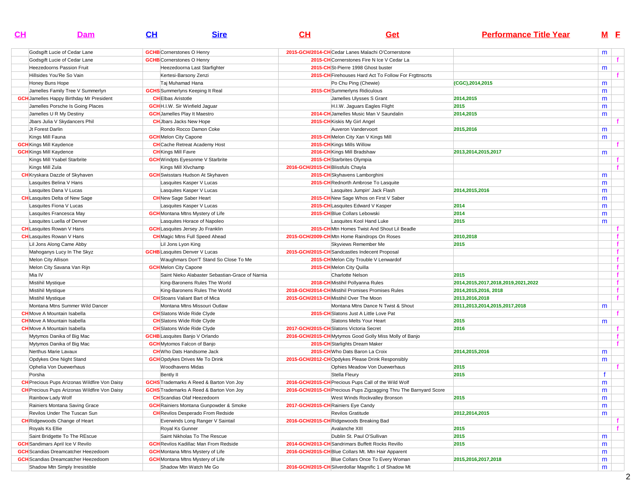| $CH$                           | <b>Dam</b>                                          | CL                                    | <b>Sire</b>                                     | CL                                | Get                                                               | <b>Performance Title Year</b>            |              | M <sub>E</sub> |
|--------------------------------|-----------------------------------------------------|---------------------------------------|-------------------------------------------------|-----------------------------------|-------------------------------------------------------------------|------------------------------------------|--------------|----------------|
|                                | Godsgift Lucie of Cedar Lane                        | <b>GCHB</b> Cornerstones O Henry      |                                                 |                                   | 2015-GCH/2014-CHCedar Lanes Malachi O'Cornerstone                 |                                          | m            |                |
|                                | Godsgift Lucie of Cedar Lane                        | <b>GCHB</b> Cornerstones O Henry      |                                                 |                                   | 2015-CH Cornerstones Fire N Ice V Cedar La                        |                                          |              |                |
|                                | Heezedoorns Passion Fruit                           |                                       | Heezedoorna Last Starfighter                    |                                   | 2015-CHSt-Pierre 1998 Ghost buster                                |                                          | m            |                |
|                                | Hillsides You'Re So Vain                            |                                       | Kertesi-Barsony Zenzi                           |                                   | 2015-CH Firehouses Hard Act To Follow For Frgttnscrts             |                                          |              |                |
|                                | Honey Buns Hope                                     | Taj Muhamad Hana                      |                                                 |                                   | Po Chu Ping (Chewie)                                              | (CGC), 2014, 2015                        | m            |                |
|                                | Jamelles Family Tree V Summerlyn                    |                                       | <b>GCHS</b> Summerlyns Keeping It Real          |                                   | 2015-CH Summerlyns Ridiculous                                     |                                          | m            |                |
|                                | <b>GCH</b> Jamelles Happy Birthday Mr President     | <b>CHEIbas Aristotle</b>              |                                                 |                                   | Jamelles Ulysses S Grant                                          | 2014,2015                                | m            |                |
|                                | Jamelles Porsche Is Going Places                    | <b>GCH</b> H.I.W. Sir Winfield Jaguar |                                                 |                                   | H.I.W. Jaguars Eagles Flight                                      | 2015                                     | m            |                |
|                                | Jamelles U R My Destiny                             | <b>GCH</b> Jamelles Play It Maestro   |                                                 |                                   | 2014-CH Jamelles Music Man V Saundalin                            | 2014,2015                                | m            |                |
|                                | Jbars Julia V Skydancers Phil                       | <b>CH</b> Jbars Jacks New Hope        |                                                 |                                   | 2015-CH Kiskis My Girl Angel                                      |                                          |              |                |
| Jt Forest Darlin               |                                                     |                                       | Rondo Rocco Damon Coke                          |                                   | Auveron Vandervoort                                               | 2015,2016                                | m            |                |
| Kings Mill Fauna               |                                                     | <b>GCH</b> Melon City Capone          |                                                 |                                   | 2015-CHMelon City Xan V Kings Mill                                |                                          | m            |                |
| <b>GCH</b> Kings Mill Kaydence |                                                     |                                       | <b>CH</b> Cache Retreat Academy Host            |                                   | 2015-CH Kings Mills Willow                                        |                                          |              |                |
| <b>GCH</b> Kings Mill Kaydence |                                                     | <b>CH</b> Kings Mill Favre            |                                                 |                                   | 2016-CH Kings Mill Bradshaw                                       | 2013, 2014, 2015, 2017                   | m            |                |
|                                | Kings Mill Ysabel Starbrite                         |                                       | <b>GCH</b> Windpts Eyesonme V Starbrite         |                                   | 2015-CH Starbrites Olympia                                        |                                          |              |                |
| Kings Mill Zula                |                                                     | Kings Mill XIvchamp                   |                                                 | 2016-GCH/2015-CH Blissfuls Chayla |                                                                   |                                          |              | $\mathbf{f}$   |
|                                | <b>CH</b> Kryskara Dazzle of Skyhaven               |                                       | <b>GCH</b> Swisstars Hudson At Skyhaven         |                                   | 2015-CH Skyhavens Lamborghini                                     |                                          | m            |                |
|                                | Lasquites Belina V Hans                             |                                       | Lasquites Kasper V Lucas                        |                                   | 2015-CH Rednorth Ambrose To Lasquite                              |                                          | m            |                |
|                                | Lasquites Dana V Lucas                              |                                       | Lasquites Kasper V Lucas                        |                                   | Lasquites Jumpin' Jack Flash                                      | 2014,2015,2016                           | m            |                |
|                                | <b>CH</b> Lasquites Delta of New Sage               | <b>CH</b> New Sage Saber Heart        |                                                 |                                   | 2015-CH New Sage Whos on First V Saber                            |                                          | m            |                |
|                                | Lasquites Fiona V Lucas                             |                                       | Lasquites Kasper V Lucas                        |                                   | 2015-CH Lasquites Edward V Kasper                                 | 2014                                     | m            |                |
|                                | Lasquites Francesca May                             |                                       | <b>GCH</b> Montana Mtns Mystery of Life         |                                   | 2015-CH Blue Collars Lebowski                                     | 2014                                     | m            |                |
|                                | Lasquites Luella of Denver                          |                                       | Lasquites Horace of Napoleo                     |                                   | Lasquites Kool Hand Luke                                          | 2015                                     | m            |                |
|                                | <b>CH</b> Lasquites Rowan V Hans                    |                                       | <b>GCH</b> Lasquites Jersey Jo Franklin         |                                   | 2015-CHMtn Homes Twist And Shout Lil Beadle                       |                                          |              | f.             |
|                                | <b>CH</b> Lasquites Rowan V Hans                    |                                       | <b>CH</b> Magic Mtns Full Speed Ahead           |                                   | 2015-GCH/2009-CHMtn Home Raindrops On Roses                       | 2010,2018                                |              | $\mathbf f$    |
|                                | Lil Jons Along Came Abby                            | Lil Jons Lyon King                    |                                                 |                                   | Skyviews Remember Me                                              | 2015                                     |              | $\mathbf{f}$   |
|                                | Mahoganys Lucy In The Skyz                          | <b>GCHB</b> Lasquites Denver V Lucas  |                                                 |                                   | 2015-GCH/2015-CH Sandcastles Indecent Proposal                    |                                          |              | $\mathbf{f}$   |
|                                | Melon City Allison                                  |                                       | Waughmars Don'T Stand So Close To Me            |                                   | 2015-CHMelon City Trouble V Lenwardof                             |                                          |              | $\mathbf{f}$   |
|                                | Melon City Savana Van Rijn                          | <b>GCH</b> Melon City Capone          |                                                 |                                   | 2015-CH Melon City Quilla                                         |                                          |              | f              |
| Mia IV                         |                                                     |                                       | Saint Nieko Alabaster Sebastian-Grace of Narnia |                                   | <b>Charlotte Nelson</b>                                           | 2015                                     |              | f              |
| Mistihil Mystique              |                                                     |                                       | King-Baronens Rules The World                   |                                   | 2018-CH Mistihil Pollyanna Rules                                  | 2014, 2015, 2017, 2018, 2019, 2021, 2022 |              | f              |
| Mistihil Mystique              |                                                     |                                       | King-Baronens Rules The World                   |                                   | 2018-GCH/2014-CH Mistihil Promises Promises Rules                 | 2014, 2015, 2016, 2018                   |              | f              |
| Mistihil Mystique              |                                                     |                                       | <b>CH</b> Stoans Valiant Bart of Mica           |                                   | 2015-GCH/2013-CHMistihil Over The Moon                            | 2013,2016,2018                           |              | f              |
|                                | Montana Mtns Summer Wild Dancer                     |                                       | Montana Mtns Missouri Outlaw                    |                                   | Montana Mtns Dance N Twist & Shout                                | 2011,2013,2014,2015,2017,2018            | m            |                |
|                                | <b>CH</b> Move A Mountain Isabella                  |                                       | <b>CH</b> Slatons Wide Ride Clyde               |                                   | 2015-CH Slatons Just A Little Love Pat                            |                                          |              | f              |
|                                | <b>CH</b> Move A Mountain Isabella                  |                                       | <b>CH</b> Slatons Wide Ride Clyde               |                                   | Slatons Melts Your Heart                                          | 2015                                     | m            |                |
|                                | <b>CH</b> Move A Mountain Isabella                  |                                       | <b>CH</b> Slatons Wide Ride Clyde               |                                   | 2017-GCH/2015-CH Slatons Victoria Secret                          | 2016                                     |              | f.             |
|                                | Mytymos Danika of Big Mac                           | <b>GCHB</b> Lasquites Banjo V Orlando |                                                 |                                   | 2016-GCH/2015-CH Mytymos Good Golly Miss Molly of Banjo           |                                          |              | $\mathbf{f}$   |
|                                | Mytymos Danika of Big Mac                           | <b>GCH</b> Mytomos Falcon of Banjo    |                                                 |                                   | 2015-CH Starlights Dream Maker                                    |                                          |              |                |
|                                | Nerthus Marie Lavaux                                |                                       | <b>CH</b> Who Dats Handsome Jack                |                                   | 2015-CH Who Dats Baron La Croix                                   | 2014,2015,2016                           | m            |                |
|                                | Opdykes One Night Stand                             |                                       | <b>GCH</b> Opdykes Drives Me To Drink           |                                   | 2015-GCH/2012-CHOpdykes Please Drink Responsibly                  |                                          | m            |                |
|                                | Ophelia Von Duewerhaus                              | Woodhavens Midas                      |                                                 |                                   | Ophies Meadow Von Duewerhaus                                      | 2015                                     |              |                |
| Porsha                         |                                                     | Bently II                             |                                                 |                                   | Stella Fleury                                                     | 2015                                     | $\mathbf{f}$ |                |
|                                | <b>CH</b> Precious Pups Arizonas Wildfire Von Daisy |                                       | <b>GCHS</b> Trademarks A Reed & Barton Von Joy  |                                   | 2016-GCH/2015-CH Precious Pups Call of the Wild Wolf              |                                          | m            |                |
|                                | <b>CH</b> Precious Pups Arizonas Wildfire Von Daisy |                                       | <b>GCHS</b> Trademarks A Reed & Barton Von Joy  |                                   | 2016-GCH/2015-CH Precious Pups Zigzagging Thru The Barnyard Score |                                          | m            |                |
|                                | Rainbow Lady Wolf                                   |                                       | <b>CH</b> Scandias Olaf Heezedoorn              |                                   | West Winds Rockvalley Bronson                                     | 2015                                     | m            |                |
|                                | Rainiers Montana Saving Grace                       |                                       | <b>GCH</b> Rainiers Montana Gunpowder & Smoke   |                                   | 2017-GCH/2015-CHRainiers Eye Candy                                |                                          | m            |                |
|                                | Revilos Under The Tuscan Sun                        |                                       | <b>CH</b> Revilos Desperado From Redside        |                                   | Revilos Gratitude                                                 | 2012, 2014, 2015                         | m            |                |
|                                | <b>CH</b> Ridgewoods Change of Heart                |                                       | Everwinds Long Ranger V Saintail                |                                   | 2016-GCH/2015-CH Ridgewoods Breaking Bad                          |                                          |              | Ť.             |
| Royals Ks Ellie                |                                                     | Royal Ks Gunner                       |                                                 |                                   | Avalanche XIII                                                    | 2015                                     |              | f              |
|                                | Saint Bridgette To The REscue                       |                                       | Saint Nikholas To The Rescue                    |                                   | Dublin St. Paul O'Sullivan                                        | 2015                                     | m            |                |
|                                | <b>GCH</b> Sandimars April Ice V Revilo             |                                       | <b>GCH</b> Revilos Kadillac Man From Redside    |                                   | 2014-GCH/2013-CH Sandrimars Buffett Rocks Revillo                 | 2015                                     | m            |                |
|                                | <b>GCH</b> Scandias Dreamcatcher Heezedoom          |                                       | <b>GCH</b> Montana Mtns Mystery of Life         |                                   | 2016-GCH/2015-CH Blue Collars Mt. Mtn Hair Apparent               |                                          | m            |                |
|                                | <b>GCH</b> Scandias Dreamcatcher Heezedoom          |                                       | <b>GCH</b> Montana Mtns Mystery of Life         |                                   | Blue Collars Once To Every Woman                                  | 2015,2016,2017,2018                      | m            |                |
|                                | Shadow Mtn Simply Irresistible                      |                                       | Shadow Mtn Watch Me Go                          |                                   | 2016-GCH/2015-CH Silverdollar Magnific 1 of Shadow Mt             |                                          | m            |                |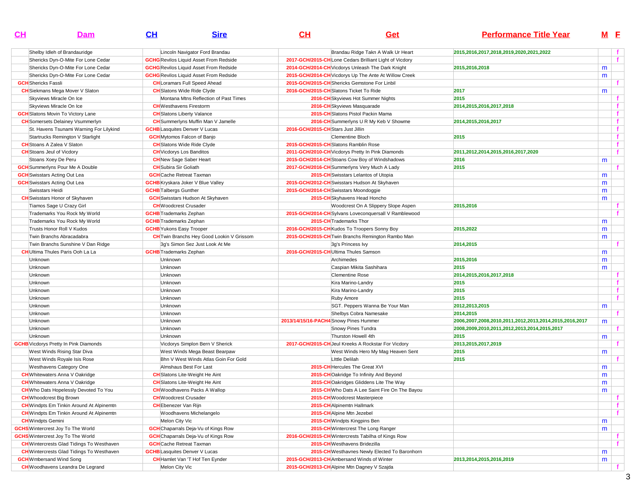| CL                               | Dam                                              | CL                                   | <b>Sire</b>                                      | CH                                            | Get                                                    | <b>Performance Title Year</b>                          | M <sub>E</sub> |              |
|----------------------------------|--------------------------------------------------|--------------------------------------|--------------------------------------------------|-----------------------------------------------|--------------------------------------------------------|--------------------------------------------------------|----------------|--------------|
|                                  | Shelby Idleh of Brandauridge                     |                                      | Lincoln Navigator Ford Brandau                   |                                               | Brandau Ridge Takn A Walk Ur Heart                     | 2015,2016,2017,2018,2019,2020,2021,2022                |                | f.           |
|                                  | Shericks Dyn-O-Mite For Lone Cedar               |                                      | <b>GCHG</b> Revilos Liquid Asset From Redside    |                                               | 2017-GCH/2015-CHLone Cedars Brilliant Light of Vicdory |                                                        |                |              |
|                                  | Shericks Dyn-O-Mite For Lone Cedar               |                                      | <b>GCHG</b> Revilos Liquid Asset From Redside    |                                               | 2014-GCH/2014-CH Vicdorys Unleash The Dark Knight      | 2015,2016,2018                                         | m              |              |
|                                  | Shericks Dyn-O-Mite For Lone Cedar               |                                      | <b>GCHG</b> Revilos Liquid Asset From Redside    |                                               | 2015-GCH/2014-CH Vicdorys Up The Ante At Willow Creek  |                                                        | m              |              |
| <b>GCH</b> Shericks Fassli       |                                                  |                                      | <b>CH</b> Loramars Full Speed Ahead              | 2015-GCH/2015-CH Shericks Gemstone For Linbil |                                                        |                                                        |                |              |
|                                  | <b>CH</b> Siekmans Mega Mover V Slaton           |                                      | <b>CH</b> Slatons Wide Ride Clyde                | 2016-GCH/2015-CH Slatons Ticket To Ride       |                                                        | 2017                                                   | m              |              |
|                                  | Skyviews Miracle On Ice                          |                                      | Montana Mtns Reflection of Past Times            |                                               | 2016-CH Skyviews Hot Summer Nights                     | 2015                                                   |                | Ť.           |
|                                  | Skyviews Miracle On Ice                          | <b>CH</b> Westhavens Firestorm       |                                                  |                                               | 2016-CH Skyviews Masquarade                            | 2014,2015,2016,2017,2018                               |                | f            |
|                                  | <b>GCH</b> Slatons Movin To Victory Lane         | <b>CH</b> Slatons Liberty Valance    |                                                  |                                               | 2015-CH Slatons Pistol Packin Mama                     |                                                        |                |              |
|                                  | <b>CH</b> Somersets Delainey Vsummerlyn          |                                      | <b>CH</b> Summerlyns Muffin Man V Jamelle        |                                               | 2016-CH Summerlyns U R My Keb V Showme                 | 2014,2015,2016,2017                                    |                | $\mathbf{f}$ |
|                                  | St. Havens Tsunami Warning For Lilykind          | <b>GCHB</b> Lasquites Denver V Lucas |                                                  | 2016-GCH/2015-CH Stars Just Jillin            |                                                        |                                                        |                | f            |
|                                  | Startrucks Remington V Starlight                 | <b>GCH</b> Mytomos Falcon of Banjo   |                                                  |                                               | Clementine Bloch                                       | 2015                                                   |                | $\mathbf{f}$ |
|                                  | <b>CH</b> Stoans A Zalea V Slaton                |                                      | <b>CH</b> Slatons Wide Ride Clyde                | 2015-GCH/2015-CHSlatons Ramblin Rose          |                                                        |                                                        |                | f.           |
| <b>CH</b> Stoans Jeul of Vicdory |                                                  | <b>CH</b> Vicdorys Los Banditos      |                                                  |                                               | 2011-GCH/2010-CH Vicdorys Pretty In Pink Diamonds      | 2011,2012,2014,2015,2016,2017,2020                     |                | f            |
|                                  | Stoans Xoey De Peru                              | <b>CH</b> New Sage Saber Heart       |                                                  |                                               | 2015-GCH/2014-CH Stoans Cow Boy of Windshadows         | 2016                                                   | m              |              |
|                                  | <b>GCH</b> Summerlyns Pour Me A Double           | <b>CH</b> Subira Sir Goliath         |                                                  |                                               | 2017-GCH/2016-CH Summerlyns Very Much A Lady           | 2015                                                   |                |              |
|                                  | <b>GCH</b> Swisstars Acting Out Lea              | <b>GCH</b> Cache Retreat Taxman      |                                                  |                                               | 2015-CH Swisstars Lelantos of Utopia                   |                                                        | m              |              |
|                                  | <b>GCH</b> Swisstars Acting Out Lea              |                                      | <b>GCHB</b> Kryskara Joker V Blue Valley         | 2015-GCH/2012-CH Swisstars Hudson At Skyhaven |                                                        |                                                        | m              |              |
| Swisstars Heidi                  |                                                  | <b>GCHB</b> Talbergs Gunther         |                                                  | 2015-GCH/2014-CH Swisstars Moondoggie         |                                                        |                                                        | m              |              |
|                                  | <b>CH</b> Swisstars Honor of Skyhaven            |                                      | <b>GCH</b> Swisstars Hudson At Skyhaven          |                                               | 2015-CH Skyhavens Head Honcho                          |                                                        | m              |              |
|                                  | Tiamos Sage U Crazy Girl                         | <b>CH</b> Woodcrest Crusader         |                                                  |                                               | Woodcrest On A Slippery Slope Aspen                    | 2015,2016                                              |                |              |
|                                  | Trademarks You Rock My World                     | <b>GCHB</b> Trademarks Zephan        |                                                  |                                               | 2015-GCH/2014-CH Sylvans Loveconquersall V Ramblewood  |                                                        |                |              |
|                                  | Trademarks You Rock My World                     | <b>GCHB</b> Trademarks Zephan        |                                                  | 2015-CH Trademarks Thor                       |                                                        |                                                        | m              |              |
|                                  | Trusts Honor Roll V Kudos                        | <b>GCHB</b> Yukons Easy Trooper      |                                                  | 2016-GCH/2015-CH Kudos To Troopers Sonny Boy  |                                                        | 2015,2022                                              | m              |              |
|                                  | Twin Branchs Abracadabra                         |                                      | <b>CH</b> Twin Branchs Hey Good Lookin V Grissom |                                               | 2015-GCH/2015-CH Twin Branchs Remington Rambo Man      |                                                        | m              |              |
|                                  | Twin Branchs Sunshine V Dan Ridge                |                                      | 3q's Simon Sez Just Look At Me                   |                                               | 3q's Princess Ivy                                      | 2014,2015                                              |                |              |
|                                  | <b>CH</b> Ultima Thules Paris Ooh La La          | <b>GCHB</b> Trademarks Zephan        |                                                  | 2016-GCH/2015-CHUltima Thules Samson          |                                                        |                                                        | m              |              |
| Unknown                          |                                                  | Unknown                              |                                                  |                                               | Archimedes                                             | 2015,2016                                              | m              |              |
| Unknown                          |                                                  | Unknown                              |                                                  |                                               | Caspian Mikita Sashihara                               | 2015                                                   | m              |              |
| Unknown                          |                                                  | Unknown                              |                                                  |                                               | <b>Clementine Rose</b>                                 | 2014,2015,2016,2017,2018                               |                | f.           |
| Unknown                          |                                                  | Unknown                              |                                                  |                                               | Kira Marino-Landry                                     | 2015                                                   |                | $\mathbf{f}$ |
| Unknown                          |                                                  | Unknown                              |                                                  |                                               | Kira Marino-Landry                                     | 2015                                                   |                | f            |
| Unknown                          |                                                  | Unknown                              |                                                  |                                               | Ruby Amore                                             | 2015                                                   |                | $\mathbf{f}$ |
| Unknown                          |                                                  | Unknown                              |                                                  |                                               | SGT. Peppers Wanna Be Your Man                         | 2012,2013,2015                                         | m              |              |
| Unknown                          |                                                  | Unknown                              |                                                  |                                               | Shelbys Cobra Namesake                                 | 2014,2015                                              |                | Ť.           |
| Unknown                          |                                                  | Unknown                              |                                                  | 2013/14/15/16-PACH4 Snowy Pines Hummer        |                                                        | 2006,2007,2008,2010,2011,2012,2013,2014,2015,2016,2017 | m              |              |
| Unknown                          |                                                  | Unknown                              |                                                  |                                               | Snowy Pines Tundra                                     | 2008,2009,2010,2011,2012,2013,2014,2015,2017           |                | f.           |
| Unknown                          |                                                  | Unknown                              |                                                  |                                               | Thurston Howell 4th                                    | 2015                                                   | m              |              |
|                                  | <b>GCHB</b> Vicdorys Pretty In Pink Diamonds     |                                      | Vicdorys Simplon Bern V Sherick                  |                                               | 2017-GCH/2015-CH Jeul Kreeks A Rockstar For Vicdory    | 2013,2015,2017,2019                                    |                |              |
|                                  | West Winds Rising Star Diva                      |                                      | West Winds Mega Beast Bearpaw                    |                                               | West Winds Hero My Mag Heaven Sent                     | 2015                                                   | m              |              |
|                                  | West Winds Royale Isis Rose                      |                                      | Bhn V West Winds Atlas Goin For Gold             |                                               | Little Delilah                                         | 2015                                                   |                |              |
|                                  | Westhavens Category One                          |                                      | Almshaus Best For Last                           |                                               | 2015-CH Hercules The Great XVI                         |                                                        | m              |              |
|                                  | <b>CH</b> Whitewaters Anna V Oakridge            |                                      | <b>CH</b> Slatons Lite-Weight He Aint            |                                               | 2015-CHOakridge To Infinity And Beyond                 |                                                        | m              |              |
|                                  | <b>CH</b> Whitewaters Anna V Oakridge            |                                      | <b>CH</b> Slatons Lite-Weight He Aint            |                                               | 2015-CHOakridges Gliddens Lite The Way                 |                                                        | m              |              |
|                                  | <b>CH</b> Who Dats Hopelessly Devoted To You     |                                      | <b>CH</b> Woodhavens Packs A Wallop              |                                               | 2015-CH Who Dats A Lee Saint Fire On The Bayou         |                                                        | m              |              |
|                                  | <b>CH</b> Whoodcrest Big Brown                   | <b>CH</b> Woodcrest Crusader         |                                                  |                                               | 2015-CH Woodcrest Masterpiece                          |                                                        |                | f.           |
|                                  | <b>CH</b> Windpts Em Tinkin Around At Alpinemtn  | <b>CH</b> Ebenezer Van Rijn          |                                                  | 2015-CH Alpinemtn Hallmark                    |                                                        |                                                        |                | f            |
|                                  | <b>CH</b> Windpts Em Tinkin Around At Alpinemtn  |                                      | Woodhavens Michelangelo                          | 2015-CH Alpine Mtn Jezebel                    |                                                        |                                                        |                | f            |
| <b>CH</b> Windpts Gemini         |                                                  | Melon City Vic                       |                                                  |                                               | 2015-CH Windpts Kingpins Ben                           |                                                        | m              |              |
|                                  | <b>GCHS</b> Wintercrest Joy To The World         |                                      | <b>GCH</b> Chaparrals Deja-Vu of Kings Row       |                                               | 2015-CH Wintercrest The Long Ranger                    |                                                        | m              |              |
|                                  | <b>GCHS</b> Wintercrest Joy To The World         |                                      | <b>GCH</b> Chaparrals Deja-Vu of Kings Row       |                                               | 2016-GCH/2015-CH Wintercrests Tabilha of Kings Row     |                                                        |                | f.           |
|                                  | <b>CH</b> Wintercrests Glad Tidings To Westhaven | <b>GCH</b> Cache Retreat Taxman      |                                                  |                                               | 2015-CHWesthavens Bridezilla                           |                                                        |                | f.           |
|                                  | <b>CH</b> Wintercrests Glad Tidings To Westhaven | <b>GCHB</b> Lasquites Denver V Lucas |                                                  |                                               | 2015-CH Westhavnes Newly Elected To Baronhorn          |                                                        | m              |              |
| <b>GCH</b> Wmbersand Wind Song   |                                                  |                                      | <b>CH</b> Hamlet Van 'T Hof Ten Eynder           | 2015-GCH/2013-CH Ambersand Winds of Winter    |                                                        | 2013,2014,2015,2016,2019                               | m              |              |
|                                  | <b>CH</b> Woodhavens Leandra De Legrand          | Melon City Vic                       |                                                  | 2015-GCH/2013-CHAlpine Mtn Dagney V Szajda    |                                                        |                                                        |                |              |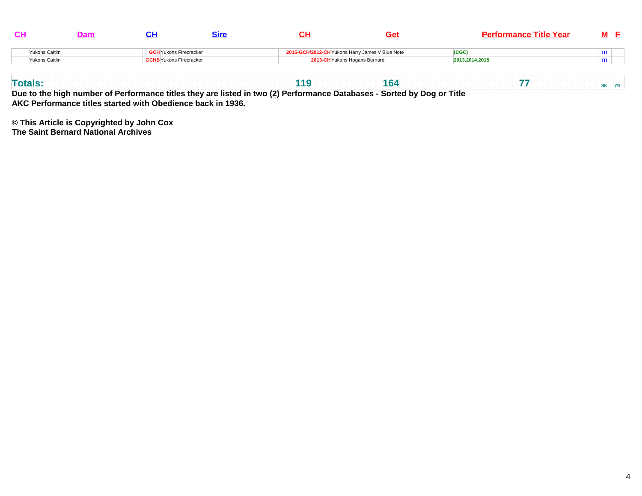|                |                                |  | Ge                                              | <b>Performance Title Year</b> |   |
|----------------|--------------------------------|--|-------------------------------------------------|-------------------------------|---|
| Yukons Caitlin | <b>GCH</b> Yukons Firecracker  |  | 2015-GCH/2012-CH Yukons Harry James V Blue Note | (CGC)                         | . |
| Yukons Caitlin | <b>GCHB</b> Yukons Firecracker |  | 2013-CH Yukons Hogans Bernard                   | 2013.2014.2015                |   |
|                |                                |  |                                                 |                               |   |

| <b>Totals</b><br>. OF |
|-----------------------|
|-----------------------|

**Due to the high number of Performance titles they are listed in two (2) Performance Databases - Sorted by Dog or Title AKC Performance titles started with Obedience back in 1936.**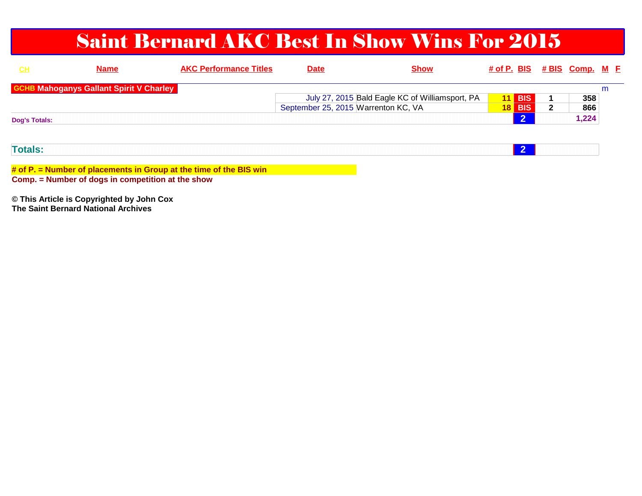### Saint Bernard AKC Best In Show Wins For 2015

| <u>CH</u>            | <b>Name</b>                                                      | <b>AKC Performance Titles</b> | <b>Date</b>                         | <b>Show</b>                                     |                 |                |              | # of P. BIS # BIS Comp. M E |   |  |
|----------------------|------------------------------------------------------------------|-------------------------------|-------------------------------------|-------------------------------------------------|-----------------|----------------|--------------|-----------------------------|---|--|
|                      | <b>GCHB Mahoganys Gallant Spirit V Charley</b>                   |                               |                                     |                                                 |                 |                |              |                             | m |  |
|                      |                                                                  |                               |                                     | July 27, 2015 Bald Eagle KC of Williamsport, PA | 11              | <b>BIS</b>     |              | 358                         |   |  |
|                      |                                                                  |                               | September 25, 2015 Warrenton KC, VA |                                                 | 18 <sup>1</sup> | <b>BIS</b>     | $\mathbf{2}$ | 866                         |   |  |
| <b>Dog's Totals:</b> |                                                                  |                               |                                     |                                                 |                 | $\overline{2}$ |              | 1,224                       |   |  |
|                      |                                                                  |                               |                                     |                                                 |                 |                |              |                             |   |  |
|                      |                                                                  |                               |                                     |                                                 |                 |                |              |                             |   |  |
| <b>Totals:</b>       |                                                                  |                               |                                     |                                                 |                 | $\overline{2}$ |              |                             |   |  |
|                      |                                                                  |                               |                                     |                                                 |                 |                |              |                             |   |  |
|                      | 4.4 D. Number of pleasurents in Orein at the time of the DIO win |                               |                                     |                                                 |                 |                |              |                             |   |  |

**# of P. = Number of placements in Group at the time of the BIS winComp. = Number of dogs in competition at the show**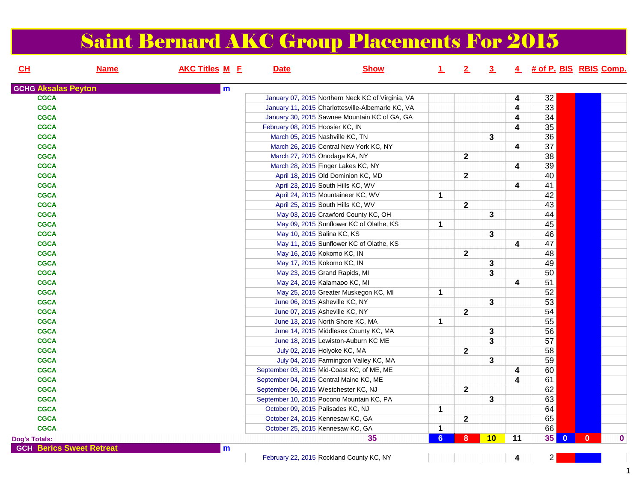# Saint Bernard AKC Group Placements For 2015

| CL                         | <b>Name</b>                     | <b>AKC Titles M E</b> | <b>Date</b>                      | <b>Show</b>                                       | $\perp$        | $2^{\circ}$    | $\overline{3}$ |                         |                                 | 4 # of P. BIS RBIS Comp. |
|----------------------------|---------------------------------|-----------------------|----------------------------------|---------------------------------------------------|----------------|----------------|----------------|-------------------------|---------------------------------|--------------------------|
| <b>GCHG Aksalas Peyton</b> |                                 | m                     |                                  |                                                   |                |                |                |                         |                                 |                          |
| <b>CGCA</b>                |                                 |                       |                                  | January 07, 2015 Northern Neck KC of Virginia, VA |                |                |                | 4                       | 32                              |                          |
| <b>CGCA</b>                |                                 |                       |                                  | January 11, 2015 Charlottesville-Albemarle KC, VA |                |                |                | $\overline{\mathbf{4}}$ | 33                              |                          |
| <b>CGCA</b>                |                                 |                       |                                  | January 30, 2015 Sawnee Mountain KC of GA, GA     |                |                |                | 4                       | 34                              |                          |
| <b>CGCA</b>                |                                 |                       | February 08, 2015 Hoosier KC, IN |                                                   |                |                |                | $\overline{\mathbf{4}}$ | 35                              |                          |
| <b>CGCA</b>                |                                 |                       |                                  | March 05, 2015 Nashville KC, TN                   |                |                | 3              |                         | 36                              |                          |
| <b>CGCA</b>                |                                 |                       |                                  | March 26, 2015 Central New York KC, NY            |                |                |                | 4                       | $\overline{37}$                 |                          |
| <b>CGCA</b>                |                                 |                       |                                  | March 27, 2015 Onodaga KA, NY                     |                | $\mathbf{2}$   |                |                         | 38                              |                          |
| <b>CGCA</b>                |                                 |                       |                                  | March 28, 2015 Finger Lakes KC, NY                |                |                |                | $\overline{\mathbf{4}}$ | 39                              |                          |
| <b>CGCA</b>                |                                 |                       |                                  | April 18, 2015 Old Dominion KC, MD                |                | $\mathbf{2}$   |                |                         | 40                              |                          |
| <b>CGCA</b>                |                                 |                       |                                  | April 23, 2015 South Hills KC, WV                 |                |                |                | 4                       | 41                              |                          |
| <b>CGCA</b>                |                                 |                       |                                  | April 24, 2015 Mountaineer KC, WV                 | $\mathbf 1$    |                |                |                         | 42                              |                          |
| <b>CGCA</b>                |                                 |                       |                                  | April 25, 2015 South Hills KC, WV                 |                | $\overline{2}$ |                |                         | 43                              |                          |
| <b>CGCA</b>                |                                 |                       |                                  | May 03, 2015 Crawford County KC, OH               |                |                | 3              |                         | 44                              |                          |
| <b>CGCA</b>                |                                 |                       |                                  | May 09, 2015 Sunflower KC of Olathe, KS           | $\mathbf{1}$   |                |                |                         | 45                              |                          |
| <b>CGCA</b>                |                                 |                       |                                  | May 10, 2015 Salina KC, KS                        |                |                | 3              |                         | 46                              |                          |
| <b>CGCA</b>                |                                 |                       |                                  | May 11, 2015 Sunflower KC of Olathe, KS           |                |                |                | 4                       | 47                              |                          |
| <b>CGCA</b>                |                                 |                       |                                  | May 16, 2015 Kokomo KC, IN                        |                | $\overline{2}$ |                |                         | 48                              |                          |
| <b>CGCA</b>                |                                 |                       |                                  | May 17, 2015 Kokomo KC, IN                        |                |                | 3              |                         | 49                              |                          |
| <b>CGCA</b>                |                                 |                       |                                  | May 23, 2015 Grand Rapids, MI                     |                |                | 3              |                         | 50                              |                          |
| <b>CGCA</b>                |                                 |                       |                                  | May 24, 2015 Kalamaoo KC, MI                      |                |                |                | $\overline{\mathbf{4}}$ | 51                              |                          |
| <b>CGCA</b>                |                                 |                       |                                  | May 25, 2015 Greater Muskegon KC, MI              | 1              |                |                |                         | 52                              |                          |
| <b>CGCA</b>                |                                 |                       |                                  | June 06, 2015 Asheville KC, NY                    |                |                | 3              |                         | 53                              |                          |
| <b>CGCA</b>                |                                 |                       |                                  | June 07, 2015 Asheville KC, NY                    |                | $\mathbf{2}$   |                |                         | 54                              |                          |
| <b>CGCA</b>                |                                 |                       |                                  | June 13, 2015 North Shore KC, MA                  | $\mathbf{1}$   |                |                |                         | 55                              |                          |
| <b>CGCA</b>                |                                 |                       |                                  | June 14, 2015 Middlesex County KC, MA             |                |                | 3              |                         | 56                              |                          |
| <b>CGCA</b>                |                                 |                       |                                  | June 18, 2015 Lewiston-Auburn KC ME               |                |                | 3              |                         | 57                              |                          |
| <b>CGCA</b>                |                                 |                       |                                  | July 02, 2015 Holyoke KC, MA                      |                | $\overline{2}$ |                |                         | 58                              |                          |
| <b>CGCA</b>                |                                 |                       |                                  | July 04, 2015 Farmington Valley KC, MA            |                |                | 3              |                         | 59                              |                          |
| <b>CGCA</b>                |                                 |                       |                                  | September 03, 2015 Mid-Coast KC, of ME, ME        |                |                |                | 4                       | 60                              |                          |
| <b>CGCA</b>                |                                 |                       |                                  | September 04, 2015 Central Maine KC, ME           |                |                |                | 4                       | 61                              |                          |
| <b>CGCA</b>                |                                 |                       |                                  | September 06, 2015 Westchester KC, NJ             |                | $\mathbf{2}$   |                |                         | 62                              |                          |
| <b>CGCA</b>                |                                 |                       |                                  | September 10, 2015 Pocono Mountain KC, PA         |                |                | 3              |                         | 63                              |                          |
| <b>CGCA</b>                |                                 |                       |                                  | October 09, 2015 Palisades KC, NJ                 | 1              |                |                |                         | 64                              |                          |
| <b>CGCA</b>                |                                 |                       |                                  | October 24, 2015 Kennesaw KC, GA                  |                | $\mathbf{2}$   |                |                         | 65                              |                          |
| <b>CGCA</b>                |                                 |                       |                                  | October 25, 2015 Kennesaw KC, GA                  | $\mathbf 1$    |                |                |                         | 66                              |                          |
| <b>Dog's Totals:</b>       |                                 |                       |                                  | 35                                                | 6 <sup>1</sup> | 8 <sup>°</sup> | 10             | 11                      | 35 <sup>°</sup><br>$\mathbf{0}$ | $\mathbf{0}$<br>$\bf{0}$ |
|                            | <b>GCH Berics Sweet Retreat</b> | m                     |                                  |                                                   |                |                |                |                         |                                 |                          |
|                            |                                 |                       |                                  |                                                   |                |                |                |                         |                                 |                          |

February 22, 2015 Rockland County KC, NY**<sup>4</sup>**<sup>2</sup>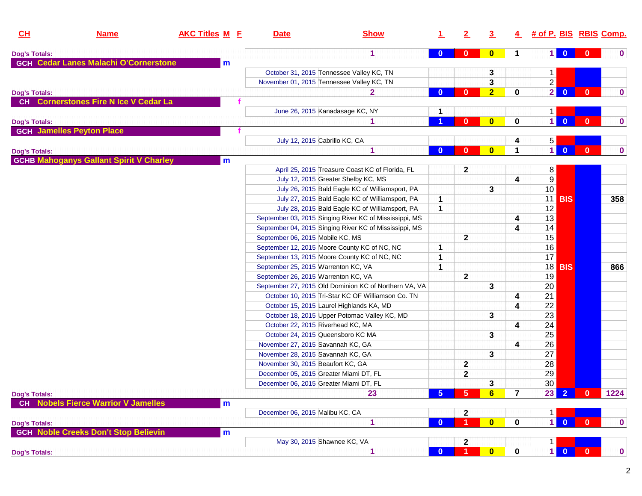| CL                   | <b>Name</b>                                    | <b>AKC Titles M E</b> | <b>Date</b>                         | <b>Show</b>                                            | $\mathbf 1$    | $\mathbf{2}$         | 3              | 4              | # of P. BIS RBIS Comp. |                         |                         |              |
|----------------------|------------------------------------------------|-----------------------|-------------------------------------|--------------------------------------------------------|----------------|----------------------|----------------|----------------|------------------------|-------------------------|-------------------------|--------------|
| <b>Dog's Totals:</b> |                                                |                       |                                     | 1                                                      | $\bf{0}$       | $\bf{0}$             | $\bf{0}$       | 1              | 1 <sup>1</sup>         | $\bf{0}$                |                         | $\bf{0}$     |
|                      | <b>GCH Cedar Lanes Malachi O'Cornerstone</b>   | m                     |                                     |                                                        |                |                      |                |                |                        |                         |                         |              |
|                      |                                                |                       |                                     | October 31, 2015 Tennessee Valley KC, TN               |                |                      | 3              |                | 1.                     |                         |                         |              |
|                      |                                                |                       |                                     | November 01, 2015 Tennessee Valley KC, TN              |                |                      | 3              |                | $\overline{2}$         |                         |                         |              |
| <b>Dog's Totals:</b> |                                                |                       |                                     | $\mathbf{2}$                                           | $\overline{0}$ | $\bf{0}$             | $\overline{2}$ | 0              | $\overline{2}$         | $\mathbf{0}$            | $\mathbf{0}$            | $\bf{0}$     |
|                      | CH Cornerstones Fire N Ice V Cedar La          |                       |                                     |                                                        |                |                      |                |                |                        |                         |                         |              |
|                      |                                                |                       |                                     | June 26, 2015 Kanadasage KC, NY                        | 1              |                      |                |                | 1.                     |                         |                         |              |
| <b>Dog's Totals:</b> |                                                |                       |                                     |                                                        |                | $\bf{0}$             | $\bf{0}$       | $\mathbf 0$    | $\mathbf{1}$           | $\mathbf{0}$            | $\mathbf{0}$            | $\mathbf 0$  |
|                      | <b>GCH Jamelles Peyton Place</b>               |                       |                                     |                                                        |                |                      |                |                |                        |                         |                         |              |
|                      |                                                |                       |                                     | July 12, 2015 Cabrillo KC, CA                          |                |                      |                | 4              | 5 <sup>1</sup>         |                         |                         |              |
| <b>Dog's Totals:</b> |                                                |                       |                                     | 1                                                      | $\bf{0}$       | $\bf{0}$             | $\bf{0}$       | 1              | $\mathbf{1}$           | $\mathbf{0}$            | $\mathbf{0}$            | $\mathbf 0$  |
|                      | <b>GCHB Mahoganys Gallant Spirit V Charley</b> | m                     |                                     |                                                        |                |                      |                |                |                        |                         |                         |              |
|                      |                                                |                       |                                     | April 25, 2015 Treasure Coast KC of Florida, FL        |                | $\mathbf{2}$         |                |                | 8                      |                         |                         |              |
|                      |                                                |                       |                                     | July 12, 2015 Greater Shelby KC, MS                    |                |                      |                | 4              | 9                      |                         |                         |              |
|                      |                                                |                       |                                     | July 26, 2015 Bald Eagle KC of Williamsport, PA        |                |                      | 3              |                | 10                     |                         |                         |              |
|                      |                                                |                       |                                     | July 27, 2015 Bald Eagle KC of Williamsport, PA        | 1              |                      |                |                | 11                     | <b>BIS</b>              |                         | 358          |
|                      |                                                |                       |                                     | July 28, 2015 Bald Eagle KC of Williamsport, PA        | $\mathbf{1}$   |                      |                |                | 12                     |                         |                         |              |
|                      |                                                |                       |                                     | September 03, 2015 Singing River KC of Mississippi, MS |                |                      |                | 4              | 13                     |                         |                         |              |
|                      |                                                |                       |                                     | September 04, 2015 Singing River KC of Mississippi, MS |                |                      |                | 4              | 14                     |                         |                         |              |
|                      |                                                |                       | September 06, 2015 Mobile KC, MS    |                                                        |                | $\mathbf{2}$         |                |                | 15                     |                         |                         |              |
|                      |                                                |                       |                                     | September 12, 2015 Moore County KC of NC, NC           | 1              |                      |                |                | 16                     |                         |                         |              |
|                      |                                                |                       |                                     | September 13, 2015 Moore County KC of NC, NC           | 1              |                      |                |                | 17                     |                         |                         |              |
|                      |                                                |                       | September 25, 2015 Warrenton KC, VA |                                                        | 1              |                      |                |                |                        | <b>18 BIS</b>           |                         | 866          |
|                      |                                                |                       | September 26, 2015 Warrenton KC, VA |                                                        |                | $\mathbf{2}$         |                |                | 19                     |                         |                         |              |
|                      |                                                |                       |                                     | September 27, 2015 Old Dominion KC of Northern VA, VA  |                |                      | 3              |                | 20                     |                         |                         |              |
|                      |                                                |                       |                                     | October 10, 2015 Tri-Star KC OF Williamson Co. TN      |                |                      |                | 4              | 21                     |                         |                         |              |
|                      |                                                |                       |                                     | October 15, 2015 Laurel Highlands KA, MD               |                |                      |                | 4              | 22                     |                         |                         |              |
|                      |                                                |                       |                                     | October 18, 2015 Upper Potomac Valley KC, MD           |                |                      | 3              |                | 23                     |                         |                         |              |
|                      |                                                |                       | October 22, 2015 Riverhead KC, MA   |                                                        |                |                      |                | 4              | 24                     |                         |                         |              |
|                      |                                                |                       |                                     | October 24, 2015 Queensboro KC MA                      |                |                      | 3              |                | 25                     |                         |                         |              |
|                      |                                                |                       | November 27, 2015 Savannah KC, GA   |                                                        |                |                      |                | 4              | 26                     |                         |                         |              |
|                      |                                                |                       | November 28, 2015 Savannah KC, GA   |                                                        |                |                      | 3              |                | 27                     |                         |                         |              |
|                      |                                                |                       | November 30, 2015 Beaufort KC, GA   |                                                        |                | $\mathbf 2$          |                |                | 28                     |                         |                         |              |
|                      |                                                |                       |                                     | December 05, 2015 Greater Miami DT, FL                 |                | $\mathbf{2}$         |                |                | 29                     |                         |                         |              |
|                      |                                                |                       |                                     | December 06, 2015 Greater Miami DT, FL                 |                |                      | 3              |                | 30                     |                         |                         |              |
| <b>Dog's Totals:</b> |                                                |                       |                                     | 23                                                     | 5 <sub>5</sub> | $5\phantom{1}$       | $6\phantom{a}$ | $\overline{7}$ |                        | $23$ 2                  | $\overline{\mathbf{0}}$ | 1224         |
| <b>CH</b>            | <b>Nobels Fierce Warrior V Jamelles</b>        | m                     |                                     |                                                        |                |                      |                |                |                        |                         |                         |              |
|                      |                                                |                       | December 06, 2015 Malibu KC, CA     |                                                        |                | $\mathbf{2}$         |                |                | $\mathbf{1}$           |                         |                         |              |
| <b>Dog's Totals:</b> |                                                |                       |                                     | 1                                                      | $\bf{0}$       | $\blacktriangleleft$ | $\bf{0}$       | 0              | 1 <sup>1</sup>         | $\overline{0}$          | $\mathbf{0}$            | $\pmb{0}$    |
|                      | <b>GCH Noble Creeks Don't Stop Believin</b>    | m                     |                                     |                                                        |                |                      |                |                |                        |                         |                         |              |
|                      |                                                |                       |                                     | May 30, 2015 Shawnee KC, VA                            |                | $\mathbf{2}$         |                |                | 1.                     |                         |                         |              |
| <b>Dog's Totals:</b> |                                                |                       |                                     | 1                                                      | $\bf{0}$       | 1                    | $\bullet$      | 0              | $\mathbf{1}$           | $\overline{\mathbf{0}}$ | $\mathbf{0}$            | $\mathbf{0}$ |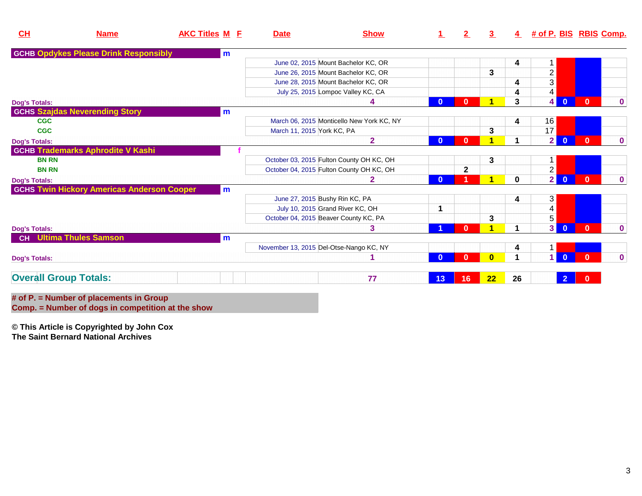| CL                           | <b>Name</b>                                       | <b>AKC Titles M E</b> | <b>Date</b>                | <b>Show</b>                               |              | 2              | $\overline{3}$ |             | 4 # of P. BIS RBIS Comp.   |              |              |
|------------------------------|---------------------------------------------------|-----------------------|----------------------------|-------------------------------------------|--------------|----------------|----------------|-------------|----------------------------|--------------|--------------|
|                              | <b>GCHB Opdykes Please Drink Responsibly</b>      | m                     |                            |                                           |              |                |                |             |                            |              |              |
|                              |                                                   |                       |                            | June 02, 2015 Mount Bachelor KC, OR       |              |                |                | 4           |                            |              |              |
|                              |                                                   |                       |                            | June 26, 2015 Mount Bachelor KC, OR       |              |                | 3              |             | $\overline{2}$             |              |              |
|                              |                                                   |                       |                            | June 28, 2015 Mount Bachelor KC, OR       |              |                |                | 4           | 3                          |              |              |
|                              |                                                   |                       |                            | July 25, 2015 Lompoc Valley KC, CA        |              |                |                | 4           | 4                          |              |              |
| <b>Dog's Totals:</b>         |                                                   |                       |                            | 4                                         | $\mathbf{0}$ | 0              |                | 3           | 4<br>$\bf{0}$              | $\mathbf{0}$ | $\bf{0}$     |
|                              | <b>GCHS Szajdas Neverending Story</b>             | $\mathbf{m}$          |                            |                                           |              |                |                |             |                            |              |              |
| <b>CGC</b>                   |                                                   |                       |                            | March 06, 2015 Monticello New York KC, NY |              |                |                | 4           | 16                         |              |              |
| <b>CGC</b>                   |                                                   |                       | March 11, 2015 York KC, PA |                                           |              |                | 3              |             | 17                         |              |              |
| <b>Dog's Totals:</b>         |                                                   |                       |                            | $\overline{2}$                            | $\bf{0}$     | n              |                |             | 2 <sup>1</sup><br>$\bf{0}$ | $\mathbf{0}$ | $\mathbf 0$  |
|                              | <b>GCHB Trademarks Aphrodite V Kashi</b>          |                       |                            |                                           |              |                |                |             |                            |              |              |
| <b>BN RN</b>                 |                                                   |                       |                            | October 03, 2015 Fulton County OH KC, OH  |              |                | 3              |             |                            |              |              |
| <b>BN RN</b>                 |                                                   |                       |                            | October 04, 2015 Fulton County OH KC, OH  |              | $\overline{2}$ |                |             | $\overline{c}$             |              |              |
| <b>Dog's Totals:</b>         |                                                   |                       |                            | $\mathbf{2}$                              | $\mathbf{0}$ |                |                | $\mathbf 0$ | 2 <sup>1</sup><br>$\bf{0}$ | $\mathbf{0}$ | $\mathbf{0}$ |
|                              | <b>GCHS Twin Hickory Americas Anderson Cooper</b> | m                     |                            |                                           |              |                |                |             |                            |              |              |
|                              |                                                   |                       |                            | June 27, 2015 Bushy Rin KC, PA            |              |                |                | 4           | 3                          |              |              |
|                              |                                                   |                       |                            | July 10, 2015 Grand River KC, OH          |              |                |                |             |                            |              |              |
|                              |                                                   |                       |                            | October 04, 2015 Beaver County KC, PA     |              |                | 3              |             | 5                          |              |              |
| <b>Dog's Totals:</b>         |                                                   |                       |                            | 3                                         |              |                |                |             | 3 <sup>1</sup><br>$\bf{0}$ | $\mathbf{0}$ | $\mathbf 0$  |
| CH                           | <b>Ultima Thules Samson</b>                       | m                     |                            |                                           |              |                |                |             |                            |              |              |
|                              |                                                   |                       |                            | November 13, 2015 Del-Otse-Nango KC, NY   |              |                |                | 4           |                            |              |              |
| <b>Dog's Totals:</b>         |                                                   |                       |                            |                                           | $\mathbf{0}$ |                | $\bf{0}$       | 1           | 4<br>$\Omega$              | $\Omega$     | $\mathbf 0$  |
| <b>Overall Group Totals:</b> |                                                   |                       |                            | 77                                        | 13           | 16             | 22             | 26          |                            |              |              |

**# of P. = Number of placements in Group Comp. = Number of dogs in competition at the show**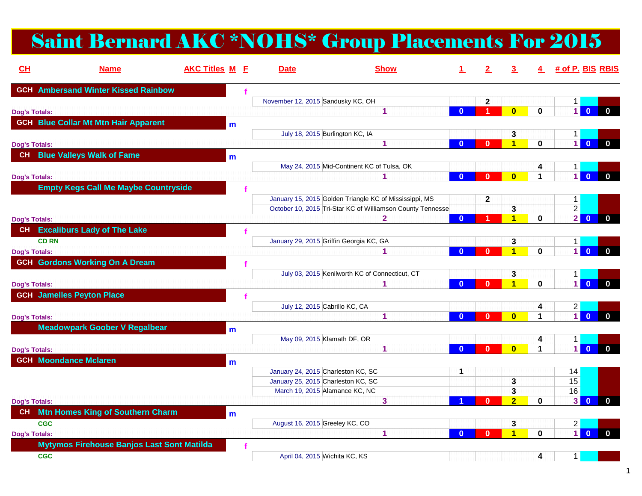# Saint Bernard AKC \*NOHS\* Group Placements For 2015

| CL                   | <b>Name</b>                                       | <b>AKC Titles M E</b> | <b>Date</b>                             | <b>Show</b>                                                |              | $\mathbf{2}$ | 3.                           |             | 4 # of P. BIS RBIS       |                                         |
|----------------------|---------------------------------------------------|-----------------------|-----------------------------------------|------------------------------------------------------------|--------------|--------------|------------------------------|-------------|--------------------------|-----------------------------------------|
|                      | <b>GCH</b> Ambersand Winter Kissed Rainbow        |                       |                                         |                                                            |              |              |                              |             |                          |                                         |
|                      |                                                   |                       | November 12, 2015 Sandusky KC, OH       |                                                            |              | $\mathbf{2}$ |                              |             | $\mathbf{1}$             |                                         |
| <b>Dog's Totals:</b> |                                                   |                       |                                         | -1                                                         | $\mathbf{0}$ | 1            | $\overline{\mathbf{0}}$      | $\mathbf 0$ | $\blacksquare$           | $\mathbf{0}$<br>$\mathbf{0}$            |
|                      | <b>GCH Blue Collar Mt Mtn Hair Apparent</b>       | m                     |                                         |                                                            |              |              |                              |             |                          |                                         |
|                      |                                                   |                       | July 18, 2015 Burlington KC, IA         |                                                            |              |              | 3                            |             | 1                        |                                         |
| <b>Dog's Totals:</b> |                                                   |                       |                                         | $\blacktriangleleft$                                       | $\mathbf{0}$ | $\mathbf{0}$ | $\blacktriangleleft$         | $\bf{0}$    | $\overline{1}$           | $\overline{0}$<br>$\mathbf{0}$          |
|                      | CH Blue Valleys Walk of Fame                      | m                     |                                         |                                                            |              |              |                              |             |                          |                                         |
|                      |                                                   |                       |                                         | May 24, 2015 Mid-Continent KC of Tulsa, OK                 |              |              |                              | 4           | 1                        |                                         |
| <b>Dog's Totals:</b> |                                                   |                       |                                         |                                                            | $\mathbf{0}$ | $\mathbf{0}$ | $\bf{0}$                     | 1           | $\overline{1}$           | $\mathbf{0}$<br>$\mathbf{0}$            |
|                      | <b>Empty Kegs Call Me Maybe Countryside</b>       |                       |                                         |                                                            |              |              |                              |             |                          |                                         |
|                      |                                                   |                       |                                         | January 15, 2015 Golden Triangle KC of Mississippi, MS     |              | $\mathbf{2}$ |                              |             | $\mathbf 1$              |                                         |
|                      |                                                   |                       |                                         | October 10, 2015 Tri-Star KC of Williamson County Tennesse |              |              | 3                            |             | $\overline{2}$           |                                         |
| <b>Dog's Totals:</b> |                                                   |                       |                                         | 2                                                          | $\mathbf{0}$ |              | $\overline{1}$               | $\bf{0}$    | $\overline{2}$           | $\overline{\mathbf{0}}$<br>$\mathbf{0}$ |
|                      | CH Excaliburs Lady of The Lake                    |                       |                                         |                                                            |              |              |                              |             |                          |                                         |
| <b>CD RN</b>         |                                                   |                       | January 29, 2015 Griffin Georgia KC, GA |                                                            |              |              | 3                            |             |                          |                                         |
| <b>Dog's Totals:</b> |                                                   |                       |                                         | 1                                                          | $\mathbf{0}$ | $\mathbf{0}$ | $\overline{\mathbf{1}}$      | $\bf{0}$    | 1<br>$\overline{1}$      | $\mathbf{0}$<br>$\mathbf 0$             |
|                      |                                                   |                       |                                         |                                                            |              |              |                              |             |                          |                                         |
|                      | <b>GCH Gordons Working On A Dream</b>             |                       |                                         |                                                            |              |              |                              |             |                          |                                         |
|                      |                                                   |                       |                                         | July 03, 2015 Kenilworth KC of Connecticut, CT             |              |              | 3<br>$\overline{\mathbf{1}}$ |             | $\mathbf 1$<br>$\vert$ 1 |                                         |
| <b>Dog's Totals:</b> |                                                   |                       |                                         | 1                                                          | $\mathbf{0}$ | $\mathbf{0}$ |                              | $\mathbf 0$ |                          | $\overline{0}$<br>$\mathbf{0}$          |
|                      | <b>GCH Jamelles Peyton Place</b>                  |                       |                                         |                                                            |              |              |                              |             |                          |                                         |
|                      |                                                   |                       | July 12, 2015 Cabrillo KC, CA           |                                                            |              |              |                              | 4           | $\mathbf{2}$             |                                         |
| <b>Dog's Totals:</b> |                                                   |                       |                                         | 1                                                          | $\mathbf{0}$ | $\mathbf{0}$ | $\bf{0}$                     | 1           | $\overline{1}$           | $\mathbf{0}$<br>$\mathbf{0}$            |
|                      | <b>Meadowpark Goober V Regalbear</b>              | m                     |                                         |                                                            |              |              |                              |             |                          |                                         |
|                      |                                                   |                       | May 09, 2015 Klamath DF, OR             |                                                            |              |              |                              | 4           | 1                        |                                         |
| <b>Dog's Totals:</b> |                                                   |                       |                                         | 1                                                          | $\mathbf{0}$ | $\bf{0}$     | $\bf{0}$                     | $\mathbf 1$ | $\overline{1}$           | $\overline{0}$<br>$\mathbf{0}$          |
|                      | <b>GCH Moondance Mclaren</b>                      | m                     |                                         |                                                            |              |              |                              |             |                          |                                         |
|                      |                                                   |                       | January 24, 2015 Charleston KC, SC      |                                                            | 1            |              |                              |             | 14                       |                                         |
|                      |                                                   |                       | January 25, 2015 Charleston KC, SC      |                                                            |              |              | 3                            |             | 15                       |                                         |
|                      |                                                   |                       | March 19, 2015 Alamance KC, NC          |                                                            |              |              | 3                            |             | 16                       |                                         |
| <b>Dog's Totals:</b> |                                                   |                       |                                         | 3                                                          |              | $\bf{0}$     | $\overline{2}$               | 0           | 3 <sup>1</sup>           | $\mathbf{0}$<br>$\mathbf 0$             |
| CH                   | <b>Mtn Homes King of Southern Charm</b>           | m                     |                                         |                                                            |              |              |                              |             |                          |                                         |
| <b>CGC</b>           |                                                   |                       | August 16, 2015 Greeley KC, CO          |                                                            |              |              | 3                            |             | $\overline{2}$           |                                         |
| <b>Dog's Totals:</b> |                                                   |                       |                                         | 1                                                          | $\mathbf{0}$ | $\bf{0}$     | $\overline{1}$               | $\bf{0}$    | $\overline{1}$           | $\overline{0}$<br>$\mathbf 0$           |
|                      | <b>Mytymos Firehouse Banjos Last Sont Matilda</b> |                       |                                         |                                                            |              |              |                              |             |                          |                                         |
| <b>CGC</b>           |                                                   |                       | April 04, 2015 Wichita KC, KS           |                                                            |              |              |                              | 4           | 1                        |                                         |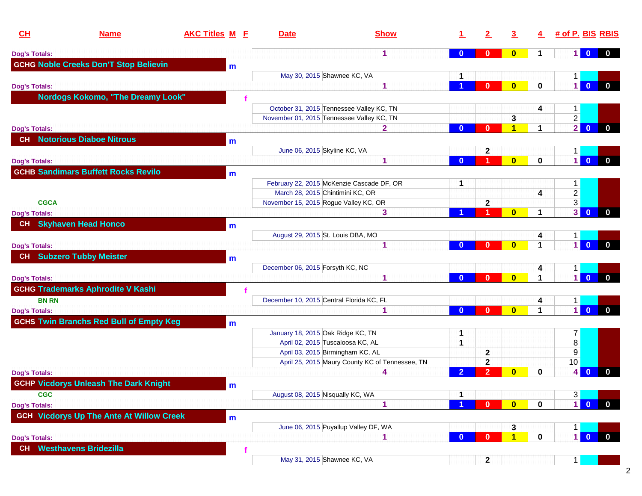| CH                   | <b>Name</b>                                     | <b>AKC Titles M E</b> | <b>Date</b>                              | <b>Show</b>                                     |                | $\mathbf{2}$   | 3                    | 4 |                         | # of P. BIS RBIS                        |
|----------------------|-------------------------------------------------|-----------------------|------------------------------------------|-------------------------------------------------|----------------|----------------|----------------------|---|-------------------------|-----------------------------------------|
| <b>Dog's Totals:</b> |                                                 |                       |                                          | 1                                               | $\bf{0}$       | $\bf{0}$       | $\mathbf{0}$         |   | 1 <sup>1</sup>          | $\bf{0}$<br>$\mathbf{0}$                |
|                      | <b>GCHG Noble Creeks Don'T Stop Believin</b>    | m                     |                                          |                                                 |                |                |                      |   |                         |                                         |
|                      |                                                 |                       | May 30, 2015 Shawnee KC, VA              |                                                 | 1              |                |                      |   |                         |                                         |
| <b>Dog's Totals:</b> |                                                 |                       |                                          | 1                                               |                | $\mathbf{0}$   | $\mathbf{0}$         | 0 | $\vert$                 | $\overline{0}$<br>$\mathbf{0}$          |
|                      | <b>Nordogs Kokomo, "The Dreamy Look"</b>        |                       |                                          |                                                 |                |                |                      |   |                         |                                         |
|                      |                                                 |                       |                                          | October 31, 2015 Tennessee Valley KC, TN        |                |                |                      |   | 1.                      |                                         |
|                      |                                                 |                       |                                          | November 01, 2015 Tennessee Valley KC, TN       |                |                | 3                    |   | $\overline{2}$          |                                         |
| <b>Dog's Totals:</b> |                                                 |                       |                                          | 2.                                              | $\mathbf{0}$   | $\bf{0}$       | 1                    |   | $\overline{2}$          | $\mathbf{0}$<br>$\mathbf 0$             |
| CH                   | <b>Notorious Diaboe Nitrous</b>                 |                       |                                          |                                                 |                |                |                      |   |                         |                                         |
|                      |                                                 | m                     | June 06, 2015 Skyline KC, VA             |                                                 |                | 2              |                      |   | 1.                      |                                         |
| <b>Dog's Totals:</b> |                                                 |                       |                                          | 1                                               | $\bf{0}$       | 1              | $\mathbf{0}$         | 0 | $\vert$                 | $\overline{\mathbf{0}}$<br>$\mathbf 0$  |
|                      | <b>GCHB Sandimars Buffett Rocks Revilo</b>      |                       |                                          |                                                 |                |                |                      |   |                         |                                         |
|                      |                                                 | m                     |                                          |                                                 |                |                |                      |   |                         |                                         |
|                      |                                                 |                       | March 28, 2015 Chintimini KC, OR         | February 22, 2015 McKenzie Cascade DF, OR       | 1              |                |                      |   | $\mathbf 1$             |                                         |
|                      |                                                 |                       | November 15, 2015 Rogue Valley KC, OR    |                                                 |                |                |                      | 4 | $\overline{2}$          |                                         |
| <b>CGCA</b>          |                                                 |                       |                                          | 3                                               |                | $\mathbf{2}$   | $\mathbf{0}$         | 1 | 3<br>3 <sup>1</sup>     | $\overline{0}$<br>$\bf{0}$              |
| <b>Dog's Totals:</b> |                                                 |                       |                                          |                                                 |                |                |                      |   |                         |                                         |
|                      | CH Skyhaven Head Honco                          | m                     |                                          |                                                 |                |                |                      |   |                         |                                         |
|                      |                                                 |                       | August 29, 2015 St. Louis DBA, MO        |                                                 |                |                |                      | 4 | 1.                      |                                         |
| <b>Dog's Totals:</b> |                                                 |                       |                                          |                                                 | $\mathbf{0}$   | $\mathbf{0}$   | $\bf{0}$             |   | $\overline{1}$          | $\overline{0}$<br>$\mathbf{0}$          |
|                      | <b>CH</b> Subzero Tubby Meister                 | m                     |                                          |                                                 |                |                |                      |   |                         |                                         |
|                      |                                                 |                       | December 06, 2015 Forsyth KC, NC         |                                                 |                |                |                      | 4 | 1                       |                                         |
| <b>Dog's Totals:</b> |                                                 |                       |                                          | 1                                               | $\mathbf{0}$   | $\mathbf{0}$   | $\mathbf{0}$         | 1 | $\vert$                 | $\mathbf{0}$<br>$\bf{0}$                |
|                      | <b>GCHG Trademarks Aphrodite V Kashi</b>        |                       |                                          |                                                 |                |                |                      |   |                         |                                         |
| <b>BN RN</b>         |                                                 |                       | December 10, 2015 Central Florida KC, FL |                                                 |                |                |                      | 4 | $\mathbf 1$             |                                         |
| <b>Dog's Totals:</b> |                                                 |                       |                                          |                                                 | $\mathbf{0}$   | $\mathbf{0}$   | $\bf{0}$             | 1 | $\vert$                 | $\mathbf{0}$<br>$\mathbf{0}$            |
|                      | <b>GCHS Twin Branchs Red Bull of Empty Keg</b>  | m                     |                                          |                                                 |                |                |                      |   |                         |                                         |
|                      |                                                 |                       | January 18, 2015 Oak Ridge KC, TN        |                                                 | 1              |                |                      |   | $\mathbf{7}$            |                                         |
|                      |                                                 |                       | April 02, 2015 Tuscaloosa KC, AL         |                                                 | $\mathbf 1$    |                |                      |   | $\overline{\textbf{8}}$ |                                         |
|                      |                                                 |                       |                                          | April 03, 2015 Birmingham KC, AL                |                | 2              |                      |   | 9                       |                                         |
|                      |                                                 |                       |                                          | April 25, 2015 Maury County KC of Tennessee, TN |                | $\mathbf{2}$   |                      |   | 10                      |                                         |
| <b>Dog's Totals:</b> |                                                 |                       |                                          |                                                 | $\overline{2}$ | $\overline{2}$ | $\bf{0}$             | 0 | 4                       | $\mathbf{0}$<br>$\bf{0}$                |
|                      | <b>GCHP Vicdorys Unleash The Dark Knight</b>    | m                     |                                          |                                                 |                |                |                      |   |                         |                                         |
| <b>CGC</b>           |                                                 |                       | August 08, 2015 Nisqually KC, WA         |                                                 | 1              |                |                      |   | $3 \mid$                |                                         |
| <b>Dog's Totals:</b> |                                                 |                       |                                          |                                                 |                | $\mathbf{0}$   | $\mathbf{0}$         | 0 | $\vert$                 | $\overline{\mathbf{0}}$<br>$\bf{0}$     |
|                      | <b>GCH</b> Vicdorys Up The Ante At Willow Creek |                       |                                          |                                                 |                |                |                      |   |                         |                                         |
|                      |                                                 | m                     |                                          | June 06, 2015 Puyallup Valley DF, WA            |                |                | 3                    |   | $\mathbf 1$             |                                         |
| <b>Dog's Totals:</b> |                                                 |                       |                                          |                                                 | $\mathbf{0}$   | $\mathbf{0}$   | $\blacktriangleleft$ | 0 | $\overline{1}$          | $\overline{\mathbf{0}}$<br>$\mathbf{0}$ |
|                      | <b>Westhavens Bridezilla</b>                    |                       |                                          |                                                 |                |                |                      |   |                         |                                         |
| CH                   |                                                 |                       |                                          |                                                 |                |                |                      |   |                         |                                         |
|                      |                                                 |                       | May 31, 2015 Shawnee KC, VA              |                                                 |                | $\mathbf{2}$   |                      |   | $\mathbf 1$             |                                         |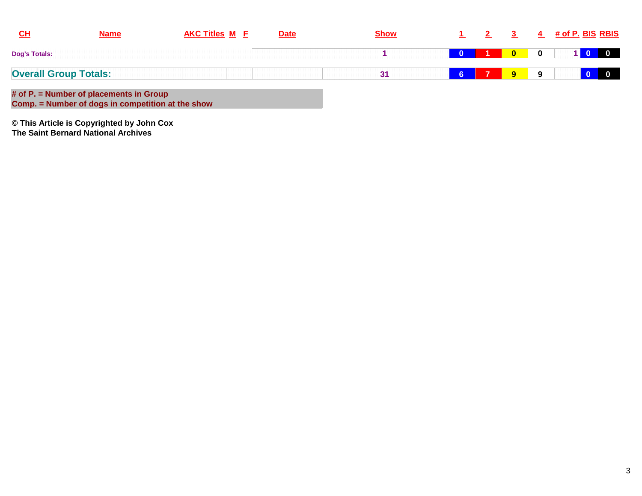| $CH$                 | <b>Name</b>                                                                                  | <b>AKC Titles M E</b> | <b>Date</b> | <b>Show</b> |           |    |             | 4        | <u># of P. BIS_RBIS</u> |                |
|----------------------|----------------------------------------------------------------------------------------------|-----------------------|-------------|-------------|-----------|----|-------------|----------|-------------------------|----------------|
| <b>Dog's Totals:</b> |                                                                                              |                       |             |             |           |    |             | $\bf{0}$ |                         | $\blacksquare$ |
|                      | <b>Overall Group Totals:</b>                                                                 |                       |             | 31          | <b>IG</b> | 17 | $9^{\circ}$ | Q        |                         | $\overline{0}$ |
|                      | # of P. = Number of placements in Group<br>Comp. = Number of dogs in competition at the show |                       |             |             |           |    |             |          |                         |                |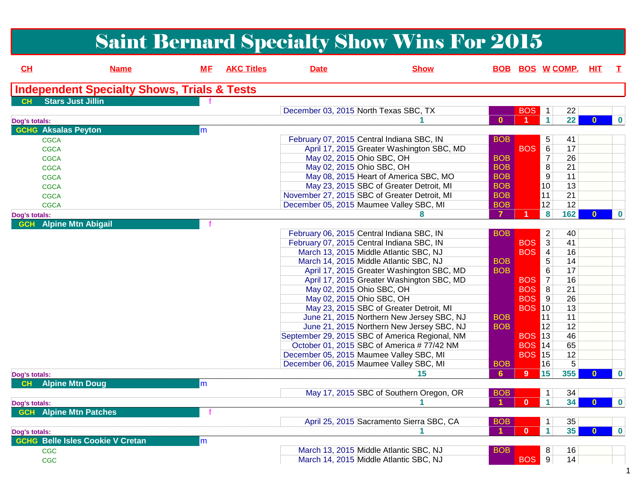|                                                |                                                        |           |                   |             | <b>Saint Bernard Specialty Show Wins For 2015</b>                                    |                      |                             |                            |          |                  |
|------------------------------------------------|--------------------------------------------------------|-----------|-------------------|-------------|--------------------------------------------------------------------------------------|----------------------|-----------------------------|----------------------------|----------|------------------|
| CL                                             | <b>Name</b>                                            | <b>ME</b> | <b>AKC Titles</b> | <b>Date</b> | <b>Show</b>                                                                          |                      |                             | <b>BOB BOS W COMP.</b>     | HIT.     | T.               |
|                                                | <b>Independent Specialty Shows, Trials &amp; Tests</b> |           |                   |             |                                                                                      |                      |                             |                            |          |                  |
| <b>Stars Just Jillin</b><br>CH                 |                                                        |           |                   |             | December 03, 2015 North Texas SBC, TX                                                |                      | <b>BOS</b>                  | 22<br>$\overline{1}$       |          |                  |
| Dog's totals:                                  |                                                        |           |                   |             |                                                                                      | $\mathbf{0}$         |                             | $\blacktriangleleft$<br>22 | $\bf{0}$ | $\mathbf 0$      |
| <b>GCHG Aksalas Peyton</b>                     |                                                        | m         |                   |             |                                                                                      |                      |                             |                            |          |                  |
| <b>CGCA</b>                                    |                                                        |           |                   |             | February 07, 2015 Central Indiana SBC, IN                                            | <b>BOB</b>           |                             | 5<br>41                    |          |                  |
| <b>CGCA</b>                                    |                                                        |           |                   |             | April 17, 2015 Greater Washington SBC, MD                                            |                      | <b>BOS</b>                  | 6<br>17                    |          |                  |
| <b>CGCA</b>                                    |                                                        |           |                   |             | May 02, 2015 Ohio SBC, OH                                                            | <b>BOB</b>           |                             | $\overline{7}$<br>26       |          |                  |
| <b>CGCA</b>                                    |                                                        |           |                   |             | May 02, 2015 Ohio SBC, OH                                                            | <b>BOB</b>           |                             | $\overline{8}$<br>21       |          |                  |
| <b>CGCA</b>                                    |                                                        |           |                   |             | May 08, 2015 Heart of America SBC, MO                                                | <b>BOB</b>           |                             | 9<br>11                    |          |                  |
| <b>CGCA</b>                                    |                                                        |           |                   |             | May 23, 2015 SBC of Greater Detroit, MI                                              | <b>BOB</b>           |                             | 10<br>13                   |          |                  |
| <b>CGCA</b>                                    |                                                        |           |                   |             | November 27, 2015 SBC of Greater Detroit, MI                                         | <b>BOB</b>           |                             | 11<br>21                   |          |                  |
| <b>CGCA</b>                                    |                                                        |           |                   |             | December 05, 2015 Maumee Valley SBC, MI                                              | <b>BOB</b>           |                             | 12 <br>12                  |          |                  |
| Dog's totals:                                  |                                                        |           |                   |             | 8                                                                                    | 7                    |                             | 162<br>8                   | $\bf{0}$ | $\bf{0}$         |
| <b>GCH</b> Alpine Mtn Abigail                  |                                                        |           |                   |             |                                                                                      |                      |                             |                            |          |                  |
|                                                |                                                        |           |                   |             | February 06, 2015 Central Indiana SBC, IN                                            | <b>BOB</b>           |                             | $\overline{c}$<br>40       |          |                  |
|                                                |                                                        |           |                   |             | February 07, 2015 Central Indiana SBC, IN                                            |                      | <b>BOS</b>                  | $\mathbf{3}$<br>41         |          |                  |
|                                                |                                                        |           |                   |             | March 13, 2015 Middle Atlantic SBC, NJ                                               |                      | <b>BOS</b>                  | $\overline{4}$<br>16       |          |                  |
|                                                |                                                        |           |                   |             | March 14, 2015 Middle Atlantic SBC, NJ                                               | <b>BOB</b>           |                             | 5<br>14                    |          |                  |
|                                                |                                                        |           |                   |             | April 17, 2015 Greater Washington SBC, MD                                            | <b>BOB</b>           |                             | 6<br>17                    |          |                  |
|                                                |                                                        |           |                   |             | April 17, 2015 Greater Washington SBC, MD                                            |                      | <b>BOS</b>                  | $\overline{7}$<br>16       |          |                  |
|                                                |                                                        |           |                   |             | May 02, 2015 Ohio SBC, OH                                                            |                      | <b>BOS</b>                  | 8<br>21                    |          |                  |
|                                                |                                                        |           |                   |             | May 02, 2015 Ohio SBC, OH                                                            |                      | <b>BOS</b><br><b>BOS 10</b> | 9<br>26<br>13              |          |                  |
|                                                |                                                        |           |                   |             | May 23, 2015 SBC of Greater Detroit, MI<br>June 21, 2015 Northern New Jersey SBC, NJ | <b>BOB</b>           |                             | 11<br>11                   |          |                  |
|                                                |                                                        |           |                   |             | June 21, 2015 Northern New Jersey SBC, NJ                                            | <b>BOB</b>           |                             | 12 <br>12                  |          |                  |
|                                                |                                                        |           |                   |             | September 29, 2015 SBC of America Regional, NM                                       |                      | <b>BOS 13</b>               | 46                         |          |                  |
|                                                |                                                        |           |                   |             | October 01, 2015 SBC of America #77/42 NM                                            |                      | <b>BOS</b> 14               | 65                         |          |                  |
|                                                |                                                        |           |                   |             | December 05, 2015 Maumee Valley SBC, MI                                              |                      | <b>BOS 15</b>               | 12                         |          |                  |
|                                                |                                                        |           |                   |             | December 06, 2015 Maumee Valley SBC, MI                                              | <b>BOB</b>           |                             | 5<br>16                    |          |                  |
|                                                |                                                        |           |                   |             | 15                                                                                   | 6                    | <b>15</b><br>$9^{\circ}$    | 355                        | $\bf{0}$ | $\mathbf 0$      |
| Dog's totals:<br><b>Alpine Mtn Doug</b><br>CH  |                                                        | m         |                   |             |                                                                                      |                      |                             |                            |          |                  |
|                                                |                                                        |           |                   |             | May 17, 2015 SBC of Southern Oregon, OR                                              | <b>BOR</b>           |                             | l 4 l<br>34                |          |                  |
|                                                |                                                        |           |                   |             |                                                                                      |                      | $\mathbf{0}$                | 34<br>1                    | $\bf{0}$ | $\mathbf{0}$     |
| Dog's totals:<br><b>GCH</b> Alpine Mtn Patches |                                                        |           |                   |             |                                                                                      |                      |                             |                            |          |                  |
|                                                |                                                        |           |                   |             | April 25, 2015 Sacramento Sierra SBC, CA                                             | <b>BOB</b>           |                             | 35<br>1                    |          |                  |
|                                                |                                                        |           |                   |             |                                                                                      | $\blacktriangleleft$ | $\mathbf{0}$                | 35<br>$\mathbf{1}$         | $\bf{0}$ |                  |
| Dog's totals:                                  | <b>GCHG Belle Isles Cookie V Cretan</b>                |           |                   |             |                                                                                      |                      |                             |                            |          | $\boldsymbol{0}$ |
|                                                |                                                        | m         |                   |             | March 13, 2015 Middle Atlantic SBC, NJ                                               | <b>BOB</b>           |                             | 8<br>16                    |          |                  |
| <b>CGC</b><br>CGC                              |                                                        |           |                   |             | March 14, 2015 Middle Atlantic SBC, NJ                                               |                      | BOS <sup>9</sup>            | 14                         |          |                  |
|                                                |                                                        |           |                   |             |                                                                                      |                      |                             |                            |          |                  |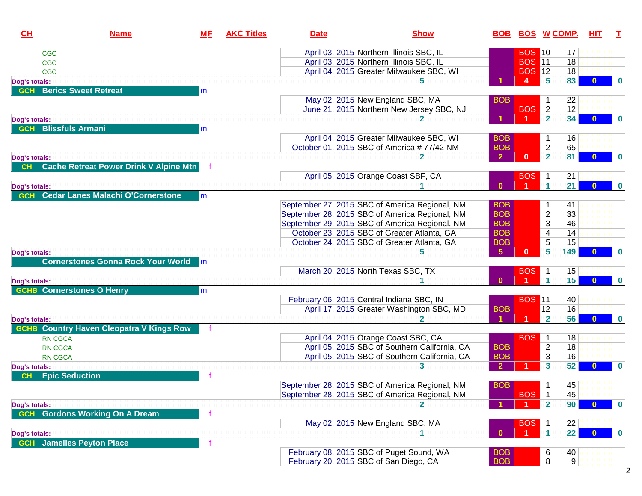| CL             | <b>Name</b>                                   | <u>МF</u>     | <b>AKC Titles</b> | <b>Date</b>                               | <b>Show</b>                                    |                | <b>BOB BOS W COMP.</b> |                          |                | <b>HIT</b> | T        |
|----------------|-----------------------------------------------|---------------|-------------------|-------------------------------------------|------------------------------------------------|----------------|------------------------|--------------------------|----------------|------------|----------|
| <b>CGC</b>     |                                               |               |                   |                                           | April 03, 2015 Northern Illinois SBC, IL       |                | <b>BOS 10</b>          |                          | 17             |            |          |
| <b>CGC</b>     |                                               |               |                   |                                           | April 03, 2015 Northern Illinois SBC, IL       |                | <b>BOS 11</b>          |                          | 18             |            |          |
| <b>CGC</b>     |                                               |               |                   |                                           | April 04, 2015 Greater Milwaukee SBC, WI       |                | <b>BOS</b> 12          |                          | 18             |            |          |
| Dog's totals:  |                                               |               |                   |                                           |                                                |                | 4                      | 5                        | 83             |            | $\bf{0}$ |
| <b>GCH</b>     | <b>Berics Sweet Retreat</b>                   | m             |                   |                                           |                                                |                |                        |                          |                |            |          |
|                |                                               |               |                   |                                           | May 02, 2015 New England SBC, MA               | <b>BOB</b>     |                        | 1                        | 22             |            |          |
|                |                                               |               |                   |                                           | June 21, 2015 Northern New Jersey SBC, NJ      |                | <b>BOS</b>             | $\overline{2}$           | 12             |            |          |
| Dog's totals:  |                                               |               |                   |                                           |                                                |                |                        | $\overline{2}$           | 34             |            | $\bf{0}$ |
| <b>GCH</b>     | <b>Blissfuls Armani</b>                       | m             |                   |                                           |                                                |                |                        |                          |                |            |          |
|                |                                               |               |                   |                                           | April 04, 2015 Greater Milwaukee SBC, WI       | <b>BOB</b>     |                        | 1                        | 16             |            |          |
|                |                                               |               |                   |                                           | October 01, 2015 SBC of America #77/42 NM      | <b>BOB</b>     |                        | $\overline{2}$           | 65             |            |          |
| Dog's totals:  |                                               |               |                   |                                           |                                                | $\overline{2}$ | $\mathbf{0}$           | $\overline{2}$           | 81             |            | $\bf{0}$ |
| CH             | <b>Cache Retreat Power Drink V Alpine Mtn</b> |               |                   |                                           |                                                |                |                        |                          |                |            |          |
|                |                                               |               |                   |                                           | April 05, 2015 Orange Coast SBF, CA            |                | <b>BOS</b>             | $\mathbf{1}$             | 21             |            |          |
| Dog's totals:  |                                               |               |                   |                                           |                                                | $\mathbf{0}$   |                        | $\mathbf{1}$             | 21             |            | $\bf{0}$ |
| <b>GCH</b>     | <b>Cedar Lanes Malachi O'Cornerstone</b>      | m             |                   |                                           |                                                |                |                        |                          |                |            |          |
|                |                                               |               |                   |                                           | September 27, 2015 SBC of America Regional, NM | <b>BOB</b>     |                        | 1                        | 41             |            |          |
|                |                                               |               |                   |                                           | September 28, 2015 SBC of America Regional, NM | <b>BOB</b>     |                        | $\overline{2}$           | 33             |            |          |
|                |                                               |               |                   |                                           | September 29, 2015 SBC of America Regional, NM | <b>BOB</b>     |                        | $\mathfrak{S}$           | 46             |            |          |
|                |                                               |               |                   |                                           | October 23, 2015 SBC of Greater Atlanta, GA    | <b>BOB</b>     |                        | $\overline{\mathcal{A}}$ | 14             |            |          |
|                |                                               |               |                   |                                           | October 24, 2015 SBC of Greater Atlanta, GA    | <b>BOB</b>     |                        | $\overline{5}$           | 15             |            |          |
| Dog's totals:  |                                               |               |                   |                                           | 5.                                             | 5 <sub>5</sub> | $\mathbf{0}$           | $5\phantom{.0}$          | 149            |            | $\bf{0}$ |
|                | <b>Cornerstones Gonna Rock Your World</b>     | $\mathsf{Im}$ |                   |                                           |                                                |                |                        |                          |                |            |          |
|                |                                               |               |                   | March 20, 2015 North Texas SBC, TX        |                                                |                | <b>BOS</b>             | $\mathbf{1}$             | 15             |            |          |
| Dog's totals:  |                                               |               |                   |                                           |                                                | $\mathbf{0}$   |                        | $\mathbf{1}$             | 15             | $\Omega$   | $\bf{0}$ |
|                | <b>GCHB Cornerstones O Henry</b>              | m             |                   |                                           |                                                |                |                        |                          |                |            |          |
|                |                                               |               |                   | February 06, 2015 Central Indiana SBC, IN |                                                |                | <b>BOS 11</b>          |                          | 40             |            |          |
|                |                                               |               |                   |                                           | April 17, 2015 Greater Washington SBC, MD      | <b>BOB</b>     |                        | 12                       | 16             |            |          |
| Dog's totals:  |                                               |               |                   |                                           | 2                                              |                | $\blacktriangleleft$   | $\overline{\mathbf{2}}$  | 56             |            | $\bf{0}$ |
| <b>GCHB</b>    | <b>Country Haven Cleopatra V Kings Row</b>    |               |                   |                                           |                                                |                |                        |                          |                |            |          |
| <b>RN CGCA</b> |                                               |               |                   |                                           | April 04, 2015 Orange Coast SBC, CA            |                | <b>BOS</b>             | $\blacktriangleleft$     | 18             |            |          |
| <b>RN CGCA</b> |                                               |               |                   |                                           | April 05, 2015 SBC of Southern California, CA  | <b>BOB</b>     |                        | $\overline{2}$           | 18             |            |          |
| <b>RN CGCA</b> |                                               |               |                   |                                           | April 05, 2015 SBC of Southern California, CA  | <b>BOB</b>     |                        | $\overline{3}$           | 16             |            |          |
| Dog's totals:  |                                               |               |                   |                                           | 3.                                             | $\overline{2}$ |                        | $\mathbf{3}$             | 52             | 0          | $\bf{0}$ |
|                | <b>Epic Seduction</b>                         |               |                   |                                           |                                                |                |                        |                          |                |            |          |
|                |                                               |               |                   |                                           | September 28, 2015 SBC of America Regional, NM | <b>BOB</b>     |                        | $\mathbf 1$              | 45             |            |          |
|                |                                               |               |                   |                                           | September 28, 2015 SBC of America Regional, NM |                | <b>BOS</b>             | $\mathbf{1}$             | 45             |            |          |
| Dog's totals:  |                                               |               |                   |                                           |                                                |                |                        | $\overline{2}$           | 90             |            | $\bf{0}$ |
| <b>GCH</b>     | <b>Gordons Working On A Dream</b>             |               |                   |                                           |                                                |                |                        |                          |                |            |          |
|                |                                               |               |                   |                                           | May 02, 2015 New England SBC, MA               |                | <b>BOS</b>             | $\mathbf{1}$             | 22             |            |          |
| Dog's totals:  |                                               |               |                   |                                           |                                                | $\mathbf{0}$   |                        | 1                        | 22             |            | $\bf{0}$ |
| <b>GCH</b>     | <b>Jamelles Peyton Place</b>                  |               |                   |                                           |                                                |                |                        |                          |                |            |          |
|                |                                               |               |                   |                                           | February 08, 2015 SBC of Puget Sound, WA       | <b>BOB</b>     |                        | 6                        | 40             |            |          |
|                |                                               |               |                   | February 20, 2015 SBC of San Diego, CA    |                                                | <b>BOB</b>     |                        | 8                        | 9 <sup>°</sup> |            |          |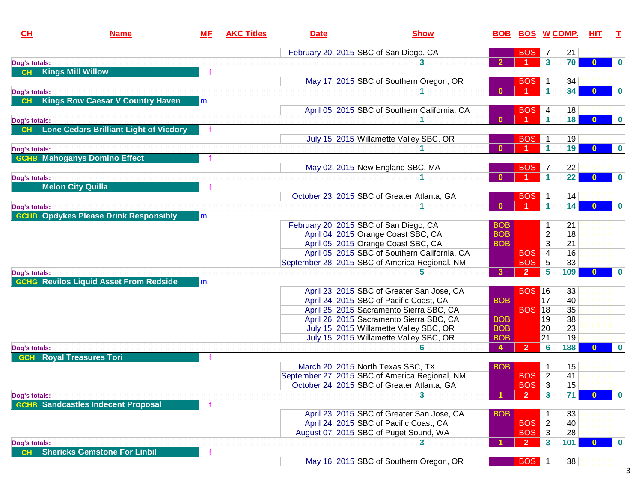| CH            | <b>Name</b>                                   | <u>МF</u> | <b>AKC Titles</b> | <b>Date</b> | <b>Show</b>                                                                       | <b>BOB</b>       |                          | <b>BOS W COMP.</b>                      | <u>HIT</u>   | т                |
|---------------|-----------------------------------------------|-----------|-------------------|-------------|-----------------------------------------------------------------------------------|------------------|--------------------------|-----------------------------------------|--------------|------------------|
|               |                                               |           |                   |             | February 20, 2015 SBC of San Diego, CA                                            |                  | <b>BOS</b>               | 21<br>7                                 |              |                  |
| Dog's totals: |                                               |           |                   |             | 3.                                                                                | $\overline{2}$   |                          | 70<br>3                                 | $\bf{0}$     | $\mathbf 0$      |
| CH            | <b>Kings Mill Willow</b>                      |           |                   |             |                                                                                   |                  |                          |                                         |              |                  |
|               |                                               |           |                   |             | May 17, 2015 SBC of Southern Oregon, OR                                           |                  | <b>BOS</b>               | 1<br>34                                 |              |                  |
| Dog's totals: |                                               |           |                   |             |                                                                                   | $\mathbf{0}$     |                          | 34<br>$\blacksquare$                    | $\mathbf{0}$ | $\mathbf 0$      |
| CH            | <b>Kings Row Caesar V Country Haven</b>       | m         |                   |             |                                                                                   |                  |                          |                                         |              |                  |
|               |                                               |           |                   |             | April 05, 2015 SBC of Southern California, CA                                     |                  | <b>BOS</b>               | $\overline{4}$<br>18                    |              |                  |
| Dog's totals: |                                               |           |                   |             |                                                                                   | $\mathbf{0}$     |                          | 18<br>$\overline{1}$                    | $\bf{0}$     | $\mathbf 0$      |
| CH            | <b>Lone Cedars Brilliant Light of Vicdory</b> |           |                   |             |                                                                                   |                  |                          |                                         |              |                  |
|               |                                               |           |                   |             | July 15, 2015 Willamette Valley SBC, OR                                           |                  | BOS <sub>1</sub>         | 19                                      |              |                  |
| Dog's totals: |                                               |           |                   |             |                                                                                   | $\mathbf{0}$     |                          | 19<br>$\overline{1}$                    | $\bf{0}$     | $\mathbf 0$      |
|               | <b>GCHB</b> Mahoganys Domino Effect           |           |                   |             |                                                                                   |                  |                          |                                         |              |                  |
|               |                                               |           |                   |             | May 02, 2015 New England SBC, MA                                                  | $\mathbf{0}$     | <b>BOS</b>               | $\overline{7}$<br>22                    |              |                  |
| Dog's totals: |                                               |           |                   |             |                                                                                   |                  |                          | 22<br>$\blacktriangleleft$              | $\mathbf{0}$ | $\mathbf 0$      |
|               | <b>Melon City Quilla</b>                      |           |                   |             | October 23, 2015 SBC of Greater Atlanta, GA                                       |                  |                          | $\vert$ 1                               |              |                  |
|               |                                               |           |                   |             |                                                                                   | $\Omega$         | <b>BOS</b>               | 14<br>14<br>$\blacktriangleleft$        | $\mathbf{0}$ |                  |
| Dog's totals: | <b>GCHB Opdykes Please Drink Responsibly</b>  | m         |                   |             |                                                                                   |                  |                          |                                         |              | $\mathbf 0$      |
|               |                                               |           |                   |             | February 20, 2015 SBC of San Diego, CA                                            | <b>BOB</b>       |                          | $\mathbf 1$<br>21                       |              |                  |
|               |                                               |           |                   |             | April 04, 2015 Orange Coast SBC, CA                                               | <b>BOB</b>       |                          | $\overline{2}$<br>18                    |              |                  |
|               |                                               |           |                   |             | April 05, 2015 Orange Coast SBC, CA                                               | <b>BOB</b>       |                          | $\overline{3}$<br>$\overline{21}$       |              |                  |
|               |                                               |           |                   |             | April 05, 2015 SBC of Southern California, CA                                     |                  | <b>BOS</b>               | 16<br>$\overline{4}$                    |              |                  |
|               |                                               |           |                   |             | September 28, 2015 SBC of America Regional, NM                                    |                  | <b>BOS</b>               | 33<br>$5\phantom{.0}$                   |              |                  |
| Dog's totals: |                                               |           |                   |             | 5                                                                                 | 3 <sup>1</sup>   | $\overline{2}$           | 109<br>$\overline{\mathbf{5}}$          | $\mathbf{0}$ | $\mathbf 0$      |
|               | <b>GCHG Revilos Liquid Asset From Redside</b> | m         |                   |             |                                                                                   |                  |                          |                                         |              |                  |
|               |                                               |           |                   |             | April 23, 2015 SBC of Greater San Jose, CA                                        |                  | <b>BOS 16</b>            | 33                                      |              |                  |
|               |                                               |           |                   |             | April 24, 2015 SBC of Pacific Coast, CA                                           | <b>BOB</b>       |                          | 17<br>40                                |              |                  |
|               |                                               |           |                   |             | April 25, 2015 Sacramento Sierra SBC, CA                                          |                  | <b>BOS</b> 18            | 35                                      |              |                  |
|               |                                               |           |                   |             | April 26, 2015 Sacramento Sierra SBC, CA                                          | <b>BOB</b>       |                          | 38<br>19                                |              |                  |
|               |                                               |           |                   |             | July 15, 2015 Willamette Valley SBC, OR                                           | <b>BOB</b>       |                          | $\overline{23}$<br>20                   |              |                  |
|               |                                               |           |                   |             | July 15, 2015 Willamette Valley SBC, OR                                           | <b>BOB</b>       |                          | 19<br>21                                |              |                  |
| Dog's totals: |                                               |           |                   |             | 6                                                                                 | $\blacktriangle$ | $\overline{2}$           | 188<br>$6\phantom{1}6$                  | $\mathbf{0}$ | $\bf{0}$         |
|               | <b>GCH</b> Royal Treasures Tori               |           |                   |             |                                                                                   |                  |                          |                                         |              |                  |
|               |                                               |           |                   |             | March 20, 2015 North Texas SBC, TX                                                | <b>BOB</b>       |                          | 15<br>1                                 |              |                  |
|               |                                               |           |                   |             | September 27, 2015 SBC of America Regional, NM                                    |                  | <b>BOS</b>               | $\overline{2}$<br>41                    |              |                  |
|               |                                               |           |                   |             | October 24, 2015 SBC of Greater Atlanta, GA                                       |                  | <b>BOS</b>               | 3<br>15                                 |              |                  |
| Dog's totals: |                                               |           |                   |             | 3                                                                                 |                  | $\overline{2}$           | $\mathbf{3}$<br>71                      | $\mathbf{0}$ | $\boldsymbol{0}$ |
|               | <b>GCHB Sandcastles Indecent Proposal</b>     |           |                   |             |                                                                                   |                  |                          |                                         |              |                  |
|               |                                               |           |                   |             | April 23, 2015 SBC of Greater San Jose, CA                                        | <b>BOB</b>       |                          | 33<br>1                                 |              |                  |
|               |                                               |           |                   |             | April 24, 2015 SBC of Pacific Coast, CA<br>August 07, 2015 SBC of Puget Sound, WA |                  | <b>BOS</b><br><b>BOS</b> | $\overline{2}$<br>40<br>$\vert$ 3<br>28 |              |                  |
|               |                                               |           |                   |             | 3                                                                                 |                  | $\mathbf{2}$             | 101<br>$\mathbf{3}$                     | $\bf{0}$     | $\bf{0}$         |
| Dog's totals: | <b>Shericks Gemstone For Linbil</b>           |           |                   |             |                                                                                   |                  |                          |                                         |              |                  |
|               |                                               |           |                   |             | May 16, 2015 SBC of Southern Oregon, OR                                           |                  | BOS <sup>1</sup>         | 38                                      |              |                  |
|               |                                               |           |                   |             |                                                                                   |                  |                          |                                         |              | 3                |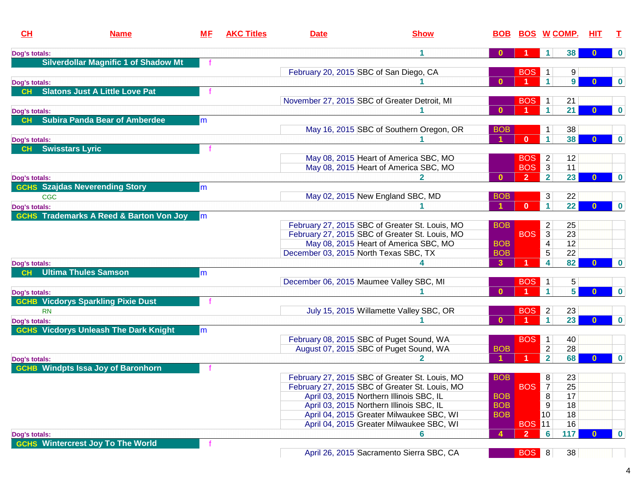| CH                         | <b>Name</b>                                        | <b>ME</b> | <b>AKC Titles</b> | <b>Date</b>                             | <b>Show</b>                                                                                      | <b>BOB</b>   | <b>BOS W COMP.</b> |                         |                | HIT.         |             |
|----------------------------|----------------------------------------------------|-----------|-------------------|-----------------------------------------|--------------------------------------------------------------------------------------------------|--------------|--------------------|-------------------------|----------------|--------------|-------------|
| Dog's totals:              |                                                    |           |                   |                                         | 1                                                                                                |              |                    |                         | 38             | $\bf{0}$     | $\mathbf 0$ |
|                            | <b>Silverdollar Magnific 1 of Shadow Mt</b>        |           |                   |                                         |                                                                                                  |              |                    |                         |                |              |             |
|                            |                                                    |           |                   | February 20, 2015 SBC of San Diego, CA  |                                                                                                  |              | <b>BOS</b>         |                         | 9              |              |             |
| Dog's totals:              |                                                    |           |                   |                                         |                                                                                                  | $\mathbf{0}$ |                    | 1                       | 9 <sup>1</sup> | $\bf{0}$     | $\bf{0}$    |
| <b>CH</b>                  | <b>Slatons Just A Little Love Pat</b>              |           |                   |                                         |                                                                                                  |              |                    |                         |                |              |             |
|                            |                                                    |           |                   |                                         | November 27, 2015 SBC of Greater Detroit, MI                                                     |              | <b>BOS</b>         | 1                       | 21             |              |             |
| Dog's totals:              |                                                    |           |                   |                                         |                                                                                                  | $\mathbf{0}$ |                    | $\mathbf{1}$            | 21             | $\bf{0}$     | $\bf{0}$    |
| <b>CH</b>                  | <b>Subira Panda Bear of Amberdee</b>               | m         |                   |                                         |                                                                                                  |              |                    |                         |                |              |             |
|                            |                                                    |           |                   |                                         | May 16, 2015 SBC of Southern Oregon, OR                                                          | <b>BOB</b>   |                    |                         | 38             |              |             |
| Dog's totals:              |                                                    |           |                   |                                         |                                                                                                  |              | $\mathbf{0}$       | $\mathbf{1}$            | 38             | $\bf{0}$     | $\bf{0}$    |
| <b>CH</b>                  | <b>Swisstars Lyric</b>                             |           |                   |                                         |                                                                                                  |              |                    |                         |                |              |             |
|                            |                                                    |           |                   |                                         | May 08, 2015 Heart of America SBC, MO                                                            |              | <b>BOS</b>         | $\overline{2}$          | 12             |              |             |
|                            |                                                    |           |                   |                                         | May 08, 2015 Heart of America SBC, MO                                                            |              | <b>BOS</b>         | $\overline{3}$          | 11             |              |             |
| Dog's totals:              |                                                    |           |                   |                                         |                                                                                                  | $\mathbf{0}$ | $\overline{2}$     | $\overline{2}$          | 23             | $\bf{0}$     | $\mathbf 0$ |
|                            | <b>GCHS Szajdas Neverending Story</b>              | m         |                   |                                         |                                                                                                  |              |                    |                         |                |              |             |
|                            | <b>CGC</b>                                         |           |                   |                                         | May 02, 2015 New England SBC, MD                                                                 | <b>BOB</b>   |                    | 3                       | 22             |              |             |
| Dog's totals:              |                                                    |           |                   |                                         |                                                                                                  |              | $\mathbf{0}$       | $\mathbf{1}$            | 22             | $\mathbf{0}$ | $\mathbf 0$ |
|                            | <b>GCHS Trademarks A Reed &amp; Barton Von Joy</b> | lm        |                   |                                         |                                                                                                  |              |                    |                         |                |              |             |
|                            |                                                    |           |                   |                                         | February 27, 2015 SBC of Greater St. Louis, MO<br>February 27, 2015 SBC of Greater St. Louis, MO | <b>BOB</b>   | <b>BOS</b>         | 2<br>$\overline{3}$     | 25<br>23       |              |             |
|                            |                                                    |           |                   |                                         | May 08, 2015 Heart of America SBC, MO                                                            | <b>BOB</b>   |                    | 4                       | 12             |              |             |
|                            |                                                    |           |                   | December 03, 2015 North Texas SBC, TX   |                                                                                                  | <b>BOB</b>   |                    | 5                       | 22             |              |             |
|                            |                                                    |           |                   |                                         |                                                                                                  | $\mathbf{3}$ |                    | $\overline{\mathbf{4}}$ | 82             |              | $\mathbf 0$ |
| Dog's totals:<br><b>CH</b> | <b>Ultima Thules Samson</b>                        | lm        |                   |                                         |                                                                                                  |              |                    |                         |                |              |             |
|                            |                                                    |           |                   | December 06, 2015 Maumee Valley SBC, MI |                                                                                                  |              | <b>BOS</b>         | 1                       | 5              |              |             |
| Dog's totals:              |                                                    |           |                   |                                         |                                                                                                  | $\mathbf{0}$ |                    | $\blacktriangleleft$    | 5 <sup>1</sup> | $\Omega$     | $\mathbf 0$ |
|                            | <b>GCHB Vicdorys Sparkling Pixie Dust</b>          |           |                   |                                         |                                                                                                  |              |                    |                         |                |              |             |
|                            | <b>RN</b>                                          |           |                   |                                         | July 15, 2015 Willamette Valley SBC, OR                                                          |              | <b>BOS</b>         | $\overline{2}$          | 23             |              |             |
| Dog's totals:              |                                                    |           |                   |                                         |                                                                                                  | $\mathbf{0}$ |                    | $\mathbf{1}$            | 23             | $\mathbf{0}$ | $\mathbf 0$ |
|                            | <b>GCHS Vicdorys Unleash The Dark Knight</b>       | lm        |                   |                                         |                                                                                                  |              |                    |                         |                |              |             |
|                            |                                                    |           |                   |                                         | February 08, 2015 SBC of Puget Sound, WA                                                         |              | <b>BOS</b>         | $\mathbf{1}$            | 40             |              |             |
|                            |                                                    |           |                   |                                         | August 07, 2015 SBC of Puget Sound, WA                                                           | <b>BOB</b>   |                    | $\overline{c}$          | 28             |              |             |
| Dog's totals:              |                                                    |           |                   |                                         | 2                                                                                                |              |                    | $\overline{2}$          | 68             | $\bf{0}$     | $\bf{0}$    |
|                            | <b>GCHB</b> Windpts Issa Joy of Baronhorn          |           |                   |                                         |                                                                                                  |              |                    |                         |                |              |             |
|                            |                                                    |           |                   |                                         | February 27, 2015 SBC of Greater St. Louis, MO                                                   | <b>BOB</b>   |                    | 8                       | 23             |              |             |
|                            |                                                    |           |                   |                                         | February 27, 2015 SBC of Greater St. Louis, MO                                                   |              | <b>BOS</b>         | $\overline{7}$          | 25             |              |             |
|                            |                                                    |           |                   |                                         | April 03, 2015 Northern Illinois SBC, IL                                                         | <b>BOB</b>   |                    | 8                       | 17             |              |             |
|                            |                                                    |           |                   |                                         | April 03, 2015 Northern Illinois SBC, IL                                                         | <b>BOB</b>   |                    | 9                       | 18             |              |             |
|                            |                                                    |           |                   |                                         | April 04, 2015 Greater Milwaukee SBC, WI                                                         | <b>BOB</b>   |                    | 10 <sup>1</sup>         | 18             |              |             |
|                            |                                                    |           |                   |                                         | April 04, 2015 Greater Milwaukee SBC, WI                                                         |              | <b>BOS 11</b>      |                         | 16             |              |             |
| Dog's totals:              |                                                    |           |                   |                                         |                                                                                                  | 4            | $\mathbf{2}$       | 6                       | 117            |              | $\mathbf 0$ |
|                            | <b>GCHS Wintercrest Joy To The World</b>           |           |                   |                                         |                                                                                                  |              |                    |                         |                |              |             |
|                            |                                                    |           |                   |                                         | April 26, 2015 Sacramento Sierra SBC, CA                                                         |              | <b>BOS</b> 8       |                         | 38             |              |             |

April 26, 2015 Sacramento Sierra SBC, CA

**BOS 8 38** 

- 1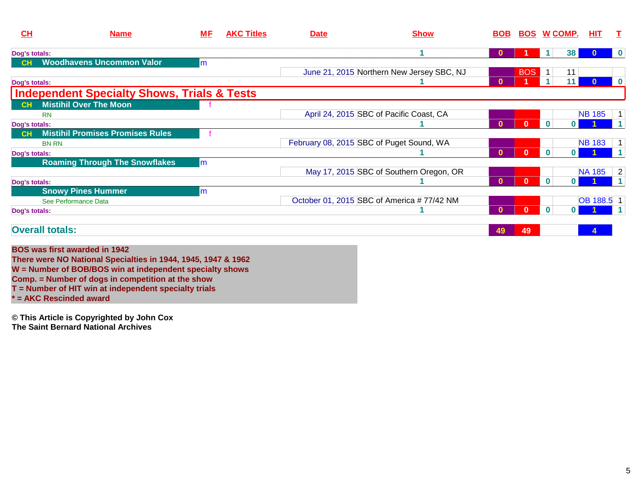| CL            | <b>Name</b>                                                                                                                                                                                                                                                                     | <u>МF</u> | <b>AKC Titles</b> | <b>Date</b> | <b>Show</b>                               | <b>BOB</b>   | <b>BOS</b>   | <u>W COMP.</u>                        | HIT.          | Т        |
|---------------|---------------------------------------------------------------------------------------------------------------------------------------------------------------------------------------------------------------------------------------------------------------------------------|-----------|-------------------|-------------|-------------------------------------------|--------------|--------------|---------------------------------------|---------------|----------|
| Dog's totals: |                                                                                                                                                                                                                                                                                 |           |                   |             | 4                                         |              |              | 38                                    |               | $\bf{0}$ |
| CH            | <b>Woodhavens Uncommon Valor</b>                                                                                                                                                                                                                                                | m         |                   |             |                                           |              |              |                                       |               |          |
|               |                                                                                                                                                                                                                                                                                 |           |                   |             | June 21, 2015 Northern New Jersey SBC, NJ |              | <b>BOS</b>   | 11<br>$-1$ .                          |               |          |
| Dog's totals: |                                                                                                                                                                                                                                                                                 |           |                   |             |                                           | $\bf{0}$     |              | 11                                    | $\mathbf{0}$  | $\bf{0}$ |
|               | <b>Independent Specialty Shows, Trials &amp; Tests</b>                                                                                                                                                                                                                          |           |                   |             |                                           |              |              |                                       |               |          |
|               | <b>Mistihil Over The Moon</b>                                                                                                                                                                                                                                                   |           |                   |             |                                           |              |              |                                       |               |          |
|               | <b>RN</b>                                                                                                                                                                                                                                                                       |           |                   |             | April 24, 2015 SBC of Pacific Coast, CA   |              |              |                                       | <b>NB 185</b> |          |
| Dog's totals: |                                                                                                                                                                                                                                                                                 |           |                   |             |                                           | $\mathbf{0}$ | $\mathbf{0}$ | $\mathbf{0}$<br>0 I                   |               |          |
| CH            | <b>Mistihil Promises Promises Rules</b>                                                                                                                                                                                                                                         |           |                   |             |                                           |              |              |                                       |               |          |
|               | <b>BN RN</b>                                                                                                                                                                                                                                                                    |           |                   |             | February 08, 2015 SBC of Puget Sound, WA  |              |              |                                       | <b>NB 183</b> |          |
| Dog's totals: |                                                                                                                                                                                                                                                                                 |           |                   |             |                                           | $\mathbf{0}$ | $\mathbf{0}$ | $\bf{0}$<br>$\mathbf{0}$ $\mathbf{I}$ |               |          |
|               | <b>Roaming Through The Snowflakes</b>                                                                                                                                                                                                                                           | m         |                   |             |                                           |              |              |                                       |               |          |
|               |                                                                                                                                                                                                                                                                                 |           |                   |             | May 17, 2015 SBC of Southern Oregon, OR   |              |              |                                       | <b>NA 185</b> | 2        |
| Dog's totals: |                                                                                                                                                                                                                                                                                 |           |                   |             |                                           | $\mathbf{0}$ | $\mathbf{0}$ | $\mathbf 0$<br>0 I                    |               |          |
|               | <b>Snowy Pines Hummer</b>                                                                                                                                                                                                                                                       | m         |                   |             |                                           |              |              |                                       |               |          |
|               | See Performance Data                                                                                                                                                                                                                                                            |           |                   |             | October 01, 2015 SBC of America #77/42 NM |              |              |                                       | OB 188.5 1    |          |
| Dog's totals: |                                                                                                                                                                                                                                                                                 |           |                   |             |                                           | $\Omega$     | $\mathbf{0}$ | $\mathbf 0$<br>0 I                    |               |          |
|               | <b>Overall totals:</b>                                                                                                                                                                                                                                                          |           |                   |             |                                           | 49           | 49           |                                       |               |          |
|               | <b>BOS was first awarded in 1942</b><br>There were NO National Specialties in 1944, 1945, 1947 & 1962<br>W = Number of BOB/BOS win at independent specialty shows<br>Comp. = Number of dogs in competition at the show<br>T = Number of HIT win at independent specialty trials |           |                   |             |                                           |              |              |                                       |               |          |
|               | = AKC Rescinded award                                                                                                                                                                                                                                                           |           |                   |             |                                           |              |              |                                       |               |          |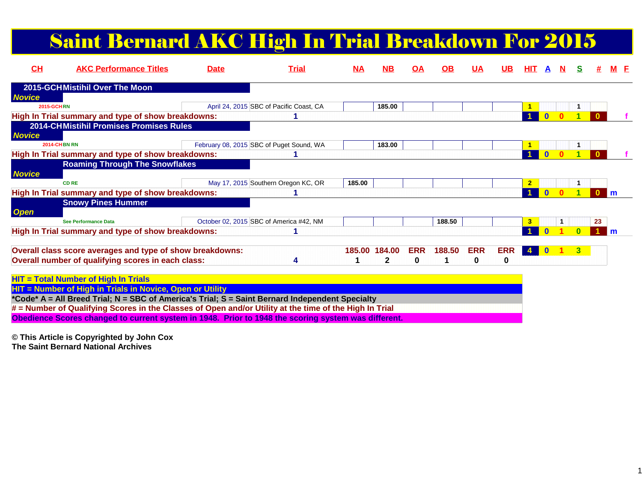# Saint Bernard AKC High In Trial Breakdown For 2015

| CH                | <b>AKC Performance Titles</b>                                                                                                                                                                               | <b>Date</b> | <b>Trial</b>                             | <u>NA</u> | <b>NB</b>                     | OA                     | <b>OB</b> | <b>UA</b>       | <u>UB</u>       | HIT .          | A            | N | s            |    | M F |
|-------------------|-------------------------------------------------------------------------------------------------------------------------------------------------------------------------------------------------------------|-------------|------------------------------------------|-----------|-------------------------------|------------------------|-----------|-----------------|-----------------|----------------|--------------|---|--------------|----|-----|
|                   | 2015-GCHMistihil Over The Moon                                                                                                                                                                              |             |                                          |           |                               |                        |           |                 |                 |                |              |   |              |    |     |
| <b>Novice</b>     |                                                                                                                                                                                                             |             |                                          |           |                               |                        |           |                 |                 |                |              |   |              |    |     |
| <b>2015-GCHRN</b> |                                                                                                                                                                                                             |             | April 24, 2015 SBC of Pacific Coast, CA  |           | 185.00                        |                        |           |                 |                 |                |              |   |              |    |     |
|                   | High In Trial summary and type of show breakdowns:                                                                                                                                                          |             |                                          |           |                               |                        |           |                 |                 |                |              |   |              |    |     |
| <b>Novice</b>     | <b>2014-CHMistihil Promises Promises Rules</b>                                                                                                                                                              |             |                                          |           |                               |                        |           |                 |                 |                |              |   |              |    |     |
|                   | <b>2014-CHBN RN</b>                                                                                                                                                                                         |             | February 08, 2015 SBC of Puget Sound, WA |           | 183.00                        |                        |           |                 |                 |                |              |   |              |    |     |
|                   | High In Trial summary and type of show breakdowns:                                                                                                                                                          |             |                                          |           |                               |                        |           |                 |                 |                |              |   |              |    |     |
| <b>Novice</b>     | <b>Roaming Through The Snowflakes</b>                                                                                                                                                                       |             |                                          |           |                               |                        |           |                 |                 |                |              |   |              |    |     |
|                   | <b>CD RE</b>                                                                                                                                                                                                |             | May 17, 2015 Southern Oregon KC, OR      | 185.00    |                               |                        |           |                 |                 | $\overline{2}$ |              |   |              |    |     |
|                   | High In Trial summary and type of show breakdowns:                                                                                                                                                          |             |                                          |           |                               |                        |           |                 |                 |                |              |   |              |    | l m |
| <b>Open</b>       | <b>Snowy Pines Hummer</b>                                                                                                                                                                                   |             |                                          |           |                               |                        |           |                 |                 |                |              |   |              |    |     |
|                   | <b>See Performance Data</b>                                                                                                                                                                                 |             | October 02, 2015 SBC of America #42, NM  |           |                               |                        | 188.50    |                 |                 | 3              |              |   |              | 23 |     |
|                   | High In Trial summary and type of show breakdowns:                                                                                                                                                          |             |                                          |           |                               |                        |           |                 |                 |                |              |   |              |    | l m |
|                   | Overall class score averages and type of show breakdowns:<br>Overall number of qualifying scores in each class:                                                                                             |             | 4                                        |           | 185,00 184,00<br>$\mathbf{2}$ | <b>ERR</b><br>$\bf{0}$ | 188.50    | <b>ERR</b><br>0 | <b>ERR</b><br>0 | $\sim$ 4       | $\mathbf{0}$ |   | $\mathbf{3}$ |    |     |
|                   | <b>HIT = Total Number of High In Trials</b><br>HIT = Number of High in Trials in Novice, Open or Utility<br>*Code* A - All Breed Trial: N - SBC of America's Trial: S - Saint Bernard Independent Specialty |             |                                          |           |                               |                        |           |                 |                 |                |              |   |              |    |     |

**\*Code\* A = All Breed Trial; N = SBC of America's Trial; S = Saint Bernard Independent Specialty**

**# = Number of Qualifying Scores in the Classes of Open and/or Utility at the time of the High In Trial**

**Obedience Scores changed to current system in 1948. Prior to 1948 the scoring system was different.**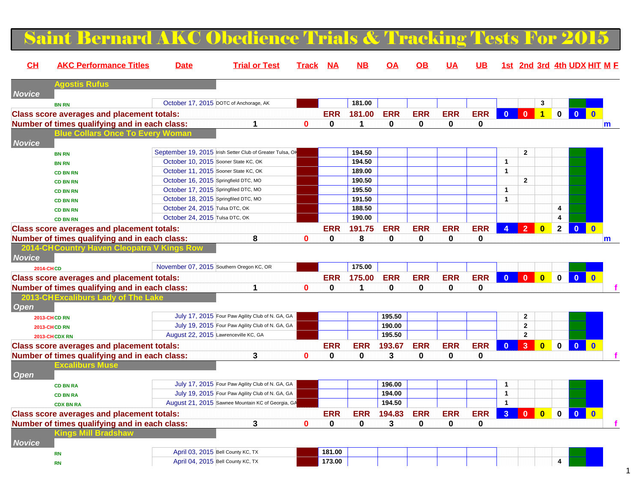#### Saint Bernard AKC Obedience Trials  $\&$  Tracking Tests For 20 **CH AKC Performance Titles Date Trial or Test Track NA NB OA OB UA UB 1st 2nd 3rd 4th UDX HIT MFAgostis RufusNoviceBN RN**October 17, 2015 DOTC of Anchorage, AK **181.00 12 181.00 COMPUTER 181.00 STATER 181.00 STATER 181.00 STATER 181.00 STATER 181.00 STATER 181.00 STATER 181.00 STATER 181.00 STATER 181.00 STATER 181.00 STATER 181.00 STATER 18 Class score averages and placement totals: ERR 181.00 ERR ERR ERR ERR 0 0 1 0 0 0 Number of times qualifying and in each class: 1 0 0 1 0 0 0 0 mBlue Collars Once To Every WomanNoviceBN RNSeptember 19, 2015** Irish Setter Club of Greater Tulsa, OK **194.50 194.50 194.50 194.50 194.50 1 1 1 BN RN** October 10, 2015 Sooner State KC, OK **194.50 1 CD BN RNOctober 11, 2015 Sooner State KC, OK 189.00 189.00 189.00 190.50 CD BN RN** October 16, 2015 Springfield DTC, MO **190.50 2 CD BN RN** October 17, 2015 Springfiled DTC, MO **195.50 1 CD BN RN**October 18, 2015 Springfiled DTC, MO **191.50**<br>
October 24, 2015 Tulsa DTC, OK **188.50 CD BN RNN** October 24, 2015 Tulsa DTC, OK **188.50** 188.50 **188.50** 188.50 **188.50** 189.9 199.1 199.9 199.9 199.9 199.9 199.9 199.9 199.9 199.9 199.9 199.9 199.9 199.9 199.9 199.9 199.9 199.9 199.9 199.9 199.9 199.9 199.9 199.9 19 **CD BN RN** October 24, 2015 Tulsa DTC, OK **190.00 4 Class score averages and placement totals: ERR 191.75 ERR ERR ERR ERR 4 2 0 2 0 0 Number of times qualifying and in each class: 8 0 0 8 0 0 0 0 m2014-CHCountry Haven Cleopatra Novice 2014-CHCD**November 07, 2015 Southern Oregon KC, OR **175.00 175.00 175.00 175.00 Class score averages and placement totals: ERR 175.00 ERR ERR ERR ERR 0 0 0 0 0 0 Number of times qualifying and in each class: 1 0 0 1 0 0 0 0 f 2013-CHExcaliburs La Open2013-CHCD RN** July 17, 2015 Four Paw Agility Club of N. GA, GA **195.50 2 2013-CHCD RN** July 19, 2015 Four Paw Agility Club of N. GA, GA **190.00 2 2013-CHCDX RN** August 22, 2015 Lawrenceville KC, GA **195.50 2 Class score averages and placement totals: ERR ERR 193.67 ERR ERR ERR 0 3 0 0 0 0 Number of times qualifying and in each class: 3 0 0 0 3 0 0 0 f** Excaliburs Mus **OpenCD BN RA** July 17, 2015 Four Paw Agility Club of N. GA, GA **196.00 1 CD BN RA** July 19, 2015 Four Paw Agility Club of N. GA, GA **194.00 1 CDX BN RA**August 21, 2015 Sawnee Mountain KC of Georgia, GA **198 COVID-194.50** 1<br>**194.83 ERR ERR ERR ERR ERR ERR ERR ERR ERR Class score averages and placement totals: ERR ERR 194.83 ERR ERR ERR 3 0 0 0 0 0 Number of times qualifying and in each class: 3 0 0 0 3 0 0 0 f Kings Mill BradshawNoviceRN**April 03, 2015 Bell County KC, TX **181.00**<br>
April 04, 2015 Bell County KC, TX **173.00 RN**April 04, 2015 Bell County KC, TX **173.00 4**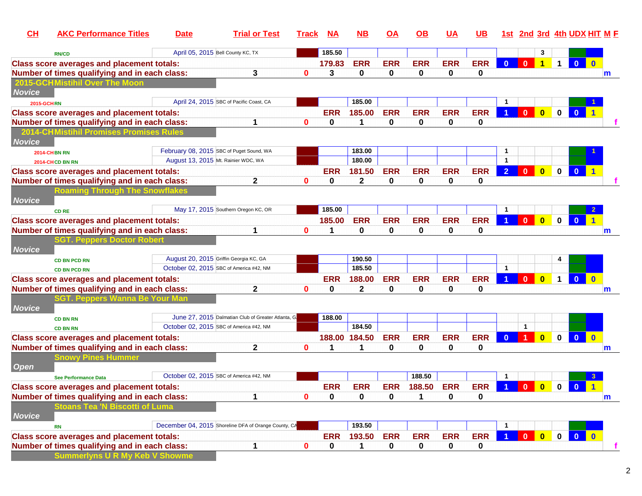| CL                | <b>AKC Performance Titles</b>                     | <b>Date</b> | <b>Trial or Test</b>                                 | <b>Track</b> | <b>NA</b>  | <b>NB</b>     | <b>OA</b>  | <b>OB</b>  | UA         | <b>UB</b>  |                      |              |                         |              |                         | <u>1st 2nd 3rd 4th UDX HIT M F</u> |
|-------------------|---------------------------------------------------|-------------|------------------------------------------------------|--------------|------------|---------------|------------|------------|------------|------------|----------------------|--------------|-------------------------|--------------|-------------------------|------------------------------------|
|                   | <b>RN/CD</b>                                      |             | April 05, 2015 Bell County KC, TX                    |              | 185.50     |               |            |            |            |            |                      |              | 3                       |              |                         |                                    |
|                   | <b>Class score averages and placement totals:</b> |             |                                                      |              | 179.83     | <b>ERR</b>    | <b>ERR</b> | <b>ERR</b> | <b>ERR</b> | <b>ERR</b> |                      | $\bf{0}$     | $\overline{1}$          | $\mathbf 1$  | $\mathbf{0}$            |                                    |
|                   | Number of times qualifying and in each class:     |             | 3                                                    | $\bf{0}$     | 3          | 0             | 0          | 0          | 0          | 0          |                      |              |                         |              |                         | m                                  |
|                   | 2015-GCHMistihil Over The Moon                    |             |                                                      |              |            |               |            |            |            |            |                      |              |                         |              |                         |                                    |
| <b>Novice</b>     |                                                   |             |                                                      |              |            |               |            |            |            |            |                      |              |                         |              |                         |                                    |
| <b>2015-GCHRN</b> |                                                   |             | April 24, 2015 SBC of Pacific Coast, CA              |              |            | 185.00        |            |            |            |            |                      |              |                         |              |                         |                                    |
|                   | <b>Class score averages and placement totals:</b> |             |                                                      |              | <b>ERR</b> | 185.00        | <b>ERR</b> | <b>ERR</b> | <b>ERR</b> | <b>ERR</b> |                      | $\mathbf{0}$ | $\overline{\mathbf{0}}$ | $\mathbf 0$  | $\bf{0}$                |                                    |
|                   | Number of times qualifying and in each class:     |             | 1                                                    | 0            | 0          | 1             | 0          | 0          | 0          | 0          |                      |              |                         |              |                         |                                    |
|                   | <b>2014-CHMistihil Promises Promises Rules</b>    |             |                                                      |              |            |               |            |            |            |            |                      |              |                         |              |                         |                                    |
| <b>Novice</b>     |                                                   |             |                                                      |              |            |               |            |            |            |            |                      |              |                         |              |                         |                                    |
|                   | <b>2014-CHBN RN</b>                               |             | February 08, 2015 SBC of Puget Sound, WA             |              |            | 183.00        |            |            |            |            | 1                    |              |                         |              |                         |                                    |
|                   | 2014-CHCD BN RN                                   |             | August 13, 2015 Mt. Rainier WDC, WA                  |              |            | 180.00        |            |            |            |            | $\mathbf{1}$         |              |                         |              |                         |                                    |
|                   | <b>Class score averages and placement totals:</b> |             |                                                      |              | <b>ERR</b> | 181.50        | <b>ERR</b> | <b>ERR</b> | <b>ERR</b> | <b>ERR</b> | $\overline{2}$       | $\mathbf{0}$ | $\overline{\mathbf{0}}$ | $\mathbf{0}$ | $\overline{\mathbf{0}}$ |                                    |
|                   | Number of times qualifying and in each class:     |             | $\mathbf{2}$                                         | 0            | 0          | $\mathbf 2$   | 0          | 0          | 0          | 0          |                      |              |                         |              |                         |                                    |
|                   | <b>Roaming Through The Snowflakes</b>             |             |                                                      |              |            |               |            |            |            |            |                      |              |                         |              |                         |                                    |
| <b>Novice</b>     |                                                   |             |                                                      |              |            |               |            |            |            |            |                      |              |                         |              |                         |                                    |
|                   | <b>CD RE</b>                                      |             | May 17, 2015 Southern Oregon KC, OR                  |              | 185.00     |               |            |            |            |            | -1                   |              |                         |              |                         |                                    |
|                   | <b>Class score averages and placement totals:</b> |             |                                                      |              | 185.00     | <b>ERR</b>    | <b>ERR</b> | <b>ERR</b> | <b>ERR</b> | <b>ERR</b> |                      | $\mathbf{0}$ | $\overline{\mathbf{0}}$ | $\mathbf{0}$ | $\overline{\mathbf{0}}$ |                                    |
|                   | Number of times qualifying and in each class:     |             | 1                                                    | $\mathbf 0$  |            | 0             | 0          | 0          | 0          | 0          |                      |              |                         |              |                         | m                                  |
|                   | SGT. Peppers Doctor Robert                        |             |                                                      |              |            |               |            |            |            |            |                      |              |                         |              |                         |                                    |
| <b>Novice</b>     |                                                   |             |                                                      |              |            |               |            |            |            |            |                      |              |                         |              |                         |                                    |
|                   | <b>CD BN PCD RN</b>                               |             | August 20, 2015 Griffin Georgia KC, GA               |              |            | 190.50        |            |            |            |            |                      |              |                         | 4            |                         |                                    |
|                   | <b>CD BN PCD RN</b>                               |             | October 02, 2015 SBC of America #42, NM              |              |            | 185.50        |            |            |            |            | $\mathbf{1}$         |              |                         |              |                         |                                    |
|                   | <b>Class score averages and placement totals:</b> |             |                                                      |              | <b>ERR</b> | 188.00        | <b>ERR</b> | <b>ERR</b> | <b>ERR</b> | <b>ERR</b> |                      | $\mathbf{0}$ | $\overline{\mathbf{0}}$ | $\mathbf{1}$ | $\mathbf{0}$            | $\mathbf 0$                        |
|                   | Number of times qualifying and in each class:     |             | $\mathbf{2}$                                         | $\mathbf 0$  | 0          | $\mathbf 2$   | 0          | 0          | 0          | 0          |                      |              |                         |              |                         | m                                  |
|                   | SGT. Peppers Wanna                                |             |                                                      |              |            |               |            |            |            |            |                      |              |                         |              |                         |                                    |
| <b>Novice</b>     |                                                   |             |                                                      |              |            |               |            |            |            |            |                      |              |                         |              |                         |                                    |
|                   | <b>CD BN RN</b>                                   |             | June 27, 2015 Dalmatian Club of Greater Atlanta, G.  |              | 188.00     |               |            |            |            |            |                      |              |                         |              |                         |                                    |
|                   | <b>CD BN RN</b>                                   |             | October 02, 2015 SBC of America #42, NM              |              |            | 184.50        |            |            |            |            |                      | $\mathbf{1}$ |                         |              |                         |                                    |
|                   | <b>Class score averages and placement totals:</b> |             |                                                      |              |            | 188.00 184.50 | <b>ERR</b> | <b>ERR</b> | <b>ERR</b> | <b>ERR</b> |                      | 1            | $\mathbf{0}$            | $\mathbf 0$  | $\overline{\mathbf{0}}$ | $\mathbf{0}$                       |
|                   | Number of times qualifying and in each class:     |             | 2                                                    | $\mathbf{0}$ | 1          | 1             | 0          | 0          | 0          | 0          |                      |              |                         |              |                         | m                                  |
|                   | <b>Snowy Pines Hummer</b>                         |             |                                                      |              |            |               |            |            |            |            |                      |              |                         |              |                         |                                    |
| Open              |                                                   |             | October 02, 2015 SBC of America #42, NM              |              |            |               |            |            |            |            |                      |              |                         |              |                         |                                    |
|                   | <b>See Performance Data</b>                       |             |                                                      |              |            |               |            | 188.50     |            |            | $\mathbf{1}$         |              |                         |              |                         |                                    |
|                   | <b>Class score averages and placement totals:</b> |             |                                                      |              | <b>ERR</b> | <b>ERR</b>    | <b>ERR</b> | 188.50     | <b>ERR</b> | <b>ERR</b> | $\blacktriangleleft$ | $\mathbf{0}$ | $\overline{\mathbf{0}}$ | $\mathbf{0}$ | $\bullet$               |                                    |
|                   | Number of times qualifying and in each class:     |             | 1                                                    | 0            | 0          | 0             | 0          | 1          | 0          | 0          |                      |              |                         |              |                         | $\mathbf m$                        |
|                   | <b>Stoans Tea 'N Biscotti of Luma</b>             |             |                                                      |              |            |               |            |            |            |            |                      |              |                         |              |                         |                                    |
| <b>Novice</b>     |                                                   |             | December 04, 2015 Shoreline DFA of Orange County, CA |              |            | 193.50        |            |            |            |            | -1                   |              |                         |              |                         |                                    |
|                   | <b>RN</b>                                         |             |                                                      |              |            |               |            |            |            |            |                      | $\mathbf{0}$ |                         |              |                         |                                    |
|                   | <b>Class score averages and placement totals:</b> |             |                                                      |              | <b>ERR</b> | 193.50        | <b>ERR</b> | <b>ERR</b> | <b>ERR</b> | <b>ERR</b> |                      |              | $\overline{\mathbf{0}}$ | $\mathbf{0}$ | $\bullet$               | $\blacksquare$                     |
|                   | Number of times qualifying and in each class:     |             | 1                                                    | 0            | 0          | $\mathbf 1$   | 0          | 0          | 0          | 0          |                      |              |                         |              |                         |                                    |
|                   | <b>Summerlyns U R My Keb V Showme</b>             |             |                                                      |              |            |               |            |            |            |            |                      |              |                         |              |                         |                                    |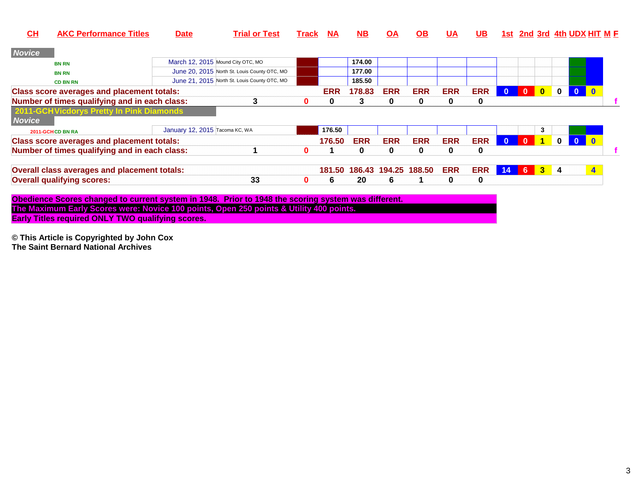| CH            | <b>AKC Performance Titles</b>                     | <b>Date</b>                    | <b>Trial or Test</b>                         | Track | <b>NA</b>  | <b>NB</b>  | <b>OA</b>  | <u>OB</u>            | UA         | <b>UB</b>  |              |                |                      |             |              | 1st 2nd 3rd 4th UDX HIT M E |
|---------------|---------------------------------------------------|--------------------------------|----------------------------------------------|-------|------------|------------|------------|----------------------|------------|------------|--------------|----------------|----------------------|-------------|--------------|-----------------------------|
| <b>Novice</b> |                                                   |                                |                                              |       |            |            |            |                      |            |            |              |                |                      |             |              |                             |
|               | <b>BN RN</b>                                      |                                | March 12, 2015 Mound City OTC, MO            |       |            | 174.00     |            |                      |            |            |              |                |                      |             |              |                             |
|               | <b>BN RN</b>                                      |                                | June 20, 2015 North St. Louis County OTC, MO |       |            | 177.00     |            |                      |            |            |              |                |                      |             |              |                             |
|               | <b>CD BN RN</b>                                   |                                | June 21, 2015 North St. Louis County OTC, MO |       |            | 185.50     |            |                      |            |            |              |                |                      |             |              |                             |
|               | <b>Class score averages and placement totals:</b> |                                |                                              |       | <b>ERR</b> | 178.83     | <b>ERR</b> | <b>ERR</b>           | <b>ERR</b> | <b>ERR</b> | $\mathbf{0}$ | $\mathbf{0}$   | $\mathbf{0}$         | $\mathbf 0$ | $\mathbf{0}$ | $\mathbf{0}$                |
|               | Number of times qualifying and in each class:     |                                | 3                                            | 0     | 0          | 3          | 0          | 0                    | 0          | 0          |              |                |                      |             |              |                             |
|               | 2011-GCH Vicdorys Pretty In Pink Diamonds         |                                |                                              |       |            |            |            |                      |            |            |              |                |                      |             |              |                             |
| <b>Novice</b> |                                                   |                                |                                              |       |            |            |            |                      |            |            |              |                |                      |             |              |                             |
|               | 2011-GCHCD BN RA                                  | January 12, 2015 Tacoma KC, WA |                                              |       | 176.50     |            |            |                      |            |            |              |                | 3                    |             |              |                             |
|               | <b>Class score averages and placement totals:</b> |                                |                                              |       | 176.50     | <b>ERR</b> | <b>ERR</b> | <b>ERR</b>           | <b>ERR</b> | <b>ERR</b> | $\mathbf{0}$ | $\mathbf{0}$   | $\blacktriangleleft$ | $\mathbf 0$ | $\mathbf{0}$ |                             |
|               | Number of times qualifying and in each class:     |                                |                                              | 0     |            | 0          | 0          | 0                    | 0          | 0          |              |                |                      |             |              |                             |
|               | Overall class averages and placement totals:      |                                |                                              |       | 181.50     |            |            | 186.43 194.25 188.50 | <b>ERR</b> | <b>ERR</b> | 14           | $6\phantom{1}$ | $3 \quad 4$          |             |              | $\overline{\mathbf{4}}$     |
|               | <b>Overall qualifying scores:</b>                 |                                | 33                                           | 0     | 6          | 20         | 6          |                      | 0          | 0          |              |                |                      |             |              |                             |
|               |                                                   |                                |                                              |       |            |            |            |                      |            |            |              |                |                      |             |              |                             |

Obedience Scores changed to current system in 1948. Prior to 1948 the scoring system was different.<br>The Maximum Early Scores were: Novice 100 points, Open 250 points & Utility 400 points.<br>Early Titles required ONLY TWO qu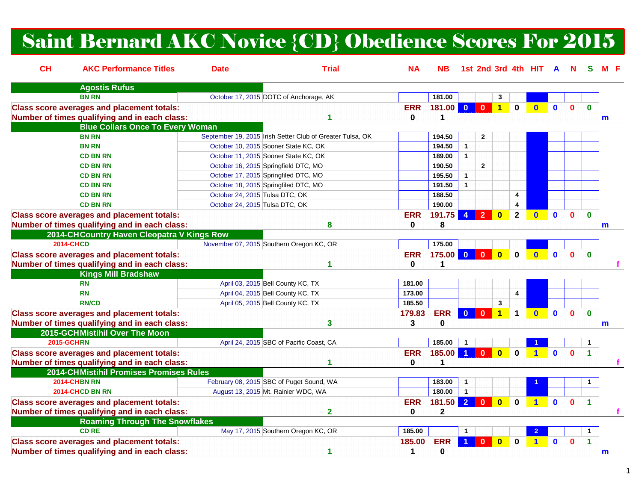# Saint Bernard AKC Novice {CD} Obedience Scores For 2015

| CH<br><b>AKC Performance Titles</b>               | <b>Date</b>                              | <b>Trial</b>                                              | ΝA         | NB.          |                         |                         |                         |                        | 1st 2nd 3rd 4th HIT A |              |              |                      |              |
|---------------------------------------------------|------------------------------------------|-----------------------------------------------------------|------------|--------------|-------------------------|-------------------------|-------------------------|------------------------|-----------------------|--------------|--------------|----------------------|--------------|
| <b>Agostis Rufus</b>                              |                                          |                                                           |            |              |                         |                         |                         |                        |                       |              |              |                      |              |
| <b>BN RN</b>                                      | October 17, 2015 DOTC of Anchorage, AK   |                                                           |            | 181.00       |                         |                         | 3                       |                        |                       |              |              |                      |              |
| <b>Class score averages and placement totals:</b> |                                          |                                                           | <b>ERR</b> | 181.00 0 0   |                         |                         | $\vert$ 1 $\vert$       | $\mathbf 0$            | $\bullet$             | $\mathbf{0}$ | $\mathbf{0}$ | $\mathbf{0}$         |              |
| Number of times qualifying and in each class:     |                                          | 1                                                         | 0          | 1            |                         |                         |                         |                        |                       |              |              |                      | m            |
| <b>Blue Collars Once To Every Woman</b>           |                                          |                                                           |            |              |                         |                         |                         |                        |                       |              |              |                      |              |
| <b>BN RN</b>                                      |                                          | September 19, 2015 Irish Setter Club of Greater Tulsa, OK |            | 194.50       |                         | $\mathbf{2}$            |                         |                        |                       |              |              |                      |              |
| <b>BN RN</b>                                      | October 10, 2015 Sooner State KC, OK     |                                                           |            | 194.50       | $\mathbf{1}$            |                         |                         |                        |                       |              |              |                      |              |
| <b>CD BN RN</b>                                   | October 11, 2015 Sooner State KC, OK     |                                                           |            | 189.00       | $\overline{1}$          |                         |                         |                        |                       |              |              |                      |              |
| <b>CD BN RN</b>                                   | October 16, 2015 Springfield DTC, MO     |                                                           |            | 190.50       |                         | $\overline{2}$          |                         |                        |                       |              |              |                      |              |
| <b>CD BN RN</b>                                   | October 17, 2015 Springfiled DTC, MO     |                                                           |            | 195.50       | $\overline{1}$          |                         |                         |                        |                       |              |              |                      |              |
| <b>CD BN RN</b>                                   | October 18, 2015 Springfiled DTC, MO     |                                                           |            | 191.50       | $\mathbf{1}$            |                         |                         |                        |                       |              |              |                      |              |
| <b>CD BN RN</b>                                   | October 24, 2015 Tulsa DTC, OK           |                                                           |            | 188.50       |                         |                         |                         | 4                      |                       |              |              |                      |              |
| <b>CD BN RN</b>                                   | October 24, 2015 Tulsa DTC, OK           |                                                           |            | 190.00       |                         |                         |                         | $\boldsymbol{\Lambda}$ |                       |              |              |                      |              |
| <b>Class score averages and placement totals:</b> |                                          |                                                           | <b>ERR</b> | 191.75       |                         | $\overline{2}$          | $\mathbf{0}$            | $\mathbf{2}$           | $\bf{0}$              | $\mathbf{0}$ |              | $\mathbf{0}$         |              |
| Number of times qualifying and in each class:     |                                          | 8                                                         | 0          | 8            |                         |                         |                         |                        |                       |              |              |                      | m            |
| 2014-CH Country Haven Cleopatra V Kings Row       |                                          |                                                           |            |              |                         |                         |                         |                        |                       |              |              |                      |              |
| <b>2014-CHCD</b>                                  | November 07, 2015 Southern Oregon KC, OR |                                                           |            | 175.00       |                         |                         |                         |                        |                       |              |              |                      |              |
| <b>Class score averages and placement totals:</b> |                                          |                                                           | <b>ERR</b> | 175.00       | $\overline{\mathbf{0}}$ | $\overline{\mathbf{0}}$ | $\overline{\mathbf{0}}$ | $\mathbf 0$            | $\bullet$             | $\mathbf{0}$ | $\mathbf{0}$ | $\mathbf{0}$         |              |
| Number of times qualifying and in each class:     |                                          |                                                           | 0          | 1            |                         |                         |                         |                        |                       |              |              |                      |              |
| <b>Kings Mill Bradshaw</b>                        |                                          |                                                           |            |              |                         |                         |                         |                        |                       |              |              |                      |              |
| <b>RN</b>                                         | April 03, 2015 Bell County KC, TX        |                                                           | 181.00     |              |                         |                         |                         |                        |                       |              |              |                      |              |
| <b>RN</b>                                         | April 04, 2015 Bell County KC, TX        |                                                           | 173.00     |              |                         |                         |                         | 4                      |                       |              |              |                      |              |
| <b>RN/CD</b>                                      | April 05, 2015 Bell County KC, TX        |                                                           | 185.50     |              |                         |                         | 3                       |                        |                       |              |              |                      |              |
| <b>Class score averages and placement totals:</b> |                                          |                                                           | 179.83     | <b>ERR</b>   | $\mathbf{0}$            | $\mathbf{0}$            | $\blacksquare$ 1        | $\mathbf 1$            | $\mathbf{0}$          |              |              | $\mathbf{0}$         |              |
| Number of times qualifying and in each class:     |                                          | 3                                                         | 3          | 0            |                         |                         |                         |                        |                       |              |              |                      | m            |
| 2015-GCHMistihil Over The Moon                    |                                          |                                                           |            |              |                         |                         |                         |                        |                       |              |              |                      |              |
| <b>2015-GCHRN</b>                                 |                                          | April 24, 2015 SBC of Pacific Coast, CA                   |            | 185.00       | $\overline{1}$          |                         |                         |                        |                       |              |              | $\mathbf{1}$         |              |
| <b>Class score averages and placement totals:</b> |                                          |                                                           | <b>ERR</b> | 185.00       | 1 <sup>1</sup>          | $\mathbf{0}$            | $\bullet$               | $\mathbf 0$            |                       | $\mathbf{0}$ |              |                      |              |
| Number of times qualifying and in each class:     |                                          |                                                           | 0          |              |                         |                         |                         |                        |                       |              |              |                      |              |
| 2014-CHMistihil Promises Promises Rules           |                                          |                                                           |            |              |                         |                         |                         |                        |                       |              |              |                      |              |
| <b>2014-CHBN RN</b>                               | February 08, 2015 SBC of Puget Sound, WA |                                                           |            | 183.00       | $\mathbf{1}$            |                         |                         |                        |                       |              |              |                      |              |
| 2014-CHCD BN RN                                   | August 13, 2015 Mt. Rainier WDC, WA      |                                                           |            | 180.00       | $\overline{1}$          |                         |                         |                        |                       |              |              |                      |              |
| <b>Class score averages and placement totals:</b> |                                          |                                                           | <b>ERR</b> | 181.50       | $\overline{2}$          | $\mathbf{0}$            | $\overline{\mathbf{0}}$ | $\mathbf 0$            | $\blacktriangleleft$  | $\mathbf{0}$ | $\Omega$     | $\blacktriangleleft$ |              |
| Number of times qualifying and in each class:     |                                          | $\overline{\mathbf{2}}$                                   | 0          | $\mathbf{2}$ |                         |                         |                         |                        |                       |              |              |                      |              |
| <b>Roaming Through The Snowflakes</b>             |                                          |                                                           |            |              |                         |                         |                         |                        |                       |              |              |                      |              |
| <b>CD RE</b>                                      |                                          | May 17, 2015 Southern Oregon KC, OR                       | 185.00     |              | $\mathbf{1}$            |                         |                         |                        |                       |              |              |                      |              |
| <b>Class score averages and placement totals:</b> |                                          |                                                           | 185.00     | <b>ERR</b>   |                         | $\mathbf{0}$            | $\bf{0}$                | $\bf{0}$               |                       | $\mathbf{0}$ | n            |                      |              |
| Number of times qualifying and in each class:     |                                          | 1                                                         | 1          | $\bf{0}$     |                         |                         |                         |                        |                       |              |              |                      | $\mathsf{m}$ |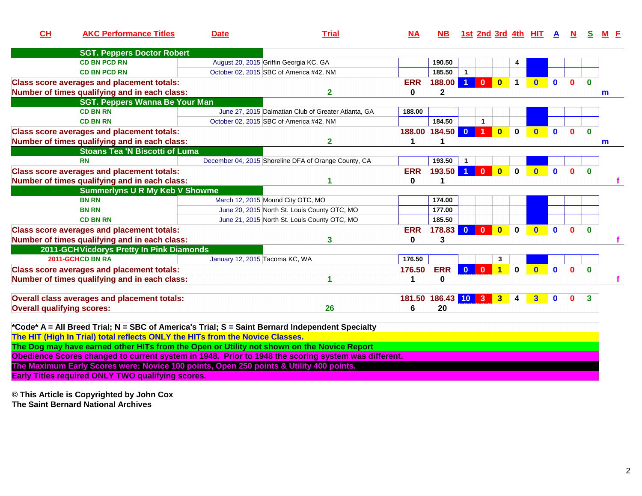| CL                                | <b>AKC Performance Titles</b>                                                                       | <b>Date</b>                             | <b>Trial</b>                                         | M          | <b>NB</b>          |                      | 1st 2nd 3rd 4th HIT A |                         |                      |              |              |              |              |   |
|-----------------------------------|-----------------------------------------------------------------------------------------------------|-----------------------------------------|------------------------------------------------------|------------|--------------------|----------------------|-----------------------|-------------------------|----------------------|--------------|--------------|--------------|--------------|---|
|                                   | <b>SGT. Peppers Doctor Robert</b>                                                                   |                                         |                                                      |            |                    |                      |                       |                         |                      |              |              |              |              |   |
|                                   | <b>CD BN PCD RN</b>                                                                                 | August 20, 2015 Griffin Georgia KC, GA  |                                                      |            | 190.50             |                      |                       |                         | 4                    |              |              |              |              |   |
|                                   | <b>CD BN PCD RN</b>                                                                                 | October 02, 2015 SBC of America #42, NM |                                                      |            | 185.50             | $\blacktriangleleft$ |                       |                         |                      |              |              |              |              |   |
|                                   | <b>Class score averages and placement totals:</b>                                                   |                                         |                                                      | <b>ERR</b> | 188.00             | $\blacktriangleleft$ | $\mathbf{0}$          | $\mathbf{0}$            | $\blacktriangleleft$ | $\mathbf{0}$ | $\mathbf{0}$ | $\bf{0}$     | $\bf{0}$     |   |
|                                   | Number of times qualifying and in each class:                                                       |                                         | 2                                                    | $\bf{0}$   | $\overline{2}$     |                      |                       |                         |                      |              |              |              |              | m |
|                                   | <b>SGT. Peppers Wanna Be Your Man</b>                                                               |                                         |                                                      |            |                    |                      |                       |                         |                      |              |              |              |              |   |
|                                   | <b>CD BN RN</b>                                                                                     |                                         | June 27, 2015 Dalmatian Club of Greater Atlanta, GA  | 188.00     |                    |                      |                       |                         |                      |              |              |              |              |   |
|                                   | <b>CD BN RN</b>                                                                                     | October 02, 2015 SBC of America #42, NM |                                                      |            | 184.50             |                      | $\blacktriangleleft$  |                         |                      |              |              |              |              |   |
|                                   | <b>Class score averages and placement totals:</b>                                                   |                                         |                                                      |            | 188.00 184.50      | $\overline{0}$       | 1                     | $\mathbf{0}$            | $\bf{0}$             |              | $\mathbf{0}$ | $\Omega$     | $\bf{0}$     |   |
|                                   | Number of times qualifying and in each class:                                                       |                                         | 2                                                    | 1          |                    |                      |                       |                         |                      |              |              |              |              | m |
|                                   | <b>Stoans Tea 'N Biscotti of Luma</b>                                                               |                                         |                                                      |            |                    |                      |                       |                         |                      |              |              |              |              |   |
|                                   | <b>RN</b>                                                                                           |                                         | December 04, 2015 Shoreline DFA of Orange County, CA |            | 193.50             |                      |                       |                         |                      |              |              |              |              |   |
|                                   | <b>Class score averages and placement totals:</b>                                                   |                                         |                                                      | <b>ERR</b> | 193.50             | $\blacktriangleleft$ | $\mathbf{0}$          | $\overline{\mathbf{0}}$ | $\mathbf{0}$         | $\mathbf{0}$ | $\mathbf 0$  | $\mathbf{0}$ | $\Omega$     |   |
|                                   | Number of times qualifying and in each class:                                                       |                                         |                                                      | 0          |                    |                      |                       |                         |                      |              |              |              |              |   |
|                                   | <b>Summerlyns U R My Keb V Showme</b>                                                               |                                         |                                                      |            |                    |                      |                       |                         |                      |              |              |              |              |   |
|                                   | <b>BN RN</b>                                                                                        | March 12, 2015 Mound City OTC, MO       |                                                      |            | 174.00             |                      |                       |                         |                      |              |              |              |              |   |
|                                   | <b>BN RN</b>                                                                                        |                                         | June 20, 2015 North St. Louis County OTC, MO         |            | 177.00             |                      |                       |                         |                      |              |              |              |              |   |
|                                   | <b>CD BN RN</b>                                                                                     |                                         | June 21, 2015 North St. Louis County OTC, MO         |            | 185.50             |                      |                       |                         |                      |              |              |              |              |   |
|                                   | <b>Class score averages and placement totals:</b>                                                   |                                         |                                                      | <b>ERR</b> | 178.83             | $\mathbf{0}$         | $\mathbf{0}$          | $\overline{\mathbf{0}}$ | $\bf{0}$             | $\mathbf{0}$ | $\mathbf{0}$ | $\Omega$     | $\Omega$     |   |
|                                   | Number of times qualifying and in each class:                                                       |                                         | 3                                                    | 0          | 3                  |                      |                       |                         |                      |              |              |              |              |   |
|                                   | 2011-GCH Vicdorys Pretty In Pink Diamonds                                                           |                                         |                                                      |            |                    |                      |                       |                         |                      |              |              |              |              |   |
|                                   | 2011-GCHCD BN RA                                                                                    | January 12, 2015 Tacoma KC, WA          |                                                      | 176.50     |                    |                      |                       | 3                       |                      |              |              |              |              |   |
|                                   | <b>Class score averages and placement totals:</b>                                                   |                                         |                                                      | 176.50     | <b>ERR</b>         | $\mathbf{0}$         | $\mathbf{0}$          | 4                       | $\mathbf{0}$         | $\mathbf{0}$ | $\mathbf{0}$ | $\Omega$     | $\mathbf{0}$ |   |
|                                   | Number of times qualifying and in each class:                                                       |                                         |                                                      | 1          | $\bf{0}$           |                      |                       |                         |                      |              |              |              |              |   |
|                                   |                                                                                                     |                                         |                                                      |            |                    |                      |                       |                         |                      |              |              |              |              |   |
|                                   | Overall class averages and placement totals:                                                        |                                         |                                                      |            | 181.50 186.43 10 3 |                      |                       | 3 <sup>1</sup>          | 4                    | 3            | $\mathbf{0}$ | 0            | 3            |   |
| <b>Overall qualifying scores:</b> |                                                                                                     |                                         | 26                                                   | 6          | 20                 |                      |                       |                         |                      |              |              |              |              |   |
|                                   |                                                                                                     |                                         |                                                      |            |                    |                      |                       |                         |                      |              |              |              |              |   |
|                                   | *Code* A = All Breed Trial; N = SBC of America's Trial; S = Saint Bernard Independent Specialty     |                                         |                                                      |            |                    |                      |                       |                         |                      |              |              |              |              |   |
|                                   | The HIT (High In Trial) total reflects ONLY the HITs from the Novice Classes.                       |                                         |                                                      |            |                    |                      |                       |                         |                      |              |              |              |              |   |
|                                   | The Dog may have earned other HITs from the Open or Utility not shown on the Novice Report          |                                         |                                                      |            |                    |                      |                       |                         |                      |              |              |              |              |   |
|                                   |                                                                                                     |                                         |                                                      |            |                    |                      |                       |                         |                      |              |              |              |              |   |
|                                   | Obedience Scores changed to current system in 1948. Prior to 1948 the scoring system was different. |                                         |                                                      |            |                    |                      |                       |                         |                      |              |              |              |              |   |

**The Maximum Early Scores were: Novice 100 points, Open 250 points & Utility 400 points. Early Titles required ONLY TWO qualifying scores.**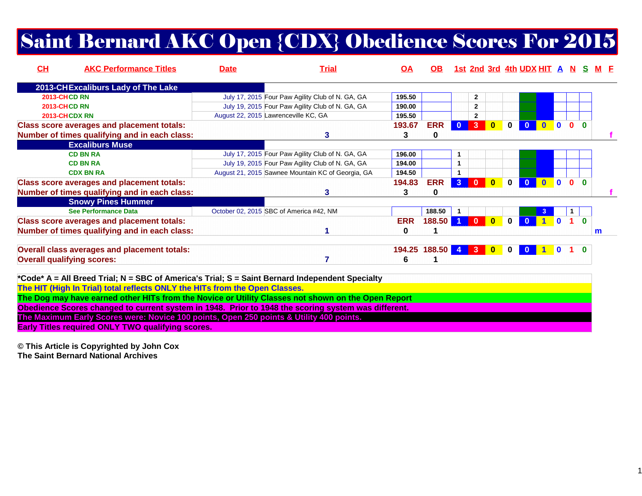# Saint Bernard AKC Open {CDX} Obedience Scores For 2015

| CH | <b>AKC Performance Titles</b>                                                                       | <b>Date</b> | <b>Trial</b>                                      | <u>OA</u>  | OB.             |                |              |              |             | 1st 2nd 3rd 4th UDX HIT A N S |              |              |          | M F |
|----|-----------------------------------------------------------------------------------------------------|-------------|---------------------------------------------------|------------|-----------------|----------------|--------------|--------------|-------------|-------------------------------|--------------|--------------|----------|-----|
|    | 2013-CHExcaliburs Lady of The Lake                                                                  |             |                                                   |            |                 |                |              |              |             |                               |              |              |          |     |
|    | <b>2013-CHCD RN</b>                                                                                 |             | July 17, 2015 Four Paw Agility Club of N. GA, GA  | 195.50     |                 |                | 2            |              |             |                               |              |              |          |     |
|    | <b>2013-CHCD RN</b>                                                                                 |             | July 19, 2015 Four Paw Agility Club of N. GA, GA  | 190.00     |                 |                | $\mathbf{2}$ |              |             |                               |              |              |          |     |
|    | 2013-CHCDX RN                                                                                       |             | August 22, 2015 Lawrenceville KC, GA              | 195.50     |                 |                | 2            |              |             |                               |              |              |          |     |
|    | <b>Class score averages and placement totals:</b>                                                   |             |                                                   | 193.67     | <b>ERR</b>      | $\mathbf{0}$   | 3            | $\mathbf{0}$ | $\bf{0}$    |                               | $\mathbf{0}$ | $\mathbf{0}$ | $\Omega$ |     |
|    | Number of times qualifying and in each class:                                                       |             | 3                                                 | 3          | 0               |                |              |              |             |                               |              |              |          |     |
|    | <b>Excaliburs Muse</b>                                                                              |             |                                                   |            |                 |                |              |              |             |                               |              |              |          |     |
|    | <b>CD BN RA</b>                                                                                     |             | July 17, 2015 Four Paw Agility Club of N. GA, GA  | 196.00     |                 |                |              |              |             |                               |              |              |          |     |
|    | <b>CD BN RA</b>                                                                                     |             | July 19, 2015 Four Paw Agility Club of N. GA, GA  | 194.00     |                 | 1              |              |              |             |                               |              |              |          |     |
|    | <b>CDX BN RA</b>                                                                                    |             | August 21, 2015 Sawnee Mountain KC of Georgia, GA | 194.50     |                 |                |              |              |             |                               |              |              |          |     |
|    | <b>Class score averages and placement totals:</b>                                                   |             |                                                   | 194.83     | <b>ERR</b>      | $\overline{3}$ | $\mathbf{0}$ | $\mathbf{0}$ | $\bf{0}$    |                               | $\Omega$     | $\Omega$     | 0        |     |
|    | Number of times qualifying and in each class:                                                       |             | 3                                                 | 3          | 0               |                |              |              |             |                               |              |              |          |     |
|    | <b>Snowy Pines Hummer</b>                                                                           |             |                                                   |            |                 |                |              |              |             |                               |              |              |          |     |
|    | See Performance Data                                                                                |             | October 02, 2015 SBC of America #42, NM           |            | 188.50          | $\mathbf{1}$   |              |              |             |                               |              |              |          |     |
|    | <b>Class score averages and placement totals:</b>                                                   |             |                                                   | <b>ERR</b> | 188.50          |                | $\mathbf{0}$ | $\bf{0}$     | 0           |                               | $\mathbf{0}$ |              | $\Omega$ |     |
|    | Number of times qualifying and in each class:                                                       |             |                                                   | 0          |                 |                |              |              |             |                               |              |              |          | m   |
|    |                                                                                                     |             |                                                   |            |                 |                |              |              |             |                               |              |              |          |     |
|    | <b>Overall class averages and placement totals:</b>                                                 |             |                                                   |            | 194.25 188.50 4 |                | 3            | $\bullet$    | $\mathbf 0$ |                               | $\Omega$     |              |          |     |
|    | <b>Overall qualifying scores:</b>                                                                   |             |                                                   | 6          |                 |                |              |              |             |                               |              |              |          |     |
|    |                                                                                                     |             |                                                   |            |                 |                |              |              |             |                               |              |              |          |     |
|    | *Code* A = All Breed Trial; N = SBC of America's Trial; S = Saint Bernard Independent Specialty     |             |                                                   |            |                 |                |              |              |             |                               |              |              |          |     |
|    | The HIT (High In Trial) total reflects ONLY the HITs from the Open Classes.                         |             |                                                   |            |                 |                |              |              |             |                               |              |              |          |     |
|    | The Dog may have earned other HITs from the Novice or Utility Classes not shown on the Open Report  |             |                                                   |            |                 |                |              |              |             |                               |              |              |          |     |
|    | Obedience Scores changed to current system in 1948. Prior to 1948 the scoring system was different. |             |                                                   |            |                 |                |              |              |             |                               |              |              |          |     |
|    |                                                                                                     |             |                                                   |            |                 |                |              |              |             |                               |              |              |          |     |

**The Maximum Early Scores were: Novice 100 points, Open 250 points & Utility 400 points.**

**Early Titles required ONLY TWO qualifying scores.**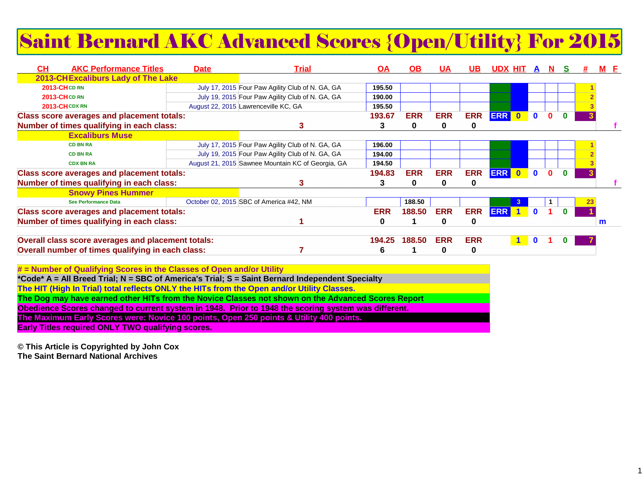# Saint Bernard AKC Advanced Scores {Open/Utility} For 2015

| CН<br><b>AKC Performance Titles</b>                | <b>Date</b> | <u>Trial</u>                                      | <b>OA</b>  | OB.        | UΑ         | UB.        | UDX HIT    |              | A              |              |          |   |
|----------------------------------------------------|-------------|---------------------------------------------------|------------|------------|------------|------------|------------|--------------|----------------|--------------|----------|---|
| 2013-CHExcaliburs Lady of The Lake                 |             |                                                   |            |            |            |            |            |              |                |              |          |   |
| 2013-CHCD RN                                       |             | July 17, 2015 Four Paw Agility Club of N. GA, GA  | 195.50     |            |            |            |            |              |                |              |          |   |
| <b>2013-CHCD RN</b>                                |             | July 19, 2015 Four Paw Agility Club of N. GA, GA  | 190.00     |            |            |            |            |              |                |              |          |   |
| 2013-CHCDXRN                                       |             | August 22, 2015 Lawrenceville KC, GA              | 195.50     |            |            |            |            |              |                |              |          |   |
| <b>Class score averages and placement totals:</b>  |             |                                                   | 193.67     | <b>ERR</b> | <b>ERR</b> | <b>ERR</b> | <b>ERR</b> | $\bullet$    | $\mathbf{0}$   |              |          |   |
| Number of times qualifying in each class:          |             |                                                   |            | 0          |            | 0          |            |              |                |              |          |   |
| <b>Excaliburs Muse</b>                             |             |                                                   |            |            |            |            |            |              |                |              |          |   |
| <b>CD BN RA</b>                                    |             | July 17, 2015 Four Paw Agility Club of N. GA, GA  | 196.00     |            |            |            |            |              |                |              |          |   |
| <b>CD BN RA</b>                                    |             | July 19, 2015 Four Paw Agility Club of N. GA, GA  | 194.00     |            |            |            |            |              |                |              |          |   |
| <b>CDX BN RA</b>                                   |             | August 21, 2015 Sawnee Mountain KC of Georgia, GA | 194.50     |            |            |            |            |              |                |              |          |   |
| <b>Class score averages and placement totals:</b>  |             |                                                   | 194.83     | <b>ERR</b> | <b>ERR</b> | <b>ERR</b> | <b>ERR</b> | $\bullet$    | $\blacksquare$ | $\mathbf{0}$ | $\Omega$ |   |
| Number of times qualifying in each class:          |             |                                                   |            | 0          |            | 0          |            |              |                |              |          |   |
| <b>Snowy Pines Hummer</b>                          |             |                                                   |            |            |            |            |            |              |                |              |          |   |
| <b>See Performance Data</b>                        |             | October 02, 2015 SBC of America #42, NM           |            | 188.50     |            |            |            |              |                |              |          |   |
| <b>Class score averages and placement totals:</b>  |             |                                                   | <b>ERR</b> | 188.50     | <b>ERR</b> | <b>ERR</b> | <b>ERR</b> | $\mathbf{1}$ | 0              |              |          |   |
| Number of times qualifying in each class:          |             |                                                   | 0          |            | 0          | 0          |            |              |                |              |          | m |
| Overall class score averages and placement totals: |             |                                                   | 194.25     | 188.50     | <b>ERR</b> | <b>ERR</b> |            |              | $\mathbf 0$    |              |          |   |
| Overall number of times qualifying in each class:  |             |                                                   |            |            |            | 0          |            |              |                |              |          |   |

| # = Number of Qualifying Scores in the Classes of Open and/or Utility                               |
|-----------------------------------------------------------------------------------------------------|
| *Code* A = All Breed Trial; N = SBC of America's Trial; S = Saint Bernard Independent Specialty     |
| The HIT (High In Trial) total reflects ONLY the HITs from the Open and/or Utility Classes.          |
| The Dog may have earned other HITs from the Novice Classes not shown on the Advanced Scores Report  |
| Obedience Scores changed to current system in 1948. Prior to 1948 the scoring system was different. |
| The Maximum Early Scores were: Novice 100 points, Open 250 points & Utility 400 points.             |
| <b>Early Titles required ONLY TWO qualifying scores.</b>                                            |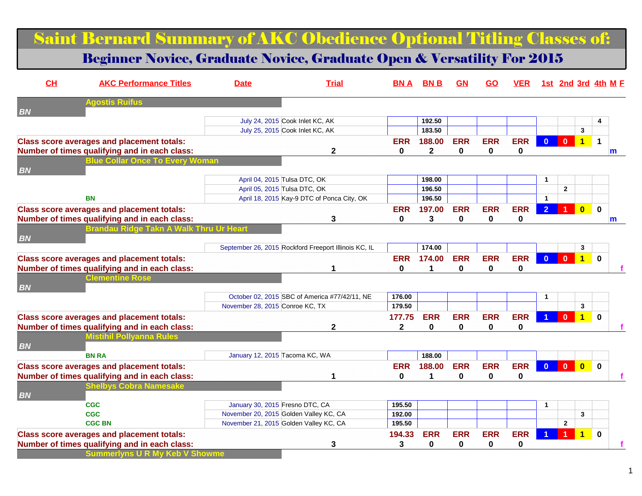## Saint Bernard Summary of AKC Obedience Optional Titling Classes of:

#### Beginner Novice, Graduate Novice, Graduate Open & Versatility For 2015

| CH        | <b>AKC Performance Titles</b>                     | <b>Date</b>                            | <b>Trial</b>                                         | BN A         | <b>BNB</b>   | <u>GN</u>    | <u>GO</u>   | <b>VER</b>   |                |                |                | 1st 2nd 3rd 4th M E  |
|-----------|---------------------------------------------------|----------------------------------------|------------------------------------------------------|--------------|--------------|--------------|-------------|--------------|----------------|----------------|----------------|----------------------|
| <b>BN</b> | <b>Agostis Ruifus</b>                             |                                        |                                                      |              |              |              |             |              |                |                |                |                      |
|           |                                                   | July 24, 2015 Cook Inlet KC, AK        |                                                      |              | 192.50       |              |             |              |                |                |                |                      |
|           |                                                   | July 25, 2015 Cook Inlet KC, AK        |                                                      |              | 183.50       |              |             |              |                |                | 3              |                      |
|           | <b>Class score averages and placement totals:</b> |                                        |                                                      | <b>ERR</b>   | 188.00       | <b>ERR</b>   | <b>ERR</b>  | <b>ERR</b>   | $\Omega$       | $\mathbf{0}$   | $\overline{1}$ | $\blacktriangleleft$ |
|           | Number of times qualifying and in each class:     |                                        | $\mathbf 2$                                          | $\bf{0}$     | $\mathbf{2}$ | $\bf{0}$     | $\mathbf 0$ | $\mathbf{0}$ |                |                |                | m                    |
| <b>BN</b> | <b>Blue Collar Once To Every Woman</b>            |                                        |                                                      |              |              |              |             |              |                |                |                |                      |
|           |                                                   | April 04, 2015 Tulsa DTC, OK           |                                                      |              | 198.00       |              |             |              | $\mathbf{1}$   |                |                |                      |
|           |                                                   | April 05, 2015 Tulsa DTC, OK           |                                                      |              | 196.50       |              |             |              |                | $\mathbf{2}$   |                |                      |
|           | <b>BN</b>                                         |                                        | April 18, 2015 Kay-9 DTC of Ponca City, OK           |              | 196.50       |              |             |              | $\mathbf{1}$   |                |                |                      |
|           | <b>Class score averages and placement totals:</b> |                                        |                                                      | <b>ERR</b>   | 197.00       | <b>ERR</b>   | <b>ERR</b>  | <b>ERR</b>   | $\overline{2}$ |                | $\mathbf{0}$   | $\mathbf{0}$         |
|           | Number of times qualifying and in each class:     |                                        | 3                                                    | 0            | 3            | 0            | 0           | 0            |                |                |                | m                    |
|           | Brandau Ridge Tal                                 |                                        |                                                      |              |              |              |             |              |                |                |                |                      |
| <b>BN</b> |                                                   |                                        |                                                      |              |              |              |             |              |                |                |                |                      |
|           |                                                   |                                        | September 26, 2015 Rockford Freeport Illinois KC, IL |              | 174.00       |              |             |              |                |                | 3              |                      |
|           | <b>Class score averages and placement totals:</b> |                                        |                                                      | <b>ERR</b>   | 174.00       | <b>ERR</b>   | <b>ERR</b>  | <b>ERR</b>   | $\overline{0}$ | $\mathbf{0}$   | $\overline{1}$ | $\bf{0}$             |
|           | Number of times qualifying and in each class:     |                                        |                                                      | $\bf{0}$     | 1            | $\bf{0}$     | $\mathbf 0$ | 0            |                |                |                |                      |
|           | <b>Clementine Rose</b>                            |                                        |                                                      |              |              |              |             |              |                |                |                |                      |
| <b>BN</b> |                                                   |                                        |                                                      |              |              |              |             |              |                |                |                |                      |
|           |                                                   |                                        | October 02, 2015 SBC of America #77/42/11, NE        | 176.00       |              |              |             |              |                |                |                |                      |
|           |                                                   | November 28, 2015 Conroe KC, TX        |                                                      | 179.50       |              |              |             |              |                |                | 3              |                      |
|           | <b>Class score averages and placement totals:</b> |                                        |                                                      | 177.75       | <b>ERR</b>   | <b>ERR</b>   | <b>ERR</b>  | <b>ERR</b>   |                | $\mathbf{0}$   | $\clubsuit$    | $\bf{0}$             |
|           | Number of times qualifying and in each class:     |                                        | $\mathbf 2$                                          | $\mathbf{2}$ | 0            | 0            | 0           | 0            |                |                |                |                      |
|           | listihil Pollvanna Rules                          |                                        |                                                      |              |              |              |             |              |                |                |                |                      |
| <b>BN</b> |                                                   |                                        |                                                      |              |              |              |             |              |                |                |                |                      |
|           | <b>BN RA</b>                                      | January 12, 2015 Tacoma KC, WA         |                                                      |              | 188.00       |              |             |              |                |                |                |                      |
|           | <b>Class score averages and placement totals:</b> |                                        |                                                      | <b>ERR</b>   | 188.00       | <b>ERR</b>   | <b>ERR</b>  | <b>ERR</b>   | $\overline{0}$ | $\bullet$      | $\bullet$      | $\Omega$             |
|           | Number of times qualifying and in each class:     |                                        |                                                      | $\bf{0}$     | 1            | $\mathbf{0}$ | $\bf{0}$    | $\mathbf{0}$ |                |                |                |                      |
|           | ihelbvs Cobra Namesake                            |                                        |                                                      |              |              |              |             |              |                |                |                |                      |
| <b>BN</b> |                                                   |                                        |                                                      |              |              |              |             |              |                |                |                |                      |
|           | <b>CGC</b>                                        | January 30, 2015 Fresno DTC, CA        |                                                      | 195.50       |              |              |             |              | $\mathbf{1}$   |                |                |                      |
|           | <b>CGC</b>                                        | November 20, 2015 Golden Valley KC, CA |                                                      | 192.00       |              |              |             |              |                |                | 3              |                      |
|           | <b>CGC BN</b>                                     | November 21, 2015 Golden Valley KC, CA |                                                      | 195.50       |              |              |             |              |                | $\overline{2}$ |                |                      |
|           | <b>Class score averages and placement totals:</b> |                                        |                                                      | 194.33       | <b>ERR</b>   | <b>ERR</b>   | <b>ERR</b>  | <b>ERR</b>   |                |                |                | $\mathbf{0}$         |
|           | Number of times qualifying and in each class:     |                                        | 3                                                    | 3            | 0            | 0            | 0           | 0            |                |                |                |                      |
|           | <b>Summerlyns U R My Keb V Showme</b>             |                                        |                                                      |              |              |              |             |              |                |                |                |                      |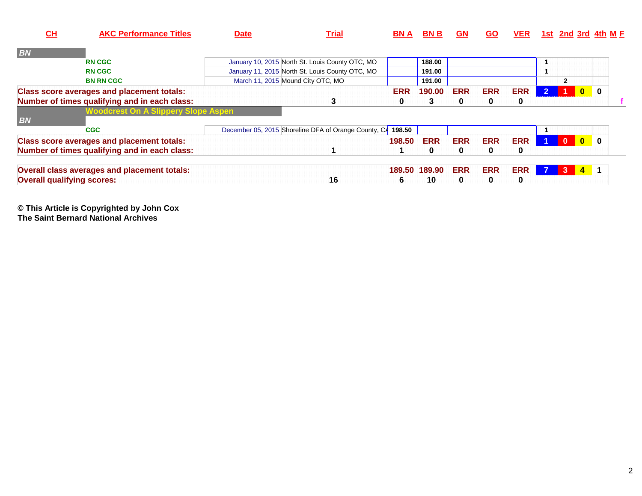| $CH$                              | <b>AKC Performance Titles</b>                     | <b>Date</b> | <b>Trial</b>                                         | <b>BNA</b> | <b>BNB</b>  | <b>GN</b>  | <b>GO</b>  | <b>VER</b> |            |                |                         | $1st$ 2nd 3rd 4th M $F$ |
|-----------------------------------|---------------------------------------------------|-------------|------------------------------------------------------|------------|-------------|------------|------------|------------|------------|----------------|-------------------------|-------------------------|
| <b>BN</b>                         |                                                   |             |                                                      |            |             |            |            |            |            |                |                         |                         |
|                                   | <b>RN CGC</b>                                     |             | January 10, 2015 North St. Louis County OTC, MO      |            | 188.00      |            |            |            |            |                |                         |                         |
|                                   | <b>RN CGC</b>                                     |             | January 11, 2015 North St. Louis County OTC, MO      |            | 191.00      |            |            |            |            |                |                         |                         |
|                                   | <b>BN RN CGC</b>                                  |             | March 11, 2015 Mound City OTC, MO                    |            | 191.00      |            |            |            |            | $\overline{2}$ |                         |                         |
|                                   | <b>Class score averages and placement totals:</b> |             |                                                      | <b>ERR</b> | 190.00      | <b>ERR</b> | <b>ERR</b> | <b>ERR</b> | $\sqrt{2}$ |                | $\mathbf{0}$            | $\mathbf 0$             |
|                                   | Number of times qualifying and in each class:     |             | 3                                                    | 0          | 3           | $\bf{0}$   | 0          | 0          |            |                |                         |                         |
|                                   | <b>Woodcrest On A Slippery Slope Aspen</b>        |             |                                                      |            |             |            |            |            |            |                |                         |                         |
| <b>BN</b>                         |                                                   |             |                                                      |            |             |            |            |            |            |                |                         |                         |
|                                   | <b>CGC</b>                                        |             | December 05, 2015 Shoreline DFA of Orange County, CA | 198.50     |             |            |            |            |            |                |                         |                         |
|                                   | <b>Class score averages and placement totals:</b> |             |                                                      | 198.50     | <b>ERR</b>  | <b>ERR</b> | <b>ERR</b> | <b>ERR</b> |            | $\mathbf{0}$   | $\overline{\mathbf{0}}$ | $\mathbf{0}$            |
|                                   | Number of times qualifying and in each class:     |             |                                                      |            | $\mathbf 0$ | $\bf{0}$   | 0          | 0          |            |                |                         |                         |
|                                   | Overall class averages and placement totals:      |             |                                                      | 189.50     | 189.90      | <b>ERR</b> | <b>ERR</b> | <b>ERR</b> |            | 3              | $\overline{4}$          | -1                      |
| <b>Overall qualifying scores:</b> |                                                   |             | 16                                                   | b          | 10          | $\bf{0}$   | 0          | 0          |            |                |                         |                         |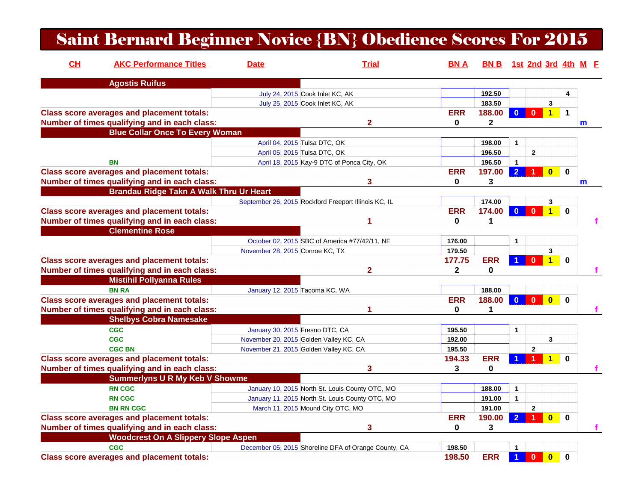## Saint Bernard Beginner Novice {BN} Obedience Scores For 2015

| CH | <b>AKC Performance Titles</b>                     | <b>Date</b>                     | <b>Trial</b>                                         | <b>BNA</b>   | BN B 1st 2nd 3rd 4th M F |                      |                |                         |                         |              |
|----|---------------------------------------------------|---------------------------------|------------------------------------------------------|--------------|--------------------------|----------------------|----------------|-------------------------|-------------------------|--------------|
|    | <b>Agostis Ruifus</b>                             |                                 |                                                      |              |                          |                      |                |                         |                         |              |
|    |                                                   |                                 | July 24, 2015 Cook Inlet KC, AK                      |              | 192.50                   |                      |                |                         | 4                       |              |
|    |                                                   |                                 | July 25, 2015 Cook Inlet KC, AK                      |              | 183.50                   |                      |                | 3                       |                         |              |
|    | <b>Class score averages and placement totals:</b> |                                 |                                                      | <b>ERR</b>   | 188.00                   | $\mathbf{0}$         | $\bf{0}$       | $\mathbf 1$             | $\overline{\mathbf{1}}$ |              |
|    | Number of times qualifying and in each class:     |                                 | $\mathbf{2}$                                         | 0            | 2                        |                      |                |                         |                         | m            |
|    | <b>Blue Collar Once To Every Woman</b>            |                                 |                                                      |              |                          |                      |                |                         |                         |              |
|    |                                                   |                                 | April 04, 2015 Tulsa DTC, OK                         |              | 198.00                   | $\mathbf{1}$         |                |                         |                         |              |
|    |                                                   |                                 | April 05, 2015 Tulsa DTC, OK                         |              | 196.50                   |                      | $\overline{2}$ |                         |                         |              |
|    | BN                                                |                                 | April 18, 2015 Kay-9 DTC of Ponca City, OK           |              | 196.50                   | $\mathbf{1}$         |                |                         |                         |              |
|    | <b>Class score averages and placement totals:</b> |                                 |                                                      | <b>ERR</b>   | 197.00                   | $\overline{2}$       |                | $\overline{0}$          | $\mathbf 0$             |              |
|    | Number of times qualifying and in each class:     |                                 | 3                                                    | $\mathbf{0}$ | 3                        |                      |                |                         |                         | $\mathbf{m}$ |
|    | <b>Brandau Ridge Takn A Walk Thru Ur Heart</b>    |                                 |                                                      |              |                          |                      |                |                         |                         |              |
|    |                                                   |                                 | September 26, 2015 Rockford Freeport Illinois KC, IL |              | 174.00                   |                      |                | 3                       |                         |              |
|    | <b>Class score averages and placement totals:</b> |                                 |                                                      | <b>ERR</b>   | 174.00                   | $\mathbf{0}$         | $\mathbf{0}$   |                         | $1 \quad 0$             |              |
|    | Number of times qualifying and in each class:     |                                 | 1                                                    | 0            | 1                        |                      |                |                         |                         |              |
|    | <b>Clementine Rose</b>                            |                                 |                                                      |              |                          |                      |                |                         |                         |              |
|    |                                                   |                                 | October 02, 2015 SBC of America #77/42/11, NE        | 176.00       |                          | $\mathbf{1}$         |                |                         |                         |              |
|    |                                                   | November 28, 2015 Conroe KC, TX |                                                      | 179.50       |                          |                      |                | $\mathbf{3}$            |                         |              |
|    | <b>Class score averages and placement totals:</b> |                                 |                                                      | 177.75       | <b>ERR</b>               | 1                    | $\mathbf{0}$   | $\overline{1}$          | $\mathbf{0}$            |              |
|    | Number of times qualifying and in each class:     |                                 | $\mathbf{2}$                                         | $\mathbf{2}$ | 0                        |                      |                |                         |                         |              |
|    | <b>Mistihil Pollyanna Rules</b>                   |                                 |                                                      |              |                          |                      |                |                         |                         |              |
|    | <b>BN RA</b>                                      | January 12, 2015 Tacoma KC, WA  |                                                      |              | 188.00                   |                      |                |                         |                         |              |
|    | <b>Class score averages and placement totals:</b> |                                 |                                                      | <b>ERR</b>   | 188.00                   | $\Omega$             | $\mathbf{0}$   | $\overline{0}$          | $\mathbf{0}$            |              |
|    | Number of times qualifying and in each class:     |                                 |                                                      | $\bf{0}$     | 1                        |                      |                |                         |                         |              |
|    | <b>Shelbys Cobra Namesake</b>                     |                                 |                                                      |              |                          |                      |                |                         |                         |              |
|    | <b>CGC</b>                                        | January 30, 2015 Fresno DTC, CA |                                                      | 195.50       |                          | $\mathbf{1}$         |                |                         |                         |              |
|    | <b>CGC</b>                                        |                                 | November 20, 2015 Golden Valley KC, CA               | 192.00       |                          |                      |                | $\mathbf{3}$            |                         |              |
|    | <b>CGC BN</b>                                     |                                 | November 21, 2015 Golden Valley KC, CA               | 195.50       |                          |                      | $\mathbf{2}$   |                         |                         |              |
|    | <b>Class score averages and placement totals:</b> |                                 |                                                      | 194.33       | <b>ERR</b>               |                      |                |                         | $\bf{0}$                |              |
|    | Number of times qualifying and in each class:     |                                 | 3                                                    | 3            | $\bf{0}$                 |                      |                |                         |                         |              |
|    | <b>Summerlyns U R My Keb V Showme</b>             |                                 |                                                      |              |                          |                      |                |                         |                         |              |
|    | <b>RN CGC</b>                                     |                                 | January 10, 2015 North St. Louis County OTC, MO      |              | 188.00                   | $\mathbf{1}$         |                |                         |                         |              |
|    | <b>RN CGC</b>                                     |                                 | January 11, 2015 North St. Louis County OTC, MO      |              | 191.00                   | $\mathbf{1}$         |                |                         |                         |              |
|    | <b>BN RN CGC</b>                                  |                                 | March 11, 2015 Mound City OTC, MO                    |              | 191.00                   |                      | $\mathbf{2}$   |                         |                         |              |
|    | <b>Class score averages and placement totals:</b> |                                 |                                                      | <b>ERR</b>   | 190.00                   | $\overline{2}$       |                | $\bf{0}$                | $\bf{0}$                |              |
|    | Number of times qualifying and in each class:     |                                 | 3                                                    | 0            | 3                        |                      |                |                         |                         |              |
|    | <b>Woodcrest On A Slippery Slope Aspen</b>        |                                 |                                                      |              |                          |                      |                |                         |                         |              |
|    | <b>CGC</b>                                        |                                 | December 05, 2015 Shoreline DFA of Orange County, CA | 198.50       |                          | $\mathbf{1}$         |                |                         |                         |              |
|    |                                                   |                                 |                                                      | 198.50       | <b>ERR</b>               |                      | $\mathbf{0}$   | $\overline{\mathbf{0}}$ |                         |              |
|    | <b>Class score averages and placement totals:</b> |                                 |                                                      |              |                          | $\blacktriangleleft$ |                |                         | $\mathbf 0$             |              |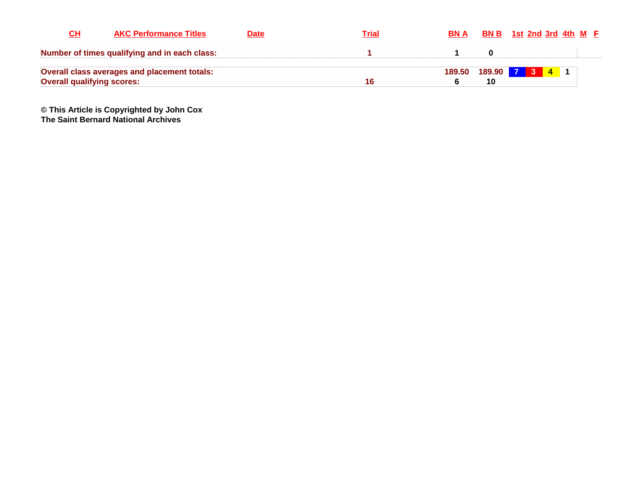| CН                                | <b>AKC Performance Titles</b>                 | <b>Date</b> | Trial | <b>BN A</b> |              | <b>BN B</b> 1st 2nd 3rd 4th $M$ <b>F</b> |  |  |
|-----------------------------------|-----------------------------------------------|-------------|-------|-------------|--------------|------------------------------------------|--|--|
|                                   | Number of times qualifying and in each class: |             |       |             |              |                                          |  |  |
|                                   | Overall class averages and placement totals:  |             |       | 189.50      | 189.90 7 3 4 |                                          |  |  |
| <b>Overall qualifying scores:</b> |                                               |             |       |             |              |                                          |  |  |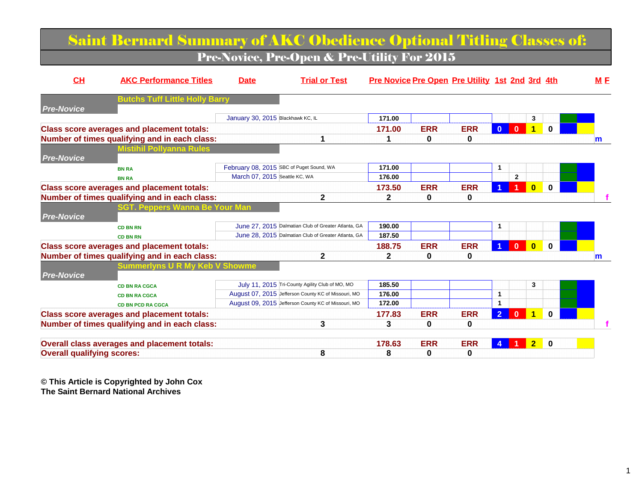### Saint Bernard Summary of AKC Obedience Optional Titling Classes of:Pre-Novice, Pre-Open & Pre-Utility For 2015

| CL                                | <b>AKC Performance Titles</b>                       | <b>Date</b>                       | <b>Trial or Test</b>                                |              |            | Pre Novice Pre Open Pre Utility 1st 2nd 3rd 4th |                      |              |                      |             | M E |
|-----------------------------------|-----------------------------------------------------|-----------------------------------|-----------------------------------------------------|--------------|------------|-------------------------------------------------|----------------------|--------------|----------------------|-------------|-----|
|                                   | <b>Butchs Tuff Little Holly Barry</b>               |                                   |                                                     |              |            |                                                 |                      |              |                      |             |     |
| <b>Pre-Novice</b>                 |                                                     | January 30, 2015 Blackhawk KC, IL |                                                     | 171.00       |            |                                                 |                      |              | 3                    |             |     |
|                                   | <b>Class score averages and placement totals:</b>   |                                   |                                                     | 171.00       | <b>ERR</b> | <b>ERR</b>                                      | $\mathbf{0}$         | $\mathbf{0}$ | $\blacktriangleleft$ | $\Omega$    |     |
|                                   | Number of times qualifying and in each class:       |                                   |                                                     |              | 0          | 0                                               |                      |              |                      |             |     |
|                                   | <b>Mistihil Pollyanna Rules</b>                     |                                   |                                                     |              |            |                                                 |                      |              |                      |             | m   |
| <b>Pre-Novice</b>                 |                                                     |                                   |                                                     |              |            |                                                 |                      |              |                      |             |     |
|                                   | <b>BN RA</b>                                        |                                   | February 08, 2015 SBC of Puget Sound, WA            | 171.00       |            |                                                 | $\mathbf{1}$         |              |                      |             |     |
|                                   | <b>BN RA</b>                                        | March 07, 2015 Seattle KC, WA     |                                                     | 176.00       |            |                                                 |                      | $\mathbf{2}$ |                      |             |     |
|                                   | <b>Class score averages and placement totals:</b>   |                                   |                                                     | 173.50       | <b>ERR</b> | <b>ERR</b>                                      |                      |              | $\mathbf{0}$         | $\bf{0}$    |     |
|                                   | Number of times qualifying and in each class:       |                                   | $\mathbf{2}$                                        | $\mathbf{2}$ | 0          | 0                                               |                      |              |                      |             |     |
|                                   | SGT. Peppers Wanna Be Your Man                      |                                   |                                                     |              |            |                                                 |                      |              |                      |             |     |
| <b>Pre-Novice</b>                 |                                                     |                                   |                                                     |              |            |                                                 |                      |              |                      |             |     |
|                                   | <b>CD BN RN</b>                                     |                                   | June 27, 2015 Dalmatian Club of Greater Atlanta, GA | 190.00       |            |                                                 | $\mathbf{1}$         |              |                      |             |     |
|                                   | <b>CD BN RN</b>                                     |                                   | June 28, 2015 Dalmatian Club of Greater Atlanta, GA | 187.50       |            |                                                 |                      |              |                      |             |     |
|                                   | <b>Class score averages and placement totals:</b>   |                                   |                                                     | 188.75       | <b>ERR</b> | <b>ERR</b>                                      | $\blacktriangleleft$ | $\mathbf{0}$ | $\mathbf{0}$         | $\Omega$    |     |
|                                   | Number of times qualifying and in each class:       |                                   | $\mathbf{2}$                                        | $\mathbf{2}$ | 0          | 0                                               |                      |              |                      |             | m   |
|                                   | <b>Summerlyns U R My Keb V Showme</b>               |                                   |                                                     |              |            |                                                 |                      |              |                      |             |     |
| <b>Pre-Novice</b>                 |                                                     |                                   |                                                     |              |            |                                                 |                      |              |                      |             |     |
|                                   | <b>CD BN RA CGCA</b>                                |                                   | July 11, 2015 Tri-County Agility Club of MO, MO     | 185.50       |            |                                                 |                      |              | 3                    |             |     |
|                                   | <b>CD BN RA CGCA</b>                                |                                   | August 07, 2015 Jefferson County KC of Missouri, MO | 176.00       |            |                                                 | 1                    |              |                      |             |     |
|                                   | <b>CD BN PCD RA CGCA</b>                            |                                   | August 09, 2015 Jefferson County KC of Missouri, MO | 172.00       |            |                                                 | $\mathbf{1}$         |              |                      |             |     |
|                                   | <b>Class score averages and placement totals:</b>   |                                   |                                                     | 177.83       | <b>ERR</b> | <b>ERR</b>                                      | $\overline{2}$       | $\mathbf{0}$ | $\blacktriangleleft$ | $\Omega$    |     |
|                                   | Number of times qualifying and in each class:       |                                   | 3                                                   | 3            | 0          | 0                                               |                      |              |                      |             |     |
|                                   |                                                     |                                   |                                                     |              |            |                                                 |                      |              |                      |             |     |
|                                   | <b>Overall class averages and placement totals:</b> |                                   |                                                     | 178.63       | <b>ERR</b> | <b>ERR</b>                                      | 4                    |              | $\bullet$            | $\mathbf 0$ |     |
| <b>Overall qualifying scores:</b> |                                                     |                                   | 8                                                   | 8            | 0          | 0                                               |                      |              |                      |             |     |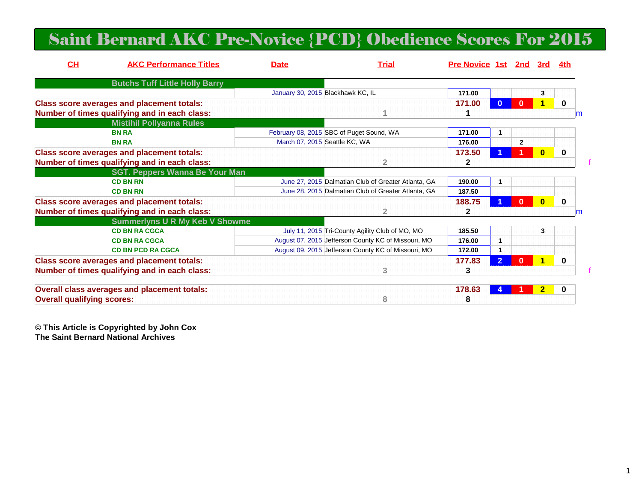## Saint Bernard AKC Pre-Novice {PCD} Obedience Scores For 2015

| CH                                | <b>AKC Performance Titles</b>                     | <b>Date</b>                       | <b>Trial</b>                                        | Pre Novice 1st 2nd 3rd |              |              |              | 4th      |   |
|-----------------------------------|---------------------------------------------------|-----------------------------------|-----------------------------------------------------|------------------------|--------------|--------------|--------------|----------|---|
|                                   | <b>Butchs Tuff Little Holly Barry</b>             |                                   |                                                     |                        |              |              |              |          |   |
|                                   |                                                   | January 30, 2015 Blackhawk KC, IL |                                                     | 171.00                 |              |              | 3            |          |   |
|                                   | <b>Class score averages and placement totals:</b> |                                   |                                                     | 171.00                 |              |              |              | $\bf{0}$ |   |
|                                   | Number of times qualifying and in each class:     |                                   |                                                     |                        |              |              |              |          | m |
|                                   | <b>Mistihil Pollyanna Rules</b>                   |                                   |                                                     |                        |              |              |              |          |   |
|                                   | <b>BN RA</b>                                      |                                   | February 08, 2015 SBC of Puget Sound, WA            | 171.00                 | $\mathbf{1}$ |              |              |          |   |
|                                   | <b>BN RA</b>                                      | March 07, 2015 Seattle KC, WA     |                                                     | 176.00                 |              | $\mathbf{2}$ |              |          |   |
|                                   | <b>Class score averages and placement totals:</b> |                                   |                                                     | 173.50                 |              |              | $\mathbf{0}$ | $\bf{0}$ |   |
|                                   | Number of times qualifying and in each class:     |                                   | $\overline{2}$                                      | $\mathbf{2}$           |              |              |              |          |   |
|                                   | <b>SGT. Peppers Wanna Be Your Man</b>             |                                   |                                                     |                        |              |              |              |          |   |
|                                   | <b>CD BN RN</b>                                   |                                   | June 27, 2015 Dalmatian Club of Greater Atlanta, GA | 190.00                 | 1            |              |              |          |   |
|                                   | <b>CD BN RN</b>                                   |                                   | June 28, 2015 Dalmatian Club of Greater Atlanta, GA | 187.50                 |              |              |              |          |   |
|                                   | <b>Class score averages and placement totals:</b> |                                   |                                                     | 188.75                 |              | O            | $\bf{0}$     | 0        |   |
|                                   | Number of times qualifying and in each class:     |                                   | $\overline{2}$                                      | $\mathbf{2}$           |              |              |              |          | m |
|                                   | <b>Summerlyns U R My Keb V Showme</b>             |                                   |                                                     |                        |              |              |              |          |   |
|                                   | <b>CD BN RA CGCA</b>                              |                                   | July 11, 2015 Tri-County Agility Club of MO, MO     | 185.50                 |              |              | 3            |          |   |
|                                   | <b>CD BN RA CGCA</b>                              |                                   | August 07, 2015 Jefferson County KC of Missouri, MO | 176.00                 | -1           |              |              |          |   |
|                                   | <b>CD BN PCD RA CGCA</b>                          |                                   | August 09, 2015 Jefferson County KC of Missouri, MO | 172.00                 | -1           |              |              |          |   |
|                                   | <b>Class score averages and placement totals:</b> |                                   |                                                     | 177.83                 |              |              |              | 0        |   |
|                                   | Number of times qualifying and in each class:     |                                   | 3                                                   | 3                      |              |              |              |          |   |
|                                   | Overall class averages and placement totals:      |                                   |                                                     | 178.63                 |              |              | 2            | 0        |   |
| <b>Overall qualifying scores:</b> |                                                   |                                   | 8                                                   | 8                      |              |              |              |          |   |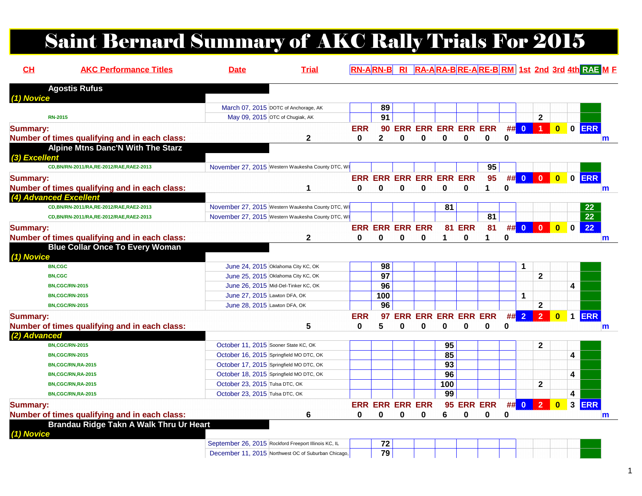# Saint Bernard Summary of AKC Rally Trials For 2015

| CH              | <b>AKC Performance Titles</b>                           | <b>Date</b>                                                              | <b>Trial</b> |              | <b>RN-ARN-B</b>             |             |                        |                                |               |                               |             |              |                  |                         |             | RI RA-ARA-BRE-ARE-BRM 1st 2nd 3rd 4th RAE M E |
|-----------------|---------------------------------------------------------|--------------------------------------------------------------------------|--------------|--------------|-----------------------------|-------------|------------------------|--------------------------------|---------------|-------------------------------|-------------|--------------|------------------|-------------------------|-------------|-----------------------------------------------|
|                 | <b>Agostis Rufus</b>                                    |                                                                          |              |              |                             |             |                        |                                |               |                               |             |              |                  |                         |             |                                               |
| (1) Novice      |                                                         | March 07, 2015 DOTC of Anchorage, AK                                     |              |              | 89                          |             |                        |                                |               |                               |             |              |                  |                         |             |                                               |
|                 | <b>RN-2015</b>                                          | May 09, 2015 OTC of Chugiak, AK                                          |              |              | $\overline{91}$             |             |                        |                                |               |                               |             |              | $\mathbf{2}$     |                         |             |                                               |
|                 |                                                         |                                                                          |              |              |                             |             |                        |                                |               |                               |             |              | $\blacksquare$ 1 |                         |             |                                               |
| <b>Summary:</b> |                                                         |                                                                          |              | <b>ERR</b>   |                             |             |                        |                                |               | <b>90 ERR ERR ERR ERR ERR</b> |             | ## 0         |                  | $\bullet$               |             | $0$ ERR                                       |
|                 | Number of times qualifying and in each class:           |                                                                          | $\mathbf{2}$ | 0            | $\mathbf{2}$                | $\bf{0}$    | 0                      | 0                              | 0             | 0                             | 0           |              |                  |                         |             | $\mathsf{m}$                                  |
| (3) Excellent   | Alpine Mtns Danc'N With The Starz                       |                                                                          |              |              |                             |             |                        |                                |               |                               |             |              |                  |                         |             |                                               |
|                 | CD, BN/RN-2011/RA, RE-2012/RAE, RAE2-2013               | November 27, 2015 Western Waukesha County DTC, WI                        |              |              |                             |             |                        |                                |               | 95                            |             |              |                  |                         |             |                                               |
| <b>Summary:</b> |                                                         |                                                                          |              |              |                             |             |                        | <b>ERR ERR ERR ERR ERR ERR</b> |               | 95                            |             | ## 0         | $\bf{0}$         | $\bullet$               |             | 0 ERR                                         |
|                 | Number of times qualifying and in each class:           |                                                                          | 1            | $\bf{0}$     | 0                           | 0           | $\bf{0}$               | 0                              | 0             | 1                             | $\mathbf 0$ |              |                  |                         |             | $\mathsf{m}$                                  |
|                 | (4) Advanced Excellent                                  |                                                                          |              |              |                             |             |                        |                                |               |                               |             |              |                  |                         |             |                                               |
|                 | CD, BN/RN-2011/RA, RE-2012/RAE, RAE2-2013               | November 27, 2015 Western Waukesha County DTC, WI                        |              |              |                             |             |                        | 81                             |               |                               |             |              |                  |                         |             | 22                                            |
|                 | CD, BN/RN-2011/RA, RE-2012/RAE, RAE2-2013               | November 27, 2015 Western Waukesha County DTC, WI                        |              |              |                             |             |                        |                                |               | 81                            |             |              |                  |                         |             | $\overline{22}$                               |
| <b>Summary:</b> |                                                         |                                                                          |              |              | <b>ERR ERR ERR ERR</b>      |             |                        |                                | <b>81 ERR</b> | 81                            | #           | $\mathbf{0}$ | $\Omega$         | $\bf{0}$                | $\mathbf 0$ | 22                                            |
|                 | Number of times qualifying and in each class:           |                                                                          | $\mathbf{2}$ | $\bf{0}$     | $\mathbf{0}$                | $\mathbf 0$ | $\bf{0}$               |                                | 0             | 1                             | 0           |              |                  |                         |             | $\mathsf{m}$                                  |
| $(1)$ Novice    | <b>BN,CGC</b><br><b>BN,CGC</b><br><b>BN,CGC/RN-2015</b> | June 24, 2015 Oklahoma City KC, OK<br>June 25, 2015 Oklahoma City KC, OK |              |              | 98<br>$\overline{97}$<br>96 |             |                        |                                |               |                               |             | 1            | $\mathbf{2}$     |                         | 4           |                                               |
|                 | <b>BN,CGC/RN-2015</b>                                   | June 26, 2015 Mid-Del-Tinker KC, OK<br>June 27, 2015 Lawton DFA, OK      |              |              | 100                         |             |                        |                                |               |                               |             | 1            |                  |                         |             |                                               |
|                 | <b>BN,CGC/RN-2015</b>                                   | June 28, 2015 Lawton DFA, OK                                             |              |              | 96                          |             |                        |                                |               |                               |             |              | $\mathbf{2}$     |                         |             |                                               |
|                 |                                                         |                                                                          |              | <b>ERR</b>   | 97                          |             |                        | <b>ERR ERR ERR ERR ERR</b>     |               |                               |             | ## 2         | $\overline{2}$   | $\overline{\mathbf{0}}$ |             | 1 ERR                                         |
| <b>Summary:</b> |                                                         |                                                                          | 5            | 0            | 5                           | $\bf{0}$    | 0                      | 0                              | $\bf{0}$      | O                             | 0           |              |                  |                         |             |                                               |
| (2) Advanced    | Number of times qualifying and in each class:           |                                                                          |              |              |                             |             |                        |                                |               |                               |             |              |                  |                         |             | $\mathbf m$                                   |
|                 | <b>BN,CGC/RN-2015</b>                                   | October 11, 2015 Sooner State KC, OK                                     |              |              |                             |             |                        | 95                             |               |                               |             |              | $\mathbf{2}$     |                         |             |                                               |
|                 | <b>BN,CGC/RN-2015</b>                                   | October 16, 2015 Springfield MO DTC, OK                                  |              |              |                             |             |                        | 85                             |               |                               |             |              |                  |                         | 4           |                                               |
|                 | BN,CGC/RN,RA-2015                                       | October 17, 2015 Springfield MO DTC, OK                                  |              |              |                             |             |                        | 93                             |               |                               |             |              |                  |                         |             |                                               |
|                 | BN,CGC/RN,RA-2015                                       | October 18, 2015 Springfield MO DTC, OK                                  |              |              |                             |             |                        | 96                             |               |                               |             |              |                  |                         | 4           |                                               |
|                 | BN,CGC/RN,RA-2015                                       | October 23, 2015 Tulsa DTC, OK                                           |              |              |                             |             |                        | 100                            |               |                               |             |              | $\mathbf{2}$     |                         |             |                                               |
|                 | BN,CGC/RN,RA-2015                                       | October 23, 2015 Tulsa DTC, OK                                           |              |              |                             |             |                        | 99                             |               |                               |             |              |                  |                         | 4           |                                               |
| <b>Summary:</b> |                                                         |                                                                          |              |              |                             |             | <b>ERR ERR ERR ERR</b> |                                |               | 95 ERR ERR                    |             | ## 0         | $\overline{2}$   | $\overline{\mathbf{0}}$ |             | 3 ERR                                         |
|                 | Number of times qualifying and in each class:           |                                                                          | 6            | $\mathbf{0}$ | 0                           | 0           | 0                      | 6                              | 0             | 0                             | 0           |              |                  |                         |             |                                               |
|                 | Brandau Ridge Takn A Walk Thru Ur Heart                 |                                                                          |              |              |                             |             |                        |                                |               |                               |             |              |                  |                         |             | m                                             |
| (1) Novice      |                                                         | September 26, 2015 Rockford Freeport Illinois KC, IL                     |              |              | 72                          |             |                        |                                |               |                               |             |              |                  |                         |             |                                               |
|                 |                                                         |                                                                          |              |              | $\overline{79}$             |             |                        |                                |               |                               |             |              |                  |                         |             |                                               |
|                 |                                                         | December 11, 2015 Northwest OC of Suburban Chicago,                      |              |              |                             |             |                        |                                |               |                               |             |              |                  |                         |             |                                               |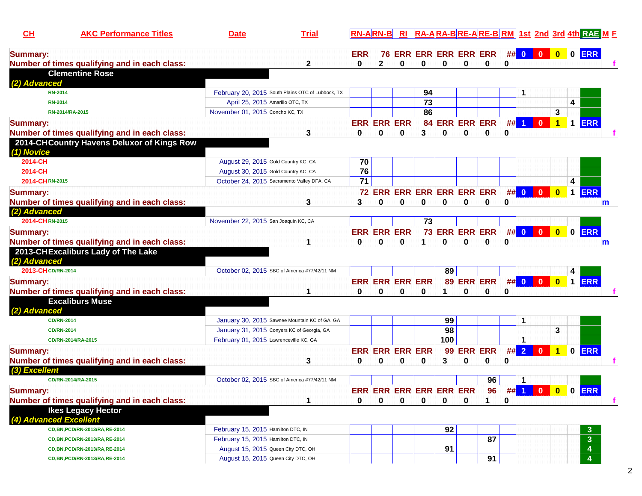| CH                     | <b>AKC Performance Titles</b>                 | <b>Date</b>                            | <b>Trial</b>                                      |                 | <b>RN-ARN-B</b>            | R <sub>l</sub> |                 |                               |                |                |   |          |                |                            |   | RA-ARA-BRE-ARE-BRM 1st 2nd 3rd 4th RAE ME |             |
|------------------------|-----------------------------------------------|----------------------------------------|---------------------------------------------------|-----------------|----------------------------|----------------|-----------------|-------------------------------|----------------|----------------|---|----------|----------------|----------------------------|---|-------------------------------------------|-------------|
| <b>Summary:</b>        |                                               |                                        |                                                   | <b>ERR</b>      |                            |                |                 | <b>76 ERR ERR ERR ERR ERR</b> |                |                |   | $\#$ 0 0 |                | $\overline{\phantom{a}}$ 0 |   | 0 ERR                                     |             |
|                        | Number of times qualifying and in each class: |                                        | 2                                                 | 0               | 2                          | 0              | 0               | 0                             | 0              | 0              | 0 |          |                |                            |   |                                           |             |
|                        | <b>Clementine Rose</b>                        |                                        |                                                   |                 |                            |                |                 |                               |                |                |   |          |                |                            |   |                                           |             |
| (2) Advanced           |                                               |                                        |                                                   |                 |                            |                |                 |                               |                |                |   |          |                |                            |   |                                           |             |
|                        | <b>RN-2014</b>                                |                                        | February 20, 2015 South Plains OTC of Lubbock, TX |                 |                            |                | 94              |                               |                |                |   |          |                |                            |   |                                           |             |
|                        | <b>RN-2014</b>                                |                                        | April 25, 2015 Amarillo OTC, TX                   |                 |                            |                | $\overline{73}$ |                               |                |                |   |          |                |                            | 4 |                                           |             |
|                        | RN-2014/RA-2015                               | November 01, 2015 Concho KC, TX        |                                                   |                 |                            |                | 86              |                               |                |                |   |          |                | 3                          |   |                                           |             |
| <b>Summary:</b>        |                                               |                                        |                                                   |                 | <b>ERR ERR ERR</b>         |                |                 | <b>84 ERR ERR ERR</b>         |                |                |   | $##$ 1   | $\mathbf{0}$   | $\mathbf{1}$               |   | 1 ERR                                     |             |
|                        | Number of times qualifying and in each class: |                                        | 3                                                 | 0               | 0                          | 0              | 3               | 0                             | 0              | 0              | 0 |          |                |                            |   |                                           |             |
| (1) Novice             | 2014-CHCountry Havens Deluxor of Kings Row    |                                        |                                                   |                 |                            |                |                 |                               |                |                |   |          |                |                            |   |                                           |             |
| 2014-CH                |                                               |                                        | August 29, 2015 Gold Country KC, CA               | 70              |                            |                |                 |                               |                |                |   |          |                |                            |   |                                           |             |
| 2014-CH                |                                               |                                        | August 30, 2015 Gold Country KC, CA               | 76              |                            |                |                 |                               |                |                |   |          |                |                            |   |                                           |             |
| 2014-CHRN-2015         |                                               |                                        | October 24, 2015 Sacramento Valley DFA, CA        | $\overline{71}$ |                            |                |                 |                               |                |                |   |          |                |                            | 4 |                                           |             |
| <b>Summary:</b>        |                                               |                                        |                                                   |                 | 72 ERR ERR ERR ERR ERR ERR |                |                 |                               |                |                |   | ## 0     | $\mathbf{0}$   | $\overline{\mathbf{0}}$    |   | 1 ERR                                     |             |
|                        | Number of times qualifying and in each class: |                                        | 3                                                 | 3               | 0                          | $\bf{0}$       | $\bf{0}$        | 0                             | 0              | 0              | O |          |                |                            |   |                                           | $\mathbf m$ |
| (2) Advanced           |                                               |                                        |                                                   |                 |                            |                |                 |                               |                |                |   |          |                |                            |   |                                           |             |
| 2014-CHRN-2015         |                                               | November 22, 2015 San Joaquin KC, CA   |                                                   |                 |                            |                | 73              |                               |                |                |   |          |                |                            |   |                                           |             |
| <b>Summary:</b>        |                                               |                                        |                                                   |                 | <b>ERR ERR ERR</b>         |                |                 | 73 ERR ERR ERR                |                |                |   | ## 0     |                | $\bullet$                  |   | 0 ERR                                     |             |
|                        | Number of times qualifying and in each class: |                                        | 1                                                 | 0               | 0                          | 0              | 1               | 0                             | 0              | 0              | 0 |          |                |                            |   |                                           | m           |
| (2) Advanced           | 2013-CHExcaliburs Lady of The Lake            |                                        |                                                   |                 |                            |                |                 |                               |                |                |   |          |                |                            |   |                                           |             |
| 2013-CH CD/RN-2014     |                                               |                                        | October 02, 2015 SBC of America #77/42/11 NM      |                 |                            |                |                 | 89                            |                |                |   |          |                |                            | 4 |                                           |             |
| <b>Summary:</b>        |                                               |                                        |                                                   |                 | <b>ERR ERR ERR ERR</b>     |                |                 |                               |                | 89 ERR ERR     |   | ## 0     | $\blacksquare$ | $\bullet$                  |   | 1 ERR                                     |             |
|                        | Number of times qualifying and in each class: |                                        | 1                                                 | 0               | 0                          | 0              | 0               | 1                             | $\bf{0}$       | 0              | 0 |          |                |                            |   |                                           |             |
| (2) Advanced           | <b>Excaliburs Muse</b>                        |                                        |                                                   |                 |                            |                |                 |                               |                |                |   |          |                |                            |   |                                           |             |
|                        | <b>CD/RN-2014</b>                             |                                        | January 30, 2015 Sawnee Mountain KC of GA, GA     |                 |                            |                |                 | 99                            |                |                |   | 1.       |                |                            |   |                                           |             |
|                        | <b>CD/RN-2014</b>                             |                                        | January 31, 2015 Conyers KC of Georgia, GA        |                 |                            |                |                 | 98                            |                |                |   |          |                | 3                          |   |                                           |             |
|                        | CD/RN-2014/RA-2015                            | February 01, 2015 Lawrenceville KC, GA |                                                   |                 |                            |                |                 | 100                           |                |                |   | 1.       |                |                            |   |                                           |             |
| <b>Summary:</b>        |                                               |                                        |                                                   | <b>ERR</b>      | <b>ERR ERR ERR</b>         |                |                 | 99                            |                | <b>ERR ERR</b> |   | ## 2     | $\overline{0}$ | $\vert$ 1                  |   | 0 ERR                                     |             |
|                        | Number of times qualifying and in each class: |                                        | 3                                                 | 0               | 0                          | 0              | 0               | 3                             | 0              | 0              | O |          |                |                            |   |                                           |             |
| (3) Excellent          |                                               |                                        |                                                   |                 |                            |                |                 |                               |                |                |   |          |                |                            |   |                                           |             |
|                        | CD/RN-2014/RA-2015                            |                                        | October 02, 2015 SBC of America #77/42/11 NM      |                 |                            |                |                 |                               |                | 96             |   | 1        |                |                            |   |                                           |             |
| <b>Summary:</b>        |                                               |                                        |                                                   |                 | <b>ERR ERR ERR</b>         |                | <b>ERR</b>      |                               | <b>ERR ERR</b> | 96             |   |          |                |                            |   | ## 1 0 0 0 ERR                            |             |
|                        | Number of times qualifying and in each class: |                                        | 1                                                 | 0               | 0                          | 0              | 0               | 0                             | 0              | $\mathbf 1$    | 0 |          |                |                            |   |                                           |             |
|                        | <b>Ikes Legacy Hector</b>                     |                                        |                                                   |                 |                            |                |                 |                               |                |                |   |          |                |                            |   |                                           |             |
| (4) Advanced Excellent |                                               |                                        |                                                   |                 |                            |                |                 |                               |                |                |   |          |                |                            |   |                                           |             |
|                        | CD, BN, PCD/RN-2013/RA, RE-2014               | February 15, 2015 Hamilton DTC, IN     |                                                   |                 |                            |                |                 | 92                            |                |                |   |          |                |                            |   | 3                                         |             |
|                        | CD, BN, PCD/RN-2013/RA, RE-2014               | February 15, 2015 Hamilton DTC, IN     |                                                   |                 |                            |                |                 |                               |                | 87             |   |          |                |                            |   | $\overline{3}$                            |             |
|                        | CD, BN, PCD/RN-2013/RA, RE-2014               |                                        | August 15, 2015 Queen City DTC, OH                |                 |                            |                |                 | 91                            |                |                |   |          |                |                            |   | 4                                         |             |
|                        | CD, BN, PCD/RN-2013/RA, RE-2014               |                                        | August 15, 2015 Queen City DTC, OH                |                 |                            |                |                 |                               |                | 91             |   |          |                |                            |   |                                           |             |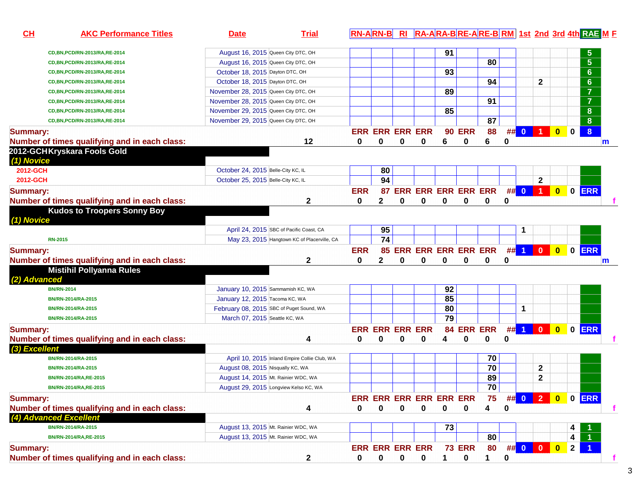| CH              | <b>AKC Performance Titles</b>                    | <b>Date</b>                              | <b>Trial</b>                                 |            | <b>RN-ARN-B</b>         |             |             |    |               | RI RA-ARA-BRE-ARE-BRM 1st 2nd 3rd 4th RAE M F |             |                         |                  |                         |                |                  |   |
|-----------------|--------------------------------------------------|------------------------------------------|----------------------------------------------|------------|-------------------------|-------------|-------------|----|---------------|-----------------------------------------------|-------------|-------------------------|------------------|-------------------------|----------------|------------------|---|
|                 | CD, BN, PCD/RN-2013/RA, RE-2014                  | August 16, 2015 Queen City DTC, OH       |                                              |            |                         |             |             | 91 |               |                                               |             |                         |                  |                         |                | $\sqrt{5}$       |   |
|                 | CD, BN, PCD/RN-2013/RA, RE-2014                  | August 16, 2015 Queen City DTC, OH       |                                              |            |                         |             |             |    |               | 80                                            |             |                         |                  |                         |                | $5\phantom{1}$   |   |
|                 | CD, BN, PCD/RN-2013/RA, RE-2014                  | October 18, 2015 Dayton DTC, OH          |                                              |            |                         |             |             | 93 |               |                                               |             |                         |                  |                         |                | $6\phantom{1}$   |   |
|                 | CD, BN, PCD/RN-2013/RA, RE-2014                  | October 18, 2015 Dayton DTC, OH          |                                              |            |                         |             |             |    |               | 94                                            |             |                         | $\mathbf{2}$     |                         |                | 6                |   |
|                 | CD, BN, PCD/RN-2013/RA, RE-2014                  | November 28, 2015 Queen City DTC, OH     |                                              |            |                         |             |             | 89 |               |                                               |             |                         |                  |                         |                | $\overline{7}$   |   |
|                 | CD, BN, PCD/RN-2013/RA, RE-2014                  | November 28, 2015 Queen City DTC, OH     |                                              |            |                         |             |             |    |               | 91                                            |             |                         |                  |                         |                | $\overline{7}$   |   |
|                 | CD, BN, PCD/RN-2013/RA, RE-2014                  | November 29, 2015 Queen City DTC, OH     |                                              |            |                         |             |             | 85 |               |                                               |             |                         |                  |                         |                | 8                |   |
|                 | CD, BN, PCD/RN-2013/RA, RE-2014                  | November 29, 2015 Queen City DTC, OH     |                                              |            |                         |             |             |    |               | 87                                            |             |                         |                  |                         |                | 8                |   |
| <b>Summary:</b> |                                                  |                                          |                                              |            | <b>ERR ERR ERR ERR</b>  |             |             |    | <b>90 ERR</b> | 88                                            | ##          | $\overline{\mathbf{0}}$ | 1                | $\overline{\mathbf{0}}$ | $\mathbf 0$    | $\boldsymbol{8}$ |   |
|                 | Number of times qualifying and in each class:    |                                          | 12                                           | 0          | 0                       | 0           | 0           | 6  | $\bf{0}$      | 6                                             | 0           |                         |                  |                         |                |                  | m |
|                 | 2012-GCHKryskara Fools Gold<br><i>(1) Novice</i> |                                          |                                              |            |                         |             |             |    |               |                                               |             |                         |                  |                         |                |                  |   |
| 2012-GCH        |                                                  | October 24, 2015 Belle-City KC, IL       |                                              |            | 80                      |             |             |    |               |                                               |             |                         |                  |                         |                |                  |   |
| 2012-GCH        |                                                  | October 25, 2015 Belle-City KC, IL       |                                              |            | 94                      |             |             |    |               |                                               |             |                         | $\mathbf{2}$     |                         |                |                  |   |
| <b>Summary:</b> |                                                  |                                          |                                              | <b>ERR</b> |                         |             |             |    |               | 87 ERR ERR ERR ERR ERR                        |             | ## 0                    | $\blacksquare$ 1 | $\bullet$               |                | 0 ERR            |   |
|                 | Number of times qualifying and in each class:    |                                          | $\mathbf{2}$                                 | 0          | $\mathbf 2$             | 0           | 0           | 0  | 0             | 0                                             | 0           |                         |                  |                         |                |                  |   |
| (1) Novice      | <b>Kudos to Troopers Sonny Boy</b>               |                                          |                                              |            |                         |             |             |    |               |                                               |             |                         |                  |                         |                |                  |   |
|                 |                                                  | April 24, 2015 SBC of Pacific Coast, CA  |                                              |            | 95                      |             |             |    |               |                                               |             | 1                       |                  |                         |                |                  |   |
|                 | <b>RN-2015</b>                                   |                                          | May 23, 2015 Hangtown KC of Placerville, CA  |            | 74                      |             |             |    |               |                                               |             |                         |                  |                         |                |                  |   |
| <b>Summary:</b> |                                                  |                                          |                                              | <b>ERR</b> |                         |             |             |    |               | <b>85 ERR ERR ERR ERR ERR</b>                 |             |                         |                  |                         |                | ## 1 0 0 0 ERR   |   |
|                 | Number of times qualifying and in each class:    |                                          | 2                                            | 0          | 2                       | 0           | 0           | 0  | 0             | 0                                             | 0           |                         |                  |                         |                |                  | m |
| (2) Advanced    | <b>Mistihil Pollyanna Rules</b>                  |                                          |                                              |            |                         |             |             |    |               |                                               |             |                         |                  |                         |                |                  |   |
|                 | <b>BN/RN-2014</b>                                | January 10, 2015 Sammamish KC, WA        |                                              |            |                         |             |             | 92 |               |                                               |             |                         |                  |                         |                |                  |   |
|                 | BN/RN-2014/RA-2015                               | January 12, 2015 Tacoma KC, WA           |                                              |            |                         |             |             | 85 |               |                                               |             |                         |                  |                         |                |                  |   |
|                 | BN/RN-2014/RA-2015                               | February 08, 2015 SBC of Puget Sound, WA |                                              |            |                         |             |             | 80 |               |                                               |             | 1                       |                  |                         |                |                  |   |
|                 | BN/RN-2014/RA-2015                               | March 07, 2015 Seattle KC, WA            |                                              |            |                         |             |             | 79 |               |                                               |             |                         |                  |                         |                |                  |   |
| <b>Summary:</b> |                                                  |                                          |                                              |            | <b>ERR ERR ERR ERR</b>  |             |             | 84 |               | <b>ERR ERR</b>                                |             | $##$ 1                  | $\mathbf{0}$     | $\bullet$               |                | 0 ERR            |   |
|                 | Number of times qualifying and in each class:    |                                          | 4                                            | 0          | 0                       | 0           | 0           | 4  | 0             | 0                                             | 0           |                         |                  |                         |                |                  |   |
| (3) Excellent   |                                                  |                                          |                                              |            |                         |             |             |    |               |                                               |             |                         |                  |                         |                |                  |   |
|                 | BN/RN-2014/RA-2015                               |                                          | April 10, 2015 Inland Empire Collie Club, WA |            |                         |             |             |    |               | 70                                            |             |                         |                  |                         |                |                  |   |
|                 | BN/RN-2014/RA-2015                               | August 08, 2015 Nisqually KC, WA         |                                              |            |                         |             |             |    |               | 70                                            |             |                         | $\boldsymbol{2}$ |                         |                |                  |   |
|                 | BN/RN-2014/RA,RE-2015                            | August 14, 2015 Mt. Rainier WDC, WA      |                                              |            |                         |             |             |    |               | 89                                            |             |                         | $\mathbf 2$      |                         |                |                  |   |
|                 | BN/RN-2014/RA,RE-2015                            | August 29, 2015 Longview Kelso KC, WA    |                                              |            |                         |             |             |    |               | $\overline{70}$                               |             |                         |                  |                         |                |                  |   |
| <b>Summary:</b> |                                                  |                                          |                                              |            | ERR ERR ERR ERR ERR ERR |             |             |    |               | 75                                            |             |                         |                  |                         |                | ## 0 2 0 0 ERR   |   |
|                 | Number of times qualifying and in each class:    |                                          | 4                                            | 0          | 0                       | $\pmb{0}$   | 0           | 0  | $\mathbf 0$   | 4                                             | $\mathbf 0$ |                         |                  |                         |                |                  |   |
|                 | (4) Advanced Excellent                           |                                          |                                              |            |                         |             |             |    |               |                                               |             |                         |                  |                         |                |                  |   |
|                 | BN/RN-2014/RA-2015                               | August 13, 2015 Mt. Rainier WDC, WA      |                                              |            |                         |             |             | 73 |               |                                               |             |                         |                  |                         | 4              |                  |   |
|                 | BN/RN-2014/RA,RE-2015                            | August 13, 2015 Mt. Rainier WDC, WA      |                                              |            |                         |             |             |    |               | 80                                            |             |                         |                  |                         | 4              |                  |   |
| <b>Summary:</b> |                                                  |                                          |                                              |            | <b>ERR ERR ERR ERR</b>  |             |             |    | <b>73 ERR</b> | 80                                            |             |                         | $\#$ 0 0 0       |                         | $\overline{2}$ |                  |   |
|                 | Number of times qualifying and in each class:    |                                          | $\mathbf{2}$                                 | 0          | 0                       | $\mathbf 0$ | $\mathbf 0$ | 1  | $\mathbf 0$   | 1                                             | $\pmb{0}$   |                         |                  |                         |                |                  |   |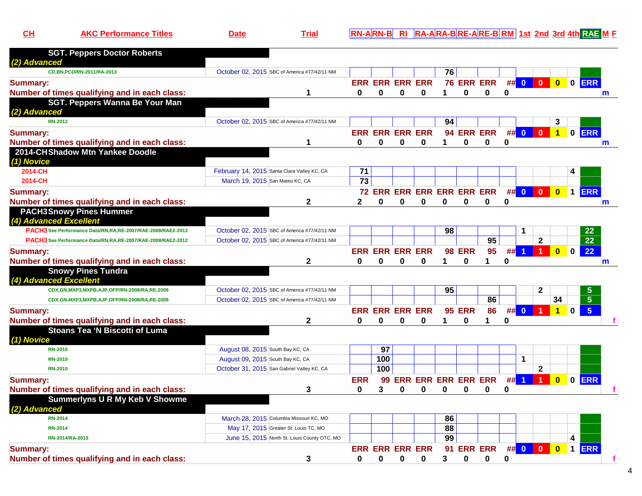| . Oas<br>fitle <sup>r</sup><br>rormance | l ria | -AIRN-BIRI |  | <u>/ RA-ARA-BRE-ARE-BRM 1st_2nd_3rd_4th RAE M F</u> |
|-----------------------------------------|-------|------------|--|-----------------------------------------------------|
|                                         |       |            |  |                                                     |

| <b>Summary:</b><br>Number of times qualifying and in each class:                        | 3                                                                                            | 0            | <b>ERR ERR ERR ERR</b><br>0        | $\bf{0}$ | 0                          | 3  | 91 ERR ERR<br>$\bf{0}$    | 0               | 0  | ## 0        | $\Omega$       | $\bf{0}$       | $\blacktriangleleft$ | <b>ERR</b>          |              |
|-----------------------------------------------------------------------------------------|----------------------------------------------------------------------------------------------|--------------|------------------------------------|----------|----------------------------|----|---------------------------|-----------------|----|-------------|----------------|----------------|----------------------|---------------------|--------------|
| RN-2014/RA-2015                                                                         | June 15, 2015 North St. Louis County OTC, MO                                                 |              |                                    |          |                            | 99 |                           |                 |    |             |                |                | 4                    |                     |              |
| <b>RN-2014</b>                                                                          | May 17, 2015 Greater St. Louis TC, MO                                                        |              |                                    |          |                            | 88 |                           |                 |    |             |                |                |                      |                     |              |
| <b>RN-2014</b>                                                                          | March 28, 2015 Columbia Missouri KC, MO                                                      |              |                                    |          |                            | 86 |                           |                 |    |             |                |                |                      |                     |              |
| (2) Advanced                                                                            |                                                                                              |              |                                    |          |                            |    |                           |                 |    |             |                |                |                      |                     |              |
| Summerlyns U R My Keb V Showme                                                          |                                                                                              |              |                                    |          |                            |    |                           |                 |    |             |                |                |                      |                     |              |
| Number of times qualifying and in each class:                                           | 3                                                                                            | 0            | 3                                  | 0        | 0                          | 0  | 0                         | 0               | 0  |             |                |                |                      |                     |              |
| <b>Summary:</b>                                                                         |                                                                                              | <b>ERR</b>   | 99                                 |          | <b>ERR ERR ERR ERR ERR</b> |    |                           |                 |    | ## 1        |                | $\overline{0}$ |                      | 0 ERR               |              |
|                                                                                         |                                                                                              |              |                                    |          |                            |    |                           |                 |    |             |                |                |                      |                     |              |
| <b>RN-2010</b>                                                                          | October 31, 2015 San Gabriel Valley KC, CA                                                   |              | 100                                |          |                            |    |                           |                 |    |             | $\mathbf 2$    |                |                      |                     |              |
| <b>RN-2010</b>                                                                          | August 09, 2015 South Bay KC, CA                                                             |              | 100                                |          |                            |    |                           |                 |    | $\mathbf 1$ |                |                |                      |                     |              |
| (1) Novice<br><b>RN-2010</b>                                                            | August 08, 2015 South Bay KC, CA                                                             |              | 97                                 |          |                            |    |                           |                 |    |             |                |                |                      |                     |              |
|                                                                                         |                                                                                              |              |                                    |          |                            |    |                           |                 |    |             |                |                |                      |                     |              |
| Number of times qualifying and in each class:<br>Stoans Tea 'N Biscotti of Luma         |                                                                                              |              |                                    |          |                            |    |                           |                 |    |             |                |                |                      |                     |              |
| <b>Summary:</b>                                                                         | $\mathbf{2}$                                                                                 | 0            | <b>ERR ERR ERR ERR</b><br>$\bf{0}$ | $\bf{0}$ | $\bf{0}$                   | 1  | <b>95 ERR</b><br>$\bf{0}$ | 1               | 0  | - 0         |                | $\mathbf{1}$   | $\mathbf 0$          |                     |              |
|                                                                                         |                                                                                              |              |                                    |          |                            |    |                           | 86              | #  |             |                |                |                      | $5\overline{5}$     |              |
| CDX,GN,MXP3,MXPB,AJP,OFP/RN-2008/RA,RE-2009                                             | October 02, 2015 SBC of America #77/42/11 NM<br>October 02, 2015 SBC of America #77/42/11 NM |              |                                    |          |                            |    |                           | 86              |    |             |                | 34             |                      | 5<br>$5\phantom{.}$ |              |
| CDX, GN, MXP3, MXPB, AJP, OFP/RN-2008/RA, RE-2009                                       |                                                                                              |              |                                    |          |                            | 95 |                           |                 |    |             | $\mathbf 2$    |                |                      |                     |              |
| <b>Snowy Pines Tundra</b><br>(4) Advanced Excellent                                     |                                                                                              |              |                                    |          |                            |    |                           |                 |    |             |                |                |                      |                     |              |
| Number of times qualifying and in each class:                                           | $\mathbf 2$                                                                                  |              | 0                                  | 0        | 0                          |    | 0                         |                 | 0  |             |                |                |                      |                     | m            |
| <b>Summary:</b>                                                                         |                                                                                              | 0            |                                    |          |                            | 1  | <b>98 ERR</b>             | 1               | ## | -1          |                | $\mathbf{0}$   | $\mathbf 0$          |                     |              |
|                                                                                         |                                                                                              |              | <b>ERR ERR ERR ERR</b>             |          |                            |    |                           | 95              |    |             |                |                |                      | 22                  |              |
| PACH3 See Performance Data/RN,RA,RE-2007/RAE-2008/RAE2-2012                             | October 02, 2015 SBC of America #77/42/11 NM                                                 |              |                                    |          |                            |    |                           | $\overline{95}$ |    |             | $\overline{2}$ |                |                      | $\overline{22}$     |              |
| (4) Advanced Excellent<br>PACH3 See Performance Data/RN, RA, RE-2007/RAE-2008/RAE2-2012 | October 02, 2015 SBC of America #77/42/11 NM                                                 |              |                                    |          |                            | 98 |                           |                 |    |             |                |                |                      | 22                  |              |
| <b>PACH3Snowy Pines Hummer</b>                                                          |                                                                                              |              |                                    |          |                            |    |                           |                 |    |             |                |                |                      |                     |              |
| Number of times qualifying and in each class:                                           | $\mathbf{2}$                                                                                 | $\mathbf{2}$ | 0                                  | $\bf{0}$ | $\bf{0}$                   | 0  | 0                         | 0               | 0  |             |                |                |                      |                     | $\mathbf{m}$ |
| <b>Summary:</b>                                                                         |                                                                                              |              | 72 ERR ERR ERR ERR ERR ERR         |          |                            |    |                           |                 |    | ## 0        | $\mathbf{0}$   | $\mathbf{0}$   |                      | 1 ERR               |              |
| 2014-CH                                                                                 | March 19, 2015 San Mateo KC, CA                                                              | 73           |                                    |          |                            |    |                           |                 |    |             |                |                |                      |                     |              |
| 2014-CH                                                                                 | February 14, 2015 Santa Clara Valley KC, CA                                                  | 71           |                                    |          |                            |    |                           |                 |    |             |                |                | 4                    |                     |              |
| (1) Novice                                                                              |                                                                                              |              |                                    |          |                            |    |                           |                 |    |             |                |                |                      |                     |              |
| Number of times qualifying and in each class:<br>2014-CH Shadow Mtn Yankee Doodle       |                                                                                              |              |                                    |          |                            |    |                           |                 |    |             |                |                |                      |                     | $\mathsf{m}$ |
| <b>Summary:</b>                                                                         |                                                                                              | 0            | <b>ERR ERR ERR ERR</b><br>$\Omega$ | 0        | 0                          |    | $\Omega$                  | $\Omega$        | 0  |             |                |                |                      | 0 ERR               |              |
|                                                                                         |                                                                                              |              |                                    |          |                            |    | 94 ERR ERR                |                 |    | ## 0        | $\Omega$       | $1 -$          |                      |                     |              |
| SGT. Peppers Wanna Be Your Man<br>(2) Advanced<br><b>RN-2012</b>                        | October 02, 2015 SBC of America #77/42/11 NM                                                 |              |                                    |          |                            | 94 |                           |                 |    |             |                | 3              |                      |                     |              |
| Number of times qualifying and in each class:                                           | 1                                                                                            | 0            | $\Omega$                           | $\bf{0}$ | $\bf{0}$                   | 1  | $\bf{0}$                  | $\bf{0}$        | 0  |             |                |                |                      |                     | m            |
| <b>Summary:</b>                                                                         |                                                                                              |              | <b>ERR ERR ERR ERR</b>             |          |                            |    |                           | 76 ERR ERR      |    |             | ## 0 0 0       |                |                      | 0 0 ERR             |              |
| CD, BN, PCD/RN-2011/RA-2013                                                             | October 02, 2015 SBC of America #77/42/11 NM                                                 |              |                                    |          |                            | 76 |                           |                 |    |             |                |                |                      |                     |              |
| (2) Advanced                                                                            |                                                                                              |              |                                    |          |                            |    |                           |                 |    |             |                |                |                      |                     |              |
| <b>SGT. Peppers Doctor Roberts</b>                                                      |                                                                                              |              |                                    |          |                            |    |                           |                 |    |             |                |                |                      |                     |              |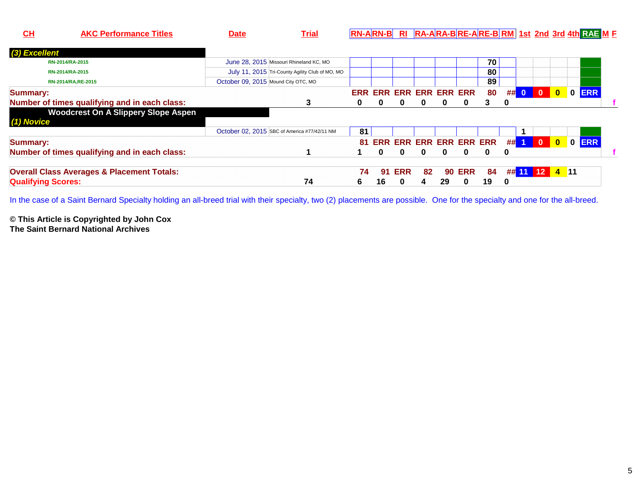| <b>AKC Performance Titles</b><br><u>СН</u>            | <b>Date</b>                         | <u>Trial</u>                                    |    |    |               |                                |    |               |          |      |                          |                         |              | <u>RN-ARN-B RI RA-ARA-BRE-ARE-BRM 1st 2nd 3rd 4th RAE M E</u> |  |
|-------------------------------------------------------|-------------------------------------|-------------------------------------------------|----|----|---------------|--------------------------------|----|---------------|----------|------|--------------------------|-------------------------|--------------|---------------------------------------------------------------|--|
| (3) Excellent                                         |                                     |                                                 |    |    |               |                                |    |               |          |      |                          |                         |              |                                                               |  |
| RN-2014/RA-2015                                       |                                     | June 28, 2015 Missouri Rhineland KC, MO         |    |    |               |                                |    |               | 70       |      |                          |                         |              |                                                               |  |
| RN-2014/RA-2015                                       |                                     | July 11, 2015 Tri-County Agility Club of MO, MO |    |    |               |                                |    |               | 80       |      |                          |                         |              |                                                               |  |
| RN-2014/RA, RE-2015                                   | October 09, 2015 Mound City OTC, MO |                                                 |    |    |               |                                |    |               | 89       |      |                          |                         |              |                                                               |  |
| <b>Summary:</b>                                       |                                     |                                                 |    |    |               | <b>ERR ERR ERR ERR ERR ERR</b> |    |               | 80       | ## 0 |                          | -0                      | $\mathbf{0}$ | 0 ERR                                                         |  |
| Number of times qualifying and in each class:         |                                     | 3                                               | 0  | 0  | 0             | 0                              | 0  | 0             | 3        | 0    |                          |                         |              |                                                               |  |
| <b>Woodcrest On A Slippery Slope Aspen</b>            |                                     |                                                 |    |    |               |                                |    |               |          |      |                          |                         |              |                                                               |  |
| (1) Novice                                            |                                     |                                                 |    |    |               |                                |    |               |          |      |                          |                         |              |                                                               |  |
|                                                       |                                     | October 02, 2015 SBC of America #77/42/11 NM    | 81 |    |               |                                |    |               |          |      |                          |                         |              |                                                               |  |
| <b>Summary:</b>                                       |                                     |                                                 | 81 |    |               | <b>ERR ERR ERR ERR ERR ERR</b> |    |               |          |      | $\#$ $\#$ $\blacksquare$ | $\overline{\mathbf{0}}$ | $\bullet$    | 0 ERR                                                         |  |
| Number of times qualifying and in each class:         |                                     |                                                 |    | 0  | 0             | 0                              | 0  | 0             | $\bf{0}$ | 0    |                          |                         |              |                                                               |  |
| <b>Overall Class Averages &amp; Placement Totals:</b> |                                     |                                                 | 74 |    | <b>91 ERR</b> | 82                             |    | <b>90 ERR</b> | 84       |      | ## 11 12 4 11            |                         |              |                                                               |  |
| <b>Qualifying Scores:</b>                             |                                     | 74                                              | 6  | 16 |               | 4                              | 29 | 0             | 19       | 0    |                          |                         |              |                                                               |  |

In the case of a Saint Bernard Specialty holding an all-breed trial with their specialty, two (2) placements are possible. One for the specialty and one for the all-breed.

**© This Article is Copyrighted by John Cox The Saint Bernard National Archives**

**CH**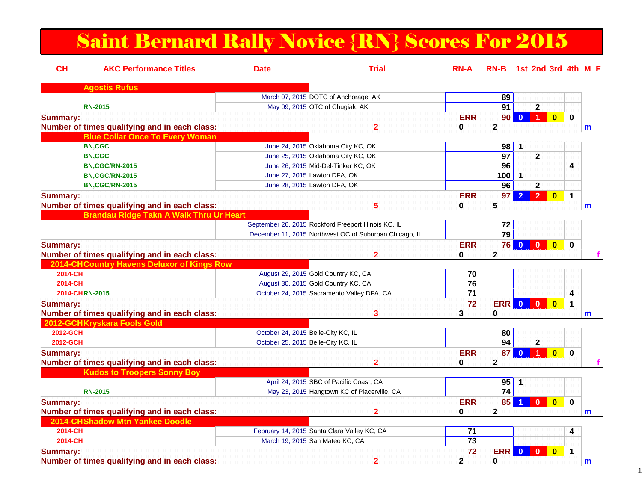# Saint Bernard Rally Novice {RN} Scores For 2015

| CH<br><b>AKC Performance Titles</b>           | <b>Date</b>                        | <b>Trial</b>                                           | <b>RN-A</b>     | RN-B 1st 2nd 3rd 4th M F |                         |                      |                         |             |   |
|-----------------------------------------------|------------------------------------|--------------------------------------------------------|-----------------|--------------------------|-------------------------|----------------------|-------------------------|-------------|---|
| <b>Agostis Rufus</b>                          |                                    |                                                        |                 |                          |                         |                      |                         |             |   |
|                                               |                                    | March 07, 2015 DOTC of Anchorage, AK                   |                 | 89                       |                         |                      |                         |             |   |
| <b>RN-2015</b>                                |                                    | May 09, 2015 OTC of Chugiak, AK                        |                 | $\overline{91}$          |                         | $\overline{2}$       |                         |             |   |
| <b>Summary:</b>                               |                                    |                                                        | <b>ERR</b>      | 90                       | $\mathbf{0}$            | $\overline{1}$       | $\overline{\mathbf{0}}$ | $\bf{0}$    |   |
| Number of times qualifying and in each class: |                                    | $\mathbf{2}$                                           | 0               | $\mathbf{2}$             |                         |                      |                         |             | m |
| <b>Blue Collar Once To Every Woman</b>        |                                    |                                                        |                 |                          |                         |                      |                         |             |   |
| <b>BN,CGC</b>                                 |                                    | June 24, 2015 Oklahoma City KC, OK                     |                 | 98                       | 1                       |                      |                         |             |   |
| <b>BN,CGC</b>                                 |                                    | June 25, 2015 Oklahoma City KC, OK                     |                 | $\overline{97}$          |                         | $\overline{2}$       |                         |             |   |
| <b>BN,CGC/RN-2015</b>                         |                                    | June 26, 2015 Mid-Del-Tinker KC, OK                    |                 | 96                       |                         |                      |                         | 4           |   |
| <b>BN,CGC/RN-2015</b>                         | June 27, 2015 Lawton DFA, OK       |                                                        |                 | 100                      | 1                       |                      |                         |             |   |
| <b>BN,CGC/RN-2015</b>                         | June 28, 2015 Lawton DFA, OK       |                                                        |                 | 96                       |                         | $\mathbf{2}$         |                         |             |   |
| <b>Summary:</b>                               |                                    |                                                        | <b>ERR</b>      | 97                       | $\overline{2}$          | $\overline{2}$       | $\overline{\mathbf{0}}$ | $\mathbf 1$ |   |
| Number of times qualifying and in each class: |                                    | 5                                                      | 0               | 5                        |                         |                      |                         |             | m |
| Brandau Ridge Takn A Walk Thru Ur Heart       |                                    |                                                        |                 |                          |                         |                      |                         |             |   |
|                                               |                                    | September 26, 2015 Rockford Freeport Illinois KC, IL   |                 | 72                       |                         |                      |                         |             |   |
|                                               |                                    | December 11, 2015 Northwest OC of Suburban Chicago, IL |                 | $\overline{79}$          |                         |                      |                         |             |   |
| <b>Summary:</b>                               |                                    |                                                        | <b>ERR</b>      |                          | <b>76 0 0</b>           |                      | $\overline{\mathbf{0}}$ | $\mathbf 0$ |   |
| Number of times qualifying and in each class: |                                    |                                                        | 0               | $\mathbf{2}$             |                         |                      |                         |             |   |
| 2014-CHCountry Havens Deluxor of Kings Row    |                                    |                                                        |                 |                          |                         |                      |                         |             |   |
| 2014-CH                                       |                                    | August 29, 2015 Gold Country KC, CA                    | 70              |                          |                         |                      |                         |             |   |
| 2014-CH                                       |                                    | August 30, 2015 Gold Country KC, CA                    | 76              |                          |                         |                      |                         |             |   |
| 2014-CHRN-2015                                |                                    | October 24, 2015 Sacramento Valley DFA, CA             | $\overline{71}$ |                          |                         |                      |                         | 4           |   |
|                                               |                                    |                                                        | 72              | <b>ERR</b>               | $\overline{\mathbf{0}}$ | $\mathbf{0}$         | $\overline{\mathbf{0}}$ | $\mathbf 1$ |   |
| <b>Summary:</b>                               |                                    | 3                                                      |                 | $\bf{0}$                 |                         |                      |                         |             |   |
| Number of times qualifying and in each class: |                                    |                                                        | 3               |                          |                         |                      |                         |             | m |
| 2012-GCHKryskara Fools Gold                   |                                    |                                                        |                 |                          |                         |                      |                         |             |   |
| 2012-GCH                                      | October 24, 2015 Belle-City KC, IL |                                                        |                 | 80                       |                         |                      |                         |             |   |
| 2012-GCH                                      | October 25, 2015 Belle-City KC, IL |                                                        |                 | 94                       |                         | $\mathbf{2}$         |                         |             |   |
| <b>Summary:</b>                               |                                    |                                                        | <b>ERR</b>      | 87                       | $\mathbf{0}$            | $\blacktriangleleft$ | $\overline{0}$          | $\mathbf 0$ |   |
| Number of times qualifying and in each class: |                                    | 2                                                      | 0               | $\mathbf{2}$             |                         |                      |                         |             |   |
| <b>Kudos to Troopers Sonny Boy</b>            |                                    |                                                        |                 |                          |                         |                      |                         |             |   |
|                                               |                                    | April 24, 2015 SBC of Pacific Coast, CA                |                 | 95                       |                         |                      |                         |             |   |
| <b>RN-2015</b>                                |                                    | May 23, 2015 Hangtown KC of Placerville, CA            |                 | 74                       |                         |                      |                         |             |   |
| <b>Summary:</b>                               |                                    |                                                        | <b>ERR</b>      | 85                       |                         | $\mathbf{0}$         | $\overline{0}$          | $\mathbf 0$ |   |
| Number of times qualifying and in each class: |                                    | $\overline{2}$                                         | 0               | $\mathbf{2}$             |                         |                      |                         |             | m |
| 2014-CHShadow Mtn Yankee Doodle               |                                    |                                                        |                 |                          |                         |                      |                         |             |   |
| 2014-CH                                       |                                    | February 14, 2015 Santa Clara Valley KC, CA            | 71              |                          |                         |                      |                         | 4           |   |
| 2014-CH                                       |                                    | March 19, 2015 San Mateo KC, CA                        | $\overline{73}$ |                          |                         |                      |                         |             |   |
| <b>Summary:</b>                               |                                    |                                                        | 72              | <b>ERR</b>               | $\mathbf{0}$            | $\mathbf{0}$         | $\mathbf{0}$            | $\mathbf 1$ |   |
| Number of times qualifying and in each class: |                                    | $\overline{\mathbf{2}}$                                | $\mathbf 2$     | $\mathbf 0$              |                         |                      |                         |             | m |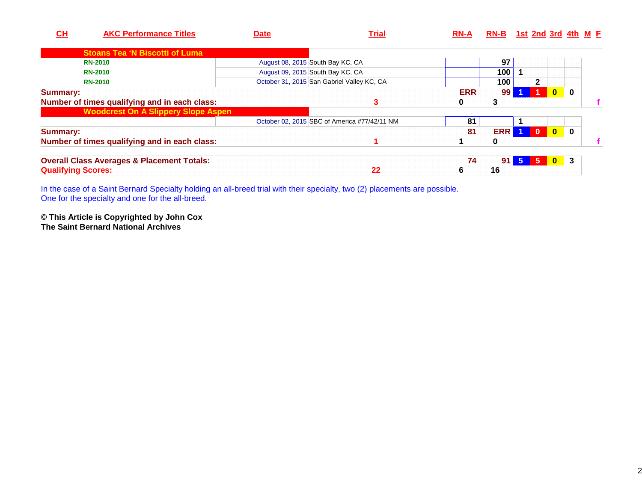| CL                        | <b>AKC Performance Titles</b>                         | <b>Date</b>                      | Trial                                        | <b>RN-A</b> | RN-B 1st 2nd 3rd 4th M F |                |              |              |          |  |
|---------------------------|-------------------------------------------------------|----------------------------------|----------------------------------------------|-------------|--------------------------|----------------|--------------|--------------|----------|--|
|                           | <b>Stoans Tea 'N Biscotti of Luma</b>                 |                                  |                                              |             |                          |                |              |              |          |  |
| <b>RN-2010</b>            |                                                       | August 08, 2015 South Bay KC, CA |                                              |             | 97                       |                |              |              |          |  |
| <b>RN-2010</b>            |                                                       | August 09, 2015 South Bay KC, CA |                                              |             | 100                      |                |              |              |          |  |
| <b>RN-2010</b>            |                                                       |                                  | October 31, 2015 San Gabriel Valley KC, CA   |             | 100                      |                | $\mathbf{2}$ |              |          |  |
| Summary:                  |                                                       |                                  |                                              | <b>ERR</b>  | 99 <sub>1</sub>          |                |              | $\mathbf{0}$ | $\bf{0}$ |  |
|                           | Number of times qualifying and in each class:         |                                  | 3                                            | 0           |                          |                |              |              |          |  |
|                           | <b>Woodcrest On A Slippery Slope Aspen</b>            |                                  |                                              |             |                          |                |              |              |          |  |
|                           |                                                       |                                  | October 02, 2015 SBC of America #77/42/11 NM | 81          |                          |                |              |              |          |  |
| Summary:                  |                                                       |                                  |                                              | 81          | <b>ERR</b>               |                | $\mathbf{0}$ | $\mathbf{0}$ | $\bf{0}$ |  |
|                           | Number of times qualifying and in each class:         |                                  |                                              |             | 0                        |                |              |              |          |  |
|                           | <b>Overall Class Averages &amp; Placement Totals:</b> |                                  |                                              | 74          | 91 <sub>h</sub>          | 5 <sup>1</sup> | $\sqrt{5}$   | $\bullet$    | -3       |  |
| <b>Qualifying Scores:</b> |                                                       |                                  | 22                                           | 6           | 16                       |                |              |              |          |  |

In the case of a Saint Bernard Specialty holding an all-breed trial with their specialty, two (2) placements are possible. One for the specialty and one for the all-breed.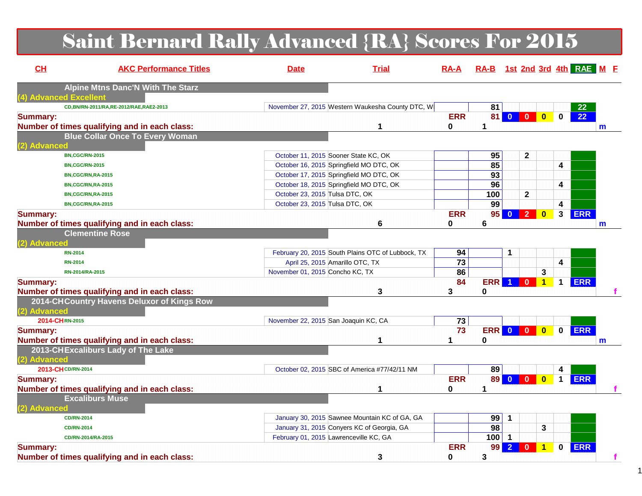# Saint Bernard Rally Advanced {RA} Scores For 2015

| CH                                | <b>AKC Performance Titles</b>                 | <b>Date</b>                                | <b>Trial</b>                                      | $RA-A$          | RA-B 1st 2nd 3rd 4th RAE M F |                |                                      |                                         |            |              |
|-----------------------------------|-----------------------------------------------|--------------------------------------------|---------------------------------------------------|-----------------|------------------------------|----------------|--------------------------------------|-----------------------------------------|------------|--------------|
|                                   | <b>Alpine Mtns Danc'N With The Starz</b>      |                                            |                                                   |                 |                              |                |                                      |                                         |            |              |
| (4) Advanced Excellent            | CD, BN/RN-2011/RA, RE-2012/RAE, RAE2-2013     |                                            | November 27, 2015 Western Waukesha County DTC, W  |                 | 81                           |                |                                      |                                         | 22         |              |
| <b>Summary:</b>                   |                                               |                                            |                                                   | <b>ERR</b>      | 81                           | $\mathbf{0}$   | $\overline{0}$                       | $\overline{\mathbf{0}}$<br>$\mathbf{0}$ | 22         |              |
|                                   | Number of times qualifying and in each class: |                                            | 1                                                 | $\bf{0}$        | 1                            |                |                                      |                                         |            | $\mathbf{m}$ |
| (2) Advanced                      | <b>Blue Collar Once To Every Woman</b>        |                                            |                                                   |                 |                              |                |                                      |                                         |            |              |
|                                   | <b>BN,CGC/RN-2015</b>                         | October 11, 2015 Sooner State KC, OK       |                                                   |                 | 95                           |                | $\mathbf{2}$                         |                                         |            |              |
|                                   | <b>BN,CGC/RN-2015</b>                         | October 16, 2015 Springfield MO DTC, OK    |                                                   |                 | 85                           |                |                                      | 4                                       |            |              |
|                                   | <b>BN,CGC/RN,RA-2015</b>                      | October 17, 2015 Springfield MO DTC, OK    |                                                   |                 | 93                           |                |                                      |                                         |            |              |
|                                   | <b>BN,CGC/RN,RA-2015</b>                      | October 18, 2015 Springfield MO DTC, OK    |                                                   |                 | 96                           |                |                                      | 4                                       |            |              |
|                                   | BN,CGC/RN,RA-2015                             | October 23, 2015 Tulsa DTC, OK             |                                                   |                 | 100                          |                | $\mathbf{2}$                         |                                         |            |              |
|                                   | BN,CGC/RN,RA-2015                             | October 23, 2015 Tulsa DTC, OK             |                                                   |                 | 99                           |                |                                      | $\overline{\mathbf{4}}$                 |            |              |
| <b>Summary:</b>                   |                                               |                                            |                                                   | <b>ERR</b>      | 95                           | $\mathbf{0}$   | $\overline{2}$                       | 3<br>$\mathbf{0}$                       | <b>ERR</b> |              |
|                                   | Number of times qualifying and in each class: |                                            | 6                                                 | 0               | 6                            |                |                                      |                                         |            | m            |
|                                   | <b>Clementine Rose</b>                        |                                            |                                                   |                 |                              |                |                                      |                                         |            |              |
| (2) Advanced                      |                                               |                                            |                                                   |                 |                              |                |                                      |                                         |            |              |
| <b>RN-2014</b>                    |                                               |                                            | February 20, 2015 South Plains OTC of Lubbock, TX | 94              |                              | $\mathbf 1$    |                                      |                                         |            |              |
| <b>RN-2014</b>                    |                                               | April 25, 2015 Amarillo OTC, TX            |                                                   | $\overline{73}$ |                              |                |                                      | 4                                       |            |              |
|                                   | RN-2014/RA-2015                               | November 01, 2015 Concho KC, TX            |                                                   | 86              |                              |                |                                      | 3                                       |            |              |
| <b>Summary:</b>                   |                                               |                                            |                                                   | 84              | <b>ERR</b> 1 0               |                | $\blacktriangleleft$                 |                                         | 1 ERR      |              |
|                                   | Number of times qualifying and in each class: |                                            | 3                                                 | 3               | 0                            |                |                                      |                                         |            |              |
|                                   | 2014-CHCountry Havens Deluxor of Kings Row    |                                            |                                                   |                 |                              |                |                                      |                                         |            |              |
| (2) Advanced                      |                                               |                                            |                                                   |                 |                              |                |                                      |                                         |            |              |
| 2014-CHRN-2015                    |                                               | November 22, 2015 San Joaquin KC, CA       |                                                   | 73              |                              |                |                                      |                                         |            |              |
| <b>Summary:</b>                   |                                               |                                            |                                                   | 73              |                              |                | <b>ERR 0 0 0</b>                     |                                         | 0 ERR      |              |
|                                   | Number of times qualifying and in each class: |                                            | 1                                                 | 1               | 0                            |                |                                      |                                         |            | m            |
|                                   | 2013-CHExcaliburs Lady of The Lake            |                                            |                                                   |                 |                              |                |                                      |                                         |            |              |
| (2) Advanced<br>2013-CHCD/RN-2014 |                                               |                                            |                                                   |                 |                              |                |                                      |                                         |            |              |
|                                   |                                               |                                            | October 02, 2015 SBC of America #77/42/11 NM      |                 | 89                           |                |                                      | 4                                       |            |              |
| <b>Summary:</b>                   |                                               |                                            |                                                   | <b>ERR</b>      | 89                           |                |                                      | $\mathbf 1$                             | <b>ERR</b> |              |
|                                   | Number of times qualifying and in each class: |                                            | 1                                                 | 0               | 1                            |                |                                      |                                         |            |              |
|                                   | <b>Excaliburs Muse</b>                        |                                            |                                                   |                 |                              |                |                                      |                                         |            |              |
| (2) Advanced                      |                                               |                                            |                                                   |                 |                              |                |                                      |                                         |            |              |
| <b>CD/RN-2014</b>                 |                                               |                                            | January 30, 2015 Sawnee Mountain KC of GA, GA     |                 | 99                           | 1              |                                      |                                         |            |              |
| <b>CD/RN-2014</b>                 |                                               | January 31, 2015 Conyers KC of Georgia, GA |                                                   |                 | 98                           |                |                                      | 3                                       |            |              |
|                                   | CD/RN-2014/RA-2015                            | February 01, 2015 Lawrenceville KC, GA     |                                                   |                 | $100$ 1                      |                |                                      |                                         |            |              |
| <b>Summary:</b>                   |                                               |                                            |                                                   | <b>ERR</b>      | 99                           | $\overline{2}$ | $\mathbf{0}$<br>$\blacktriangleleft$ | $\mathbf{0}$                            | <b>ERR</b> |              |
|                                   | Number of times qualifying and in each class: |                                            | 3                                                 | 0               | 3                            |                |                                      |                                         |            | f            |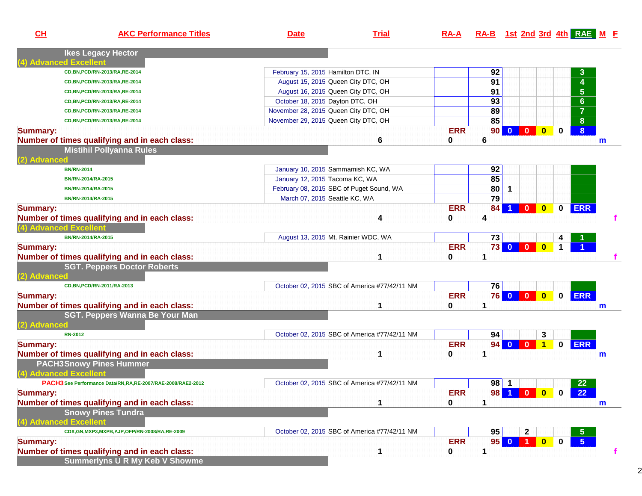| CL                     | <b>AKC Performance Titles</b>                                 | <b>Date</b>                              | <b>Trial</b>                                 | $RA-A$     |                 | RA-B 1st 2nd 3rd 4th RAE M E            |           |             |                                |   |
|------------------------|---------------------------------------------------------------|------------------------------------------|----------------------------------------------|------------|-----------------|-----------------------------------------|-----------|-------------|--------------------------------|---|
| (4) Advanced Excellent | <b>Ikes Legacy Hector</b>                                     |                                          |                                              |            |                 |                                         |           |             |                                |   |
|                        | CD, BN, PCD/RN-2013/RA, RE-2014                               | February 15, 2015 Hamilton DTC, IN       |                                              |            | 92              |                                         |           |             | $\mathbf{3}$                   |   |
|                        | CD, BN, PCD/RN-2013/RA, RE-2014                               | August 15, 2015 Queen City DTC, OH       |                                              |            | $\overline{91}$ |                                         |           |             | $\overline{4}$                 |   |
|                        | CD, BN, PCD/RN-2013/RA, RE-2014                               | August 16, 2015 Queen City DTC, OH       |                                              |            | 91              |                                         |           |             | $\overline{\overline{\bf{5}}}$ |   |
|                        | CD, BN, PCD/RN-2013/RA, RE-2014                               | October 18, 2015 Dayton DTC, OH          |                                              |            | 93              |                                         |           |             | $\overline{\mathbf{6}}$        |   |
|                        | CD, BN, PCD/RN-2013/RA, RE-2014                               | November 28, 2015 Queen City DTC, OH     |                                              |            | 89              |                                         |           |             | $\overline{7}$                 |   |
|                        | CD, BN, PCD/RN-2013/RA, RE-2014                               | November 29, 2015 Queen City DTC, OH     |                                              |            | 85              |                                         |           |             | $\overline{\mathbf{8}}$        |   |
| <b>Summary:</b>        |                                                               |                                          |                                              | <b>ERR</b> | 90              | $\mathbf{0}$<br>$\overline{\mathbf{0}}$ | $\bullet$ | 0           | $\overline{8}$                 |   |
|                        | Number of times qualifying and in each class:                 |                                          | 6                                            | 0          | 6               |                                         |           |             |                                | m |
|                        | <b>Mistihil Pollyanna Rules</b>                               |                                          |                                              |            |                 |                                         |           |             |                                |   |
| (2) Advanced           |                                                               |                                          |                                              |            |                 |                                         |           |             |                                |   |
|                        | <b>BN/RN-2014</b>                                             | January 10, 2015 Sammamish KC, WA        |                                              |            | 92              |                                         |           |             |                                |   |
|                        | BN/RN-2014/RA-2015                                            | January 12, 2015 Tacoma KC, WA           |                                              |            | 85              |                                         |           |             |                                |   |
|                        | BN/RN-2014/RA-2015                                            | February 08, 2015 SBC of Puget Sound, WA |                                              |            | 80              | $\mathbf 1$                             |           |             |                                |   |
|                        | BN/RN-2014/RA-2015                                            | March 07, 2015 Seattle KC, WA            |                                              |            | $\overline{79}$ |                                         |           |             |                                |   |
| <b>Summary:</b>        |                                                               |                                          |                                              | <b>ERR</b> | 84              | $\blacktriangleleft$                    | $\bullet$ | $\mathbf 0$ | <b>ERR</b>                     |   |
|                        | Number of times qualifying and in each class:                 |                                          | 4                                            | 0          | 4               |                                         |           |             |                                |   |
| (4) Advanced Excellent |                                                               |                                          |                                              |            |                 |                                         |           |             |                                |   |
|                        | BN/RN-2014/RA-2015                                            | August 13, 2015 Mt. Rainier WDC, WA      |                                              |            | 73              |                                         |           |             |                                |   |
| <b>Summary:</b>        |                                                               |                                          |                                              | <b>ERR</b> | 73              |                                         |           | $\mathbf 1$ |                                |   |
|                        | Number of times qualifying and in each class:                 |                                          | 1                                            | 0          | 1               |                                         |           |             |                                |   |
|                        | <b>SGT. Peppers Doctor Roberts</b>                            |                                          |                                              |            |                 |                                         |           |             |                                |   |
| (2) Advanced           |                                                               |                                          |                                              |            |                 |                                         |           |             |                                |   |
|                        | CD, BN, PCD/RN-2011/RA-2013                                   |                                          | October 02, 2015 SBC of America #77/42/11 NM |            | 76              |                                         |           |             |                                |   |
| <b>Summary:</b>        |                                                               |                                          |                                              | <b>ERR</b> |                 | 76 0 0 0                                |           |             | 0 ERR                          |   |
|                        | Number of times qualifying and in each class:                 |                                          | 1                                            | 0          | 1               |                                         |           |             |                                | m |
|                        | SGT. Peppers Wanna Be Your Man                                |                                          |                                              |            |                 |                                         |           |             |                                |   |
| (2) Advanced           |                                                               |                                          |                                              |            |                 |                                         |           |             |                                |   |
|                        | <b>RN-2012</b>                                                |                                          | October 02, 2015 SBC of America #77/42/11 NM |            | 94              |                                         | 3         |             |                                |   |
| <b>Summary:</b>        |                                                               |                                          |                                              | <b>ERR</b> |                 | 94 0 0 1                                |           |             | 0 ERR                          |   |
|                        | Number of times qualifying and in each class:                 |                                          | 1                                            | 0          | 1               |                                         |           |             |                                | m |
|                        | <b>PACH3Snowy Pines Hummer</b>                                |                                          |                                              |            |                 |                                         |           |             |                                |   |
| (4) Advanced Excellent |                                                               |                                          |                                              |            |                 |                                         |           |             |                                |   |
|                        | PACH3 See Performance Data/RN, RA, RE-2007/RAE-2008/RAE2-2012 |                                          | October 02, 2015 SBC of America #77/42/11 NM |            | $98$   1        |                                         |           |             | 22                             |   |
| <b>Summary:</b>        |                                                               |                                          |                                              | <b>ERR</b> |                 | 98 1 0 0                                |           | $\mathbf 0$ | 22                             |   |
|                        | Number of times qualifying and in each class:                 |                                          | 1                                            | 0          |                 |                                         |           |             |                                | m |
|                        | <b>Snowy Pines Tundra</b>                                     |                                          |                                              |            |                 |                                         |           |             |                                |   |
| (4) Advanced Excellent |                                                               |                                          |                                              |            |                 |                                         |           |             |                                |   |
|                        | CDX, GN, MXP3, MXPB, AJP, OFP/RN-2008/RA, RE-2009             |                                          | October 02, 2015 SBC of America #77/42/11 NM |            | 95              | $\mathbf 2$                             |           |             | 5                              |   |
| <b>Summary:</b>        |                                                               |                                          |                                              | <b>ERR</b> | 95              | $0$ 1                                   | $\bullet$ | $\mathbf 0$ | $\overline{5}$                 |   |
|                        | Number of times qualifying and in each class:                 |                                          | 1                                            | 0          | 1               |                                         |           |             |                                | f |
|                        | <b>Summerlyns U R My Keb V Showme</b>                         |                                          |                                              |            |                 |                                         |           |             |                                |   |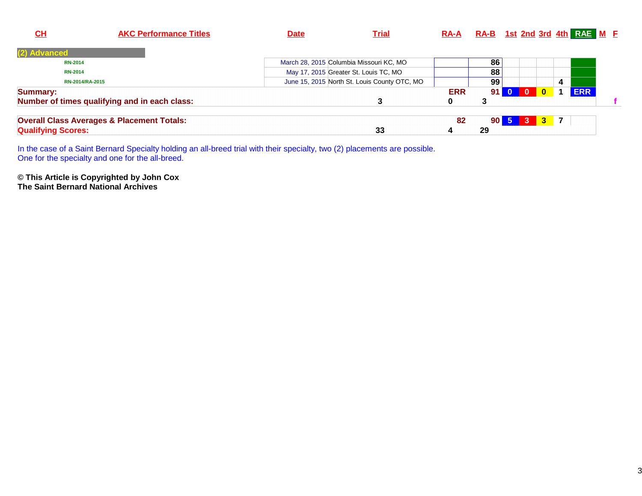| $CH$                      | <b>AKC Performance Titles</b>                         | <b>Date</b> | <b>Trial</b>                                 | <u>RA-A</u> |                 |                     |          |                              | RA-B 1st 2nd 3rd 4th RAE M F |  |
|---------------------------|-------------------------------------------------------|-------------|----------------------------------------------|-------------|-----------------|---------------------|----------|------------------------------|------------------------------|--|
| (2) Advanced              |                                                       |             |                                              |             |                 |                     |          |                              |                              |  |
| <b>RN-2014</b>            |                                                       |             | March 28, 2015 Columbia Missouri KC, MO      |             | 86              |                     |          |                              |                              |  |
| <b>RN-2014</b>            |                                                       |             | May 17, 2015 Greater St. Louis TC, MO        |             | 88              |                     |          |                              |                              |  |
|                           | RN-2014/RA-2015                                       |             | June 15, 2015 North St. Louis County OTC, MO |             | 99              |                     |          | 4                            |                              |  |
| <b>Summary:</b>           |                                                       |             |                                              | <b>ERR</b>  | 91 <sup>1</sup> | $\mathbf{0}$        | $\Omega$ |                              | <b>ERR</b>                   |  |
|                           | Number of times qualifying and in each class:         |             |                                              | 0           | 3               |                     |          |                              |                              |  |
|                           | <b>Overall Class Averages &amp; Placement Totals:</b> |             |                                              | 82          |                 | $90\vert 5 \vert 3$ |          | $\overline{7}$<br>$\sqrt{3}$ |                              |  |
| <b>Qualifying Scores:</b> |                                                       |             | 33                                           | 4           | 29              |                     |          |                              |                              |  |

In the case of a Saint Bernard Specialty holding an all-breed trial with their specialty, two (2) placements are possible. One for the specialty and one for the all-breed.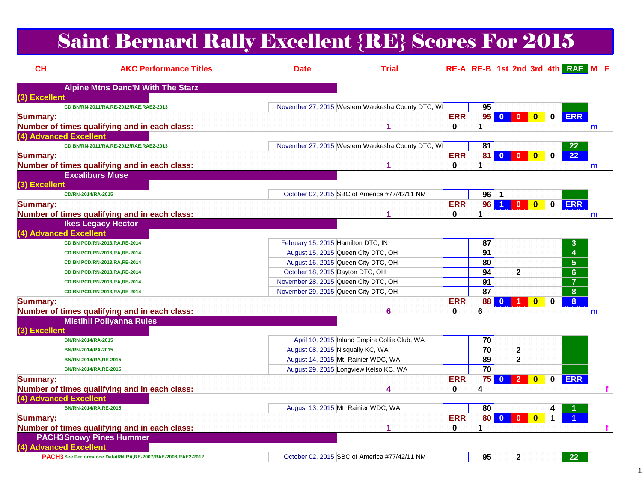# Saint Bernard Rally Excellent {RE} Scores For 2015

| CH              | <b>AKC Performance Titles</b>                                 | <b>Date</b>                        | <b>Trial</b>                                     |              | RE-A RE-B 1st 2nd 3rd 4th RAE M F |                         |                |                         |             |                      |              |
|-----------------|---------------------------------------------------------------|------------------------------------|--------------------------------------------------|--------------|-----------------------------------|-------------------------|----------------|-------------------------|-------------|----------------------|--------------|
|                 | <b>Alpine Mtns Danc'N With The Starz</b>                      |                                    |                                                  |              |                                   |                         |                |                         |             |                      |              |
| (3) Excellent   |                                                               |                                    |                                                  |              |                                   |                         |                |                         |             |                      |              |
|                 | CD BN/RN-2011/RA,RE-2012/RAE,RAE2-2013                        |                                    | November 27, 2015 Western Waukesha County DTC, W |              | 95                                |                         |                |                         |             |                      |              |
| <b>Summary:</b> |                                                               |                                    |                                                  | <b>ERR</b>   | $95$ 0                            |                         | $\overline{0}$ | $\overline{\mathbf{0}}$ | $\mathbf 0$ | <b>ERR</b>           |              |
|                 | Number of times qualifying and in each class:                 |                                    | 1                                                | 0            | 1                                 |                         |                |                         |             |                      | $\mathbf{m}$ |
|                 | (4) Advanced Excellent                                        |                                    |                                                  |              |                                   |                         |                |                         |             |                      |              |
|                 | CD BN/RN-2011/RA,RE-2012/RAE,RAE2-2013                        |                                    | November 27, 2015 Western Waukesha County DTC, W |              | 81                                |                         |                |                         |             | 22 <sub>2</sub>      |              |
| <b>Summary:</b> |                                                               |                                    |                                                  | <b>ERR</b>   | 81 <sup>1</sup>                   | $\mathbf{0}$            | $\mathbf{0}$   | $\bf{0}$                | $\bf{0}$    | 22                   |              |
|                 | Number of times qualifying and in each class:                 |                                    |                                                  | $\mathbf{0}$ | 1                                 |                         |                |                         |             |                      | m            |
|                 | <b>Excaliburs Muse</b>                                        |                                    |                                                  |              |                                   |                         |                |                         |             |                      |              |
| (3) Excellent   |                                                               |                                    |                                                  |              |                                   |                         |                |                         |             |                      |              |
|                 | CD/RN-2014/RA-2015                                            |                                    | October 02, 2015 SBC of America #77/42/11 NM     |              | $96$   1                          |                         |                |                         |             |                      |              |
| <b>Summary:</b> |                                                               |                                    |                                                  | <b>ERR</b>   | 96 <sub>1</sub>                   | $\blacktriangleleft$    | $\mathbf{0}$   | $\overline{\mathbf{0}}$ | $\mathbf 0$ | <b>ERR</b>           |              |
|                 | Number of times qualifying and in each class:                 |                                    |                                                  | 0            | 1                                 |                         |                |                         |             |                      | $\mathbf{m}$ |
|                 | <b>Ikes Legacy Hector</b>                                     |                                    |                                                  |              |                                   |                         |                |                         |             |                      |              |
|                 | (4) Advanced Excellent                                        |                                    |                                                  |              |                                   |                         |                |                         |             |                      |              |
|                 | CD BN PCD/RN-2013/RA,RE-2014                                  | February 15, 2015 Hamilton DTC, IN |                                                  |              | 87                                |                         |                |                         |             | 3                    |              |
|                 | CD BN PCD/RN-2013/RA,RE-2014                                  |                                    | August 15, 2015 Queen City DTC, OH               |              | 91                                |                         |                |                         |             | 4                    |              |
|                 | CD BN PCD/RN-2013/RA,RE-2014                                  |                                    | August 16, 2015 Queen City DTC, OH               |              | 80                                |                         |                |                         |             | 5 <sub>5</sub>       |              |
|                 | CD BN PCD/RN-2013/RA,RE-2014                                  |                                    | October 18, 2015 Dayton DTC, OH                  |              | 94                                |                         | $\mathbf{2}$   |                         |             | 6 <sup>°</sup>       |              |
|                 | CD BN PCD/RN-2013/RA,RE-2014                                  |                                    | November 28, 2015 Queen City DTC, OH             |              | 91                                |                         |                |                         |             | $\overline{7}$       |              |
|                 | CD BN PCD/RN-2013/RA,RE-2014                                  |                                    | November 29, 2015 Queen City DTC, OH             |              | 87                                |                         |                |                         |             | 8                    |              |
| <b>Summary:</b> |                                                               |                                    |                                                  | <b>ERR</b>   | 88                                | $\mathbf{0}$            |                | $\bf{0}$                | $\bf{0}$    | 8 <sup>°</sup>       |              |
|                 | Number of times qualifying and in each class:                 |                                    | 6                                                | 0            | 6                                 |                         |                |                         |             |                      | $\mathsf{m}$ |
|                 | <b>Mistihil Pollyanna Rules</b>                               |                                    |                                                  |              |                                   |                         |                |                         |             |                      |              |
| (3) Excellent   |                                                               |                                    |                                                  |              |                                   |                         |                |                         |             |                      |              |
|                 | BN/RN-2014/RA-2015                                            |                                    | April 10, 2015 Inland Empire Collie Club, WA     |              | 70                                |                         |                |                         |             |                      |              |
|                 | BN/RN-2014/RA-2015                                            |                                    | August 08, 2015 Nisqually KC, WA                 |              | 70                                |                         | $\mathbf{2}$   |                         |             |                      |              |
|                 | BN/RN-2014/RA, RE-2015                                        |                                    | August 14, 2015 Mt. Rainier WDC, WA              |              | 89                                |                         | $\overline{2}$ |                         |             |                      |              |
|                 | BN/RN-2014/RA, RE-2015                                        |                                    | August 29, 2015 Longview Kelso KC, WA            |              | $\overline{70}$                   |                         |                |                         |             |                      |              |
| <b>Summary:</b> |                                                               |                                    |                                                  | <b>ERR</b>   | 75                                | $\overline{\mathbf{0}}$ | $\overline{2}$ | $\mathbf{0}$            | $\mathbf 0$ | <b>ERR</b>           |              |
|                 | Number of times qualifying and in each class:                 |                                    | 4                                                | 0            | 4                                 |                         |                |                         |             |                      |              |
|                 | (4) Advanced Excellent                                        |                                    |                                                  |              |                                   |                         |                |                         |             |                      |              |
|                 | BN/RN-2014/RA, RE-2015                                        |                                    | August 13, 2015 Mt. Rainier WDC, WA              |              | 80                                |                         |                |                         |             |                      |              |
| <b>Summary:</b> |                                                               |                                    |                                                  | <b>ERR</b>   | <b>80</b>                         | $\overline{\mathbf{0}}$ | $\mathbf{0}$   | $\mathbf{0}$            | $\mathbf 1$ | $\blacktriangleleft$ |              |
|                 | Number of times qualifying and in each class:                 |                                    | 1                                                | 0            | 1                                 |                         |                |                         |             |                      |              |
|                 | <b>PACH3Snowy Pines Hummer</b>                                |                                    |                                                  |              |                                   |                         |                |                         |             |                      |              |
|                 | (4) Advanced Excellent                                        |                                    |                                                  |              |                                   |                         |                |                         |             |                      |              |
|                 | PACH3 See Performance Data/RN, RA, RE-2007/RAE-2008/RAE2-2012 |                                    | October 02, 2015 SBC of America #77/42/11 NM     |              | 95                                |                         | $\mathbf{2}$   |                         |             | 22 <sub>2</sub>      |              |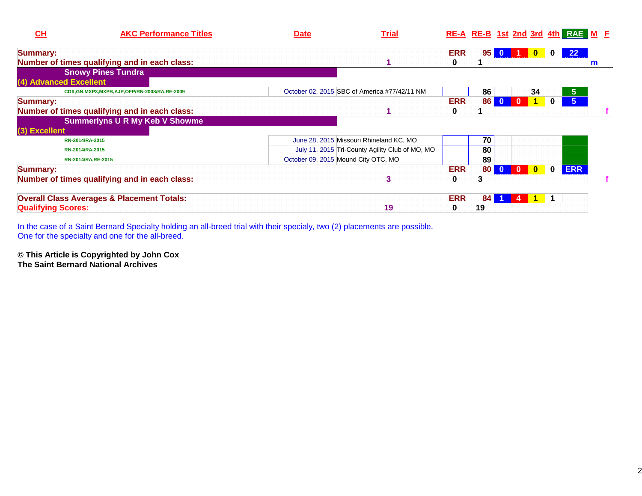| CH                        | <b>AKC Performance Titles</b>                         | <b>Date</b>                         | <b>Trial</b>                                    | RE-A RE-B 1st 2nd 3rd 4th RAE M F |                 |                |                |              |          |                 |   |  |
|---------------------------|-------------------------------------------------------|-------------------------------------|-------------------------------------------------|-----------------------------------|-----------------|----------------|----------------|--------------|----------|-----------------|---|--|
| <b>Summary:</b>           |                                                       |                                     |                                                 | <b>ERR</b>                        | 95 <sub>1</sub> |                |                | $\bf{0}$     | $\bf{0}$ | 22 <sub>2</sub> |   |  |
|                           | Number of times qualifying and in each class:         |                                     |                                                 | 0                                 |                 |                |                |              |          |                 | m |  |
|                           | <b>Snowy Pines Tundra</b>                             |                                     |                                                 |                                   |                 |                |                |              |          |                 |   |  |
| (4) Advanced Excellent    |                                                       |                                     |                                                 |                                   |                 |                |                |              |          |                 |   |  |
|                           | CDX,GN,MXP3,MXPB,AJP,OFP/RN-2008/RA,RE-2009           |                                     | October 02, 2015 SBC of America #77/42/11 NM    |                                   | 86              |                |                | 34           |          | 5 <sub>5</sub>  |   |  |
| <b>Summary:</b>           |                                                       |                                     |                                                 | <b>ERR</b>                        | <b>86</b>       | $\mathbf{0}$   | $\mathbf{0}$   |              | 0        | 5 <sup>1</sup>  |   |  |
|                           | Number of times qualifying and in each class:         |                                     |                                                 | 0                                 |                 |                |                |              |          |                 |   |  |
|                           | <b>Summerlyns U R My Keb V Showme</b>                 |                                     |                                                 |                                   |                 |                |                |              |          |                 |   |  |
| (3) Excellent             |                                                       |                                     |                                                 |                                   |                 |                |                |              |          |                 |   |  |
|                           | RN-2014/RA-2015                                       |                                     | June 28, 2015 Missouri Rhineland KC, MO         |                                   | 70              |                |                |              |          |                 |   |  |
|                           | RN-2014/RA-2015                                       |                                     | July 11, 2015 Tri-County Agility Club of MO, MO |                                   | 80              |                |                |              |          |                 |   |  |
|                           | RN-2014/RA, RE-2015                                   | October 09, 2015 Mound City OTC, MO |                                                 |                                   | 89              |                |                |              |          |                 |   |  |
| <b>Summary:</b>           |                                                       |                                     |                                                 | <b>ERR</b>                        | 80 <sup>1</sup> | $\overline{0}$ | $\overline{0}$ | $\mathbf{0}$ | $\bf{0}$ | <b>ERR</b>      |   |  |
|                           | Number of times qualifying and in each class:         |                                     | 3                                               | 0                                 | 3               |                |                |              |          |                 |   |  |
|                           | <b>Overall Class Averages &amp; Placement Totals:</b> |                                     |                                                 | <b>ERR</b>                        | 84              |                |                |              |          |                 |   |  |
| <b>Qualifying Scores:</b> |                                                       |                                     | 19                                              | 0                                 | 19              |                |                |              |          |                 |   |  |

In the case of a Saint Bernard Specialty holding an all-breed trial with their specialy, two (2) placements are possible. One for the specialty and one for the all-breed.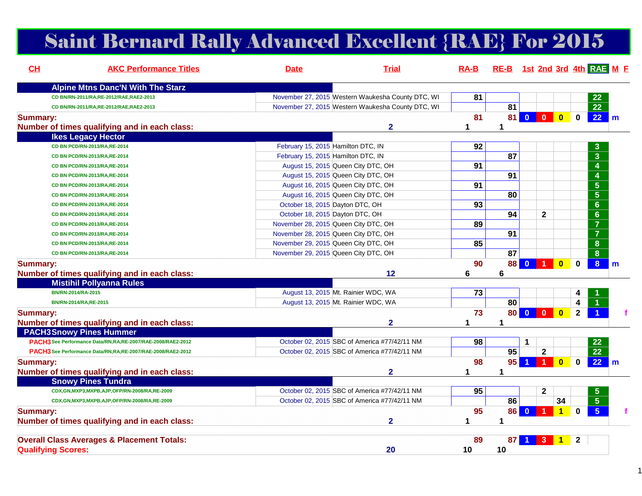# Saint Bernard Rally Advanced Excellent {RAE} For 2015

| CH                        | <b>AKC Performance Titles</b>                                 | <b>Date</b>                          | <b>Trial</b>                                      | $RA-B$   | RE-B 1st 2nd 3rd 4th RAE M E |                |                         |                |                         |              |
|---------------------------|---------------------------------------------------------------|--------------------------------------|---------------------------------------------------|----------|------------------------------|----------------|-------------------------|----------------|-------------------------|--------------|
|                           | <b>Alpine Mtns Danc'N With The Starz</b>                      |                                      |                                                   |          |                              |                |                         |                |                         |              |
|                           | CD BN/RN-2011/RA,RE-2012/RAE,RAE2-2013                        |                                      | November 27, 2015 Western Waukesha County DTC, WI | 81       |                              |                |                         |                | 22                      |              |
|                           | CD BN/RN-2011/RA,RE-2012/RAE,RAE2-2013                        |                                      | November 27, 2015 Western Waukesha County DTC, WI |          | 81                           |                |                         |                | $\overline{22}$         |              |
| <b>Summary:</b>           | Number of times qualifying and in each class:                 |                                      | $\overline{2}$                                    | 81<br>1  | 1                            | 81 0 0 0       |                         | $\mathbf 0$    | 22                      | $\mathsf{m}$ |
|                           | <b>Ikes Legacy Hector</b>                                     |                                      |                                                   |          |                              |                |                         |                |                         |              |
|                           | CD BN PCD/RN-2013/RA, RE-2014                                 | February 15, 2015 Hamilton DTC, IN   |                                                   | 92       |                              |                |                         |                | 3                       |              |
|                           | CD BN PCD/RN-2013/RA, RE-2014                                 | February 15, 2015 Hamilton DTC, IN   |                                                   |          | 87                           |                |                         |                | $\overline{\mathbf{3}}$ |              |
|                           | CD BN PCD/RN-2013/RA,RE-2014                                  | August 15, 2015 Queen City DTC, OH   |                                                   | 91       |                              |                |                         |                | $\overline{4}$          |              |
|                           | CD BN PCD/RN-2013/RA,RE-2014                                  | August 15, 2015 Queen City DTC, OH   |                                                   |          | 91                           |                |                         |                | $\overline{4}$          |              |
|                           | CD BN PCD/RN-2013/RA,RE-2014                                  | August 16, 2015 Queen City DTC, OH   |                                                   | 91       |                              |                |                         |                | $\overline{5}$          |              |
|                           | CD BN PCD/RN-2013/RA, RE-2014                                 | August 16, 2015 Queen City DTC, OH   |                                                   |          | 80                           |                |                         |                | $\overline{5}$          |              |
|                           | CD BN PCD/RN-2013/RA, RE-2014                                 | October 18, 2015 Dayton DTC, OH      |                                                   | 93       |                              |                |                         |                | $\overline{6}$          |              |
|                           | CD BN PCD/RN-2013/RA,RE-2014                                  | October 18, 2015 Dayton DTC, OH      |                                                   |          | 94                           |                | $\mathbf{2}$            |                | $\overline{6}$          |              |
|                           | CD BN PCD/RN-2013/RA,RE-2014                                  | November 28, 2015 Queen City DTC, OH |                                                   | 89       |                              |                |                         |                | $\overline{7}$          |              |
|                           | CD BN PCD/RN-2013/RA,RE-2014                                  | November 28, 2015 Queen City DTC, OH |                                                   |          | $\overline{91}$              |                |                         |                | $\overline{7}$          |              |
|                           | CD BN PCD/RN-2013/RA,RE-2014                                  | November 29, 2015 Queen City DTC, OH |                                                   | 85       |                              |                |                         |                | 8                       |              |
|                           | CD BN PCD/RN-2013/RA, RE-2014                                 | November 29, 2015 Queen City DTC, OH |                                                   |          | 87                           |                |                         |                | 8                       |              |
| <b>Summary:</b>           | Number of times qualifying and in each class:                 |                                      | 12                                                | 90<br>6  | 88<br>6                      | $\overline{0}$ | $\bf{0}$                | $\bf{0}$       | 8 <sup>1</sup>          | m            |
|                           | <b>Mistihil Pollyanna Rules</b>                               |                                      |                                                   |          |                              |                |                         |                |                         |              |
|                           | BN/RN-2014/RA-2015                                            | August 13, 2015 Mt. Rainier WDC, WA  |                                                   | 73       |                              |                |                         | 4              |                         |              |
|                           | BN/RN-2014/RA, RE-2015                                        | August 13, 2015 Mt. Rainier WDC, WA  |                                                   |          | 80                           |                |                         | 4              |                         |              |
| <b>Summary:</b>           |                                                               |                                      | $\mathbf{2}$                                      | 73<br>1  | 1                            | 80 0 0 0       |                         | $\overline{2}$ |                         |              |
|                           | Number of times qualifying and in each class:                 |                                      |                                                   |          |                              |                |                         |                |                         |              |
|                           | <b>PACH3Snowy Pines Hummer</b>                                |                                      | October 02, 2015 SBC of America #77/42/11 NM      |          |                              | 1              |                         |                | 22                      |              |
|                           | PACH3 See Performance Data/RN, RA, RE-2007/RAE-2008/RAE2-2012 |                                      | October 02, 2015 SBC of America #77/42/11 NM      | 98       | 95                           |                | $\mathbf 2$             |                | $\overline{22}$         |              |
|                           | PACH3 See Performance Data/RN,RA,RE-2007/RAE-2008/RAE2-2012   |                                      |                                                   |          | 95                           |                | $\blacksquare$          |                |                         |              |
| <b>Summary:</b>           | Number of times qualifying and in each class:                 |                                      | $\mathbf{2}$                                      | 98<br>1  | 1                            | $\blacksquare$ | $\overline{\mathbf{0}}$ | $\mathbf 0$    | $22 \mid m$             |              |
|                           | <b>Snowy Pines Tundra</b>                                     |                                      |                                                   |          |                              |                |                         |                |                         |              |
|                           | CDX, GN, MXP3, MXPB, AJP, OFP/RN-2008/RA, RE-2009             |                                      | October 02, 2015 SBC of America #77/42/11 NM      | 95       |                              |                | $\overline{\mathbf{2}}$ |                |                         |              |
|                           | CDX,GN,MXP3,MXPB,AJP,OFP/RN-2008/RA,RE-2009                   |                                      | October 02, 2015 SBC of America #77/42/11 NM      |          | 86                           |                | 34                      |                | 5 <sup>5</sup>          |              |
| <b>Summary:</b>           | Number of times qualifying and in each class:                 |                                      | $\overline{2}$                                    | 95<br>1  | 86<br>1                      | $\bullet$      | $\overline{1}$<br>1     | $\bf{0}$       | 5 <sup>5</sup>          |              |
|                           |                                                               |                                      |                                                   |          |                              |                |                         |                |                         |              |
| <b>Qualifying Scores:</b> | <b>Overall Class Averages &amp; Placement Totals:</b>         |                                      | 20                                                | 89<br>10 | 87<br>10                     |                | $\mathbf 1$             | $\mathbf{2}$   |                         |              |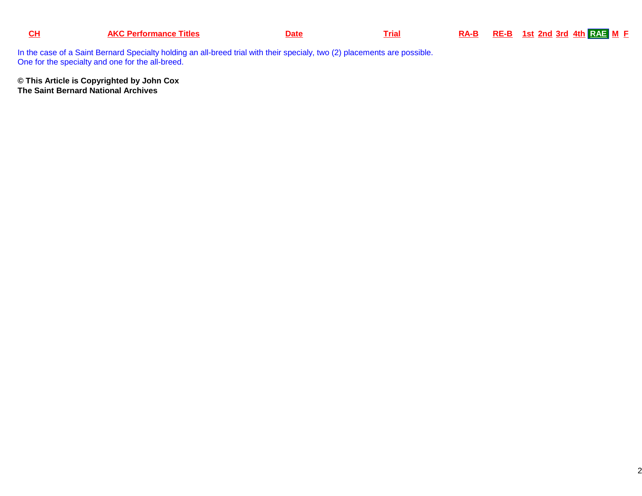|  | rtormance<br><u>i itles</u><br><b>An</b> |  | ria | RA-B | <b>RE-B</b> | 1st 2nd 3rd 4th $RAE$ M $E$ |
|--|------------------------------------------|--|-----|------|-------------|-----------------------------|
|--|------------------------------------------|--|-----|------|-------------|-----------------------------|

In the case of a Saint Bernard Specialty holding an all-breed trial with their specialy, two (2) placements are possible. One for the specialty and one for the all-breed.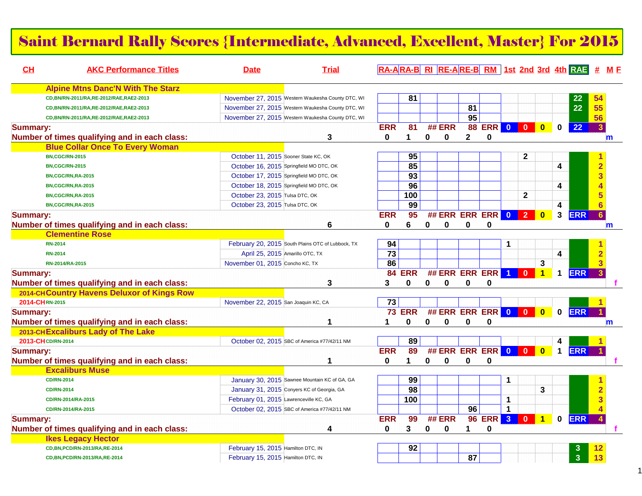#### Saint Bernard Rally Scores {Intermediate, Advanced, Excellent, Master} For 2015

| CL              | <b>AKC Performance Titles</b>                 | <b>Date</b>                                | <b>Trial</b>                                      |                 |                 |             |             |                      |                 |                         |                         |                         |                         | RA-ARA-B RI RE-ARE-B RM 1st 2nd 3rd 4th RAE # ME |                |   |
|-----------------|-----------------------------------------------|--------------------------------------------|---------------------------------------------------|-----------------|-----------------|-------------|-------------|----------------------|-----------------|-------------------------|-------------------------|-------------------------|-------------------------|--------------------------------------------------|----------------|---|
|                 | <b>Alpine Mtns Danc'N With The Starz</b>      |                                            |                                                   |                 |                 |             |             |                      |                 |                         |                         |                         |                         |                                                  |                |   |
|                 | CD, BN/RN-2011/RA, RE-2012/RAE, RAE2-2013     |                                            | November 27, 2015 Western Waukesha County DTC, WI |                 | 81              |             |             |                      |                 |                         |                         |                         |                         | 22                                               | 54             |   |
|                 | CD, BN/RN-2011/RA, RE-2012/RAE, RAE2-2013     |                                            | November 27, 2015 Western Waukesha County DTC, WI |                 |                 |             |             | 81                   |                 |                         |                         |                         |                         | 22                                               | 55             |   |
|                 | CD, BN/RN-2011/RA, RE-2012/RAE, RAE2-2013     |                                            | November 27, 2015 Western Waukesha County DTC, WI |                 |                 |             |             | 95                   |                 |                         |                         |                         |                         |                                                  | 56             |   |
| <b>Summary:</b> | Number of times qualifying and in each class: |                                            | 3                                                 | <b>ERR</b><br>0 | 81<br>1         | $\bf{0}$    | ## ERR<br>0 | $\mathbf{2}$         | 88 ERR 0 0<br>0 |                         |                         | $\overline{\mathbf{0}}$ | 0                       | 22                                               | 3              | m |
|                 | <b>Blue Collar Once To Every Woman</b>        |                                            |                                                   |                 |                 |             |             |                      |                 |                         |                         |                         |                         |                                                  |                |   |
|                 | <b>BN,CGC/RN-2015</b>                         | October 11, 2015 Sooner State KC, OK       |                                                   |                 | 95              |             |             |                      |                 |                         | $\mathbf 2$             |                         |                         |                                                  |                |   |
|                 | <b>BN,CGC/RN-2015</b>                         | October 16, 2015 Springfield MO DTC, OK    |                                                   |                 | 85              |             |             |                      |                 |                         |                         |                         | 4                       |                                                  | $\overline{2}$ |   |
|                 | BN,CGC/RN,RA-2015                             | October 17, 2015 Springfield MO DTC, OK    |                                                   |                 | 93              |             |             |                      |                 |                         |                         |                         |                         |                                                  | 3              |   |
|                 | BN,CGC/RN,RA-2015                             | October 18, 2015 Springfield MO DTC, OK    |                                                   |                 | 96              |             |             |                      |                 |                         |                         |                         | 4                       |                                                  |                |   |
|                 | BN,CGC/RN,RA-2015                             | October 23, 2015 Tulsa DTC, OK             |                                                   |                 | 100             |             |             |                      |                 |                         | $\mathbf{2}$            |                         |                         |                                                  |                |   |
|                 | <b>BN,CGC/RN,RA-2015</b>                      | October 23, 2015 Tulsa DTC, OK             |                                                   |                 | 99              |             |             |                      |                 |                         |                         |                         | 4                       |                                                  | 6              |   |
| <b>Summary:</b> |                                               |                                            |                                                   | <b>ERR</b>      | 95              |             |             | ## ERR ERR ERR       |                 | $\overline{\mathbf{0}}$ | $\overline{2}$          | $\bf{0}$                | $\overline{\mathbf{3}}$ | <b>ERR</b>                                       | 6 <sup>°</sup> |   |
|                 | Number of times qualifying and in each class: |                                            | 6                                                 | 0               | 6               | $\mathbf 0$ | 0           | 0                    | 0               |                         |                         |                         |                         |                                                  | $\mathbf m$    |   |
|                 | <b>Clementine Rose</b>                        |                                            |                                                   |                 |                 |             |             |                      |                 |                         |                         |                         |                         |                                                  |                |   |
|                 | <b>RN-2014</b>                                |                                            | February 20, 2015 South Plains OTC of Lubbock, TX | 94              |                 |             |             |                      |                 | 1                       |                         |                         |                         |                                                  |                |   |
|                 | <b>RN-2014</b>                                | April 25, 2015 Amarillo OTC, TX            |                                                   | $\overline{73}$ |                 |             |             |                      |                 |                         |                         |                         | 4                       |                                                  | $\overline{2}$ |   |
|                 | RN-2014/RA-2015                               | November 01, 2015 Concho KC, TX            |                                                   | 86              |                 |             |             |                      |                 |                         |                         | 3                       |                         |                                                  | 3              |   |
| <b>Summary:</b> |                                               |                                            |                                                   |                 | <b>84 ERR</b>   |             |             | ## ERR ERR ERR 1     |                 |                         | $\overline{\mathbf{0}}$ | $\vert$ 1               | $\mathbf 1$             | <b>ERR</b>                                       |                |   |
|                 | Number of times qualifying and in each class: |                                            | 3                                                 | 3               | $\bf{0}$        | 0           | 0           | 0                    | 0               |                         |                         |                         |                         |                                                  |                |   |
|                 | 2014-CHCountry Havens Deluxor of Kings Row    |                                            |                                                   |                 |                 |             |             |                      |                 |                         |                         |                         |                         |                                                  |                |   |
| 2014-CHRN-2015  |                                               | November 22, 2015 San Joaquin KC, CA       |                                                   | 73              |                 |             |             |                      |                 |                         |                         |                         |                         |                                                  |                |   |
| <b>Summary:</b> |                                               |                                            |                                                   |                 | <b>73 ERR</b>   |             |             | ## ERR ERR ERR       |                 | $\overline{\mathbf{0}}$ | $\mathbf{0}$            | $\mathbf{0}$            | 0                       | <b>ERR</b>                                       |                |   |
|                 | Number of times qualifying and in each class: |                                            | 1                                                 | 1               | 0               | $\mathbf 0$ | 0           | 0                    | 0               |                         |                         |                         |                         |                                                  | $\mathbf m$    |   |
|                 | 2013-CHExcaliburs Lady of The Lake            |                                            |                                                   |                 |                 |             |             |                      |                 |                         |                         |                         |                         |                                                  |                |   |
|                 | 2013-CH CD/RN-2014                            |                                            | October 02, 2015 SBC of America #77/42/11 NM      |                 | 89              |             |             |                      |                 |                         |                         |                         |                         |                                                  |                |   |
| <b>Summary:</b> |                                               |                                            |                                                   | <b>ERR</b>      | 89              |             |             | ## ERR ERR ERR 0 0 0 |                 |                         |                         |                         | $\mathbf{1}$            | <b>ERR</b>                                       |                |   |
|                 | Number of times qualifying and in each class: |                                            | 1                                                 | $\bf{0}$        | 1               | $\bf{0}$    | $\bf{0}$    | $\mathbf 0$          | 0               |                         |                         |                         |                         |                                                  |                |   |
|                 | <b>Excaliburs Muse</b>                        |                                            |                                                   |                 |                 |             |             |                      |                 |                         |                         |                         |                         |                                                  |                |   |
|                 | <b>CD/RN-2014</b>                             |                                            | January 30, 2015 Sawnee Mountain KC of GA, GA     |                 | 99              |             |             |                      |                 |                         |                         |                         |                         |                                                  |                |   |
|                 | <b>CD/RN-2014</b>                             | January 31, 2015 Conyers KC of Georgia, GA |                                                   |                 | $\overline{98}$ |             |             |                      |                 |                         |                         | 3                       |                         |                                                  | $\overline{2}$ |   |
|                 | CD/RN-2014/RA-2015                            | February 01, 2015 Lawrenceville KC, GA     |                                                   |                 | 100             |             |             |                      |                 | 1                       |                         |                         |                         |                                                  | 3              |   |
|                 | CD/RN-2014/RA-2015                            |                                            | October 02, 2015 SBC of America #77/42/11 NM      |                 |                 |             |             | $\overline{96}$      |                 | $\mathbf{1}$            |                         |                         |                         |                                                  |                |   |
| <b>Summary:</b> |                                               |                                            |                                                   | <b>ERR</b>      | 99              |             | ## ERR      |                      | <b>96 ERR</b>   | 3 <sup>2</sup>          | $\mathbf{0}$            | $\mathbf 1$             | 0                       | <b>ERR</b>                                       |                |   |
|                 | Number of times qualifying and in each class: |                                            | 4                                                 | 0               | 3               | 0           | 0           | 1                    | 0               |                         |                         |                         |                         |                                                  |                |   |
|                 | <b>Ikes Legacy Hector</b>                     |                                            |                                                   |                 |                 |             |             |                      |                 |                         |                         |                         |                         |                                                  |                |   |
|                 | CD, BN, PCD/RN-2013/RA, RE-2014               | February 15, 2015 Hamilton DTC, IN         |                                                   |                 | 92              |             |             |                      |                 |                         |                         |                         |                         | 3                                                | $12 \,$        |   |
|                 | CD, BN, PCD/RN-2013/RA, RE-2014               | February 15, 2015 Hamilton DTC, IN         |                                                   |                 |                 |             |             | 87                   |                 |                         |                         |                         |                         | $\overline{3}$                                   | 13             |   |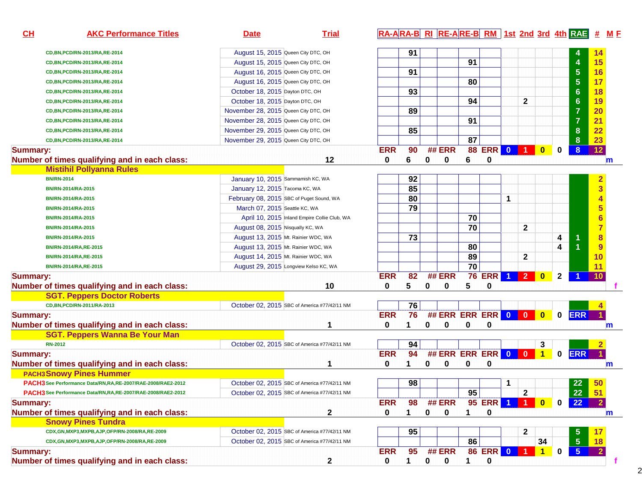| CL              | <b>AKC Performance Titles</b>                                 | <b>Date</b>                                  | <b>Trial</b>                                 |            |                 |             |                    |    |               |                         |                         |              |              |                      |                         |             |
|-----------------|---------------------------------------------------------------|----------------------------------------------|----------------------------------------------|------------|-----------------|-------------|--------------------|----|---------------|-------------------------|-------------------------|--------------|--------------|----------------------|-------------------------|-------------|
|                 | CD, BN, PCD/RN-2013/RA, RE-2014                               | August 15, 2015 Queen City DTC, OH           |                                              |            | 91              |             |                    |    |               |                         |                         |              |              |                      | 14                      |             |
|                 | CD, BN, PCD/RN-2013/RA, RE-2014                               | August 15, 2015 Queen City DTC, OH           |                                              |            |                 |             |                    | 91 |               |                         |                         |              |              | 4                    | 15                      |             |
|                 | CD, BN, PCD/RN-2013/RA, RE-2014                               | August 16, 2015 Queen City DTC, OH           |                                              |            | 91              |             |                    |    |               |                         |                         |              |              | $5\phantom{1}$       | 16                      |             |
|                 | CD, BN, PCD/RN-2013/RA, RE-2014                               | August 16, 2015 Queen City DTC, OH           |                                              |            |                 |             |                    | 80 |               |                         |                         |              |              | 5                    | 17                      |             |
|                 | CD, BN, PCD/RN-2013/RA, RE-2014                               | October 18, 2015 Dayton DTC, OH              |                                              |            | 93              |             |                    |    |               |                         |                         |              |              | 6                    | 18                      |             |
|                 | CD, BN, PCD/RN-2013/RA, RE-2014                               | October 18, 2015 Dayton DTC, OH              |                                              |            |                 |             |                    | 94 |               |                         | $\mathbf{2}$            |              |              | $6\phantom{1}6$      | 19                      |             |
|                 | CD, BN, PCD/RN-2013/RA, RE-2014                               | November 28, 2015 Queen City DTC, OH         |                                              |            | 89              |             |                    |    |               |                         |                         |              |              | $\overline{7}$       | 20                      |             |
|                 | CD, BN, PCD/RN-2013/RA, RE-2014                               | November 28, 2015 Queen City DTC, OH         |                                              |            |                 |             |                    | 91 |               |                         |                         |              |              | $\overline{7}$       | 21                      |             |
|                 | CD, BN, PCD/RN-2013/RA, RE-2014                               | November 29, 2015 Queen City DTC, OH         |                                              |            | 85              |             |                    |    |               |                         |                         |              |              | 8                    | 22                      |             |
|                 | CD, BN, PCD/RN-2013/RA, RE-2014                               | November 29, 2015 Queen City DTC, OH         |                                              |            |                 |             |                    | 87 |               |                         |                         |              |              | 8                    | 23                      |             |
| <b>Summary:</b> |                                                               |                                              |                                              | <b>ERR</b> | 90              |             | <b>## ERR</b>      | 88 | <b>ERR</b>    | $\overline{\mathbf{0}}$ |                         | $\mathbf{0}$ | $\bf{0}$     | 8                    | 12                      |             |
|                 | Number of times qualifying and in each class:                 |                                              | 12                                           | 0          | 6               | 0           | 0                  | 6  | 0             |                         |                         |              |              |                      |                         | $\mathbf m$ |
|                 | <b>Mistihil Pollyanna Rules</b>                               |                                              |                                              |            |                 |             |                    |    |               |                         |                         |              |              |                      |                         |             |
|                 | <b>BN/RN-2014</b>                                             | January 10, 2015 Sammamish KC, WA            |                                              |            | 92              |             |                    |    |               |                         |                         |              |              |                      | $\overline{\mathbf{2}}$ |             |
|                 | BN/RN-2014/RA-2015                                            | January 12, 2015 Tacoma KC, WA               |                                              |            | 85              |             |                    |    |               |                         |                         |              |              |                      | $\overline{3}$          |             |
|                 | BN/RN-2014/RA-2015                                            | February 08, 2015 SBC of Puget Sound, WA     |                                              |            | 80              |             |                    |    |               | 1                       |                         |              |              |                      |                         |             |
|                 | BN/RN-2014/RA-2015                                            | March 07, 2015 Seattle KC, WA                |                                              |            | 79              |             |                    |    |               |                         |                         |              |              |                      | 5                       |             |
|                 | BN/RN-2014/RA-2015                                            |                                              | April 10, 2015 Inland Empire Collie Club, WA |            |                 |             |                    | 70 |               |                         |                         |              |              |                      |                         |             |
|                 | BN/RN-2014/RA-2015                                            | August 08, 2015 Nisqually KC, WA             |                                              |            |                 |             |                    | 70 |               |                         | $\mathbf{2}$            |              |              |                      | $\overline{7}$          |             |
|                 | BN/RN-2014/RA-2015                                            | August 13, 2015 Mt. Rainier WDC, WA          |                                              |            | $\overline{73}$ |             |                    |    |               |                         |                         |              | 4            | 1                    | 8                       |             |
|                 | BN/RN-2014/RA,RE-2015                                         | August 13, 2015 Mt. Rainier WDC, WA          |                                              |            |                 |             |                    | 80 |               |                         |                         |              | 4            |                      | 9                       |             |
|                 | BN/RN-2014/RA,RE-2015                                         | August 14, 2015 Mt. Rainier WDC, WA          |                                              |            |                 |             |                    | 89 |               |                         | $\mathbf{2}$            |              |              |                      | 10                      |             |
|                 | BN/RN-2014/RA,RE-2015                                         | August 29, 2015 Longview Kelso KC, WA        |                                              |            |                 |             |                    | 70 |               |                         |                         |              |              |                      |                         |             |
| <b>Summary:</b> |                                                               |                                              |                                              | <b>ERR</b> | 82              |             | <b>## ERR</b>      |    | <b>76 ERR</b> | $\blacktriangleleft$    | $\overline{2}$          | $\bf{0}$     | $\mathbf{2}$ | $\blacktriangleleft$ | 10                      |             |
|                 | Number of times qualifying and in each class:                 |                                              | 10                                           | 0          | 5               | 0           | 0                  | 5  | 0             |                         |                         |              |              |                      |                         |             |
|                 | <b>SGT. Peppers Doctor Roberts</b>                            |                                              |                                              |            |                 |             |                    |    |               |                         |                         |              |              |                      |                         |             |
|                 | CD,BN,PCD/RN-2011/RA-2013                                     | October 02, 2015 SBC of America #77/42/11 NM |                                              |            | 76              |             |                    |    |               |                         |                         |              |              |                      |                         |             |
| <b>Summary:</b> |                                                               |                                              |                                              | <b>ERR</b> | 76              |             | ## ERR ERR ERR 0 0 |    |               |                         |                         | $\bullet$    | $\mathbf 0$  | <b>ERR</b>           |                         |             |
|                 | Number of times qualifying and in each class:                 |                                              | 1                                            | 0          | 1               | 0           | $\mathbf 0$        | 0  | 0             |                         |                         |              |              |                      |                         | m           |
|                 | <b>SGT. Peppers Wanna Be Your Man</b>                         |                                              |                                              |            |                 |             |                    |    |               |                         |                         |              |              |                      |                         |             |
|                 | <b>RN-2012</b>                                                | October 02, 2015 SBC of America #77/42/11 NM |                                              |            | 94              |             |                    |    |               |                         |                         | 3            |              |                      |                         |             |
| <b>Summary:</b> |                                                               |                                              |                                              | <b>ERR</b> | 94              |             | ## ERR ERR ERR 0   |    |               |                         | $\overline{\mathbf{0}}$ | $\vert$ 1    | 0            | <b>ERR</b>           |                         |             |
|                 | Number of times qualifying and in each class:                 |                                              |                                              | 0          | 1               | 0           | 0                  | 0  | 0             |                         |                         |              |              |                      |                         | $\mathbf m$ |
|                 | <b>PACH3 Snowy Pines Hummer</b>                               |                                              |                                              |            |                 |             |                    |    |               |                         |                         |              |              |                      |                         |             |
|                 | PACH3 See Performance Data/RN, RA, RE-2007/RAE-2008/RAE2-2012 | October 02, 2015 SBC of America #77/42/11 NM |                                              |            | 98              |             |                    |    |               | 1                       |                         |              |              | 22                   | 50                      |             |
|                 | PACH3 See Performance Data/RN,RA,RE-2007/RAE-2008/RAE2-2012   | October 02, 2015 SBC of America #77/42/11 NM |                                              |            |                 |             |                    | 95 |               |                         | $\mathbf{2}$            |              |              | 22                   | 51                      |             |
| <b>Summary:</b> |                                                               |                                              |                                              | <b>ERR</b> | 98              |             | <b>## ERR</b>      |    | <b>95 ERR</b> |                         |                         | $\bf{0}$     | 0            | 22                   |                         |             |
|                 | Number of times qualifying and in each class:                 |                                              | 2                                            | 0          | 1               | 0           | $\bf{0}$           | 1  | 0             |                         |                         |              |              |                      |                         | $\mathbf m$ |
|                 | <b>Snowy Pines Tundra</b>                                     |                                              |                                              |            |                 |             |                    |    |               |                         |                         |              |              |                      |                         |             |
|                 | CDX,GN,MXP3,MXPB,AJP,OFP/RN-2008/RA,RE-2009                   | October 02, 2015 SBC of America #77/42/11 NM |                                              |            | 95              |             |                    |    |               |                         | 2                       |              |              |                      |                         |             |
|                 | CDX,GN,MXP3,MXPB,AJP,OFP/RN-2008/RA,RE-2009                   | October 02, 2015 SBC of America #77/42/11 NM |                                              |            |                 |             |                    | 86 |               |                         |                         | 34           |              | $5\phantom{1}$       |                         |             |
| <b>Summary:</b> |                                                               |                                              |                                              | <b>ERR</b> | 95              |             | <b>## ERR</b>      |    | <b>86 ERR</b> | $\bullet$               |                         | $\mathbf{1}$ | 0            | $\sqrt{5}$           |                         |             |
|                 | Number of times qualifying and in each class:                 |                                              | 2                                            | 0          | $\mathbf 1$     | $\mathbf 0$ | $\mathbf 0$        | 1  | $\bf{0}$      |                         |                         |              |              |                      |                         |             |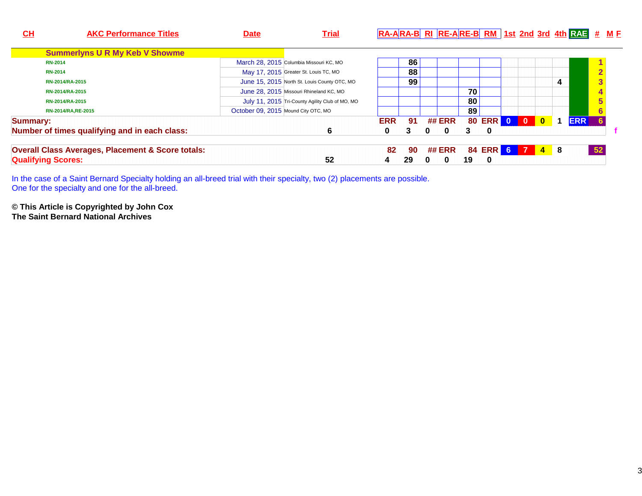| <u>СН</u> | <b>AKC Performance Titles</b>                                | <b>Date</b>                         | <b>Trial</b>                                    |            |    | RA-ARA-B RI RE-ARE-B RM 1st 2nd 3rd 4th RAE # ME |    |            |  |              |   |            |               |  |
|-----------|--------------------------------------------------------------|-------------------------------------|-------------------------------------------------|------------|----|--------------------------------------------------|----|------------|--|--------------|---|------------|---------------|--|
|           | <b>Summerlyns U R My Keb V Showme</b>                        |                                     |                                                 |            |    |                                                  |    |            |  |              |   |            |               |  |
|           | <b>RN-2014</b>                                               |                                     | March 28, 2015 Columbia Missouri KC, MO         |            | 86 |                                                  |    |            |  |              |   |            |               |  |
|           | <b>RN-2014</b>                                               |                                     | May 17, 2015 Greater St. Louis TC, MO           |            | 88 |                                                  |    |            |  |              |   |            |               |  |
|           | RN-2014/RA-2015                                              |                                     | June 15, 2015 North St. Louis County OTC, MO    |            | 99 |                                                  |    |            |  |              | 4 |            | $\frac{2}{3}$ |  |
|           | RN-2014/RA-2015                                              |                                     | June 28, 2015 Missouri Rhineland KC, MO         |            |    |                                                  | 70 |            |  |              |   |            |               |  |
|           | RN-2014/RA-2015                                              |                                     | July 11, 2015 Tri-County Agility Club of MO, MO |            |    |                                                  | 80 |            |  |              |   |            |               |  |
|           | RN-2014/RA, RE-2015                                          | October 09, 2015 Mound City OTC, MO |                                                 |            |    |                                                  | 89 |            |  |              |   |            |               |  |
| Summary:  |                                                              |                                     |                                                 | <b>ERR</b> | 91 | ## ERR                                           |    | 80 ERR 0 0 |  | $\mathbf{0}$ | 1 | <b>ERR</b> |               |  |
|           | Number of times qualifying and in each class:                |                                     | 6                                               | 0          | 3  | 0<br>0                                           | 3  | $\bf{0}$   |  |              |   |            |               |  |
|           | <b>Overall Class Averages, Placement &amp; Score totals:</b> |                                     |                                                 | 82         | 90 | <b>## ERR</b>                                    |    | 84 ERR 6 7 |  | $4 \quad 8$  |   |            | 52            |  |
|           | <b>Qualifying Scores:</b>                                    |                                     | 52                                              |            | 29 | 0<br>0                                           | 19 | 0          |  |              |   |            |               |  |

In the case of a Saint Bernard Specialty holding an all-breed trial with their specialty, two (2) placements are possible. One for the specialty and one for the all-breed.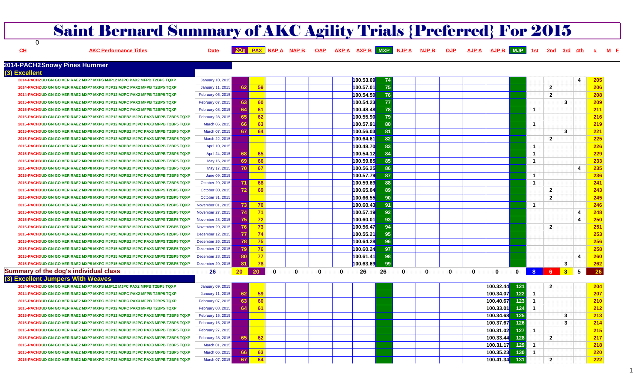# Saint Bernard Summary of AKC Agility Trials {Preferred} For 2015

**CH**

 $\overline{0}$ 

AJP A AJP B MJP 1st 2nd 3rd 4th AKC Performance Titles **Example 2008 PAX ALTA AND AND AND AND AXP B** AND A AND A NUP B OUP

#### **2014-PACH2Snowy Pines Hummer**

| (3) Excellent                                                                |                   |                       |       |               |              |          |           |     |          |   |          |   |              |              |                      |                |   |     |
|------------------------------------------------------------------------------|-------------------|-----------------------|-------|---------------|--------------|----------|-----------|-----|----------|---|----------|---|--------------|--------------|----------------------|----------------|---|-----|
| 2014-PACH2 UD GN GO VER RAE2 MXP7 MXPS MJP12 MJPC PAX2 MFPB T2BP5 TQXP       | January 10, 2015  |                       |       |               |              |          | 100.53.69 | 74  |          |   |          |   |              |              |                      |                | 4 | 205 |
| 2014-PACH2 UD GN GO VER RAE2 MXP7 MXPG MJP12 MJPC PAX2 MFPB T2BP5 TQXP       | January 11, 2015  | 62                    | 59    |               |              |          | 100.57.01 | 75  |          |   |          |   |              |              |                      | $\overline{2}$ |   | 206 |
| 2014-PACH2 UD GN GO VER RAE2 MXP7 MXPG MJP12 MJPC PAX2 MFPB T2BP5 TQXP       | February 06, 2015 |                       |       |               |              |          | 100.54.50 | 76  |          |   |          |   |              |              |                      | $\overline{2}$ |   | 208 |
| 2015-PACH3 UD GN GO VER RAE2 MXP7 MXPG MJP12 MJPC PAX3 MFPB T2BP5 TQXP       | February 07, 2015 | 63                    | 60    |               |              |          | 100.54.23 | 77  |          |   |          |   |              |              |                      |                | 3 | 209 |
| 2015-PACH3 UD GN GO VER RAE2 MXP7 MXPG MJP12 MJPC PAX3 MFPB T2BP5 TQXP       | February 08, 2015 | 64                    | 61    |               |              |          | 100.48.48 | 78  |          |   |          |   |              |              | -1                   |                |   | 211 |
| 2015-PACH3 UD GN GO VER RAE2 MXP7 MXPG MJP12 MJPB2 MJPC PAX3 MFPB T2BP5 TQXP | February 28, 2015 | 65                    | 62    |               |              |          | 100.55.90 | 79  |          |   |          |   |              |              |                      |                |   | 216 |
| 2015-PACH3 UD GN GO VER RAE2 MXP7 MXPG MJP12 MJPB2 MJPC PAX3 MFPB T2BP5 TQXP | March 06, 2015    | 66                    | 63    |               |              |          | 100.57.91 | 80  |          |   |          |   |              |              | $\overline{1}$       |                |   | 219 |
| 2015-PACH3 UD GN GO VER RAE2 MXP8 MXPG MJP13 MJPB2 MJPC PAX3 MFPB T2BP5 TQXP | March 07, 2015    | -67                   | 64    |               |              |          | 100.56.03 | 81  |          |   |          |   |              |              |                      |                | 3 | 221 |
| 2015-PACH3 UD GN GO VER RAE2 MXP8 MXPG MJP13 MJPB2 MJPC PAX3 MFPB T2BP5 TQXP | March 22, 2015    |                       |       |               |              |          | 100.64.61 | 82  |          |   |          |   |              |              |                      | $\mathbf{2}$   |   | 225 |
| 2015-PACH3 UD GN GO VER RAE2 MXP8 MXPG MJP13 MJPB2 MJPC PAX3 MFPB T2BP5 TQXP | April 10, 2015    |                       |       |               |              |          | 100.48.70 | 83  |          |   |          |   |              |              | -1                   |                |   | 226 |
| 2015-PACH3 UD GN GO VER RAE2 MXP8 MXPG MJP13 MJPB2 MJPC PAX3 MFPB T2BP5 TQXF | April 24, 2015    | 68                    | 65    |               |              |          | 100.54.12 | 84  |          |   |          |   |              |              | -1                   |                |   | 229 |
| 2015-PACH3 UD GN GO VER RAE2 MXP8 MXPG MJP13 MJPB2 MJPC PAX3 MFPB T2BP5 TQXP | May 16, 2015      | 69                    | 66    |               |              |          | 100.59.85 | 85  |          |   |          |   |              |              | -1                   |                |   | 233 |
| 2015-PACH3 UD GN GO VER RAE2 MXP8 MXPG MJP14 MJPB2 MJPC PAX3 MFPB T2BP5 TQXP | May 17, 2015      | 70                    | 67    |               |              |          | 100.56.25 | 86  |          |   |          |   |              |              |                      |                | 4 | 235 |
| 2015-PACH3 UD GN GO VER RAE2 MXP8 MXPG MJP14 MJPB2 MJPC PAX3 MFPB T2BP5 TQXP | June 09, 2015     |                       |       |               |              |          | 100.57.79 | 87  |          |   |          |   |              |              | $\blacktriangleleft$ |                |   | 236 |
| 2015-PACH3 UD GN GO VER RAE2 MXP8 MXPG MJP14 MJPB2 MJPC PAX3 MFPB T2BP5 TQXP | October 29, 2015  | 71                    | 68    |               |              |          | 100.59.69 | 88  |          |   |          |   |              |              | $\overline{1}$       |                |   | 241 |
| 2015-PACH3 UD GN GO VER RAE2 MXP8 MXPG MJP14 MJPB2 MJPC PAX3 MFPS T2BP5 TQXP | October 30, 2015  | 72                    | 69    |               |              |          | 100.65.04 | 89  |          |   |          |   |              |              |                      | $\overline{2}$ |   | 243 |
| 2015-PACH3 UD GN GO VER RAE2 MXP9 MXPG MJP14 MJPB2 MJPC PAX3 MFPS T2BP5 TQXP | October 31, 2015  |                       |       |               |              |          | 100.66.55 | 90  |          |   |          |   |              |              |                      | $\overline{2}$ |   | 245 |
| 2015-PACH3 UD GN GO VER RAE2 MXP9 MXPG MJP14 MJPB2 MJPC PAX3 MFPS T2BP5 TQXP | November 01, 2015 | 73                    | $-70$ |               |              |          | 100.60.43 | 91  |          |   |          |   |              |              | -1                   |                |   | 246 |
| 2015-PACH3 UD GN GO VER RAE2 MXP9 MXPG MJP14 MJPB2 MJPC PAX3 MFPS T2BP5 TQXP | November 27, 2015 | 74                    | $-71$ |               |              |          | 100.57.19 | 92  |          |   |          |   |              |              |                      |                | 4 | 248 |
| 2015-PACH3 UD GN GO VER RAE2 MXP9 MXPG MJP14 MJPB2 MJPC PAX3 MFPS T2BP5 TQXP | November 28, 2015 | 75                    | 72    |               |              |          | 100.60.01 | 93  |          |   |          |   |              |              |                      |                | 4 | 250 |
| 2015-PACH3 UD GN GO VER RAE2 MXP9 MXPG MJP15 MJPB2 MJPC PAX3 MFPS T2BP5 TQXP | November 29, 2015 | 76                    | 73    |               |              |          | 100.56.47 | 94  |          |   |          |   |              |              |                      | $\overline{2}$ |   | 251 |
| 2015-PACH3 UD GN GO VER RAE2 MXP9 MXPG MJP15 MJPB2 MJPC PAX3 MFPS T2BP5 TQXP | December 12, 2015 | 77                    | 74    |               |              |          | 100.55.21 | 95  |          |   |          |   |              |              |                      |                |   | 253 |
| 2015-PACH3 UD GN GO VER RAE2 MXP9 MXPG MJP15 MJPB2 MJPC PAX3 MFPS T2BP5 TQXP | December 26, 2015 | 78                    | 75    |               |              |          | 100.64.28 | 96  |          |   |          |   |              |              |                      |                |   | 256 |
| 2015-PACH3 UD GN GO VER RAE2 MXP9 MXPG MJP15 MJPB2 MJPC PAX3 MFPS T2BP5 TQXP | December 27, 2015 | 79                    | $-76$ |               |              |          | 100.60.24 | 97  |          |   |          |   |              |              |                      |                |   | 258 |
| 2015-PACH3 UD GN GO VER RAE2 MXP9 MXPG MJP15 MJPB2 MJPC PAX3 MFPS T2BP5 TQXP | December 28, 2015 | 80                    | 77    |               |              |          | 100.61.41 | 98  |          |   |          |   |              |              |                      |                | 4 | 260 |
| 2015-PACH3 UD GN GO VER RAE2 MXP9 MXPG MJP15 MJPB2 MJPC PAX3 MFPS T2BP5 TQXP | December 29, 2015 | 81                    | 78    |               |              |          | 100.63.69 | -99 |          |   |          |   |              |              |                      |                | 3 | 262 |
| Summary of the dog's individual class                                        | 26                | 20 <sub>2</sub><br>20 |       | $\bf{0}$<br>0 | $\mathbf{0}$ | $\Omega$ | 26        | 26  | $\bf{0}$ | 0 | $\Omega$ | 0 | $\mathbf{0}$ | $\mathbf{0}$ |                      | 8 6 3          | 5 | 26  |
| (3) Excellent Jumpers With Weaves                                            |                   |                       |       |               |              |          |           |     |          |   |          |   |              |              |                      |                |   |     |
| 2014-PACH2 UD GN GO VER RAE2 MXP7 MXPS MJP12 MJPC PAX2 MFPB T2BP5 TQXP       | January 09, 2015  |                       |       |               |              |          |           |     |          |   |          |   | 100.32.44    | 121          |                      | $\overline{2}$ |   | 204 |
| 2014-PACH2 UD GN GO VER RAE2 MXP7 MXPG MJP12 MJPC PAX2 MFPB T2BP5 TQXP       | January 11, 2015  | 62                    | 59    |               |              |          |           |     |          |   |          |   | 100.34.07    | 122          |                      |                |   | 207 |
| 2015-PACH3 UD GN GO VER RAE2 MXP7 MXPG MJP12 MJPC PAX3 MFPB T2BP5 TQXP       | February 07, 2015 | 63                    | 60    |               |              |          |           |     |          |   |          |   | 100.40.67    | 123          |                      |                |   | 210 |
| 2015-PACH3 UD GN GO VER RAE2 MXP7 MXPG MJP12 MJPC PAX3 MFPB T2BP5 TQXP       | February 08, 2015 | 64                    | -61   |               |              |          |           |     |          |   |          |   | 100.33.01    | 124          | -1                   |                |   | 212 |
| 2015-PACH3 UD GN GO VER RAE2 MXP7 MXPG MJP12 MJPB2 MJPC PAX3 MFPB T2BP5 TQXP | February 15, 2015 |                       |       |               |              |          |           |     |          |   |          |   | 100.34.68    | 125          |                      |                | 3 | 213 |
| 2015-PACH3 UD GN GO VER RAE2 MXP7 MXPG MJP12 MJPB2 MJPC PAX3 MFPB T2BP5 TQXP | February 16, 2015 |                       |       |               |              |          |           |     |          |   |          |   | 100.37.67    | 126          |                      |                | 3 | 214 |
| 2015-PACH3 UD GN GO VER RAE2 MXP7 MXPG MJP12 MJPB2 MJPC PAX3 MFPB T2BP5 TQXP | February 27, 2015 |                       |       |               |              |          |           |     |          |   |          |   | 100.31.02    | 127          | -1                   |                |   | 215 |
| 2015-PACH3 UD GN GO VER RAE2 MXP7 MXPG MJP12 MJPB2 MJPC PAX3 MFPB T2BP5 TQXF | February 28, 2015 | 65                    | 62    |               |              |          |           |     |          |   |          |   | 100.33.44    | 128          |                      | $\mathbf{2}$   |   | 217 |
| 2015-PACH3 UD GN GO VER RAE2 MXP7 MXPG MJP12 MJPB2 MJPC PAX3 MFPB T2BP5 TQXP | March 01, 2015    |                       |       |               |              |          |           |     |          |   |          |   | 100.31.17    | 129          | -1                   |                |   | 218 |
| 2015-PACH3 UD GN GO VER RAE2 MXP8 MXPG MJP13 MJPB2 MJPC PAX3 MFPB T2BP5 TQXP | March 06, 2015    | 66                    | 63    |               |              |          |           |     |          |   |          |   | 100.35.23    | 130          | -1                   |                |   | 220 |

**2015-PACH3 UD GN GO VER RAE2 MXP8 MXPG MJP13 MJPB2 MJPC PAX3 MFPB T2BP5 TQXP** March 07, 2015 **67 64 100.41.34**

**131 2 222** 

**<sup>F</sup>**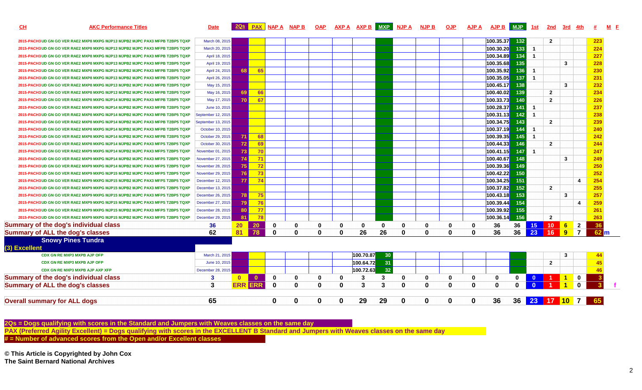| CL                                  | <b>AKC Performance Titles</b>                                                | <b>Date</b>        |              |              |              | 20s PAX NAP A NAP B |          |          | OAP AXPA AXPB MXP NJPA |    |          | <b>NJP B</b> | <b>OJP</b>   | <b>AJP A</b> | AJP B MJP |     | 1st              | 2nd             | 3rd 4th      |                |                 |  |
|-------------------------------------|------------------------------------------------------------------------------|--------------------|--------------|--------------|--------------|---------------------|----------|----------|------------------------|----|----------|--------------|--------------|--------------|-----------|-----|------------------|-----------------|--------------|----------------|-----------------|--|
|                                     | 2015-PACH3 UD GN GO VER RAE2 MXP8 MXPG MJP13 MJPB2 MJPC PAX3 MFPB T2BP5 TQXP | March 08, 2015     |              |              |              |                     |          |          |                        |    |          |              |              |              | 100.35.37 | 132 |                  | $\overline{2}$  |              |                | 223             |  |
|                                     | 2015-PACH3 UD GN GO VER RAE2 MXP8 MXPG MJP13 MJPB2 MJPC PAX3 MFPB T2BP5 TQXP | March 20, 2015     |              |              |              |                     |          |          |                        |    |          |              |              |              | 100.30.20 | 133 | $\blacksquare$   |                 |              |                | 224             |  |
|                                     | 2015-PACH3 UD GN GO VER RAE2 MXP8 MXPG MJP13 MJPB2 MJPC PAX3 MFPB T2BP5 TQXP | April 18, 2015     |              |              |              |                     |          |          |                        |    |          |              |              |              | 100.34.89 | 134 | $\overline{1}$   |                 |              |                | 227             |  |
|                                     | 2015-PACH3 UD GN GO VER RAE2 MXP8 MXPG MJP13 MJPB2 MJPC PAX3 MFPB T2BP5 TQXP | April 19, 2015     |              |              |              |                     |          |          |                        |    |          |              |              |              | 100.35.68 | 135 |                  |                 | 3            |                | 228             |  |
|                                     | 2015-PACH3 UD GN GO VER RAE2 MXP8 MXPG MJP13 MJPB2 MJPC PAX3 MFPB T2BP5 TQXP | April 24, 2015     | 68           | 65           |              |                     |          |          |                        |    |          |              |              |              | 100.35.92 | 136 | $\overline{1}$   |                 |              |                | 230             |  |
|                                     | 2015-PACH3 UD GN GO VER RAE2 MXP8 MXPG MJP13 MJPB2 MJPC PAX3 MFPB T2BP5 TQXP | April 26, 2015     |              |              |              |                     |          |          |                        |    |          |              |              |              | 100.35.05 | 137 | $\overline{1}$   |                 |              |                | 231             |  |
|                                     | 2015-PACH3 UD GN GO VER RAE2 MXP8 MXPG MJP13 MJPB2 MJPC PAX3 MFPB T2BP5 TQXP | May 15, 2015       |              |              |              |                     |          |          |                        |    |          |              |              |              | 100.45.17 | 138 |                  |                 | 3            |                | 232             |  |
|                                     | 2015-PACH3 UD GN GO VER RAE2 MXP8 MXPG MJP13 MJPB2 MJPC PAX3 MFPB T2BP5 TQXP | May 16, 2015       | 69           | 66           |              |                     |          |          |                        |    |          |              |              |              | 100.40.02 | 139 |                  | $\overline{2}$  |              |                | 234             |  |
|                                     | 2015-PACH3 UD GN GO VER RAE2 MXP8 MXPG MJP14 MJPB2 MJPC PAX3 MFPB T2BP5 TQXP | May 17, 2015       | 70.          | 67           |              |                     |          |          |                        |    |          |              |              |              | 100.33.73 | 140 |                  | $\overline{2}$  |              |                | 226             |  |
|                                     | 2015-PACH3 UD GN GO VER RAE2 MXP8 MXPG MJP14 MJPB2 MJPC PAX3 MFPB T2BP5 TQXP | June 10, 2015      |              |              |              |                     |          |          |                        |    |          |              |              |              | 100.28.37 | 141 | $\overline{1}$   |                 |              |                | 237             |  |
|                                     | 2015-PACH3 UD GN GO VER RAE2 MXP8 MXPG MJP14 MJPB2 MJPC PAX3 MFPB T2BP5 TQXP | September 12, 2015 |              |              |              |                     |          |          |                        |    |          |              |              |              | 100.31.13 | 142 | $\overline{1}$   |                 |              |                | 238             |  |
|                                     | 2015-PACH3 UD GN GO VER RAE2 MXP8 MXPG MJP14 MJPB2 MJPC PAX3 MFPB T2BP5 TQXP | September 13, 2015 |              |              |              |                     |          |          |                        |    |          |              |              |              | 100.34.75 | 143 |                  | $\overline{2}$  |              |                | 239             |  |
|                                     | 2015-PACH3 UD GN GO VER RAE2 MXP8 MXPG MJP14 MJPB2 MJPC PAX3 MFPB T2BP5 TQXP | October 10, 2015   |              |              |              |                     |          |          |                        |    |          |              |              |              | 100.37.19 | 144 | $\overline{1}$   |                 |              |                | 240             |  |
|                                     | 2015-PACH3 UD GN GO VER RAE2 MXP8 MXPG MJP14 MJPB2 MJPC PAX3 MFPB T2BP5 TQXP | October 29, 2015   | 71 I         | 68           |              |                     |          |          |                        |    |          |              |              |              | 100.39.35 | 145 | $\overline{1}$   |                 |              |                | 242             |  |
|                                     | 2015-PACH3 UD GN GO VER RAE2 MXP8 MXPG MJP14 MJPB2 MJPC PAX3 MFPS T2BP5 TQXP | October 30, 2015   | <b>72</b>    | 69           |              |                     |          |          |                        |    |          |              |              |              | 100.44.33 | 146 |                  | $\overline{2}$  |              |                | 244             |  |
|                                     | 2015-PACH3 UD GN GO VER RAE2 MXP9 MXPG MJP14 MJPB2 MJPC PAX3 MFPS T2BP5 TQXP | November 01, 2015  | 73           | 70           |              |                     |          |          |                        |    |          |              |              |              | 100.41.15 | 147 | $\overline{1}$   |                 |              |                | 247             |  |
|                                     | 2015-PACH3 UD GN GO VER RAE2 MXP9 MXPG MJP14 MJPB2 MJPC PAX3 MFPS T2BP5 TQXP | November 27, 2015  | 74           | 71           |              |                     |          |          |                        |    |          |              |              |              | 100.40.67 | 148 |                  |                 | $\mathbf{3}$ |                | 249             |  |
|                                     | 2015-PACH3 UD GN GO VER RAE2 MXP9 MXPG MJP14 MJPB2 MJPC PAX3 MFPS T2BP5 TQXP | November 28, 2015  | 75           | 72           |              |                     |          |          |                        |    |          |              |              |              | 100.39.36 | 149 |                  |                 |              |                | 250             |  |
|                                     | 2015-PACH3 UD GN GO VER RAE2 MXP9 MXPG MJP15 MJPB2 MJPC PAX3 MFPS T2BP5 TQXP | November 29, 2015  | 76           | 73           |              |                     |          |          |                        |    |          |              |              |              | 100.42.22 | 150 |                  |                 |              |                | 252             |  |
|                                     | 2015-PACH3 UD GN GO VER RAE2 MXP9 MXPG MJP15 MJPB2 MJPC PAX3 MFPS T2BP5 TQXP | December 12, 2015  | 77           | 74           |              |                     |          |          |                        |    |          |              |              |              | 100.34.25 | 151 |                  |                 |              | 4              | 254             |  |
|                                     | 2015-PACH3 UD GN GO VER RAE2 MXP9 MXPG MJP15 MJPB2 MJPC PAX3 MFPS T2BP5 TQXP | December 13, 2015  |              |              |              |                     |          |          |                        |    |          |              |              |              | 100.37.82 | 152 |                  | $\overline{2}$  |              |                | 255             |  |
|                                     | 2015-PACH3 UD GN GO VER RAE2 MXP9 MXPG MJP15 MJPB2 MJPC PAX3 MFPS T2BP5 TQXP | December 26, 2015  | <b>78</b>    | 75           |              |                     |          |          |                        |    |          |              |              |              | 100.43.18 | 153 |                  |                 | 3            |                | 257             |  |
|                                     | 2015-PACH3 UD GN GO VER RAE2 MXP9 MXPG MJP15 MJPB2 MJPC PAX3 MFPS T2BP5 TQXP | December 27, 2015  | 79           | 76           |              |                     |          |          |                        |    |          |              |              |              | 100.39.44 | 154 |                  |                 |              | 4              | 259             |  |
|                                     | 2015-PACH3 UD GN GO VER RAE2 MXP9 MXPG MJP15 MJPB2 MJPC PAX3 MFPS T2BP5 TQXP | December 28, 2015  | 80           | 77           |              |                     |          |          |                        |    |          |              |              |              | 100.39.92 | 155 |                  |                 |              |                | 261             |  |
|                                     | 2015-PACH3 UD GN GO VER RAE2 MXP9 MXPG MJP15 MJPB2 MJPC PAX3 MFPS T2BP5 TQXP | December 29, 2015  | 81           | 78           |              |                     |          |          |                        |    |          |              |              |              | 100.36.14 | 156 |                  | $\overline{2}$  |              |                | 263             |  |
|                                     | Summary of the dog's individual class                                        | 36                 | 20           | 20           | $\Omega$     | 0                   | $\bf{0}$ | 0        | $\mathbf{0}$           | 0  | 0        | O            | $\mathbf{0}$ | $\bf{0}$     | 36        | 36  | 15               | 10 <sub>1</sub> | 6            | $\overline{2}$ | 36              |  |
|                                     | <b>Summary of ALL the dog's classes</b>                                      | 62                 | 81           | 78           | $\bf{0}$     | U                   | $\bf{0}$ | $\bf{0}$ | 26                     | 26 | $\Omega$ | $\bf{0}$     | $\bf{0}$     | $\bf{0}$     | 36        | 36  | 23               | 16              | 9            | $\overline{7}$ | 62 <sub>m</sub> |  |
|                                     | <b>Snowy Pines Tundra</b>                                                    |                    |              |              |              |                     |          |          |                        |    |          |              |              |              |           |     |                  |                 |              |                |                 |  |
| (3) Excellent                       |                                                                              |                    |              |              |              |                     |          |          |                        |    |          |              |              |              |           |     |                  |                 |              |                |                 |  |
|                                     | CDX GN RE MXP3 MXPB AJP OFP                                                  | March 21, 2015     |              |              |              |                     |          |          | 100.70.87              | 30 |          |              |              |              |           |     |                  |                 | 3            |                | 44              |  |
|                                     | <b>CDX GN RE MXP3 MXPB AJP OFP</b>                                           | June 10, 2015      |              |              |              |                     |          |          | 100.64.72              | 31 |          |              |              |              |           |     |                  | $\overline{2}$  |              |                | 45              |  |
|                                     | CDX GN RE MXP3 MXPB AJP AXP XFP                                              | December 28, 2015  |              |              |              |                     |          |          | 100.72.63              | 32 |          |              |              |              |           |     |                  |                 |              |                | 46              |  |
|                                     | Summary of the dog's individual class                                        | 3                  | $\mathbf{0}$ | $\mathbf{0}$ | $\mathbf{0}$ | 0                   | 0        | 0        | 3                      | 3  | 0        | 0            | $\mathbf{0}$ | 0            | 0         | 0   | $\overline{0}$   | $1\quad1$       |              | $\mathbf 0$    |                 |  |
|                                     | <b>Summary of ALL the dog's classes</b>                                      | 3                  | <b>ERR</b>   | <b>ERR</b>   | $\Omega$     | $\Omega$            | $\bf{0}$ | $\Omega$ | 3                      | 3  | $\Omega$ | $\bf{0}$     | $\bf{0}$     | $\bf{0}$     | $\bf{0}$  | 0   | $\Omega$         |                 |              |                |                 |  |
| <b>Overall summary for ALL dogs</b> |                                                                              | 65                 |              |              | ŋ            | $\bf{0}$            | 0        | O        | 29                     | 29 | 0        | 0            | 0            | 0            | 36        |     | 36 23 17 10 7 65 |                 |              |                |                 |  |
|                                     |                                                                              |                    |              |              |              |                     |          |          |                        |    |          |              |              |              |           |     |                  |                 |              |                |                 |  |

2Qs = Dogs qualifying with scores in the Standard and Jumpers with Weaves classes on the same day<br>PAX (Preferred Agility Excellent) = Dogs qualifying with scores in the EXCELLENT B Standard and Jumpers with Weaves classes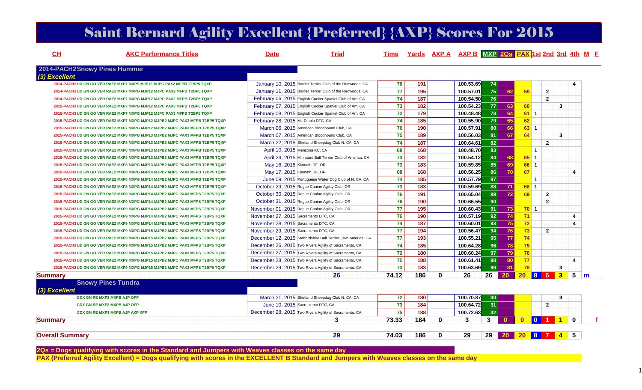|  |  | <b>Saint Bernard Agility Excellent {Preferred} {AXP} Scores For 2015</b> |  |
|--|--|--------------------------------------------------------------------------|--|
|--|--|--------------------------------------------------------------------------|--|

| CH<br><b>AKC Performance Titles</b>                                          | <b>Date</b>                          | <b>Trial</b>                                                  | <b>Time</b> |     |              |           | Yards AXP A AXP B MXP 2Qs PAX 1st 2nd 3rd 4th M F |                 |              |                |                         |  |
|------------------------------------------------------------------------------|--------------------------------------|---------------------------------------------------------------|-------------|-----|--------------|-----------|---------------------------------------------------|-----------------|--------------|----------------|-------------------------|--|
| 2014-PACH2Snowy Pines Hummer                                                 |                                      |                                                               |             |     |              |           |                                                   |                 |              |                |                         |  |
| (3) Excellent                                                                |                                      |                                                               |             |     |              |           |                                                   |                 |              |                |                         |  |
| 2014-PACH2 UD GN GO VER RAE2 MXP7 MXPS MJP12 MJPC PAX2 MFPB T2BP5 TQXP       |                                      | January 10, 2015 Border Terrier Club of the Redwoods, CA      | 76          | 191 |              | 100.53.69 | 74                                                |                 |              |                |                         |  |
| 2014-PACH2 UD GN GO VER RAE2 MXP7 MXPG MJP12 MJPC PAX2 MFPB T2BP5 TQXP       |                                      | January 11, 2015 Border Terrier Club of the Redwoods, CA      | 77          | 195 |              | 100.57.01 | 75<br>62                                          | 59              |              | $\overline{2}$ |                         |  |
| 2014-PACH2 UD GN GO VER RAE2 MXP7 MXPG MJP12 MJPC PAX2 MFPB T2BP5 TQXP       |                                      | February 06, 2015 English Cocker Spaniel Club of Am. CA       | 74          | 187 |              | 100.54.50 | 76                                                |                 |              | $\overline{2}$ |                         |  |
| 2015-PACH3 UD GN GO VER RAE2 MXP7 MXPG MJP12 MJPC PAX3 MFPB T2BP5 TQXP       |                                      | February 07, 2015 English Cocker Spaniel Club of Am. CA       | 73          | 182 |              | 100.54.23 | 77 <br>63                                         | 60              |              | 3              |                         |  |
| 2015-PACH3 UD GN GO VER RAE2 MXP7 MXPG MJP12 MJPC PAX3 MFPB T2BP5 TQXP       |                                      | February 08, 2015 English Cocker Spaniel Club of Am. CA       | 72          | 179 |              | 100.48.48 | 78<br>64                                          | $61$ 1          |              |                |                         |  |
| 2015-PACH3 UD GN GO VER RAE2 MXP7 MXPG MJP12 MJPB2 MJPC PAX3 MFPB T2BP5 TQXP | February 28, 2015 Mt. Diablo DTC, CA |                                                               | 74          | 185 |              | 100.55.90 | 79<br>65                                          | 62              |              |                |                         |  |
| 2015-PACH3 UD GN GO VER RAE2 MXP7 MXPG MJP12 MJPB2 MJPC PAX3 MFPB T2BP5 TQXP |                                      | March 06, 2015 American Bloodhound Club, CA                   | 76          | 190 |              | 100.57.91 | 80<br>66                                          | 63 <sup>1</sup> |              |                |                         |  |
| 2015-PACH3 UD GN GO VER RAE2 MXP8 MXPG MJP13 MJPB2 MJPC PAX3 MFPB T2BP5 TQXP |                                      | March 07, 2015 American Bloodhound Club, CA                   | 75          | 189 |              | 100.56.03 | 81<br>67                                          | 64              |              | $\mathbf{3}$   |                         |  |
| 2015-PACH3 UD GN GO VER RAE2 MXP8 MXPG MJP13 MJPB2 MJPC PAX3 MFPB T2BP5 TQXP |                                      | March 22, 2015 Shetland Sheepdog Club N. CA, CA               | 74          | 187 |              | 100.64.61 | 82                                                |                 |              | $\overline{2}$ |                         |  |
| 2015-PACH3 UD GN GO VER RAE2 MXP8 MXPG MJP13 MJPB2 MJPC PAX3 MFPB T2BP5 TQXP | April 10, 2015 Mensona KC, CA        |                                                               | 68          | 168 |              | 100.48.70 | 83                                                |                 | $\mathbf{1}$ |                |                         |  |
| 2015-PACH3 UD GN GO VER RAE2 MXP8 MXPG MJP13 MJPB2 MJPC PAX3 MFPB T2BP5 TQXP |                                      | April 24, 2015 Miniature Bull Terrier Club of America, CA     | 73          | 182 |              | 100.54.12 | 84<br>68                                          | $65$ 1          |              |                |                         |  |
| 2015-PACH3 UD GN GO VER RAE2 MXP8 MXPG MJP13 MJPB2 MJPC PAX3 MFPB T2BP5 TQXP | May 16, 2015 Klamath DF, OR          |                                                               | 73          | 183 |              | 100.59.85 | 85<br>69                                          | 66 1            |              |                |                         |  |
| 2015-PACH3 UD GN GO VER RAE2 MXP8 MXPG MJP14 MJPB2 MJPC PAX3 MFPB T2BP5 TQXP | May 17, 2015 Klamath DF, OR          |                                                               | 68          | 168 |              | 100.56.25 | 70<br>86                                          | 67              |              |                | $\overline{\mathbf{4}}$ |  |
| 2015-PACH3 UD GN GO VER RAE2 MXP8 MXPG MJP14 MJPB2 MJPC PAX3 MFPB T2BP5 TQXP |                                      | June 09, 2015 Portuguese Water Dog Club of N. CA, CA          | 74          | 185 |              | 100.57.79 | 87                                                |                 | $\mathbf{1}$ |                |                         |  |
| 2015-PACH3 UD GN GO VER RAE2 MXP8 MXPG MJP14 MJPB2 MJPC PAX3 MFPB T2BP5 TQXP |                                      | October 29, 2015 Rogue Canine Agility Club, OR                | 73          | 183 |              | 100.59.69 | 71<br>88                                          | 68 1            |              |                |                         |  |
| 2015-PACH3 UD GN GO VER RAE2 MXP8 MXPG MJP14 MJPB2 MJPC PAX3 MFPS T2BP5 TQXP |                                      | October 30, 2015 Rogue Canine Agility Club, OR                | 76          | 191 |              | 100.65.04 | 72<br>89                                          | 69              |              | $\overline{2}$ |                         |  |
| 2015-PACH3 UD GN GO VER RAE2 MXP9 MXPG MJP14 MJPB2 MJPC PAX3 MFPS T2BP5 TQXP |                                      | October 31, 2015 Roque Canine Agility Club, OR                | 76          | 190 |              | 100.66.55 | 90                                                |                 |              | $\overline{2}$ |                         |  |
| 2015-PACH3 UD GN GO VER RAE2 MXP9 MXPG MJP14 MJPB2 MJPC PAX3 MFPS T2BP5 TQXP |                                      | November 01, 2015 Rogue Canine Agility Club, OR               | 77          | 195 |              | 100.60.43 | 73<br>91                                          | 701             |              |                |                         |  |
| 2015-PACH3 UD GN GO VER RAE2 MXP9 MXPG MJP14 MJPB2 MJPC PAX3 MFPS T2BP5 TQXP | November 27, 2015 Sacramento DTC, CA |                                                               | 76          | 190 |              | 100.57.19 | 92<br>74                                          | 71              |              |                | $\overline{4}$          |  |
| 2015-PACH3 UD GN GO VER RAE2 MXP9 MXPG MJP14 MJPB2 MJPC PAX3 MFPS T2BP5 TQXP | November 28, 2015 Sacramento DTC, CA |                                                               | 74          | 187 |              | 100.60.01 | 93<br>75                                          | 72              |              |                | $\overline{\mathbf{4}}$ |  |
| 2015-PACH3 UD GN GO VER RAE2 MXP9 MXPG MJP15 MJPB2 MJPC PAX3 MFPS T2BP5 TQXP | November 29, 2015 Sacramento DTC, CA |                                                               | 77          | 194 |              | 100.56.47 | 94<br>76                                          | 73              |              | $\overline{2}$ |                         |  |
| 2015-PACH3 UD GN GO VER RAE2 MXP9 MXPG MJP15 MJPB2 MJPC PAX3 MFPS T2BP5 TQXP |                                      | December 12, 2015 Staffordshire Bull Terrier Club America, CA | 77          | 193 |              | 100.55.21 | 95<br>77                                          | 74              |              |                |                         |  |
| 2015-PACH3 UD GN GO VER RAE2 MXP9 MXPG MJP15 MJPB2 MJPC PAX3 MFPS T2BP5 TQXP |                                      | December 26, 2015 Two Rivers Agility of Sacramento, CA        | 74          | 185 |              | 100.64.28 | 96<br>78                                          | 75              |              |                |                         |  |
| 2015-PACH3 UD GN GO VER RAE2 MXP9 MXPG MJP15 MJPB2 MJPC PAX3 MFPS T2BP5 TQXP |                                      | December 27, 2015 Two Rivers Agility of Sacramento, CA        | 72          | 180 |              | 100.60.24 | 97<br>79                                          | 76              |              |                |                         |  |
| 2015-PACH3 UD GN GO VER RAE2 MXP9 MXPG MJP15 MJPB2 MJPC PAX3 MFPS T2BP5 TQXP |                                      | December 28, 2015 Two Rivers Agility of Sacramento, CA        | 75          | 188 |              | 100.61.41 | 98<br>80                                          | 77              |              |                | $\overline{\mathbf{4}}$ |  |
| 2015-PACH3 UD GN GO VER RAE2 MXP9 MXPG MJP15 MJPB2 MJPC PAX3 MFPS T2BP5 TQXP |                                      | December 29, 2015 Two Rivers Agility of Sacramento, CA        | 73          | 183 |              | 100.63.69 | 99<br>81                                          | 78              |              | $\mathbf{3}$   |                         |  |
| <b>Summary</b>                                                               |                                      | 26                                                            | 74.12       | 186 | $\mathbf{0}$ | 26        | 20<br>26                                          | <b>20</b>       | 8 6          | $3-1$          | $5 \mid m$              |  |
| <b>Snowy Pines Tundra</b>                                                    |                                      |                                                               |             |     |              |           |                                                   |                 |              |                |                         |  |
| (3) Excellent                                                                |                                      |                                                               |             |     |              |           |                                                   |                 |              |                |                         |  |
| CDX GN RE MXP3 MXPB AJP OFP                                                  |                                      | March 21, 2015 Shetland Sheepdog Club N. CA, CA               | 72          | 180 |              | 100.70.87 | 30 <sup>1</sup>                                   |                 |              | 3              |                         |  |
| <b>CDX GN RE MXP3 MXPB AJP OFP</b>                                           |                                      | June 10, 2015 Sacremento DTC, CA                              | 73          | 184 |              | 100.64.72 | 31                                                |                 |              | $\overline{2}$ |                         |  |
| CDX GN RE MXP3 MXPB AJP AXP XFP                                              |                                      | December 28, 2015 Two Rivers Agility of Sacramento, CA        | 75          | 188 |              | 100.72.63 | 32                                                |                 |              |                |                         |  |
| <b>Summary</b>                                                               |                                      | 3                                                             | 73.33       | 184 | $\mathbf{0}$ | 3         | 3<br>$\bullet$                                    | $\mathbf{0}$    |              | 0 1 1          | $\mathbf{0}$            |  |

**29 74.03 186 0 29 29 20 20 8 7 4 5** 

**Overall Summary**

2Qs = Dogs qualifying with scores in the Standard and Jumpers with Weaves classes on the same day<br>PAX (Preferred Agility Excellent) = Dogs qualifying with scores in the EXCELLENT B Standard and Jumpers with Weaves classes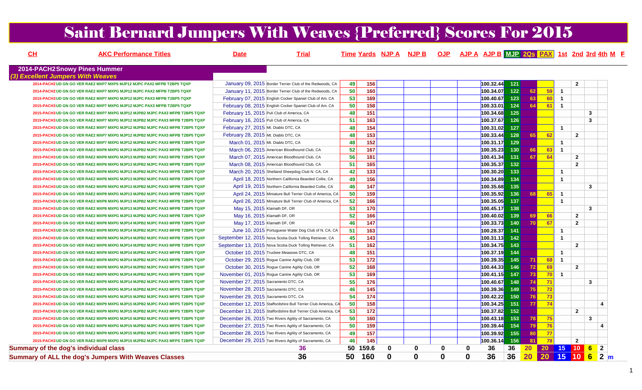# Saint Bernard Jumpers With Weaves {Preferred} Scores For 2015

| CH |                                              | <b>AKC Performance Titles</b>                                                | Date                                            | <b>Trial</b>                                                  |    |                   |             | Time Yards NJP A NJP B OJP AJP A AJP B MJP 20s PAX 1st 2nd 3rd 4th M F |             |          |                          |       |                 |    |                |                                                                                  |                         |  |
|----|----------------------------------------------|------------------------------------------------------------------------------|-------------------------------------------------|---------------------------------------------------------------|----|-------------------|-------------|------------------------------------------------------------------------|-------------|----------|--------------------------|-------|-----------------|----|----------------|----------------------------------------------------------------------------------|-------------------------|--|
|    | 2014-PACH2Snowy Pines Hummer                 |                                                                              |                                                 |                                                               |    |                   |             |                                                                        |             |          |                          |       |                 |    |                |                                                                                  |                         |  |
|    | (3) Excellent Jumpers With Weaves            |                                                                              |                                                 |                                                               |    |                   |             |                                                                        |             |          |                          |       |                 |    |                |                                                                                  |                         |  |
|    |                                              | 2014-PACH2 UD GN GO VER RAE2 MXP7 MXPS MJP12 MJPC PAX2 MFPB T2BP5 TQXP       |                                                 | January 09, 2015 Border Terrier Club of the Redwoods, CA      | 49 | 156               |             |                                                                        |             |          | 100.32.44                | 121   |                 |    |                | $\mathbf{2}$                                                                     |                         |  |
|    |                                              | 2014-PACH2 UD GN GO VER RAE2 MXP7 MXPG MJP12 MJPC PAX2 MFPB T2BP5 TQXP       |                                                 | January 11, 2015 Border Terrier Club of the Redwoods, CA      | 50 | 160               |             |                                                                        |             |          | 100.34.07                | $122$ | 62              | 59 | $\overline{1}$ |                                                                                  |                         |  |
|    |                                              | 2015-PACH3 UD GN GO VER RAE2 MXP7 MXPG MJP12 MJPC PAX3 MFPB T2BP5 TQXP       |                                                 | February 07, 2015 English Cocker Spaniel Club of Am. CA       | 53 | 169               |             |                                                                        |             |          | 100.40.67                | 123   | 63              | 60 | $\overline{1}$ |                                                                                  |                         |  |
|    |                                              | 2015-PACH3 UD GN GO VER RAE2 MXP7 MXPG MJP12 MJPC PAX3 MFPB T2BP5 TQXP       |                                                 | February 08, 2015 English Cocker Spaniel Club of Am. CA       | 50 | 158               |             |                                                                        |             |          | 100.33.01                | 124   | 64              | 61 | $\overline{1}$ |                                                                                  |                         |  |
|    |                                              | 2015-PACH3 UD GN GO VER RAE2 MXP7 MXPG MJP12 MJPB2 MJPC PAX3 MFPB T2BP5 TQXP | February 15, 2015 Puli Club of America, CA      |                                                               | 48 | 151               |             |                                                                        |             |          | 100.34.68                | $125$ |                 |    |                |                                                                                  | $\mathbf{3}$            |  |
|    |                                              | 2015-PACH3 UD GN GO VER RAE2 MXP7 MXPG MJP12 MJPB2 MJPC PAX3 MFPB T2BP5 TQXP | February 16, 2015 Puli Club of America, CA      |                                                               | 51 | 163               |             |                                                                        |             |          | 100.37.67                | 126   |                 |    |                |                                                                                  | $\mathbf{3}$            |  |
|    |                                              | 2015-PACH3 UD GN GO VER RAE2 MXP7 MXPG MJP12 MJPB2 MJPC PAX3 MFPB T2BP5 TQXP | February 27, 2015 Mt. Diablo DTC, CA            |                                                               | 48 | 154               |             |                                                                        |             |          | 100.31.02                | $127$ |                 |    | $\mathbf{1}$   |                                                                                  |                         |  |
|    |                                              | 2015-PACH3 UD GN GO VER RAE2 MXP7 MXPG MJP12 MJPB2 MJPC PAX3 MFPB T2BP5 TQXP | February 28, 2015 Mt. Diablo DTC, CA            |                                                               | 48 | 153               |             |                                                                        |             |          | 100.33.44                | 128   | 65              | 62 |                | $\overline{2}$                                                                   |                         |  |
|    |                                              | 2015-PACH3 UD GN GO VER RAE2 MXP7 MXPG MJP12 MJPB2 MJPC PAX3 MFPB T2BP5 TQXP | March 01, 2015 Mt. Diablo DTC, CA               |                                                               | 48 | 152               |             |                                                                        |             |          | 100.31.17 <mark>.</mark> | 129   |                 |    | $\mathbf{1}$   |                                                                                  |                         |  |
|    |                                              | 2015-PACH3 UD GN GO VER RAE2 MXP8 MXPG MJP13 MJPB2 MJPC PAX3 MFPB T2BP5 TQXP |                                                 | March 06, 2015 American Bloodhound Club, CA                   | 52 | 167               |             |                                                                        |             |          | 100.35.23                | $130$ | 66              | 63 | $\overline{1}$ |                                                                                  |                         |  |
|    |                                              | 2015-PACH3 UD GN GO VER RAE2 MXP8 MXPG MJP13 MJPB2 MJPC PAX3 MFPB T2BP5 TQXP |                                                 | March 07, 2015 American Bloodhound Club, CA                   | 56 | 181               |             |                                                                        |             |          | 100.41.34                | $131$ | 67              | 64 |                | $\overline{2}$                                                                   |                         |  |
|    |                                              | 2015-PACH3 UD GN GO VER RAE2 MXP8 MXPG MJP13 MJPB2 MJPC PAX3 MFPB T2BP5 TQXP |                                                 | March 08, 2015 American Bloodhound Club, CA                   | 51 | 165               |             |                                                                        |             |          | 100.35.37                | 132   |                 |    |                | $\overline{2}$                                                                   |                         |  |
|    |                                              | 2015-PACH3 UD GN GO VER RAE2 MXP8 MXPG MJP13 MJPB2 MJPC PAX3 MFPB T2BP5 TQXP |                                                 | March 20, 2015 Shetland Sheepdog Club N. CA, CA               | 42 | 133               |             |                                                                        |             |          | 100.30.20                | $133$ |                 |    | $\mathbf{1}$   |                                                                                  |                         |  |
|    |                                              | 2015-PACH3 UD GN GO VER RAE2 MXP8 MXPG MJP13 MJPB2 MJPC PAX3 MFPB T2BP5 TQXP |                                                 | April 18, 2015 Northern California Bearded Collie, CA         | 49 | 156               |             |                                                                        |             |          | 100.34.89                | $134$ |                 |    | $\mathbf{1}$   |                                                                                  |                         |  |
|    |                                              | 2015-PACH3 UD GN GO VER RAE2 MXP8 MXPG MJP13 MJPB2 MJPC PAX3 MFPB T2BP5 TQXP |                                                 | April 19, 2015 Northern California Bearded Collie, CA         | 46 | 147               |             |                                                                        |             |          | 100.35.68                | $135$ |                 |    |                |                                                                                  | $\mathbf{3}$            |  |
|    |                                              | 2015-PACH3 UD GN GO VER RAE2 MXP8 MXPG MJP13 MJPB2 MJPC PAX3 MFPB T2BP5 TQXP |                                                 | April 24, 2015 Miniature Bull Terrier Club of America, CA     | 50 | 159               |             |                                                                        |             |          | 100.35.92                | 136   | <b>68</b>       | 65 | $\mathbf{1}$   |                                                                                  |                         |  |
|    |                                              | 2015-PACH3 UD GN GO VER RAE2 MXP8 MXPG MJP13 MJPB2 MJPC PAX3 MFPB T2BP5 TQXP |                                                 | April 26, 2015 Miniature Bull Terrier Club of America, CA     | 52 | 166               |             |                                                                        |             |          | 100.35.05                | $137$ |                 |    | $\mathbf{1}$   |                                                                                  |                         |  |
|    |                                              | 2015-PACH3 UD GN GO VER RAE2 MXP8 MXPG MJP13 MJPB2 MJPC PAX3 MFPB T2BP5 TQXP | May 15, 2015 Klamath DF, OR                     |                                                               | 53 | 170               |             |                                                                        |             |          | 100.45.17                | $138$ |                 |    |                |                                                                                  | $\mathbf{3}$            |  |
|    |                                              | 2015-PACH3 UD GN GO VER RAE2 MXP8 MXPG MJP13 MJPB2 MJPC PAX3 MFPB T2BP5 TQXP | May 16, 2015 Klamath DF, OR                     |                                                               | 52 | 166               |             |                                                                        |             |          | 100.40.02                | 139   | 69              | 66 |                | $\overline{2}$                                                                   |                         |  |
|    |                                              | 2015-PACH3 UD GN GO VER RAE2 MXP8 MXPG MJP14 MJPB2 MJPC PAX3 MFPB T2BP5 TQXP | May 17, 2015 Klamath DF, OR                     |                                                               | 46 | $\frac{147}{147}$ |             |                                                                        |             |          | 100.33.73                | $140$ | <b>70</b>       | 67 |                | $\overline{2}$                                                                   |                         |  |
|    |                                              | 2015-PACH3 UD GN GO VER RAE2 MXP8 MXPG MJP14 MJPB2 MJPC PAX3 MFPB T2BP5 TQXP |                                                 | June 10, 2015 Portuguese Water Dog Club of N. CA, CA          | 51 | 163               |             |                                                                        |             |          | 100.28.37                | 141   |                 |    | $\mathbf{1}$   |                                                                                  |                         |  |
|    |                                              | 2015-PACH3 UD GN GO VER RAE2 MXP8 MXPG MJP14 MJPB2 MJPC PAX3 MFPB T2BP5 TQXP |                                                 | September 12, 2015 Nova Scotia Duck Tolling Retriever, CA     | 45 | 143               |             |                                                                        |             |          | 100.31.13                | 142   |                 |    | $\mathbf{1}$   |                                                                                  |                         |  |
|    |                                              | 2015-PACH3 UD GN GO VER RAE2 MXP8 MXPG MJP14 MJPB2 MJPC PAX3 MFPB T2BP5 TQXP |                                                 | September 13, 2015 Nova Scotia Duck Tolling Retriever, CA     | 51 | 162               |             |                                                                        |             |          | 100.34.75                | $143$ |                 |    |                | $\overline{2}$                                                                   |                         |  |
|    |                                              | 2015-PACH3 UD GN GO VER RAE2 MXP8 MXPG MJP14 MJPB2 MJPC PAX3 MFPB T2BP5 TQXP | October 10, 2015 Truckee Measows DTC, CA        |                                                               | 48 | 151               |             |                                                                        |             |          | 100.37.19                | $144$ |                 |    | $\mathbf{1}$   |                                                                                  |                         |  |
|    |                                              | 2015-PACH3 UD GN GO VER RAE2 MXP8 MXPG MJP14 MJPB2 MJPC PAX3 MFPB T2BP5 TQXP | October 29, 2015 Rogue Canine Agility Club, OR  |                                                               | 53 | 172               |             |                                                                        |             |          | 100.39.35                | 145   | 71              | 68 | $\mathbf{1}$   |                                                                                  |                         |  |
|    |                                              | 2015-PACH3 UD GN GO VER RAE2 MXP8 MXPG MJP14 MJPB2 MJPC PAX3 MFPS T2BP5 TQXP | October 30, 2015 Rogue Canine Agility Club, OR  |                                                               | 52 | 168               |             |                                                                        |             |          | 100.44.33                | $146$ | 72              | 69 |                | $\overline{2}$                                                                   |                         |  |
|    |                                              | 2015-PACH3 UD GN GO VER RAE2 MXP9 MXPG MJP14 MJPB2 MJPC PAX3 MFPS T2BP5 TQXP | November 01, 2015 Rogue Canine Agility Club, OR |                                                               | 53 | 169               |             |                                                                        |             |          | 100.41.15                | $147$ | 73              | 70 | $\mathbf{1}$   |                                                                                  |                         |  |
|    |                                              | 2015-PACH3 UD GN GO VER RAE2 MXP9 MXPG MJP14 MJPB2 MJPC PAX3 MFPS T2BP5 TQXP | November 27, 2015 Sacramento DTC, CA            |                                                               | 55 | 176               |             |                                                                        |             |          | 100.40.67                | 148   | 74              | 71 |                |                                                                                  | 3                       |  |
|    |                                              | 2015-PACH3 UD GN GO VER RAE2 MXP9 MXPG MJP14 MJPB2 MJPC PAX3 MFPS T2BP5 TQXP | November 28, 2015 Sacramento DTC, CA            |                                                               | 46 | $\frac{145}{145}$ |             |                                                                        |             |          | 100.39.36                | 149   | 75              | 72 |                |                                                                                  |                         |  |
|    |                                              | 2015-PACH3 UD GN GO VER RAE2 MXP9 MXPG MJP15 MJPB2 MJPC PAX3 MFPS T2BP5 TQXP | November 29, 2015 Sacramento DTC, CA            |                                                               | 54 | 174               |             |                                                                        |             |          | 100.42.22                | 150   | 76              | 73 |                |                                                                                  |                         |  |
|    |                                              | 2015-PACH3 UD GN GO VER RAE2 MXP9 MXPG MJP15 MJPB2 MJPC PAX3 MFPS T2BP5 TQXP |                                                 | December 12, 2015 Staffordshire Bull Terrier Club America, CA | 50 | $\frac{1}{158}$   |             |                                                                        |             |          | 100.34.25                | 151   | 77              | 74 |                |                                                                                  | $\overline{\mathbf{A}}$ |  |
|    |                                              | 2015-PACH3 UD GN GO VER RAE2 MXP9 MXPG MJP15 MJPB2 MJPC PAX3 MFPS T2BP5 TQXP |                                                 | December 13, 2015 Staffordshire Bull Terrier Club America, CA | 53 | 172               |             |                                                                        |             |          | 100.37.82                | $152$ |                 |    |                | $\overline{2}$                                                                   |                         |  |
|    |                                              | 2015-PACH3 UD GN GO VER RAE2 MXP9 MXPG MJP15 MJPB2 MJPC PAX3 MFPS T2BP5 TQXP |                                                 | December 26, 2015 Two Rivers Agility of Sacramento, CA        | 50 | 160               |             |                                                                        |             |          | 100.43.18                | 153   | 78              | 75 |                |                                                                                  | 3                       |  |
|    |                                              | 2015-PACH3 UD GN GO VER RAE2 MXP9 MXPG MJP15 MJPB2 MJPC PAX3 MFPS T2BP5 TQXP |                                                 | December 27, 2015 Two Rivers Agility of Sacramento, CA        | 50 | 159               |             |                                                                        |             |          | 100.39.44                | $154$ | 79              | 76 |                |                                                                                  | $\boldsymbol{\Lambda}$  |  |
|    |                                              | 2015-PACH3 UD GN GO VER RAE2 MXP9 MXPG MJP15 MJPB2 MJPC PAX3 MFPS T2BP5 TQXP |                                                 | December 28, 2015 Two Rivers Agility of Sacramento, CA        | 49 | 157               |             |                                                                        |             |          | 100.39.92                | 155   | 80              | 77 |                |                                                                                  |                         |  |
|    |                                              | 2015-PACH3 UD GN GO VER RAE2 MXP9 MXPG MJP15 MJPB2 MJPC PAX3 MFPS T2BP5 TQXP |                                                 | December 29, 2015 Two Rivers Agility of Sacramento, CA        | 46 | 145               |             |                                                                        |             |          | 100.36.14                | 156   | 81              | 78 |                | $\overline{2}$                                                                   |                         |  |
|    | <b>Summary of the dog's individual class</b> |                                                                              |                                                 | 36                                                            | 50 | 159.6             | 0           | 0                                                                      | 0           | 0        | 36                       | 36    | 20 <sup>2</sup> |    |                | $20$ 15 10 6                                                                     | $\mathbf{2}$            |  |
|    |                                              | Summary of ALL the dog's Jumpers With Weaves Classes                         |                                                 | 36                                                            | 50 | 160               | $\mathbf 0$ | $\bf{0}$                                                               | $\mathbf 0$ | $\bf{0}$ | 36                       | 36    | 20              |    |                | $\begin{array}{ c c c c c }\n\hline\n20 & 15 & 10 & 6 & 2 & \mline\n\end{array}$ |                         |  |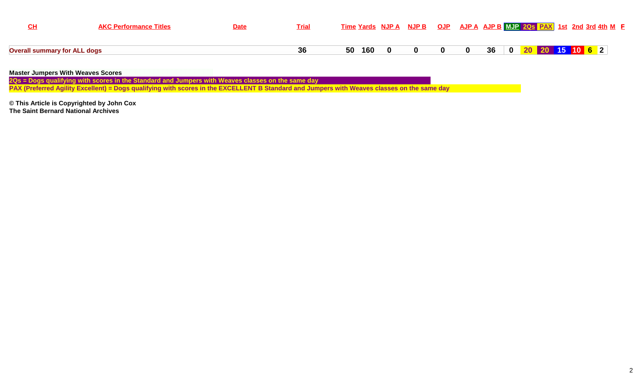|                                     | <b>AKC Performance Titles</b> | <b>Date</b> | <b>Trial</b> | Time Yards NJP A NJP B OJP AJP A AJP B MJP 20s PAX 1st 2nd 3rd 4th M F |                            |  |  |  |  |  |
|-------------------------------------|-------------------------------|-------------|--------------|------------------------------------------------------------------------|----------------------------|--|--|--|--|--|
| <b>Overall summary for ALL dogs</b> |                               |             | 36           | 50 160 0                                                               | 0 0 0 36 0 20 20 15 10 6 2 |  |  |  |  |  |

**Master Jumpers With Weaves Scores**

2Qs = Dogs qualifying with scores in the Standard and Jumpers with Weaves classes on the same day<br>PAX (Preferred Agility Excellent) = Dogs qualifying with scores in the EXCELLENT B Standard and Jumpers with Weaves classes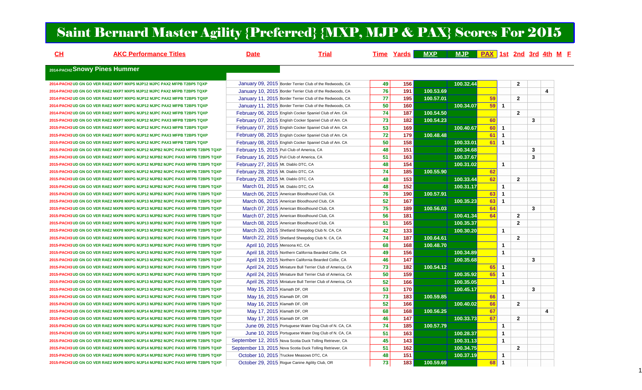# Saint Bernard Master Agility {Preferred} {MXP, MJP & PAX} Scores For 2015

| CH | <b>AKC Performance Titles</b>                                                | <b>Date</b>                          | <b>Trial</b>                                              |                 | <b>Time Yards</b> | <b>MXP</b> | <b>MJP</b> | <b>PAX</b> 1st 2nd 3rd 4th M E |                |                |              |   |  |
|----|------------------------------------------------------------------------------|--------------------------------------|-----------------------------------------------------------|-----------------|-------------------|------------|------------|--------------------------------|----------------|----------------|--------------|---|--|
|    | 2014-PACH2 Snowy Pines Hummer                                                |                                      |                                                           |                 |                   |            |            |                                |                |                |              |   |  |
|    |                                                                              |                                      |                                                           |                 |                   |            |            |                                |                |                |              |   |  |
|    | 2014-PACH2 UD GN GO VER RAE2 MXP7 MXPS MJP12 MJPC PAX2 MFPB T2BP5 TQXP       |                                      | January 09, 2015 Border Terrier Club of the Redwoods, CA  | 49              | 156               |            | 100.32.44  |                                |                | $\overline{2}$ |              |   |  |
|    | 2014-PACH2 UD GN GO VER RAE2 MXP7 MXPS MJP12 MJPC PAX2 MFPB T2BP5 TQXP       |                                      | January 10, 2015 Border Terrier Club of the Redwoods, CA  | 76              | 191               | 100.53.69  |            |                                |                |                |              | 4 |  |
|    | 2014-PACH2 UD GN GO VER RAE2 MXP7 MXPG MJP12 MJPC PAX2 MFPB T2BP5 TQXP       |                                      | January 11, 2015 Border Terrier Club of the Redwoods, CA  | 77              | 195               | 100.57.01  |            | 59                             |                | $\overline{2}$ |              |   |  |
|    | 2014-PACH2 UD GN GO VER RAE2 MXP7 MXPG MJP12 MJPC PAX2 MFPB T2BP5 TQXP       |                                      | January 11, 2015 Border Terrier Club of the Redwoods, CA  | 50              | 160               |            | 100.34.07  | 59                             | $\overline{1}$ |                |              |   |  |
|    | 2014-PACH2 UD GN GO VER RAE2 MXP7 MXPG MJP12 MJPC PAX2 MFPB T2BP5 TQXP       |                                      | February 06, 2015 English Cocker Spaniel Club of Am. CA   | 74              | 187               | 100.54.50  |            |                                |                | $\overline{2}$ |              |   |  |
|    | 2015-PACH3 UD GN GO VER RAE2 MXP7 MXPG MJP12 MJPC PAX3 MFPB T2BP5 TQXP       |                                      | February 07, 2015 English Cocker Spaniel Club of Am. CA   | 73              | 182               | 100.54.23  |            | 60                             |                |                | 3            |   |  |
|    | 2015-PACH3 UD GN GO VER RAE2 MXP7 MXPG MJP12 MJPC PAX3 MFPB T2BP5 TQXP       |                                      | February 07, 2015 English Cocker Spaniel Club of Am. CA   | 53              | 169               |            | 100.40.67  | 60                             | $\overline{1}$ |                |              |   |  |
|    | 2015-PACH3 UD GN GO VER RAE2 MXP7 MXPG MJP12 MJPC PAX3 MFPB T2BP5 TQXP       |                                      | February 08, 2015 English Cocker Spaniel Club of Am. CA   | 72              | 179               | 100.48.48  |            | 61                             | $\mathbf{1}$   |                |              |   |  |
|    | 2015-PACH3 UD GN GO VER RAE2 MXP7 MXPG MJP12 MJPC PAX3 MFPB T2BP5 TQXP       |                                      | February 08, 2015 English Cocker Spaniel Club of Am. CA   | 50              | $\frac{1}{158}$   |            | 100.33.01  | 61                             | $\overline{1}$ |                |              |   |  |
|    | 2015-PACH3 UD GN GO VER RAE2 MXP7 MXPG MJP12 MJPB2 MJPC PAX3 MFPB T2BP5 TQXP |                                      | February 15, 2015 Puli Club of America, CA                | 48              | 151               |            | 100.34.68  |                                |                |                | $\mathbf{3}$ |   |  |
|    | 2015-PACH3 UD GN GO VER RAE2 MXP7 MXPG MJP12 MJPB2 MJPC PAX3 MFPB T2BP5 TQXP |                                      | February 16, 2015 Puli Club of America, CA                | 51              | 163               |            | 100.37.67  |                                |                |                | 3            |   |  |
|    | 2015-PACH3 UD GN GO VER RAE2 MXP7 MXPG MJP12 MJPB2 MJPC PAX3 MFPB T2BP5 TQXP | February 27, 2015 Mt. Diablo DTC, CA |                                                           | 48              | 154               |            | 100.31.02  |                                | $\overline{1}$ |                |              |   |  |
|    | 2015-PACH3 UD GN GO VER RAE2 MXP7 MXPG MJP12 MJPB2 MJPC PAX3 MFPB T2BP5 TQXP | February 28, 2015 Mt. Diablo DTC, CA |                                                           | 74              | $\frac{1}{185}$   | 100.55.90  |            | 62                             |                |                |              |   |  |
|    | 2015-PACH3 UD GN GO VER RAE2 MXP7 MXPG MJP12 MJPB2 MJPC PAX3 MFPB T2BP5 TQXP | February 28, 2015 Mt. Diablo DTC, CA |                                                           | 48              | 153               |            | 100.33.44  | 62                             |                | $\overline{2}$ |              |   |  |
|    | 2015-PACH3 UD GN GO VER RAE2 MXP7 MXPG MJP12 MJPB2 MJPC PAX3 MFPB T2BP5 TQXP | March 01, 2015 Mt. Diablo DTC, CA    |                                                           | 48              | 152               |            | 100.31.17  |                                | $\mathbf{1}$   |                |              |   |  |
|    | 2015-PACH3 UD GN GO VER RAE2 MXP7 MXPG MJP12 MJPB2 MJPC PAX3 MFPB T2BP5 TQXP |                                      | March 06, 2015 American Bloodhound Club, CA               | 76              | 190               | 100.57.91  |            | 63                             | $\mathbf{1}$   |                |              |   |  |
|    | 2015-PACH3 UD GN GO VER RAE2 MXP8 MXPG MJP13 MJPB2 MJPC PAX3 MFPB T2BP5 TQXP |                                      | March 06, 2015 American Bloodhound Club, CA               | 52              | $\overline{167}$  |            | 100.35.23  | 63                             | $\mathbf{1}$   |                |              |   |  |
|    | 2015-PACH3 UD GN GO VER RAE2 MXP8 MXPG MJP13 MJPB2 MJPC PAX3 MFPB T2BP5 TQXP |                                      | March 07, 2015 American Bloodhound Club, CA               | 75              | 189               | 100.56.03  |            | 64                             |                |                | 3            |   |  |
|    | 2015-PACH3 UD GN GO VER RAE2 MXP8 MXPG MJP13 MJPB2 MJPC PAX3 MFPB T2BP5 TQXP |                                      | March 07, 2015 American Bloodhound Club, CA               | 56              | 181               |            | 100.41.34  | 64                             |                | $\mathbf{2}$   |              |   |  |
|    | 2015-PACH3 UD GN GO VER RAE2 MXP8 MXPG MJP13 MJPB2 MJPC PAX3 MFPB T2BP5 TQXP |                                      | March 08, 2015 American Bloodhound Club, CA               | 51              | $\frac{165}{ }$   |            | 100.35.37  |                                |                | $\mathbf{2}$   |              |   |  |
|    | 2015-PACH3 UD GN GO VER RAE2 MXP8 MXPG MJP13 MJPB2 MJPC PAX3 MFPB T2BP5 TQXP |                                      | March 20, 2015 Shetland Sheepdog Club N. CA, CA           | 42              | 133               |            | 100.30.20  |                                | $\overline{1}$ |                |              |   |  |
|    | 2015-PACH3 UD GN GO VER RAE2 MXP8 MXPG MJP13 MJPB2 MJPC PAX3 MFPB T2BP5 TQXP |                                      | March 22, 2015 Shetland Sheepdog Club N. CA, CA           | 74              | 187               | 100.64.61  |            |                                |                | $\overline{2}$ |              |   |  |
|    | 2015-PACH3 UD GN GO VER RAE2 MXP8 MXPG MJP13 MJPB2 MJPC PAX3 MFPB T2BP5 TQXP | April 10, 2015 Mensona KC, CA        |                                                           | 68              | 168               | 100.48.70  |            |                                | $\mathbf{1}$   |                |              |   |  |
|    | 2015-PACH3 UD GN GO VER RAE2 MXP8 MXPG MJP13 MJPB2 MJPC PAX3 MFPB T2BP5 TQXP |                                      | April 18, 2015 Northern California Bearded Collie, CA     | 49              | $\overline{156}$  |            | 100.34.89  |                                | $\mathbf{1}$   |                |              |   |  |
|    | 2015-PACH3 UD GN GO VER RAE2 MXP8 MXPG MJP13 MJPB2 MJPC PAX3 MFPB T2BP5 TQXP |                                      | April 19, 2015 Northern California Bearded Collie, CA     | 46              | 147               |            | 100.35.68  |                                |                |                | $\mathbf{3}$ |   |  |
|    | 2015-PACH3 UD GN GO VER RAE2 MXP8 MXPG MJP13 MJPB2 MJPC PAX3 MFPB T2BP5 TQXP |                                      | April 24, 2015 Miniature Bull Terrier Club of America, CA | 73              | 182               | 100.54.12  |            | 65                             | $\mathbf{1}$   |                |              |   |  |
|    | 2015-PACH3 UD GN GO VER RAE2 MXP8 MXPG MJP13 MJPB2 MJPC PAX3 MFPB T2BP5 TQXP |                                      | April 24, 2015 Miniature Bull Terrier Club of America, CA | $\overline{50}$ | $\overline{159}$  |            | 100.35.92  | 65                             | $\mathbf{1}$   |                |              |   |  |
|    | 2015-PACH3 UD GN GO VER RAE2 MXP8 MXPG MJP13 MJPB2 MJPC PAX3 MFPB T2BP5 TQXP |                                      | April 26, 2015 Miniature Bull Terrier Club of America, CA | 52              | 166               |            | 100.35.05  |                                | $\mathbf{1}$   |                |              |   |  |
|    | 2015-PACH3 UD GN GO VER RAE2 MXP8 MXPG MJP13 MJPB2 MJPC PAX3 MFPB T2BP5 TQXP | May 15, 2015 Klamath DF, OR          |                                                           | 53              | 170               |            | 100.45.17  |                                |                |                | 3            |   |  |
|    | 2015-PACH3 UD GN GO VER RAE2 MXP8 MXPG MJP13 MJPB2 MJPC PAX3 MFPB T2BP5 TQXP | May 16, 2015 Klamath DF, OR          |                                                           | 73              | 183               | 100.59.85  |            | 66                             | $\overline{1}$ |                |              |   |  |
|    | 2015-PACH3 UD GN GO VER RAE2 MXP8 MXPG MJP13 MJPB2 MJPC PAX3 MFPB T2BP5 TQXP | May 16, 2015 Klamath DF, OR          |                                                           | 52              | 166               |            | 100.40.02  | 66                             |                | $\overline{2}$ |              |   |  |
|    | 2015-PACH3 UD GN GO VER RAE2 MXP8 MXPG MJP14 MJPB2 MJPC PAX3 MFPB T2BP5 TQXP | May 17, 2015 Klamath DF, OR          |                                                           | 68              | 168               | 100.56.25  |            | 67                             |                |                |              | 4 |  |
|    | 2015-PACH3 UD GN GO VER RAE2 MXP8 MXPG MJP14 MJPB2 MJPC PAX3 MFPB T2BP5 TQXP | May 17, 2015 Klamath DF, OR          |                                                           | 46              | 147               |            | 100.33.73  | 67                             |                | $\overline{2}$ |              |   |  |
|    | 2015-PACH3 UD GN GO VER RAE2 MXP8 MXPG MJP14 MJPB2 MJPC PAX3 MFPB T2BP5 TQXP |                                      | June 09, 2015 Portuguese Water Dog Club of N. CA, CA      | 74              | 185               | 100.57.79  |            |                                | $\overline{1}$ |                |              |   |  |
|    | 2015-PACH3 UD GN GO VER RAE2 MXP8 MXPG MJP14 MJPB2 MJPC PAX3 MFPB T2BP5 TQXP |                                      | June 10, 2015 Portuguese Water Dog Club of N. CA, CA      | 51              | $\frac{163}{ }$   |            | 100.28.37  |                                | $\mathbf{1}$   |                |              |   |  |
|    | 2015-PACH3 UD GN GO VER RAE2 MXP8 MXPG MJP14 MJPB2 MJPC PAX3 MFPB T2BP5 TQXP |                                      | September 12, 2015 Nova Scotia Duck Tolling Retriever, CA | 45              | 143               |            | 100.31.13  |                                | $\mathbf{1}$   |                |              |   |  |
|    | 2015-PACH3 UD GN GO VER RAE2 MXP8 MXPG MJP14 MJPB2 MJPC PAX3 MFPB T2BP5 TQXP |                                      | September 13, 2015 Nova Scotia Duck Tolling Retriever, CA | 51              | 162               |            | 100.34.75  |                                |                | $\overline{2}$ |              |   |  |
|    | 2015-PACH3 UD GN GO VER RAE2 MXP8 MXPG MJP14 MJPB2 MJPC PAX3 MFPB T2BP5 TQXP |                                      | October 10, 2015 Truckee Measows DTC, CA                  | 48              | $\overline{151}$  |            | 100.37.19  |                                | $\mathbf{1}$   |                |              |   |  |
|    | 2015-PACH3 UD GN GO VER RAE2 MXP8 MXPG MJP14 MJPB2 MJPC PAX3 MFPB T2BP5 TQXP |                                      | October 29, 2015 Rogue Canine Agility Club, OR            | 73              | $\frac{1}{183}$   | 100.59.69  |            | 68                             | $\overline{1}$ |                |              |   |  |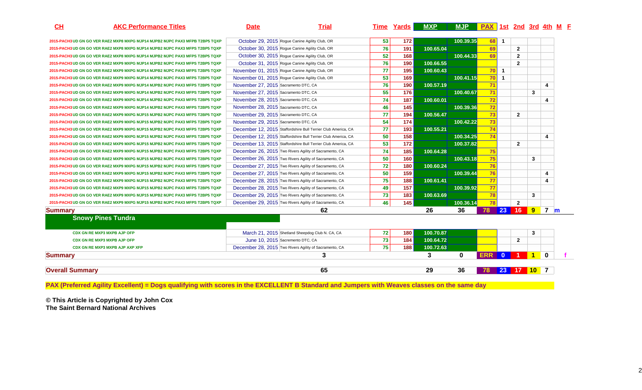| CH                                 | <b>AKC Performance Titles</b>                                                | <b>Date</b>                          | <b>Trial</b>                                                  |    | Time Yards | <b>MXP</b> | <b>MJP</b> | <b>PAX</b> 1st 2nd 3rd 4th M F |                |                         |                      |            |  |
|------------------------------------|------------------------------------------------------------------------------|--------------------------------------|---------------------------------------------------------------|----|------------|------------|------------|--------------------------------|----------------|-------------------------|----------------------|------------|--|
|                                    | 2015-PACH3 UD GN GO VER RAE2 MXP8 MXPG MJP14 MJPB2 MJPC PAX3 MFPB T2BP5 TQXP |                                      | October 29, 2015 Rogue Canine Agility Club, OR                | 53 | 172        |            | 100.39.35  | 68 1                           |                |                         |                      |            |  |
|                                    | 2015-PACH3 UD GN GO VER RAE2 MXP8 MXPG MJP14 MJPB2 MJPC PAX3 MFPS T2BP5 TQXP |                                      | October 30, 2015 Roque Canine Agility Club, OR                | 76 | 191        | 100.65.04  |            | 69                             |                | $\overline{2}$          |                      |            |  |
|                                    | 2015-PACH3 UD GN GO VER RAE2 MXP8 MXPG MJP14 MJPB2 MJPC PAX3 MFPS T2BP5 TQXP |                                      | October 30, 2015 Rogue Canine Agility Club, OR                | 52 | 168        |            | 100.44.33  | 69                             |                | $\overline{2}$          |                      |            |  |
|                                    | 2015-PACH3 UD GN GO VER RAE2 MXP9 MXPG MJP14 MJPB2 MJPC PAX3 MFPS T2BP5 TQXP |                                      | October 31, 2015 Rogue Canine Agility Club, OR                | 76 | 190        | 100.66.55  |            |                                |                | $\overline{\mathbf{2}}$ |                      |            |  |
|                                    | 2015-PACH3 UD GN GO VER RAE2 MXP9 MXPG MJP14 MJPB2 MJPC PAX3 MFPS T2BP5 TQXP |                                      | November 01, 2015 Rogue Canine Agility Club, OR               | 77 | 195        | 100.60.43  |            | 70                             | $\mathbf{1}$   |                         |                      |            |  |
|                                    | 2015-PACH3 UD GN GO VER RAE2 MXP9 MXPG MJP14 MJPB2 MJPC PAX3 MFPS T2BP5 TQXP |                                      | November 01, 2015 Rogue Canine Agility Club, OR               | 53 | 169        |            | 100.41.15  | 70                             | $\overline{1}$ |                         |                      |            |  |
|                                    | 2015-PACH3 UD GN GO VER RAE2 MXP9 MXPG MJP14 MJPB2 MJPC PAX3 MFPS T2BP5 TQXP | November 27, 2015 Sacramento DTC, CA |                                                               | 76 | 190        | 100.57.19  |            | 71                             |                |                         |                      | 4          |  |
|                                    | 2015-PACH3 UD GN GO VER RAE2 MXP9 MXPG MJP14 MJPB2 MJPC PAX3 MFPS T2BP5 TQXP | November 27, 2015 Sacramento DTC, CA |                                                               | 55 | 176        |            | 100.40.67  | 71                             |                |                         | 3                    |            |  |
|                                    | 2015-PACH3 UD GN GO VER RAE2 MXP9 MXPG MJP14 MJPB2 MJPC PAX3 MFPS T2BP5 TQXP | November 28, 2015 Sacramento DTC, CA |                                                               | 74 | 187        | 100.60.01  |            | 72                             |                |                         |                      | 4          |  |
|                                    | 2015-PACH3 UD GN GO VER RAE2 MXP9 MXPG MJP14 MJPB2 MJPC PAX3 MFPS T2BP5 TQXP | November 28, 2015 Sacramento DTC, CA |                                                               | 46 | 145        |            | 100.39.36  | 72                             |                |                         |                      |            |  |
|                                    | 2015-PACH3 UD GN GO VER RAE2 MXP9 MXPG MJP15 MJPB2 MJPC PAX3 MFPS T2BP5 TQXP | November 29, 2015 Sacramento DTC, CA |                                                               | 77 | 194        | 100.56.47  |            | 73                             |                | $\overline{2}$          |                      |            |  |
|                                    | 2015-PACH3 UD GN GO VER RAE2 MXP9 MXPG MJP15 MJPB2 MJPC PAX3 MFPS T2BP5 TQXP | November 29, 2015 Sacramento DTC, CA |                                                               | 54 | 174        |            | 100.42.22  | 73                             |                |                         |                      |            |  |
|                                    | 2015-PACH3 UD GN GO VER RAE2 MXP9 MXPG MJP15 MJPB2 MJPC PAX3 MFPS T2BP5 TQXP |                                      | December 12, 2015 Staffordshire Bull Terrier Club America, CA | 77 | 193        | 100.55.21  |            | 74                             |                |                         |                      |            |  |
|                                    | 2015-PACH3 UD GN GO VER RAE2 MXP9 MXPG MJP15 MJPB2 MJPC PAX3 MFPS T2BP5 TQXP |                                      | December 12, 2015 Staffordshire Bull Terrier Club America, CA | 50 | 158        |            | 100.34.25  | 74                             |                |                         |                      | 4          |  |
|                                    | 2015-PACH3 UD GN GO VER RAE2 MXP9 MXPG MJP15 MJPB2 MJPC PAX3 MFPS T2BP5 TQXP |                                      | December 13, 2015 Staffordshire Bull Terrier Club America, CA | 53 | 172        |            | 100.37.82  |                                |                | $\overline{2}$          |                      |            |  |
|                                    | 2015-PACH3 UD GN GO VER RAE2 MXP9 MXPG MJP15 MJPB2 MJPC PAX3 MFPS T2BP5 TQXP |                                      | December 26, 2015 Two Rivers Agility of Sacramento, CA        | 74 | 185        | 100.64.28  |            | 75                             |                |                         |                      |            |  |
|                                    | 2015-PACH3 UD GN GO VER RAE2 MXP9 MXPG MJP15 MJPB2 MJPC PAX3 MFPS T2BP5 TQXP |                                      | December 26, 2015 Two Rivers Agility of Sacramento, CA        | 50 | 160        |            | 100.43.18  | 75                             |                |                         | 3                    |            |  |
|                                    | 2015-PACH3 UD GN GO VER RAE2 MXP9 MXPG MJP15 MJPB2 MJPC PAX3 MFPS T2BP5 TQXP |                                      | December 27, 2015 Two Rivers Agility of Sacramento, CA        | 72 | 180        | 100.60.24  |            | 76                             |                |                         |                      |            |  |
|                                    | 2015-PACH3 UD GN GO VER RAE2 MXP9 MXPG MJP15 MJPB2 MJPC PAX3 MFPS T2BP5 TQXP |                                      | December 27, 2015 Two Rivers Agility of Sacramento, CA        | 50 | 159        |            | 100.39.44  | 76                             |                |                         |                      | 4          |  |
|                                    | 2015-PACH3 UD GN GO VER RAE2 MXP9 MXPG MJP15 MJPB2 MJPC PAX3 MFPS T2BP5 TQXP |                                      | December 28, 2015 Two Rivers Agility of Sacramento, CA        | 75 | 188        | 100.61.41  |            | 77                             |                |                         |                      | 4          |  |
|                                    | 2015-PACH3 UD GN GO VER RAE2 MXP9 MXPG MJP15 MJPB2 MJPC PAX3 MFPS T2BP5 TQXP |                                      | December 28, 2015 Two Rivers Agility of Sacramento, CA        | 49 | 157        |            | 100.39.92  | 77                             |                |                         |                      |            |  |
|                                    | 2015-PACH3 UD GN GO VER RAE2 MXP9 MXPG MJP15 MJPB2 MJPC PAX3 MFPS T2BP5 TQXP |                                      | December 29, 2015 Two Rivers Agility of Sacramento, CA        | 73 | 183        | 100.63.69  |            | 78                             |                |                         | 3                    |            |  |
|                                    | 2015-PACH3 UD GN GO VER RAE2 MXP9 MXPG MJP15 MJPB2 MJPC PAX3 MFPS T2BP5 TQXP |                                      | December 29, 2015 Two Rivers Agility of Sacramento, CA        | 46 | 145        |            | 100.36.14  | 78                             |                | $\overline{2}$          |                      |            |  |
| <b>Summary</b>                     |                                                                              |                                      | 62                                                            |    |            | 26         | 36         | 78                             | 23             | 16 <sup>°</sup>         | 9                    | <b>7</b> m |  |
| <b>Snowy Pines Tundra</b>          |                                                                              |                                      |                                                               |    |            |            |            |                                |                |                         |                      |            |  |
| <b>CDX GN RE MXP3 MXPB AJP OFP</b> |                                                                              |                                      | March 21, 2015 Shetland Sheepdog Club N. CA, CA               | 72 | 180        | 100.70.87  |            |                                |                |                         | 3                    |            |  |
| <b>CDX GN RE MXP3 MXPB AJP OFP</b> |                                                                              |                                      | June 10, 2015 Sacremento DTC, CA                              | 73 | 184        | 100.64.72  |            |                                |                | $\overline{2}$          |                      |            |  |
| CDX GN RE MXP3 MXPB AJP AXP XFP    |                                                                              |                                      | December 28, 2015 Two Rivers Agility of Sacramento, CA        | 75 | 188        | 100.72.63  |            |                                |                |                         |                      |            |  |
| <b>Summary</b>                     |                                                                              |                                      | 3                                                             |    |            | 3          | $\bf{0}$   | <b>ERR</b>                     | $\bf{0}$       |                         | $\blacktriangleleft$ | $\Omega$   |  |
| <b>Overall Summary</b>             |                                                                              |                                      | 65                                                            |    |            | 29         | 36         |                                |                | 23 17 10 7              |                      |            |  |

**PAX (Preferred Agility Excellent) = Dogs qualifying with scores in the EXCELLENT B Standard and Jumpers with Weaves classes on the same day**

**© This Article is Copyrighted by John Cox The Saint Bernard National Archives**

2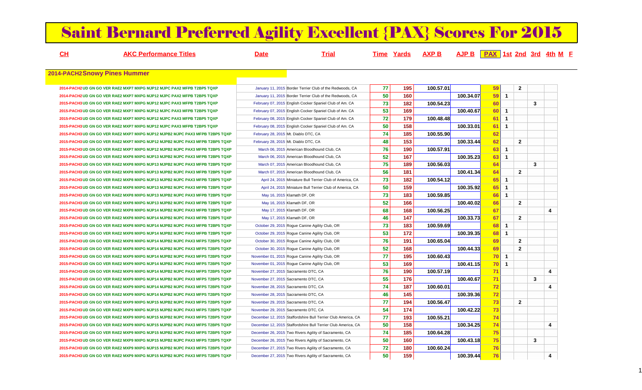# Saint Bernard Preferred Agility Excellent {PAX} Scores For 2015

| $CH$ | <b>AKC Performance Titles</b>                                                | <b>Date</b>                          | <b>Trial</b>                                                  |    | <b>Time Yards</b> | <u>AXP B</u> | $A$ JP B $R$ $PAX$ 1st 2nd 3rd 4th M F |           |              |                |   |   |
|------|------------------------------------------------------------------------------|--------------------------------------|---------------------------------------------------------------|----|-------------------|--------------|----------------------------------------|-----------|--------------|----------------|---|---|
|      | 2014-PACH2Snowy Pines Hummer                                                 |                                      |                                                               |    |                   |              |                                        |           |              |                |   |   |
|      | 2014-PACH2 UD GN GO VER RAE2 MXP7 MXPG MJP12 MJPC PAX2 MFPB T2BP5 TQXP       |                                      | January 11, 2015 Border Terrier Club of the Redwoods, CA      | 77 | 195               | 100.57.01    |                                        | 59        |              | $\overline{2}$ |   |   |
|      | 2014-PACH2 UD GN GO VER RAE2 MXP7 MXPG MJP12 MJPC PAX2 MFPB T2BP5 TQXP       |                                      | January 11, 2015 Border Terrier Club of the Redwoods, CA      | 50 | 160               |              | 100.34.07                              | 59        | $\mathbf{1}$ |                |   |   |
|      | 2015-PACH3 UD GN GO VER RAE2 MXP7 MXPG MJP12 MJPC PAX3 MFPB T2BP5 TQXP       |                                      | February 07, 2015 English Cocker Spaniel Club of Am. CA       | 73 | 182               | 100.54.23    |                                        | 60        |              |                | 3 |   |
|      | 2015-PACH3 UD GN GO VER RAE2 MXP7 MXPG MJP12 MJPC PAX3 MFPB T2BP5 TQXP       |                                      | February 07, 2015 English Cocker Spaniel Club of Am. CA       | 53 | 169               |              | 100.40.67                              | <b>60</b> | $\mathbf{1}$ |                |   |   |
|      | 2015-PACH3 UD GN GO VER RAE2 MXP7 MXPG MJP12 MJPC PAX3 MFPB T2BP5 TQXP       |                                      | February 08, 2015 English Cocker Spaniel Club of Am. CA       | 72 | 179               | 100.48.48    |                                        | 61        | $\mathbf{1}$ |                |   |   |
|      | 2015-PACH3 UD GN GO VER RAE2 MXP7 MXPG MJP12 MJPC PAX3 MFPB T2BP5 TQXP       |                                      | February 08, 2015 English Cocker Spaniel Club of Am. CA       | 50 | 158               |              | 100.33.01                              | 61        | $\mathbf{1}$ |                |   |   |
|      | 2015-PACH3 UD GN GO VER RAE2 MXP7 MXPG MJP12 MJPB2 MJPC PAX3 MFPB T2BP5 TQXP | February 28, 2015 Mt. Diablo DTC, CA |                                                               | 74 | 185               | 100.55.90    |                                        | 62        |              |                |   |   |
|      | 2015-PACH3 UD GN GO VER RAE2 MXP7 MXPG MJP12 MJPB2 MJPC PAX3 MFPB T2BP5 TQXP | February 28, 2015 Mt. Diablo DTC, CA |                                                               | 48 | 153               |              | 100.33.44                              | 62        |              | $\overline{2}$ |   |   |
|      | 2015-PACH3 UD GN GO VER RAE2 MXP7 MXPG MJP12 MJPB2 MJPC PAX3 MFPB T2BP5 TQXP |                                      | March 06, 2015 American Bloodhound Club, CA                   | 76 | 190               | 100.57.91    |                                        | 63        | $\mathbf{1}$ |                |   |   |
|      | 2015-PACH3 UD GN GO VER RAE2 MXP8 MXPG MJP13 MJPB2 MJPC PAX3 MFPB T2BP5 TQXP |                                      | March 06, 2015 American Bloodhound Club, CA                   | 52 | 167               |              | 100.35.23                              | 63        | $\mathbf{1}$ |                |   |   |
|      | 2015-PACH3 UD GN GO VER RAE2 MXP8 MXPG MJP13 MJPB2 MJPC PAX3 MFPB T2BP5 TQXP |                                      | March 07, 2015 American Bloodhound Club, CA                   | 75 | 189               | 100.56.03    |                                        | 64        |              |                | 3 |   |
|      | 2015-PACH3 UD GN GO VER RAE2 MXP8 MXPG MJP13 MJPB2 MJPC PAX3 MFPB T2BP5 TQXP |                                      | March 07, 2015 American Bloodhound Club, CA                   | 56 | 181               |              | 100.41.34                              | 64        |              | $\overline{2}$ |   |   |
|      | 2015-PACH3 UD GN GO VER RAE2 MXP8 MXPG MJP13 MJPB2 MJPC PAX3 MFPB T2BP5 TQXP |                                      | April 24, 2015 Miniature Bull Terrier Club of America, CA     | 73 | 182               | 100.54.12    |                                        | 65        | $\mathbf{1}$ |                |   |   |
|      | 2015-PACH3 UD GN GO VER RAE2 MXP8 MXPG MJP13 MJPB2 MJPC PAX3 MFPB T2BP5 TQXP |                                      | April 24, 2015 Miniature Bull Terrier Club of America, CA     | 50 | 159               |              | 100.35.92                              | 65        | $\mathbf{1}$ |                |   |   |
|      | 2015-PACH3 UD GN GO VER RAE2 MXP8 MXPG MJP13 MJPB2 MJPC PAX3 MFPB T2BP5 TQXP | May 16, 2015 Klamath DF, OR          |                                                               | 73 | 183               | 100.59.85    |                                        | 66        | $\mathbf{1}$ |                |   |   |
|      | 2015-PACH3 UD GN GO VER RAE2 MXP8 MXPG MJP13 MJPB2 MJPC PAX3 MFPB T2BP5 TQXP | May 16, 2015 Klamath DF, OR          |                                                               | 52 | 166               |              | 100.40.02                              | 66        |              | $\overline{2}$ |   |   |
|      | 2015-PACH3 UD GN GO VER RAE2 MXP8 MXPG MJP14 MJPB2 MJPC PAX3 MFPB T2BP5 TQXP | May 17, 2015 Klamath DF, OR          |                                                               | 68 | 168               | 100.56.25    |                                        | 67        |              |                |   | 4 |
|      | 2015-PACH3 UD GN GO VER RAE2 MXP8 MXPG MJP14 MJPB2 MJPC PAX3 MFPB T2BP5 TQXP | May 17, 2015 Klamath DF, OR          |                                                               | 46 | 147               |              | 100.33.73                              | 67        |              | $\mathbf{2}$   |   |   |
|      | 2015-PACH3 UD GN GO VER RAE2 MXP8 MXPG MJP14 MJPB2 MJPC PAX3 MFPB T2BP5 TQXP |                                      | October 29, 2015 Rogue Canine Agility Club, OR                | 73 | 183               | 100.59.69    |                                        | 68        | $\mathbf{1}$ |                |   |   |
|      | 2015-PACH3 UD GN GO VER RAE2 MXP8 MXPG MJP14 MJPB2 MJPC PAX3 MFPB T2BP5 TQXP |                                      | October 29, 2015 Rogue Canine Agility Club, OR                | 53 | 172               |              | 100.39.35                              | 68        | $\mathbf{1}$ |                |   |   |
|      | 2015-PACH3 UD GN GO VER RAE2 MXP8 MXPG MJP14 MJPB2 MJPC PAX3 MFPS T2BP5 TQXP |                                      | October 30, 2015 Rogue Canine Agility Club, OR                | 76 | 191               | 100.65.04    |                                        | 69        |              | $\overline{2}$ |   |   |
|      | 2015-PACH3 UD GN GO VER RAE2 MXP8 MXPG MJP14 MJPB2 MJPC PAX3 MFPS T2BP5 TQXP |                                      | October 30, 2015 Rogue Canine Agility Club, OR                | 52 | 168               |              | 100.44.33                              | 69        |              | $\overline{2}$ |   |   |
|      | 2015-PACH3 UD GN GO VER RAE2 MXP9 MXPG MJP14 MJPB2 MJPC PAX3 MFPS T2BP5 TQXP |                                      | November 01, 2015 Rogue Canine Agility Club, OR               | 77 | 195               | 100.60.43    |                                        | <b>70</b> | $\mathbf{1}$ |                |   |   |
|      | 2015-PACH3 UD GN GO VER RAE2 MXP9 MXPG MJP14 MJPB2 MJPC PAX3 MFPS T2BP5 TQXP |                                      | November 01, 2015 Rogue Canine Agility Club, OR               | 53 | 169               |              | 100.41.15                              | <b>70</b> | $\mathbf{1}$ |                |   |   |
|      | 2015-PACH3 UD GN GO VER RAE2 MXP9 MXPG MJP14 MJPB2 MJPC PAX3 MFPS T2BP5 TQXP | November 27, 2015 Sacramento DTC, CA |                                                               | 76 | 190               | 100.57.19    |                                        | 71        |              |                |   | 4 |
|      | 2015-PACH3 UD GN GO VER RAE2 MXP9 MXPG MJP14 MJPB2 MJPC PAX3 MFPS T2BP5 TQXP | November 27, 2015 Sacramento DTC, CA |                                                               | 55 | 176               |              | 100.40.67                              | 71        |              |                | 3 |   |
|      | 2015-PACH3 UD GN GO VER RAE2 MXP9 MXPG MJP14 MJPB2 MJPC PAX3 MFPS T2BP5 TQXP | November 28, 2015 Sacramento DTC, CA |                                                               | 74 | 187               | 100.60.01    |                                        | 72        |              |                |   | 4 |
|      | 2015-PACH3 UD GN GO VER RAE2 MXP9 MXPG MJP14 MJPB2 MJPC PAX3 MFPS T2BP5 TQXP | November 28, 2015 Sacramento DTC, CA |                                                               | 46 | 145               |              | 100.39.36                              | 72        |              |                |   |   |
|      | 2015-PACH3 UD GN GO VER RAE2 MXP9 MXPG MJP15 MJPB2 MJPC PAX3 MFPS T2BP5 TQXP | November 29, 2015 Sacramento DTC, CA |                                                               | 77 | 194               | 100.56.47    |                                        | 73        |              | $\mathbf{2}$   |   |   |
|      | 2015-PACH3 UD GN GO VER RAE2 MXP9 MXPG MJP15 MJPB2 MJPC PAX3 MFPS T2BP5 TQXP | November 29, 2015 Sacramento DTC, CA |                                                               | 54 | 174               |              | 100.42.22                              | 73        |              |                |   |   |
|      | 2015-PACH3 UD GN GO VER RAE2 MXP9 MXPG MJP15 MJPB2 MJPC PAX3 MFPS T2BP5 TQXP |                                      | December 12, 2015 Staffordshire Bull Terrier Club America, CA | 77 | 193               | 100.55.21    |                                        | 74        |              |                |   |   |
|      | 2015-PACH3 UD GN GO VER RAE2 MXP9 MXPG MJP15 MJPB2 MJPC PAX3 MFPS T2BP5 TQXP |                                      | December 12, 2015 Staffordshire Bull Terrier Club America, CA | 50 | 158               |              | 100.34.25                              | 74        |              |                |   | 4 |
|      | 2015-PACH3 UD GN GO VER RAE2 MXP9 MXPG MJP15 MJPB2 MJPC PAX3 MFPS T2BP5 TQXP |                                      | December 26, 2015 Two Rivers Agility of Sacramento, CA        | 74 | 185               | 100.64.28    |                                        | 75        |              |                |   |   |
|      | 2015-PACH3 UD GN GO VER RAE2 MXP9 MXPG MJP15 MJPB2 MJPC PAX3 MFPS T2BP5 TQXP |                                      | December 26, 2015 Two Rivers Agility of Sacramento, CA        | 50 | 160               |              | 100.43.18                              | 75        |              |                | 3 |   |
|      | 2015-PACH3 UD GN GO VER RAE2 MXP9 MXPG MJP15 MJPB2 MJPC PAX3 MFPS T2BP5 TQXP |                                      | December 27, 2015 Two Rivers Agility of Sacramento, CA        | 72 | 180               | 100.60.24    |                                        | 76        |              |                |   |   |
|      | 2015-PACH3 UD GN GO VER RAE2 MXP9 MXPG MJP15 MJPB2 MJPC PAX3 MFPS T2BP5 TQXP |                                      | December 27, 2015 Two Rivers Agility of Sacramento, CA        | 50 | 159               |              | 100.39.44                              | 76        |              |                |   | 4 |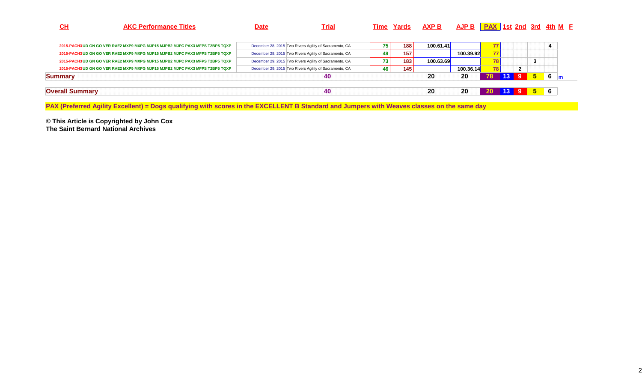| CH                     | <b>AKC Performance Titles</b>                                                | <b>Date</b> | <u>Trial</u>                                           |    | Time Yards | <u>AXP B</u> | $A$ JP B $R$ PAX 1st 2nd 3rd 4th M F |     |                 |                |    |    |              |
|------------------------|------------------------------------------------------------------------------|-------------|--------------------------------------------------------|----|------------|--------------|--------------------------------------|-----|-----------------|----------------|----|----|--------------|
|                        | 2015-PACH3 UD GN GO VER RAE2 MXP9 MXPG MJP15 MJPB2 MJPC PAX3 MFPS T2BP5 TQXP |             | December 28, 2015 Two Rivers Agility of Sacramento, CA | 75 | 188        | 100.61.41    |                                      | 771 |                 |                |    |    |              |
|                        | 2015-PACH3 UD GN GO VER RAE2 MXP9 MXPG MJP15 MJPB2 MJPC PAX3 MFPS T2BP5 TQXP |             | December 28, 2015 Two Rivers Agility of Sacramento, CA | 49 | 157        |              | 100.39.92                            | 77  |                 |                |    |    |              |
|                        | 2015-PACH3 UD GN GO VER RAE2 MXP9 MXPG MJP15 MJPB2 MJPC PAX3 MFPS T2BP5 TQXP |             | December 29, 2015 Two Rivers Agility of Sacramento, CA | 73 | 183        | 100.63.69    |                                      |     |                 |                | 3  |    |              |
|                        | 2015-PACH3 UD GN GO VER RAE2 MXP9 MXPG MJP15 MJPB2 MJPC PAX3 MFPS T2BP5 TQXP |             | December 29, 2015 Two Rivers Agility of Sacramento, CA | 46 | 145        |              | 100.36.14                            | 781 |                 | $\overline{2}$ |    |    |              |
| <b>Summary</b>         |                                                                              |             | 40                                                     |    |            | 20           | 20                                   | 78  | 13 <sup>°</sup> | -9             | 5  | 6  | $\mathsf{m}$ |
| <b>Overall Summary</b> |                                                                              |             | 40                                                     |    |            | 20           | 20                                   |     |                 |                | -5 | -6 |              |

**PAX (Preferred Agility Excellent) = Dogs qualifying with scores in the EXCELLENT B Standard and Jumpers with Weaves classes on the same day**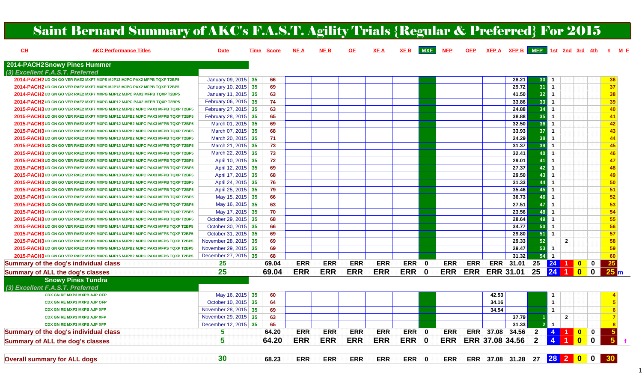| CL                                           | <b>AKC Performance Titles</b>                                                | <b>Date</b>          | Time | <b>Score</b> | <u>NF A</u> | <b>NFB</b> | <u>OF</u>  | <b>XFA</b> | <b>Saint Bernard Summary of AKC's F.A.S.T. Agility Trials {Regular &amp; Preferred} For 2015</b><br>XF B | <b>MXF</b>   | <b>NFP</b> | <b>OFP</b> |                  | XFP A XFP B MFP 1st 2nd 3rd 4th |                 |                         |                  | # M E                              |
|----------------------------------------------|------------------------------------------------------------------------------|----------------------|------|--------------|-------------|------------|------------|------------|----------------------------------------------------------------------------------------------------------|--------------|------------|------------|------------------|---------------------------------|-----------------|-------------------------|------------------|------------------------------------|
| 2014-PACH2Snowy Pines Hummer                 |                                                                              |                      |      |              |             |            |            |            |                                                                                                          |              |            |            |                  |                                 |                 |                         |                  |                                    |
| (3) Excellent F.A.S.T. Preferred             |                                                                              |                      |      |              |             |            |            |            |                                                                                                          |              |            |            |                  |                                 |                 |                         |                  |                                    |
|                                              | 2014-PACH2 UD GN GO VER RAE2 MXP7 MXPS MJP12 MJPC PAX2 MFPB TQXP T2BP5       | January 09, 2015 35  |      | 66           |             |            |            |            |                                                                                                          |              |            |            |                  | 28.21                           | 30              |                         |                  | 36                                 |
|                                              | 2014-PACH2 UD GN GO VER RAE2 MXP7 MXPS MJP12 MJPC PAX2 MFPB TQXP T2BP5       | January 10, 2015 35  |      | 69           |             |            |            |            |                                                                                                          |              |            |            |                  | 29.72                           | 31              |                         |                  | 37                                 |
|                                              | 2014-PACH2 UD GN GO VER RAE2 MXP7 MXPG MJP12 MJPC PAX2 MFPB TQXP T2BP5       | January 11, 2015 35  |      | 63           |             |            |            |            |                                                                                                          |              |            |            |                  | 41.50                           | 32 <sup>°</sup> |                         |                  | 38                                 |
|                                              | 2014-PACH2 UD GN GO VER RAE2 MXP7 MXPG MJP12 MJPC PAX2 MFPB TQXP T2BP5       | February 06, 2015 35 |      | 74           |             |            |            |            |                                                                                                          |              |            |            |                  | 33.86                           | 33              |                         |                  | 39                                 |
|                                              | 2015-PACH3 UD GN GO VER RAE2 MXP7 MXPG MJP12 MJPB2 MJPC PAX3 MFPB TQXP T2BP5 | February 27, 2015 35 |      | 63           |             |            |            |            |                                                                                                          |              |            |            |                  | 24.88                           | 34              | $\overline{\mathbf{1}}$ |                  | 40                                 |
|                                              | 2015-PACH3 UD GN GO VER RAE2 MXP7 MXPG MJP12 MJPB2 MJPC PAX3 MFPB TQXP T2BP5 | February 28, 2015 35 |      | 65           |             |            |            |            |                                                                                                          |              |            |            |                  | 38.88                           | 35              | -1                      |                  | 41                                 |
|                                              | 2015-PACH3 UD GN GO VER RAE2 MXP7 MXPG MJP12 MJPB2 MJPC PAX3 MFPB TQXP T2BP5 | March 01, 2015 35    |      | 69           |             |            |            |            |                                                                                                          |              |            |            |                  | 32.50                           | 36              |                         |                  | 42                                 |
|                                              | 2015-PACH3 UD GN GO VER RAE2 MXP8 MXPG MJP13 MJPB2 MJPC PAX3 MFPB TQXP T2BP5 | March 07, 2015 35    |      | 68           |             |            |            |            |                                                                                                          |              |            |            |                  | 33.93                           | 37              |                         |                  | 43                                 |
|                                              | 2015-PACH3 UD GN GO VER RAE2 MXP8 MXPG MJP13 MJPB2 MJPC PAX3 MFPB TQXP T2BP5 | March 20, 2015 35    |      | 71           |             |            |            |            |                                                                                                          |              |            |            |                  | 24.29                           | 38              |                         |                  | 44                                 |
|                                              | 2015-PACH3 UD GN GO VER RAE2 MXP8 MXPG MJP13 MJPB2 MJPC PAX3 MFPB TQXP T2BP5 | March 21, 2015 35    |      | 73           |             |            |            |            |                                                                                                          |              |            |            |                  | 31.37                           | 39              |                         |                  | 45                                 |
|                                              | 2015-PACH3 UD GN GO VER RAE2 MXP8 MXPG MJP13 MJPB2 MJPC PAX3 MFPB TQXP T2BP5 | March 22, 2015 35    |      | 73           |             |            |            |            |                                                                                                          |              |            |            |                  | 32.41                           | 40              | $\overline{1}$          |                  | 46                                 |
|                                              | 2015-PACH3 UD GN GO VER RAE2 MXP8 MXPG MJP13 MJPB2 MJPC PAX3 MFPB TQXP T2BP5 | April 10, 2015 35    |      | 72           |             |            |            |            |                                                                                                          |              |            |            |                  | 29.01                           | 41              |                         |                  | 47                                 |
|                                              | 2015-PACH3 UD GN GO VER RAE2 MXP8 MXPG MJP13 MJPB2 MJPC PAX3 MFPB TQXP T2BP5 | April 12, 2015 35    |      | 69           |             |            |            |            |                                                                                                          |              |            |            |                  | 27.37                           | 42              |                         |                  | 48                                 |
|                                              | 2015-PACH3 UD GN GO VER RAE2 MXP8 MXPG MJP13 MJPB2 MJPC PAX3 MFPB TQXP T2BP5 | April 17, 2015 35    |      | 68           |             |            |            |            |                                                                                                          |              |            |            |                  | 29.50                           | 43              |                         |                  | 49                                 |
|                                              | 2015-PACH3 UD GN GO VER RAE2 MXP8 MXPG MJP13 MJPB2 MJPC PAX3 MFPB TQXP T2BP5 | April 24, 2015 35    |      | 76           |             |            |            |            |                                                                                                          |              |            |            |                  | 31.33                           | 44              |                         |                  | 50                                 |
|                                              | 2015-PACH3 UD GN GO VER RAE2 MXP8 MXPG MJP13 MJPB2 MJPC PAX3 MFPB TQXP T2BP5 | April 25, 2015 35    |      | 79           |             |            |            |            |                                                                                                          |              |            |            |                  | 35.46                           | 45              |                         |                  | 51                                 |
|                                              | 2015-PACH3 UD GN GO VER RAE2 MXP8 MXPG MJP13 MJPB2 MJPC PAX3 MFPB TQXP T2BP5 | May 15, 2015 35      |      | 66           |             |            |            |            |                                                                                                          |              |            |            |                  | 36.73                           | 46              | -1                      |                  | 52                                 |
|                                              | 2015-PACH3 UD GN GO VER RAE2 MXP8 MXPG MJP13 MJPB2 MJPC PAX3 MFPB TQXP T2BP5 | May 16, 2015 35      |      | 63           |             |            |            |            |                                                                                                          |              |            |            |                  | 27.51                           | 47              | $\overline{\mathbf{1}}$ |                  | 53                                 |
|                                              | 2015-PACH3 UD GN GO VER RAE2 MXP8 MXPG MJP14 MJPB2 MJPC PAX3 MFPB TQXP T2BP5 | May 17, 2015 35      |      | 70           |             |            |            |            |                                                                                                          |              |            |            |                  | 23.56                           | 48              |                         |                  | 54                                 |
|                                              | 2015-PACH3 UD GN GO VER RAE2 MXP8 MXPG MJP14 MJPB2 MJPC PAX3 MFPB TQXP T2BP5 | October 29, 2015 35  |      | 68           |             |            |            |            |                                                                                                          |              |            |            |                  | 28.64                           | 49              |                         |                  | 55                                 |
|                                              | 2015-PACH3 UD GN GO VER RAE2 MXP8 MXPG MJP14 MJPB2 MJPC PAX3 MFPS TQXP T2BP5 | October 30, 2015 35  |      | 66           |             |            |            |            |                                                                                                          |              |            |            |                  | 34.77                           | 50              |                         |                  | 56                                 |
|                                              | 2015-PACH3 UD GN GO VER RAE2 MXP9 MXPG MJP14 MJPB2 MJPC PAX3 MFPS TQXP T2BP5 | October 31, 2015 35  |      | 69           |             |            |            |            |                                                                                                          |              |            |            |                  | 29.80                           | 51              | $\overline{1}$          |                  | 57                                 |
|                                              | 2015-PACH3 UD GN GO VER RAE2 MXP9 MXPG MJP14 MJPB2 MJPC PAX3 MFPS TQXP T2BP5 | November 28, 2015 35 |      | 69           |             |            |            |            |                                                                                                          |              |            |            |                  | 29.33                           | 52              | $\overline{2}$          |                  | 58                                 |
|                                              | 2015-PACH3 UD GN GO VER RAE2 MXP9 MXPG MJP15 MJPB2 MJPC PAX3 MFPS TQXP T2BP5 | November 29, 2015 35 |      | 69           |             |            |            |            |                                                                                                          |              |            |            |                  | 29.47                           | 53              | $\mathbf{1}$            |                  | 59                                 |
|                                              | 2015-PACH3 UD GN GO VER RAE2 MXP9 MXPG MJP15 MJPB2 MJPC PAX3 MFPS TQXP T2BP5 | December 27, 2015 35 |      | 68           |             |            |            |            |                                                                                                          |              |            |            |                  | 31.32                           | 54              | $\mathbf{1}$            |                  | 60                                 |
| Summary of the dog's individual class        |                                                                              | 25                   |      | 69.04        | <b>ERR</b>  | <b>ERR</b> | <b>ERR</b> | <b>ERR</b> | <b>ERR</b>                                                                                               | $\mathbf{0}$ | <b>ERR</b> | <b>ERR</b> | <b>ERR</b>       | 31.01                           | 25              | 24 1 0                  |                  | $\mathbf 0$<br><b>25</b>           |
| <b>Summary of ALL the dog's classes</b>      |                                                                              | 25                   |      | 69.04        | <b>ERR</b>  | <b>ERR</b> | <b>ERR</b> | <b>ERR</b> | <b>ERR</b>                                                                                               | $\mathbf 0$  | <b>ERR</b> | <b>ERR</b> | <b>ERR 31.01</b> |                                 | 25              | $24 \quad 1$            | $\blacksquare$ 0 | 25m<br>$\mathbf 0$                 |
|                                              | <b>Snowy Pines Tundra</b>                                                    |                      |      |              |             |            |            |            |                                                                                                          |              |            |            |                  |                                 |                 |                         |                  |                                    |
| (3) Excellent F.A.S.T. Preferred             |                                                                              |                      |      |              |             |            |            |            |                                                                                                          |              |            |            |                  |                                 |                 |                         |                  |                                    |
|                                              | CDX GN RE MXP3 MXPB AJP OFP                                                  | May 16, 2015 35      |      | 60           |             |            |            |            |                                                                                                          |              |            |            | 42.53            |                                 |                 |                         |                  |                                    |
|                                              | <b>CDX GN RE MXP3 MXPB AJP OFP</b>                                           | October 10, 2015 35  |      | 64           |             |            |            |            |                                                                                                          |              |            |            | 34.16            |                                 |                 | $\overline{1}$          |                  |                                    |
|                                              | CDX GN RE MXP3 MXPB AJP XFP                                                  | November 28, 2015 35 |      | 69           |             |            |            |            |                                                                                                          |              |            |            | 34.54            |                                 |                 |                         |                  |                                    |
|                                              | CDX GN RE MXP3 MXPB AJP XFP                                                  | November 29, 2015 35 |      | 63           |             |            |            |            |                                                                                                          |              |            |            |                  | 37.79                           |                 | $\mathbf{2}$            |                  |                                    |
|                                              | CDX GN RE MXP3 MXPB AJP XFP                                                  | December 12, 2015 35 |      | 65           |             |            |            |            |                                                                                                          |              |            |            |                  | 31.33                           |                 |                         |                  |                                    |
| <b>Summary of the dog's individual class</b> |                                                                              | 5                    |      | 64.20        | <b>ERR</b>  | <b>ERR</b> | <b>ERR</b> | <b>ERR</b> | ERR 0                                                                                                    |              | <b>ERR</b> |            | ERR 37.08 34.56  |                                 | $\overline{2}$  |                         | $\bullet$        | $\mathbf 0$                        |
| <b>Summary of ALL the dog's classes</b>      |                                                                              | 5                    |      | 64.20        | <b>ERR</b>  | <b>ERR</b> | <b>ERR</b> | <b>ERR</b> | ERR 0                                                                                                    |              | <b>ERR</b> |            | ERR 37.08 34.56  |                                 | $\mathbf{2}$    | $\sqrt{4}$<br><b>11</b> | $\mathbf{0}$     | 5 <sub>5</sub><br>$\boldsymbol{0}$ |
|                                              |                                                                              |                      |      |              |             |            |            |            |                                                                                                          |              |            |            |                  |                                 |                 |                         |                  |                                    |
|                                              |                                                                              |                      |      |              |             |            |            |            |                                                                                                          |              |            |            |                  |                                 |                 |                         |                  |                                    |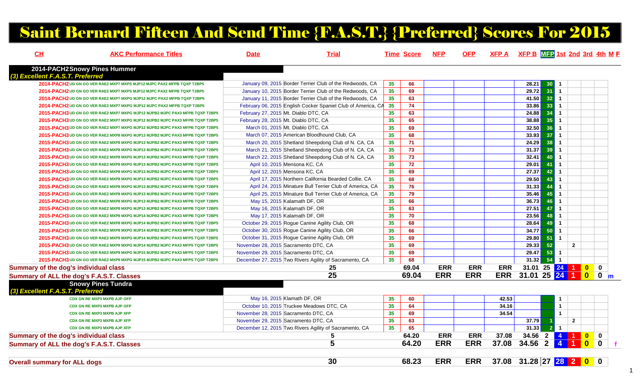# Saint Bernard Fifteen And Send Time {F.A.S.T.} {Preferred} Scores For 2015

| 2014-PACH2Snowy Pines Hummer<br>(3) Excellent F.A.S.T. Preferred<br>2014-PACH2 UD GN GO VER RAE2 MXP7 MXPS MJP12 MJPC PAX2 MFPB TQXP T2BP5<br>35<br>January 09, 2015 Border Terrier Club of the Redwoods, CA<br>66<br>28.21<br>30 <sup>1</sup><br>29.72<br>$\overline{35}$<br>69<br>31<br>2014-PACH2 UD GN GO VER RAE2 MXP7 MXPS MJP12 MJPC PAX2 MFPB TQXP T2BP5<br>January 10, 2015 Border Terrier Club of the Redwoods, CA | $\overline{1}$<br>$\overline{1}$<br>$\overline{1}$<br>$\mathbf{1}$<br>$\overline{1}$<br>$\overline{1}$ |              |
|------------------------------------------------------------------------------------------------------------------------------------------------------------------------------------------------------------------------------------------------------------------------------------------------------------------------------------------------------------------------------------------------------------------------------|--------------------------------------------------------------------------------------------------------|--------------|
|                                                                                                                                                                                                                                                                                                                                                                                                                              |                                                                                                        |              |
|                                                                                                                                                                                                                                                                                                                                                                                                                              |                                                                                                        |              |
|                                                                                                                                                                                                                                                                                                                                                                                                                              |                                                                                                        |              |
| 32<br>35<br>63<br>41.50<br>2014-PACH2 UD GN GO VER RAE2 MXP7 MXPG MJP12 MJPC PAX2 MFPB TQXP T2BP5<br>January 11, 2015 Border Terrier Club of the Redwoods, CA                                                                                                                                                                                                                                                                |                                                                                                        |              |
| 33 <sup>7</sup><br>35<br>74<br>33.86<br>February 06, 2015 English Cocker Spaniel Club of America, CA<br>2014-PACH2 UD GN GO VER RAE2 MXP7 MXPG MJP12 MJPC PAX2 MFPB TQXP T2BP5                                                                                                                                                                                                                                               |                                                                                                        |              |
| 35<br>63<br>24.88<br>February 27, 2015 Mt. Diablo DTC, CA<br>34<br>2015-PACH3 UD GN GO VER RAE2 MXP7 MXPG MJP12 MJPB2 MJPC PAX3 MFPB TQXP T2BP5                                                                                                                                                                                                                                                                              |                                                                                                        |              |
| 65<br>38.88<br>35<br>$\overline{35}$<br>February 28, 2015 Mt. Diablo DTC, CA<br>2015-PACH3 UD GN GO VER RAE2 MXP7 MXPG MJP12 MJPB2 MJPC PAX3 MFPB TQXP T2BP5                                                                                                                                                                                                                                                                 |                                                                                                        |              |
| 35<br>69<br>32.50<br>36<br>March 01, 2015 Mt. Diablo DTC, CA<br>2015-PACH3 UD GN GO VER RAE2 MXP7 MXPG MJP12 MJPB2 MJPC PAX3 MFPB TQXP T2BP5                                                                                                                                                                                                                                                                                 | $\overline{1}$                                                                                         |              |
| 35<br>68<br>33.93<br>37<br>March 07, 2015 American Bloodhound Club, CA<br>2015-PACH3 UD GN GO VER RAE2 MXP8 MXPG MJP13 MJPB2 MJPC PAX3 MFPB TQXP T2BP5                                                                                                                                                                                                                                                                       | $\mathbf{1}$                                                                                           |              |
| 24.29<br>38<br>March 20, 2015 Shetland Sheepdong Club of N. CA, CA<br>35<br>71<br>2015-PACH3 UD GN GO VER RAE2 MXP8 MXPG MJP13 MJPB2 MJPC PAX3 MFPB TQXP T2BP5                                                                                                                                                                                                                                                               | $\mathbf{1}$                                                                                           |              |
| $\overline{35}$<br>73<br>$31.37$<br>39<br>March 21, 2015 Shetland Sheepdong Club of N. CA, CA<br>2015-PACH3 UD GN GO VER RAE2 MXP8 MXPG MJP13 MJPB2 MJPC PAX3 MFPB TQXP T2BP5                                                                                                                                                                                                                                                | $\overline{1}$                                                                                         |              |
| 35<br>32.41<br>73<br>40<br>March 22, 2015 Shetland Sheepdong Club of N. CA, CA<br>2015-PACH3 UD GN GO VER RAE2 MXP8 MXPG MJP13 MJPB2 MJPC PAX3 MFPB TQXP T2BP5                                                                                                                                                                                                                                                               | $\overline{1}$                                                                                         |              |
| 35<br>72<br>29.01<br>April 10, 2015 Mensona KC, CA<br>41<br>2015-PACH3 UD GN GO VER RAE2 MXP8 MXPG MJP13 MJPB2 MJPC PAX3 MFPB TQXP T2BP5                                                                                                                                                                                                                                                                                     | $\mathbf{1}$                                                                                           |              |
| 35<br>69<br>27.37<br>April 12, 2015 Mensona KC, CA<br>42<br>2015-PACH3 UD GN GO VER RAE2 MXP8 MXPG MJP13 MJPB2 MJPC PAX3 MFPB TQXP T2BP5                                                                                                                                                                                                                                                                                     | $\mathbf{1}$                                                                                           |              |
| $\overline{35}$<br>68<br>29.50<br>43<br>April 17, 2015 Northern California Bearded Collie, CA<br>2015-PACH3 UD GN GO VER RAE2 MXP8 MXPG MJP13 MJPB2 MJPC PAX3 MFPB TQXP T2BP5                                                                                                                                                                                                                                                | $\overline{1}$                                                                                         |              |
| 35<br>31.33<br>April 24, 2015 Minature Bull Terrier Club of America, CA<br>76<br>44<br>2015-PACH3 UD GN GO VER RAE2 MXP8 MXPG MJP13 MJPB2 MJPC PAX3 MFPB TQXP T2BP5                                                                                                                                                                                                                                                          | $\overline{1}$                                                                                         |              |
| 35.46<br>35<br>79<br>45<br>April 25, 2015 Minature Bull Terrier Club of America, CA<br>2015-PACH3 UD GN GO VER RAE2 MXP8 MXPG MJP13 MJPB2 MJPC PAX3 MFPB TQXP T2BP5                                                                                                                                                                                                                                                          | $\overline{1}$                                                                                         |              |
| 36.73<br>35<br>66<br>46<br>May 15, 2015 Kalamath DF, OR<br>2015-PACH3 UD GN GO VER RAE2 MXP8 MXPG MJP13 MJPB2 MJPC PAX3 MFPB TQXP T2BP5                                                                                                                                                                                                                                                                                      | $\mathbf{1}$                                                                                           |              |
| 35<br>63<br>27.51<br>47<br>May 16, 2015 Kalamath DF, OR<br>2015-PACH3 UD GN GO VER RAE2 MXP8 MXPG MJP13 MJPB2 MJPC PAX3 MFPB TQXP T2BP5                                                                                                                                                                                                                                                                                      | $\overline{1}$                                                                                         |              |
| 23.56<br>35<br>70<br>May 17, 2015 Kalamath DF, OR<br>48<br>2015-PACH3 UD GN GO VER RAE2 MXP8 MXPG MJP14 MJPB2 MJPC PAX3 MFPB TQXP T2BP5                                                                                                                                                                                                                                                                                      | $\mathbf{1}$                                                                                           |              |
| 28.64<br>35<br>68<br>49<br>October 29, 2015 Rogue Canine Agility Club, OR<br>2015-PACH3 UD GN GO VER RAE2 MXP8 MXPG MJP14 MJPB2 MJPC PAX3 MFPB TQXP T2BP5                                                                                                                                                                                                                                                                    | $\mathbf{1}$                                                                                           |              |
| 35<br>66<br>34.77<br>50<br>October 30, 2015 Rogue Canine Agility Club, OR<br>2015-PACH3 UD GN GO VER RAE2 MXP8 MXPG MJP14 MJPB2 MJPC PAX3 MFPS TQXP T2BP5                                                                                                                                                                                                                                                                    | $\mathbf{1}$                                                                                           |              |
| 35<br>29.80<br>51<br>October 31, 2015 Rogue Canine Agility Club, OR<br>69<br>2015-PACH3 UD GN GO VER RAE2 MXP9 MXPG MJP14 MJPB2 MJPC PAX3 MFPS TQXP T2BP5                                                                                                                                                                                                                                                                    | $\overline{1}$                                                                                         |              |
| $\overline{35}$<br>29.33<br>November 28, 2015 Sacramento DTC, CA<br>69<br>52<br>2015-PACH3 UD GN GO VER RAE2 MXP9 MXPG MJP14 MJPB2 MJPC PAX3 MFPS TQXP T2BP5                                                                                                                                                                                                                                                                 | $\overline{2}$                                                                                         |              |
| 35<br>29.47<br>53<br>69<br>November 29, 2015 Sacramento DTC, CA<br>2015-PACH3 UD GN GO VER RAE2 MXP9 MXPG MJP15 MJPB2 MJPC PAX3 MFPS TQXP T2BP5                                                                                                                                                                                                                                                                              | $\mathbf{1}$                                                                                           |              |
| 54<br>35<br>68<br>31.32<br>2015-PACH3 UD GN GO VER RAE2 MXP9 MXPG MJP15 MJPB2 MJPC PAX3 MFPS TQXP T2BP5<br>December 27, 2015 Two Rivers Agility of Sacramento, CA                                                                                                                                                                                                                                                            | $\overline{1}$                                                                                         |              |
| 69.04<br><b>ERR</b><br><b>ERR</b><br><b>ERR</b><br>Summary of the dog's individual class<br>25                                                                                                                                                                                                                                                                                                                               | 31.01 25 24 1 0 0                                                                                      |              |
| <b>ERR</b><br>25<br><b>ERR</b><br>ERR 31.01 25 24 1 0 0 m<br>69.04<br>Summary of ALL the dog's F.A.S.T. Classes                                                                                                                                                                                                                                                                                                              |                                                                                                        |              |
| <b>Snowy Pines Tundra</b>                                                                                                                                                                                                                                                                                                                                                                                                    |                                                                                                        |              |
| (3) Excellent F.A.S.T. Preferred                                                                                                                                                                                                                                                                                                                                                                                             |                                                                                                        |              |
| 42.53<br>CDX GN RE MXP3 MXPB AJP OFP<br>May 16, 2015 Klamath DF, OR<br>35<br>60                                                                                                                                                                                                                                                                                                                                              | $\mathbf{1}$                                                                                           |              |
| $\overline{35}$<br>64<br>34.16<br>October 10, 2015 Truckee Meadows DTC, CA<br><b>CDX GN RE MXP3 MXPB AJP OFP</b>                                                                                                                                                                                                                                                                                                             | $\mathbf{1}$                                                                                           |              |
| 35<br>34.54<br>November 28, 2015 Sacramento DTC, CA<br>69<br><b>CDX GN RE MXP3 MXPB AJP XFP</b>                                                                                                                                                                                                                                                                                                                              | $\mathbf{1}$                                                                                           |              |
| 35<br>63<br>November 29, 2015 Sacramento DTC, CA<br>37.79<br><b>CDX GN RE MXP3 MXPB AJP XFP</b>                                                                                                                                                                                                                                                                                                                              | $\overline{2}$                                                                                         |              |
| 65<br>$31.33$<br>35<br>2 <sup>1</sup><br><b>CDX GN RE MXP3 MXPB AJP XFP</b><br>December 12, 2015 Two Rivers Agility of Sacramento, CA                                                                                                                                                                                                                                                                                        | $\overline{1}$                                                                                         |              |
| <b>ERR</b><br>37.08<br>Summary of the dog's individual class<br>64.20<br><b>ERR</b><br>5                                                                                                                                                                                                                                                                                                                                     | 34.56 2 4 1 0                                                                                          | $\mathbf{0}$ |
| 5<br><b>ERR</b><br>$34.56$ 2 4 1<br>64.20<br><b>ERR</b><br>37.08<br>Summary of ALL the dog's F.A.S.T. Classes                                                                                                                                                                                                                                                                                                                |                                                                                                        |              |
|                                                                                                                                                                                                                                                                                                                                                                                                                              |                                                                                                        |              |
| 37.08 31.28 27 28 2 0 0<br>68.23<br><b>ERR</b><br><b>ERR</b><br>30<br><b>Overall summary for ALL dogs</b>                                                                                                                                                                                                                                                                                                                    |                                                                                                        |              |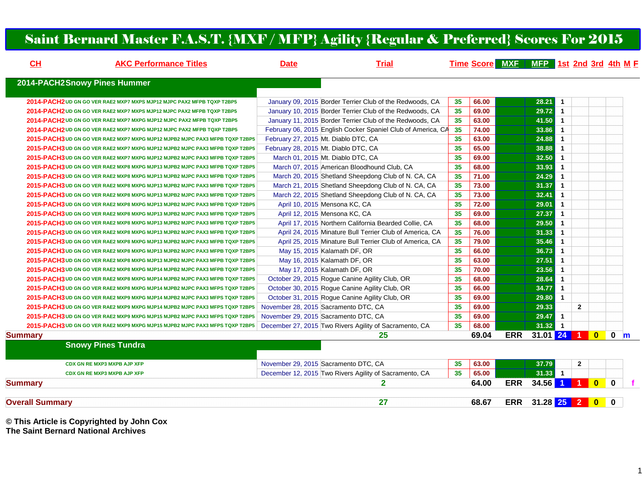#### Saint Bernard Master F.A.S.T. {MXF / MFP} Agility {Regular & Preferred} Scores For 2015

| CH                     | <b>AKC Performance Titles</b>                                                | <b>Date</b> | <b>Trial</b>                                                 |    |       | Time Score MXE MFP 1st 2nd 3rd 4th M E |                    |                |              |                         |              |   |
|------------------------|------------------------------------------------------------------------------|-------------|--------------------------------------------------------------|----|-------|----------------------------------------|--------------------|----------------|--------------|-------------------------|--------------|---|
|                        | 2014-PACH2Snowy Pines Hummer                                                 |             |                                                              |    |       |                                        |                    |                |              |                         |              |   |
|                        |                                                                              |             |                                                              |    |       |                                        |                    |                |              |                         |              |   |
|                        | 2014-PACH2 UD GN GO VER RAE2 MXP7 MXPS MJP12 MJPC PAX2 MFPB TQXP T2BP5       |             | January 09, 2015 Border Terrier Club of the Redwoods, CA     | 35 | 66.00 |                                        | 28.21              | $\blacksquare$ |              |                         |              |   |
|                        | 2014-PACH2 UD GN GO VER RAE2 MXP7 MXPS MJP12 MJPC PAX2 MFPB TQXP T2BP5       |             | January 10, 2015 Border Terrier Club of the Redwoods, CA     | 35 | 69.00 |                                        | $29.72$ 1          |                |              |                         |              |   |
|                        | 2014-PACH2 UD GN GO VER RAE2 MXP7 MXPG MJP12 MJPC PAX2 MFPB TQXP T2BP5       |             | January 11, 2015 Border Terrier Club of the Redwoods, CA     | 35 | 63.00 |                                        | 41.50              | $\overline{1}$ |              |                         |              |   |
|                        | 2014-PACH2 UD GN GO VER RAE2 MXP7 MXPG MJP12 MJPC PAX2 MFPB TQXP T2BP5       |             | February 06, 2015 English Cocker Spaniel Club of America, CA | 35 | 74.00 |                                        | 33.86              | $\overline{1}$ |              |                         |              |   |
|                        | 2015-PACH3 UD GN GO VER RAE2 MXP7 MXPG MJP12 MJPB2 MJPC PAX3 MFPB TQXP T2BP5 |             | February 27, 2015 Mt. Diablo DTC, CA                         | 35 | 63.00 |                                        | 24.88              | -1             |              |                         |              |   |
|                        | 2015-PACH3 UD GN GO VER RAE2 MXP7 MXPG MJP12 MJPB2 MJPC PAX3 MFPB TQXP T2BP5 |             | February 28, 2015 Mt. Diablo DTC, CA                         | 35 | 65.00 |                                        | 38.88              | $\blacksquare$ |              |                         |              |   |
|                        | 2015-PACH3 UD GN GO VER RAE2 MXP7 MXPG MJP12 MJPB2 MJPC PAX3 MFPB TQXP T2BP5 |             | March 01, 2015 Mt. Diablo DTC, CA                            | 35 | 69.00 |                                        | 32.50              | $\overline{1}$ |              |                         |              |   |
|                        | 2015-PACH3 UD GN GO VER RAE2 MXP8 MXPG MJP13 MJPB2 MJPC PAX3 MFPB TQXP T2BP5 |             | March 07, 2015 American Bloodhound Club, CA                  | 35 | 68.00 |                                        | 33.93              | $\overline{1}$ |              |                         |              |   |
|                        | 2015-PACH3 UD GN GO VER RAE2 MXP8 MXPG MJP13 MJPB2 MJPC PAX3 MFPB TQXP T2BP5 |             | March 20, 2015 Shetland Sheepdong Club of N. CA, CA          | 35 | 71.00 |                                        | 24.29              | $\overline{1}$ |              |                         |              |   |
|                        | 2015-PACH3 UD GN GO VER RAE2 MXP8 MXPG MJP13 MJPB2 MJPC PAX3 MFPB TQXP T2BP5 |             | March 21, 2015 Shetland Sheepdong Club of N. CA, CA          | 35 | 73.00 |                                        | 31.37              | $\overline{1}$ |              |                         |              |   |
|                        | 2015-PACH3 UD GN GO VER RAE2 MXP8 MXPG MJP13 MJPB2 MJPC PAX3 MFPB TQXP T2BP5 |             | March 22, 2015 Shetland Sheepdong Club of N. CA, CA          | 35 | 73.00 |                                        | 32.41              | $\mathbf{1}$   |              |                         |              |   |
|                        | 2015-PACH3 UD GN GO VER RAE2 MXP8 MXPG MJP13 MJPB2 MJPC PAX3 MFPB TQXP T2BP5 |             | April 10, 2015 Mensona KC, CA                                | 35 | 72.00 |                                        | 29.01              | $\overline{1}$ |              |                         |              |   |
|                        | 2015-PACH3 UD GN GO VER RAE2 MXP8 MXPG MJP13 MJPB2 MJPC PAX3 MFPB TQXP T2BP5 |             | April 12, 2015 Mensona KC, CA                                | 35 | 69.00 |                                        | 27.37              | $\overline{1}$ |              |                         |              |   |
|                        | 2015-PACH3 UD GN GO VER RAE2 MXP8 MXPG MJP13 MJPB2 MJPC PAX3 MFPB TQXP T2BP5 |             | April 17, 2015 Northern California Bearded Collie, CA        | 35 | 68.00 |                                        | 29.50              | $\mathbf{1}$   |              |                         |              |   |
|                        | 2015-PACH3 UD GN GO VER RAE2 MXP8 MXPG MJP13 MJPB2 MJPC PAX3 MFPB TQXP T2BP5 |             | April 24, 2015 Minature Bull Terrier Club of America, CA     | 35 | 76.00 |                                        | 31.33              | $\overline{1}$ |              |                         |              |   |
|                        | 2015-PACH3 UD GN GO VER RAE2 MXP8 MXPG MJP13 MJPB2 MJPC PAX3 MFPB TQXP T2BP5 |             | April 25, 2015 Minature Bull Terrier Club of America, CA     | 35 | 79.00 |                                        | 35.46              | -1             |              |                         |              |   |
|                        | 2015-PACH3 UD GN GO VER RAE2 MXP8 MXPG MJP13 MJPB2 MJPC PAX3 MFPB TQXP T2BP5 |             | May 15, 2015 Kalamath DF, OR                                 | 35 | 66.00 |                                        | 36.73              | $\overline{1}$ |              |                         |              |   |
|                        | 2015-PACH3 UD GN GO VER RAE2 MXP8 MXPG MJP13 MJPB2 MJPC PAX3 MFPB TQXP T2BP5 |             | May 16, 2015 Kalamath DF, OR                                 | 35 | 63.00 |                                        | 27.51              | $\mathbf{1}$   |              |                         |              |   |
|                        | 2015-PACH3 UD GN GO VER RAE2 MXP8 MXPG MJP14 MJPB2 MJPC PAX3 MFPB TQXP T2BP5 |             | May 17, 2015 Kalamath DF, OR                                 | 35 | 70.00 |                                        | 23.56              | $\mathbf{1}$   |              |                         |              |   |
|                        | 2015-PACH3 UD GN GO VER RAE2 MXP8 MXPG MJP14 MJPB2 MJPC PAX3 MFPB TQXP T2BP5 |             | October 29, 2015 Rogue Canine Agility Club, OR               | 35 | 68.00 |                                        | 28.64              | $\mathbf{1}$   |              |                         |              |   |
|                        | 2015-PACH3 UD GN GO VER RAE2 MXP8 MXPG MJP14 MJPB2 MJPC PAX3 MFPS TQXP T2BP5 |             | October 30, 2015 Rogue Canine Agility Club, OR               | 35 | 66.00 |                                        | 34.77              | $\overline{1}$ |              |                         |              |   |
|                        | 2015-PACH3 UD GN GO VER RAE2 MXP9 MXPG MJP14 MJPB2 MJPC PAX3 MFPS TQXP T2BP5 |             | October 31, 2015 Rogue Canine Agility Club, OR               | 35 | 69.00 |                                        | 29.80              | $\overline{1}$ |              |                         |              |   |
|                        | 2015-PACH3 UD GN GO VER RAE2 MXP9 MXPG MJP14 MJPB2 MJPC PAX3 MFPS TQXP T2BP5 |             | November 28, 2015 Sacramento DTC, CA                         | 35 | 69.00 |                                        | 29.33              |                | $\mathbf{2}$ |                         |              |   |
|                        | 2015-PACH3 UD GN GO VER RAE2 MXP9 MXPG MJP15 MJPB2 MJPC PAX3 MFPS TQXP T2BP5 |             | November 29, 2015 Sacramento DTC, CA                         | 35 | 69.00 |                                        | 29.47              | $\blacksquare$ |              |                         |              |   |
|                        | 2015-PACH3 UD GN GO VER RAE2 MXP9 MXPG MJP15 MJPB2 MJPC PAX3 MFPS TQXP T2BP5 |             | December 27, 2015 Two Rivers Agility of Sacramento, CA       | 35 | 68.00 |                                        | $31.32$ 1          |                |              |                         |              |   |
| <b>Summary</b>         |                                                                              |             | 25                                                           |    | 69.04 | <b>ERR</b>                             | 31.01 24 1         |                |              | $\overline{\mathbf{0}}$ | $\mathbf 0$  | m |
|                        | <b>Snowy Pines Tundra</b>                                                    |             |                                                              |    |       |                                        |                    |                |              |                         |              |   |
|                        | <b>CDX GN RE MXP3 MXPB AJP XFP</b>                                           |             | November 29, 2015 Sacramento DTC, CA                         | 35 | 63.00 |                                        | 37.79              |                | $\mathbf{2}$ |                         |              |   |
|                        | <b>CDX GN RE MXP3 MXPB AJP XFP</b>                                           |             | December 12, 2015 Two Rivers Agility of Sacramento, CA       | 35 | 65.00 |                                        | $31.33$ 1          |                |              |                         |              |   |
| <b>Summary</b>         |                                                                              |             | $\mathbf{2}$                                                 |    | 64.00 | <b>ERR</b>                             | $34.56$ 1 1        |                |              | $\overline{\mathbf{0}}$ | $\mathbf{0}$ |   |
|                        |                                                                              |             |                                                              |    |       |                                        |                    |                |              |                         |              |   |
| <b>Overall Summary</b> |                                                                              |             | 27                                                           |    | 68.67 |                                        | ERR 31.28 25 2 0 0 |                |              |                         |              |   |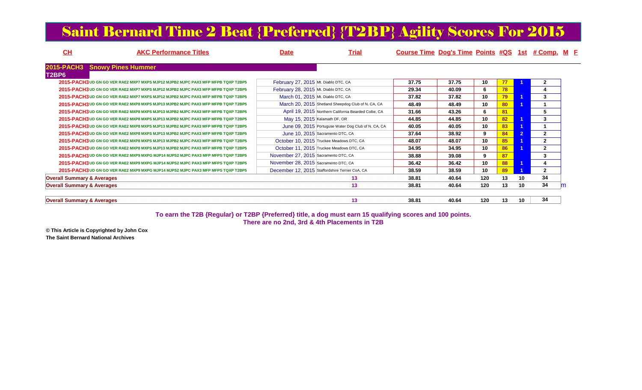## Saint Bernard Time 2 Beat {Preferred} {T2BP} Agility Scores For 2015

| $CH$                                  | <b>AKC Performance Titles</b>                                                    | <b>Date</b>                          | Trial                                                 | Course Time Dog's Time Points #QS 1st # Comp. M E |       |     |    |    |              |  |
|---------------------------------------|----------------------------------------------------------------------------------|--------------------------------------|-------------------------------------------------------|---------------------------------------------------|-------|-----|----|----|--------------|--|
| 2015-PACH3 Snowy Pines Hummer         |                                                                                  |                                      |                                                       |                                                   |       |     |    |    |              |  |
| T2BP6                                 |                                                                                  |                                      |                                                       |                                                   |       |     |    |    |              |  |
|                                       | 2015-PACH3 UD GN GO VER RAE2 MXP7 MXPS MJP12 MJPB2 MJPC PAX3 MFP MFPB TQXP T2BP5 | February 27, 2015 Mt. Diablo DTC, CA |                                                       | 37.75                                             | 37.75 | 10  | 77 |    |              |  |
|                                       | 2015-PACH3 UD GN GO VER RAE2 MXP7 MXPS MJP12 MJPB2 MJPC PAX3 MFP MFPB TQXP T2BP5 | February 28, 2015 Mt. Diablo DTC, CA |                                                       | 29.34                                             | 40.09 | 6   | 78 |    |              |  |
|                                       | 2015-PACH3 UD GN GO VER RAE2 MXP7 MXPS MJP12 MJPB2 MJPC PAX3 MFP MFPB TQXP T2BP5 | March 01, 2015 Mt. Diablo DTC, CA    |                                                       | 37.82                                             | 37.82 | 10  | 79 |    | 3            |  |
|                                       | 2015-PACH3 UD GN GO VER RAE2 MXP8 MXPS MJP13 MJPB2 MJPC PAX3 MFP MFPB TQXP T2BP5 |                                      | March 20, 2015 Shetland Sheepdog Club of N. CA, CA    | 48.49                                             | 48.49 | 10  | 80 |    |              |  |
|                                       | 2015-PACH3 UD GN GO VER RAE2 MXP8 MXPS MJP13 MJPB2 MJPC PAX3 MFP MFPB TQXP T2BP5 |                                      | April 19, 2015 Northern California Bearded Collie, CA | 31.66                                             | 43.26 | 6   | 81 |    | 5            |  |
|                                       | 2015-PACH3 UD GN GO VER RAE2 MXP8 MXPS MJP13 MJPB2 MJPC PAX3 MFP MFPB TQXP T2BP5 | May 15, 2015 Kalamath DF, OR         |                                                       | 44.85                                             | 44.85 | 10  | 82 |    | 3            |  |
|                                       | 2015-PACH3 UD GN GO VER RAE2 MXP8 MXPS MJP13 MJPB2 MJPC PAX3 MFP MFPB TQXP T2BP5 |                                      | June 09, 2015 Portuguse Water Dog Club of N. CA, CA   | 40.05                                             | 40.05 | 10  | 83 |    |              |  |
|                                       | 2015-PACH3 UD GN GO VER RAE2 MXP8 MXPS MJP13 MJPB2 MJPC PAX3 MFP MFPB TQXP T2BP5 |                                      | June 10, 2015 Sacramento DTC, CA                      | 37.64                                             | 38.92 | 9   | 84 |    | $\mathbf{2}$ |  |
|                                       | 2015-PACH3 UD GN GO VER RAE2 MXP8 MXPS MJP13 MJPB2 MJPC PAX3 MFP MFPB TQXP T2BP5 |                                      | October 10, 2015 Truckee Meadows DTC, CA              | 48.07                                             | 48.07 | 10  | 85 |    | $\mathbf{2}$ |  |
|                                       | 2015-PACH3 UD GN GO VER RAE2 MXP8 MXPS MJP13 MJPB2 MJPC PAX3 MFP MFPB TQXP T2BP5 |                                      | October 11, 2015 Truckee Meadows DTC, CA              | 34.95                                             | 34.95 | 10  | 86 |    | $\mathbf{2}$ |  |
|                                       | 2015-PACH3 UD GN GO VER RAE2 MXP9 MXPG MJP14 MJPS2 MJPC PAX3 MFP MFPS TQXP T2BP5 | November 27, 2015 Sacramento DTC, CA |                                                       | 38.88                                             | 39.08 | 9   | 87 |    | 3            |  |
|                                       | 2015-PACH3 UD GN GO VER RAE2 MXP9 MXPG MJP14 MJPS2 MJPC PAX3 MFP MFPS TQXP T2BP5 | November 28, 2015 Sacramento DTC, CA |                                                       | 36.42                                             | 36.42 | 10  | 88 |    | 4            |  |
|                                       | 2015-PACH3 UD GN GO VER RAE2 MXP9 MXPG MJP14 MJPS2 MJPC PAX3 MFP MFPS TQXP T2BP5 |                                      | December 12, 2015 Staffordshire Terrier CoA, CA       | 38.59                                             | 38.59 | 10  | 89 |    | $\mathbf{2}$ |  |
| <b>Overall Summary &amp; Averages</b> |                                                                                  |                                      | 13                                                    | 38.81                                             | 40.64 | 120 | 13 | 10 | 34           |  |
| <b>Overall Summary &amp; Averages</b> |                                                                                  |                                      | 13                                                    | 38.81                                             | 40.64 | 120 | 13 | 10 | 34           |  |
|                                       |                                                                                  |                                      |                                                       |                                                   |       |     |    |    |              |  |
| <b>Overall Summary &amp; Averages</b> |                                                                                  |                                      | 13                                                    | 38.81                                             | 40.64 | 120 | 13 | 10 | 34           |  |

**To earn the T2B {Regular} or T2BP {Preferred} title, a dog must earn 15 qualifying scores and 100 points.There are no 2nd, 3rd & 4th Placements in T2B**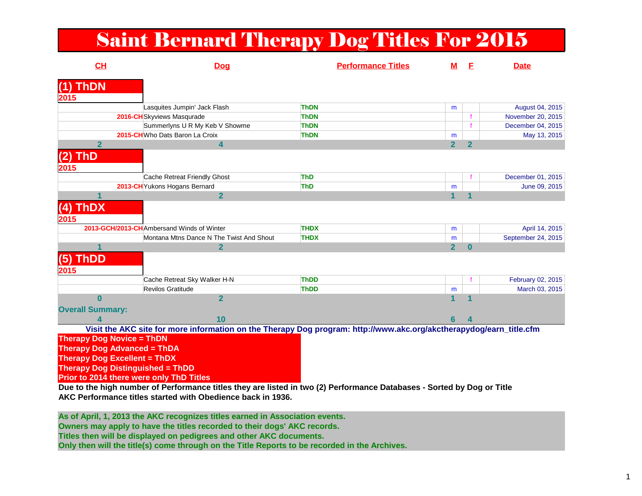## Saint Bernard Therapy Dog Titles For 2015

| CH                                       | <b>Dog</b>                                                                                                             | <b>Performance Titles</b> | м              | E            | <b>Date</b>        |
|------------------------------------------|------------------------------------------------------------------------------------------------------------------------|---------------------------|----------------|--------------|--------------------|
| <b>ThDN</b><br>2015                      |                                                                                                                        |                           |                |              |                    |
|                                          | Lasquites Jumpin' Jack Flash                                                                                           | <b>ThDN</b>               | m              |              | August 04, 2015    |
|                                          | 2016-CHSkyviews Masqurade                                                                                              | <b>ThDN</b>               |                |              | November 20, 2015  |
|                                          | Summerlyns U R My Keb V Showme                                                                                         | <b>ThDN</b>               |                |              | December 04, 2015  |
|                                          | 2015-CHWho Dats Baron La Croix                                                                                         | <b>ThDN</b>               | m              |              | May 13, 2015       |
| $\overline{2}$                           | 4                                                                                                                      |                           | 2 <sup>1</sup> | $\mathbf{2}$ |                    |
| <b>ThD</b><br>$\bf (2)$<br>2015          |                                                                                                                        |                           |                |              |                    |
|                                          | Cache Retreat Friendly Ghost                                                                                           | <b>ThD</b>                |                |              | December 01, 2015  |
|                                          | 2013-CH Yukons Hogans Bernard                                                                                          | <b>ThD</b>                | m              |              | June 09, 2015      |
|                                          | $\overline{2}$                                                                                                         |                           | $\mathbf 1$    |              |                    |
| (4) ThDX<br>2015                         |                                                                                                                        |                           |                |              |                    |
|                                          | 2013-GCH/2013-CHAmbersand Winds of Winter                                                                              | <b>THDX</b>               | m              |              | April 14, 2015     |
|                                          | Montana Mtns Dance N The Twist And Shout                                                                               | <b>THDX</b>               | m              |              | September 24, 2015 |
| 1                                        | $\mathbf{2}$                                                                                                           |                           | 2 <sup>1</sup> | $\bf{0}$     |                    |
| (5) ThDD<br>2015                         |                                                                                                                        |                           |                |              |                    |
|                                          | Cache Retreat Sky Walker H-N                                                                                           | <b>ThDD</b>               |                |              | February 02, 2015  |
|                                          | Revilos Gratitude                                                                                                      | <b>ThDD</b>               | m              |              | March 03, 2015     |
| $\bf{0}$                                 | $\overline{2}$                                                                                                         |                           |                |              |                    |
| <b>Overall Summary:</b>                  |                                                                                                                        |                           |                |              |                    |
| 4                                        | 10                                                                                                                     |                           | 6              |              |                    |
|                                          | Visit the AKC site for more information on the Therapy Dog program: http://www.akc.org/akctherapydog/earn_title.cfm    |                           |                |              |                    |
| <b>Therapy Dog Novice = ThDN</b>         |                                                                                                                        |                           |                |              |                    |
| <b>Therapy Dog Advanced = ThDA</b>       |                                                                                                                        |                           |                |              |                    |
| <b>Therapy Dog Excellent = ThDX</b>      |                                                                                                                        |                           |                |              |                    |
| <b>Therapy Dog Distinguished = ThDD</b>  |                                                                                                                        |                           |                |              |                    |
| Prior to 2014 there were only ThD Titles |                                                                                                                        |                           |                |              |                    |
|                                          | Due to the high number of Performance titles they are listed in two (2) Performance Databases - Sorted by Dog or Title |                           |                |              |                    |

**AKC Performance titles started with Obedience back in 1936.**

**As of April, 1, 2013 the AKC recognizes titles earned in Association events.**

**Owners may apply to have the titles recorded to their dogs' AKC records.** 

**Titles then will be displayed on pedigrees and other AKC documents.** 

**Only then will the title(s) come through on the Title Reports to be recorded in the Archives.**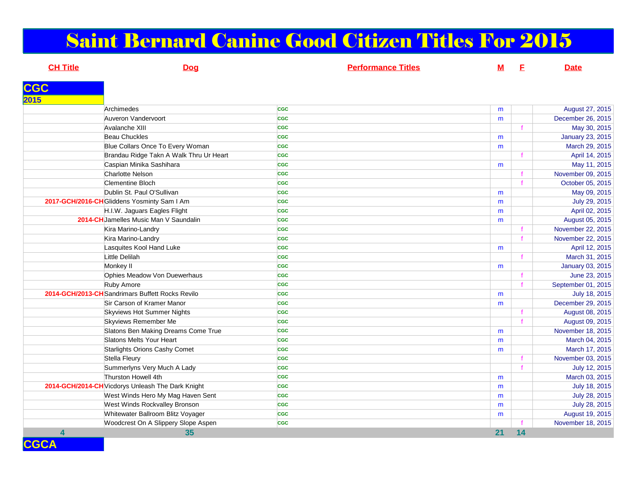# Saint Bernard Canine Good Citizen Titles For 2015

| <b>CH Title</b> | <b>Dog</b>                                        | <b>Performance Titles</b> | <u>M</u> | E  | <b>Date</b>        |
|-----------------|---------------------------------------------------|---------------------------|----------|----|--------------------|
| <b>CGC</b>      |                                                   |                           |          |    |                    |
| 2015            |                                                   |                           |          |    |                    |
|                 | Archimedes                                        | <b>CGC</b>                | m        |    | August 27, 2015    |
|                 | Auveron Vandervoort                               | <b>CGC</b>                | m        |    | December 26, 2015  |
|                 | Avalanche XIII                                    | <b>CGC</b>                |          |    | May 30, 2015       |
|                 | <b>Beau Chuckles</b>                              | <b>CGC</b>                | m        |    | January 23, 2015   |
|                 | Blue Collars Once To Every Woman                  | <b>CGC</b>                | m        |    | March 29, 2015     |
|                 | Brandau Ridge Takn A Walk Thru Ur Heart           | <b>CGC</b>                |          | f  | April 14, 2015     |
|                 | Caspian Minika Sashihara                          | <b>CGC</b>                | m        |    | May 11, 2015       |
|                 | <b>Charlotte Nelson</b>                           | <b>CGC</b>                |          |    | November 09, 2015  |
|                 | <b>Clementine Bloch</b>                           | <b>CGC</b>                |          |    | October 05, 2015   |
|                 | Dublin St. Paul O'Sullivan                        | <b>CGC</b>                | m        |    | May 09, 2015       |
|                 | 2017-GCH/2016-CH Gliddens Yosminty Sam I Am       | <b>CGC</b>                | m        |    | July 29, 2015      |
|                 | H.I.W. Jaguars Eagles Flight                      | <b>CGC</b>                | m        |    | April 02, 2015     |
|                 | 2014-CH Jamelles Music Man V Saundalin            | <b>CGC</b>                | m        |    | August 05, 2015    |
|                 | Kira Marino-Landry                                | <b>CGC</b>                |          |    | November 22, 2015  |
|                 | Kira Marino-Landry                                | <b>CGC</b>                |          |    | November 22, 2015  |
|                 | Lasquites Kool Hand Luke                          | <b>CGC</b>                | m        |    | April 12, 2015     |
|                 | Little Delilah                                    | <b>CGC</b>                |          |    | March 31, 2015     |
|                 | Monkey II                                         | <b>CGC</b>                | m        |    | January 03, 2015   |
|                 | Ophies Meadow Von Duewerhaus                      | <b>CGC</b>                |          |    | June 23, 2015      |
|                 | Ruby Amore                                        | <b>CGC</b>                |          | f  | September 01, 2015 |
|                 | 2014-GCH/2013-CH Sandrimars Buffett Rocks Revilo  | <b>CGC</b>                | m        |    | July 18, 2015      |
|                 | Sir Carson of Kramer Manor                        | <b>CGC</b>                | m        |    | December 29, 2015  |
|                 | <b>Skyviews Hot Summer Nights</b>                 | <b>CGC</b>                |          |    | August 08, 2015    |
|                 | Skyviews Remember Me                              | <b>CGC</b>                |          |    | August 09, 2015    |
|                 | Slatons Ben Making Dreams Come True               | <b>CGC</b>                | m        |    | November 18, 2015  |
|                 | Slatons Melts Your Heart                          | <b>CGC</b>                | m        |    | March 04, 2015     |
|                 | Starlights Orions Cashy Comet                     | <b>CGC</b>                | m        |    | March 17, 2015     |
|                 | Stella Fleury                                     | <b>CGC</b>                |          |    | November 03, 2015  |
|                 | Summerlyns Very Much A Lady                       | <b>CGC</b>                |          |    | July 12, 2015      |
|                 | Thurston Howell 4th                               | <b>CGC</b>                | m        |    | March 03, 2015     |
|                 | 2014-GCH/2014-CH Vicdorys Unleash The Dark Knight | <b>CGC</b>                | m        |    | July 18, 2015      |
|                 | West Winds Hero My Mag Haven Sent                 | <b>CGC</b>                | m        |    | July 28, 2015      |
|                 | West Winds Rockvalley Bronson                     | <b>CGC</b>                | m        |    | July 28, 2015      |
|                 | Whitewater Ballroom Blitz Voyager                 | <b>CGC</b>                | m        |    | August 19, 2015    |
|                 | Woodcrest On A Slippery Slope Aspen               | <b>CGC</b>                |          |    | November 18, 2015  |
| 4               | 35                                                |                           | 21       | 14 |                    |

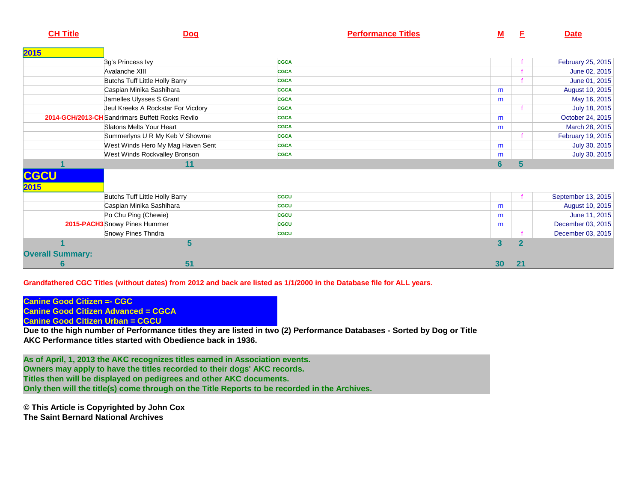| <b>CH Title</b>         | <b>Dog</b>                                       | <b>Performance Titles</b> | <u>M</u>       | E  | <b>Date</b>        |
|-------------------------|--------------------------------------------------|---------------------------|----------------|----|--------------------|
| 2015                    |                                                  |                           |                |    |                    |
|                         | 3g's Princess Ivy                                | <b>CGCA</b>               |                |    | February 25, 2015  |
|                         | Avalanche XIII                                   | <b>CGCA</b>               |                |    | June 02, 2015      |
|                         | Butchs Tuff Little Holly Barry                   | <b>CGCA</b>               |                |    | June 01, 2015      |
|                         | Caspian Minika Sashihara                         | <b>CGCA</b>               | m              |    | August 10, 2015    |
|                         | Jamelles Ulysses S Grant                         | <b>CGCA</b>               | m              |    | May 16, 2015       |
|                         | Jeul Kreeks A Rockstar For Vicdory               | <b>CGCA</b>               |                |    | July 18, 2015      |
|                         | 2014-GCH/2013-CH Sandrimars Buffett Rocks Revilo | <b>CGCA</b>               | m              |    | October 24, 2015   |
|                         | Slatons Melts Your Heart                         | <b>CGCA</b>               | m              |    | March 28, 2015     |
|                         | Summerlyns U R My Keb V Showme                   | <b>CGCA</b>               |                |    | February 19, 2015  |
|                         | West Winds Hero My Mag Haven Sent                | <b>CGCA</b>               | m              |    | July 30, 2015      |
|                         | West Winds Rockvalley Bronson                    | <b>CGCA</b>               | m              |    | July 30, 2015      |
|                         | 11                                               |                           | $6\phantom{1}$ | 5  |                    |
| <b>CGCU</b>             |                                                  |                           |                |    |                    |
| 2015                    |                                                  |                           |                |    |                    |
|                         | Butchs Tuff Little Holly Barry                   | <b>CGCU</b>               |                |    | September 13, 2015 |
|                         | Caspian Minika Sashihara                         | <b>CGCU</b>               | m              |    | August 10, 2015    |
|                         | Po Chu Ping (Chewie)                             | <b>CGCU</b>               | m              |    | June 11, 2015      |
|                         | 2015-PACH3 Snowy Pines Hummer                    | <b>CGCU</b>               | m              |    | December 03, 2015  |
|                         | Snowy Pines Thndra                               | <b>CGCU</b>               |                |    | December 03, 2015  |
|                         | 5                                                |                           | 3              | 2  |                    |
| <b>Overall Summary:</b> |                                                  |                           |                |    |                    |
| $6\phantom{1}6$         | 51                                               |                           | 30             | 21 |                    |

**Grandfathered CGC Titles (without dates) from 2012 and back are listed as 1/1/2000 in the Database file for ALL years.** 

**Canine Good Citizen =- CGCCanine Good Citizen Advanced = CGCA**

**Canine Good Citizen Urban = CGCU**

 **Due to the high number of Performance titles they are listed in two (2) Performance Databases - Sorted by Dog or TitleAKC Performance titles started with Obedience back in 1936.**

**As of April, 1, 2013 the AKC recognizes titles earned in Association events.Owners may apply to have the titles recorded to their dogs' AKC records. Titles then will be displayed on pedigrees and other AKC documents. Only then will the title(s) come through on the Title Reports to be recorded in the Archives.**